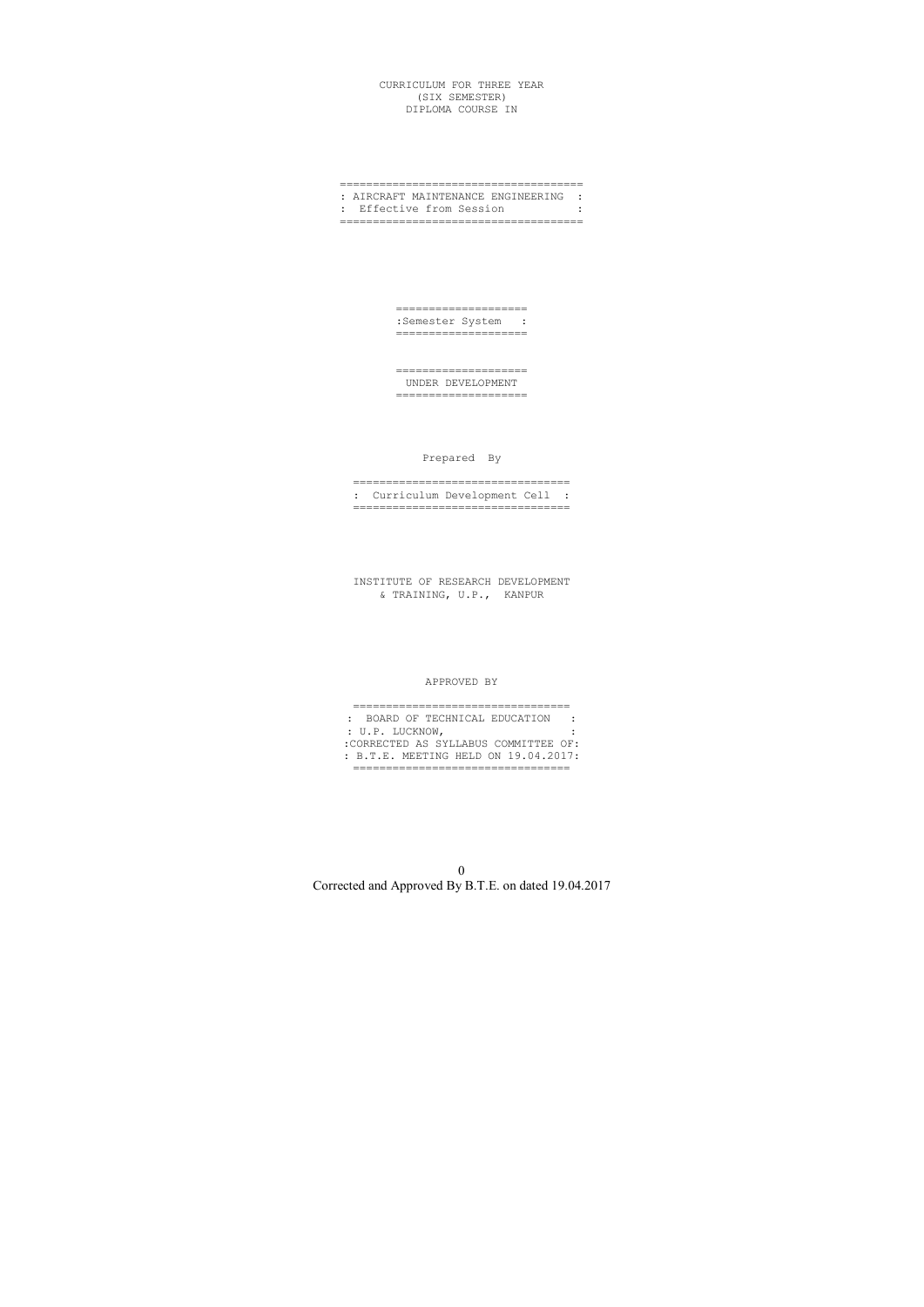### CURRICULUM FOR THREE YEAR (SIX SEMESTER) DIPLOMA COURSE IN

### ===================================== : AIRCRAFT MAINTENANCE ENGINEERING : : Effective from Session : =====================================

==================== :Semester System : ====================

==================== UNDER DEVELOPMENT ====================

Prepared By

================================= : Curriculum Development Cell : =================================

INSTITUTE OF RESEARCH DEVELOPMENT & TRAINING, U.P., KANPUR

### APPROVED BY

| : BOARD OF TECHNICAL EDUCATION       |  |
|--------------------------------------|--|
| : U.P. LUCKNOW,                      |  |
| :CORRECTED AS SYLLABUS COMMITTEE OF: |  |
| : B.T.E. MEETING HELD ON 19.04.2017: |  |
|                                      |  |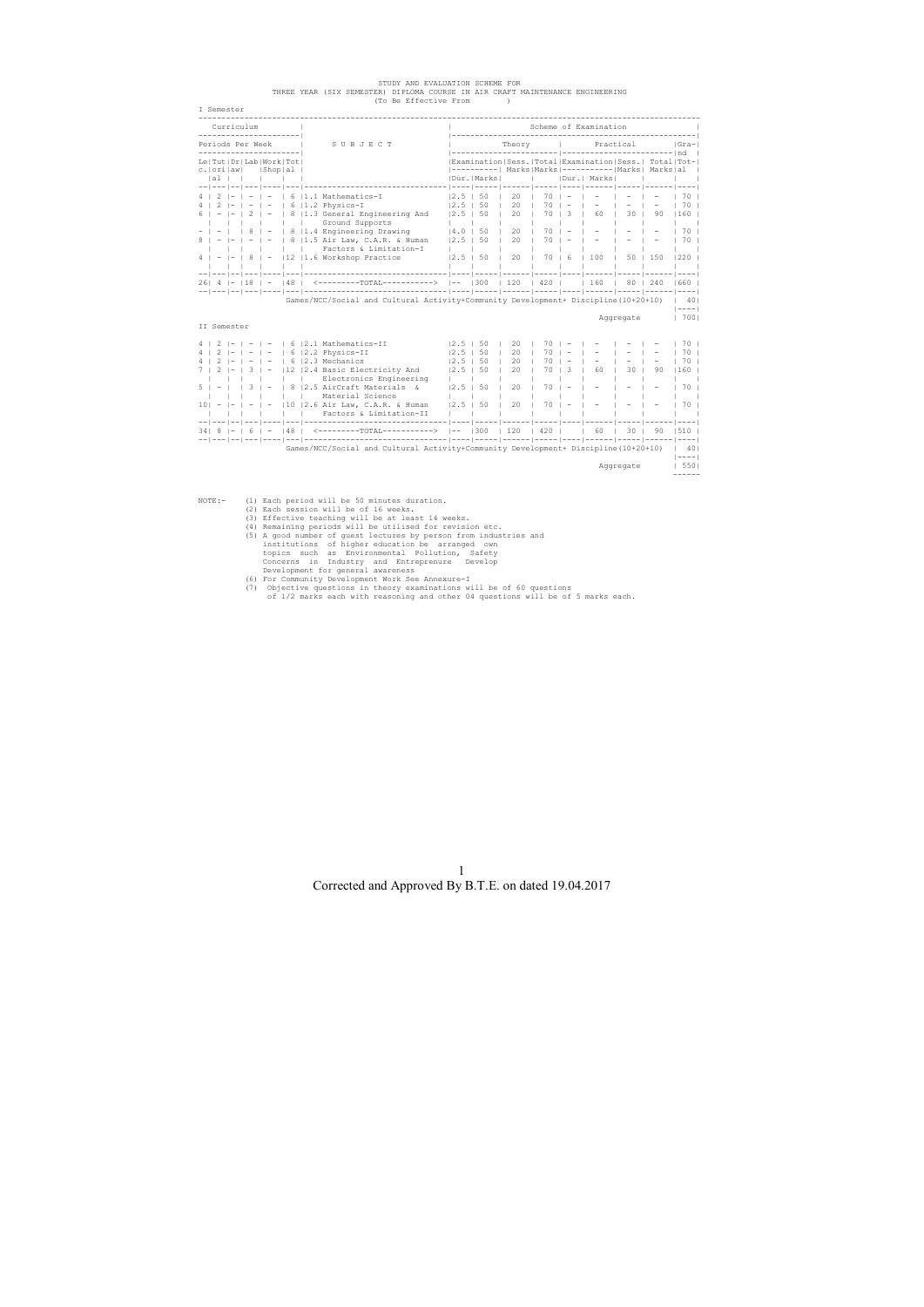| ----------------------<br>Periods Per Week<br>-----------------------<br>Le   Tut   Dr   Lab   Work   Tot  <br>c.   ori   aw <br>$ al \,  \,$ |        |                        |   | SUBJECT                                                                                            |                          |               |                                                                                                                |      |    |               |           |              |                      |
|-----------------------------------------------------------------------------------------------------------------------------------------------|--------|------------------------|---|----------------------------------------------------------------------------------------------------|--------------------------|---------------|----------------------------------------------------------------------------------------------------------------|------|----|---------------|-----------|--------------|----------------------|
|                                                                                                                                               |        |                        |   |                                                                                                    |                          |               | Theory                                                                                                         |      |    |               | Practical |              | Gra-                 |
|                                                                                                                                               |        | $ $ Shop $ $ al        |   |                                                                                                    |                          |               | Examination Sess. Total Examination Sess.  Total Tot- <br> ----------  Marks Marks ----------- Marks  Marks al |      |    |               |           |              |                      |
|                                                                                                                                               |        | and the control of the |   |                                                                                                    |                          | IDur. IMarksl |                                                                                                                |      |    | IDur.   Marks |           |              |                      |
|                                                                                                                                               |        |                        |   | $4$   2   -   -   -   6   1.1 Mathematics-I                                                        | $12.5$   50              |               | -   ----   -----   ------   -----   ----   ----   -----   -----<br>20                                          | 70   |    |               |           |              | 70 I                 |
|                                                                                                                                               | $-1 -$ |                        |   | $\mid$ 6 $\mid$ 1.2 Physics-I                                                                      | $12.5$ $\pm$             | 50            | 20                                                                                                             | 70   |    |               |           |              | 70                   |
|                                                                                                                                               |        |                        |   | $- - 2  -  8 1.3$ General Engineering And<br>Ground Supports                                       | $12.5$ $\pm$             | 50            | 20                                                                                                             | 70 I | 3  | 60            | 30        | 90           | 160                  |
|                                                                                                                                               |        |                        |   | 8   1.4 Engineering Drawing                                                                        | 14.0                     | 50            | 20                                                                                                             | 70   |    |               |           |              | 70 I                 |
|                                                                                                                                               |        |                        |   | 8   1.5 Air Law, C.A.R. & Human<br>Factors & Limitation-I                                          | 12.5 <sub>1</sub>        | 50            | 20                                                                                                             | 70   |    |               |           |              | 70                   |
|                                                                                                                                               |        |                        |   | 12  1.6 Workshop Practice                                                                          | 12.5                     | 50            | 20                                                                                                             | 70   | 16 | 100           |           | $50 \pm 150$ | $220$ $\mid$         |
|                                                                                                                                               |        |                        |   | 26   4   -   18   -   48   <-------------------------->  --   300   120   420       160   80   240 |                          |               |                                                                                                                |      |    |               |           |              | 1660 1               |
|                                                                                                                                               |        |                        |   |                                                                                                    |                          |               |                                                                                                                |      |    |               |           |              |                      |
|                                                                                                                                               |        |                        |   | Games/NCC/Social and Cultural Activity+Community Development+ Discipline(10+20+10)                 |                          |               |                                                                                                                |      |    |               |           |              | 401<br>$  - - - -  $ |
| II Semester                                                                                                                                   |        |                        |   |                                                                                                    |                          |               |                                                                                                                |      |    |               | Aggregate |              | 7001                 |
| $4$   2   -   -   -                                                                                                                           |        |                        |   |                                                                                                    |                          |               | 20                                                                                                             | 70   |    |               |           |              | 70                   |
| $4 \mid 2$                                                                                                                                    |        |                        |   | 6   2.1 Mathematics-II<br>$ -  -   -   6   2.2$ Physics-II                                         | $12.5$  <br>$12.5$ $\pm$ | 50<br>50      | 20                                                                                                             |      |    |               |           |              | 70 <sub>1</sub>      |
|                                                                                                                                               |        |                        |   | $ -  -   6   2.3$ Mechanics                                                                        | 12.5                     | 50            | 2.0                                                                                                            |      |    |               |           |              | 70                   |
|                                                                                                                                               |        |                        |   | 12   2.4 Basic Electricity And                                                                     | 12.5                     | 50            | 2.0                                                                                                            |      | 3  | 60            | 30        | 90           |                      |
|                                                                                                                                               |        |                        |   | Electronics Engineering                                                                            |                          |               |                                                                                                                |      |    |               |           |              | 160 <sub>1</sub>     |
|                                                                                                                                               |        |                        | 8 | 12.5 AirCraft Materials &                                                                          | 12.5                     | 50            | 20                                                                                                             | 70   |    |               |           |              | 70 <sub>1</sub>      |
|                                                                                                                                               |        |                        |   | Material Science                                                                                   |                          |               |                                                                                                                |      |    |               |           |              |                      |
| $10! - 1-$                                                                                                                                    |        |                        |   | $-$   -   10   2.6 Air Law, C.A.R. & Human<br>Factors & Limitation-II                              | $12.5$ $\perp$           | 50            | 20                                                                                                             | 70   |    |               |           |              | 70 I                 |
|                                                                                                                                               |        |                        |   |                                                                                                    |                          |               |                                                                                                                |      |    |               |           |              |                      |
|                                                                                                                                               |        |                        |   | 6   -   48   <---------TOTAL---------->  --   300   120   420       60   30   90                   |                          |               |                                                                                                                |      |    |               |           |              |                      |
|                                                                                                                                               |        |                        |   | Games/NCC/Social and Cultural Activity+Community Development+ Discipline(10+20+10)                 |                          |               |                                                                                                                |      |    |               |           |              | 401                  |
|                                                                                                                                               |        |                        |   |                                                                                                    |                          |               |                                                                                                                |      |    |               |           |              | $  - - - -  $        |

STUDY AND EVALUATION SCHEME FOR<br>THREE YEAR (SIX SEMESTER) DIPLOMA COURSE IN AIR CRAFT MAINTENANCE ENGINEERING<br>(To Be Effective From )

- 
- 
- 
- NOTE:- (1) Each period will be 50 minutes duration.<br>
(2) Each session will be of 16 weeks.<br>
(3) Effective teaching will be at least 14 weeks.<br>
(4) Remaining periods will be utilised for revision etc.<br>
(5) A good number of
	-
	-
	-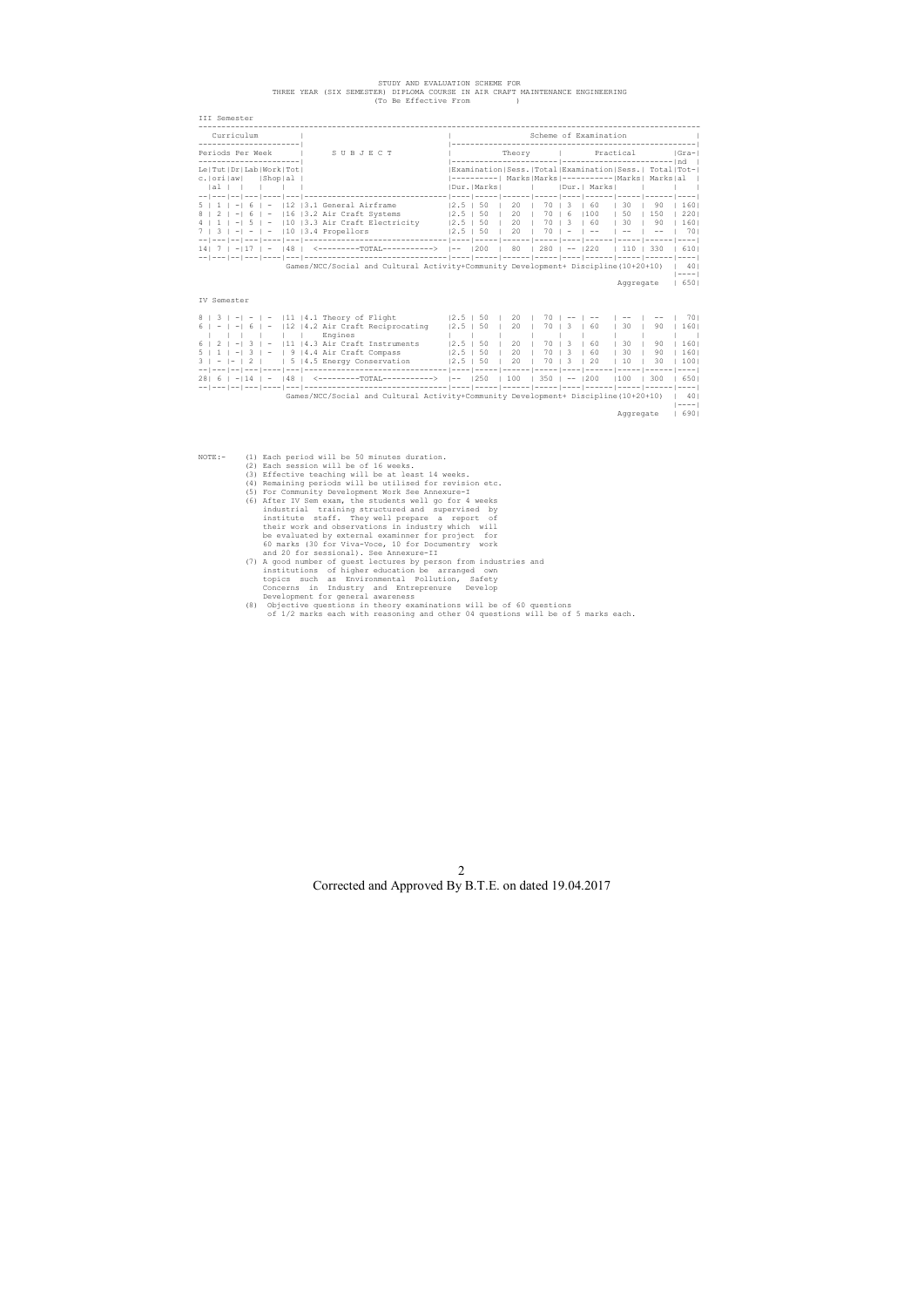# STUDY AND EVALUATION SCHEME FOR THREE YEAR (SIX SEMESTER) DIPLOMA COURSE IN AIR CRAFT MAINTENANCE ENGINEERING (To Be Effective From )

| Curriculum                                                         |      |            |                                                       |             |              | Scheme of Examination |           |          |                 |
|--------------------------------------------------------------------|------|------------|-------------------------------------------------------|-------------|--------------|-----------------------|-----------|----------|-----------------|
| Periods Per Week<br>SUBJECT                                        |      |            | Theory                                                |             |              |                       | Practical |          | Gra- <br>$-1nd$ |
| Le   Tut   Dr   Lab   Work   Tot                                   |      |            | Examination Sess. Total Examination Sess.  Total Tot- |             |              |                       |           |          |                 |
| Shop al<br>c.lorilawl                                              |      |            | $------- -$ Marks   Marks   -----------   Marks       |             |              |                       |           | Marks al |                 |
| lal I                                                              |      | Dur. Marks |                                                       |             |              | Dur.  Marks           |           |          |                 |
|                                                                    |      |            |                                                       | $---------$ |              |                       |           |          |                 |
| 12.<br> 3.1 General Airframe                                       | 12.5 | 50         | 20                                                    | 70.         | $\mathbf{3}$ | 60                    | 30        | 90       | 160             |
| 3.2 Air Craft Systems<br>116<br>8<br>$\overline{\phantom{m}}$<br>6 | 12.5 | 50         | 20                                                    | 70.         | 6            | 100                   | 50        | 150      | 2201            |
| 13.3 Air Craft Electricity<br>110                                  | 12.5 | 50         | $20^{\circ}$                                          | 70.         | - 3          | -60                   | 30        | 90       | 1601            |
| 110<br>13.4 Propellors                                             | 12.5 | 50         | 20                                                    |             |              |                       |           |          | 701             |
| -------------------------------                                    |      |            |                                                       |             |              |                       |           |          |                 |
| 148<br><----------TOTAL----------->  --                            |      | 1200       | 80                                                    | 280         |              | 220                   | 110       | 330      | 6101            |
| ________________________________<br>-- --- -- ---                  |      |            |                                                       |             |              |                       |           |          |                 |

Aggregate | 650|

IV Semester

- NOTE:- (1) Each period will be 50 minutes duration.<br>
(2) Each session will be of 16 weeks.<br>
(3) Effective teaching will be at least 14 weeks.<br>
(4) Remaining periods will be utilised for revision etc.<br>
(5) For Community Dev
	-
	- (8) Objective questions in theory examinations will be of 60 questions of 1/2 marks each with reasoning and other 04 questions will be of 5 marks each.

|                                          | $8$   3   -  -   -  11  4.1 Theory of Flight                                       | 12.5 <sub>1</sub> | 50   | 20  | 70    |                    |      |      |     | 701         |
|------------------------------------------|------------------------------------------------------------------------------------|-------------------|------|-----|-------|--------------------|------|------|-----|-------------|
| $6$   -   -  6  <br>$-$                  | 12   4.2 Air Craft Reciprocating                                                   | 12.5 <sub>1</sub> | 50   | 20  | 70    | - 3                | - 60 | 30   | 90  | 1601        |
|                                          | Engines                                                                            |                   |      |     |       |                    |      |      |     |             |
| $6$   2   $-$  <br>3 <sub>1</sub><br>$-$ | 11  4.3 Air Craft Instruments                                                      | $12.5 \text{ } 1$ | - 50 | 20  | 70 13 |                    | - 60 | 30   | 90  | 1601        |
|                                          | $5 \mid 1 \mid -1 \mid 3 \mid -1 \mid 9 \mid 4.4$ Air Craft Compass                | $12.5$   50       |      | 20  |       | 70   3             | - 60 | - 30 | 90  | 1601        |
|                                          | $3 \mid -  -   2  $   5   4.5 Energy Conservation                                  | $12.5$ $1.50$     |      | 20  |       | 70   3             | - 20 | 10   | 30  | 1001        |
|                                          |                                                                                    |                   |      |     |       |                    |      |      |     |             |
| 28161<br>$-114$ $-$                      | <---------TOTAL-----------><br>148                                                 | $- -$             | 1250 | 100 |       | $350$ $1 - - 1200$ |      | 100  | 300 | 6501        |
|                                          |                                                                                    |                   |      |     |       |                    |      |      |     |             |
|                                          | Games/NCC/Social and Cultural Activity+Community Development+ Discipline(10+20+10) |                   |      |     |       |                    |      |      |     | 401         |
|                                          |                                                                                    |                   |      |     |       |                    |      |      |     | $- - - - -$ |
|                                          |                                                                                    |                   |      |     |       |                    |      |      |     |             |

Aggregate | 690|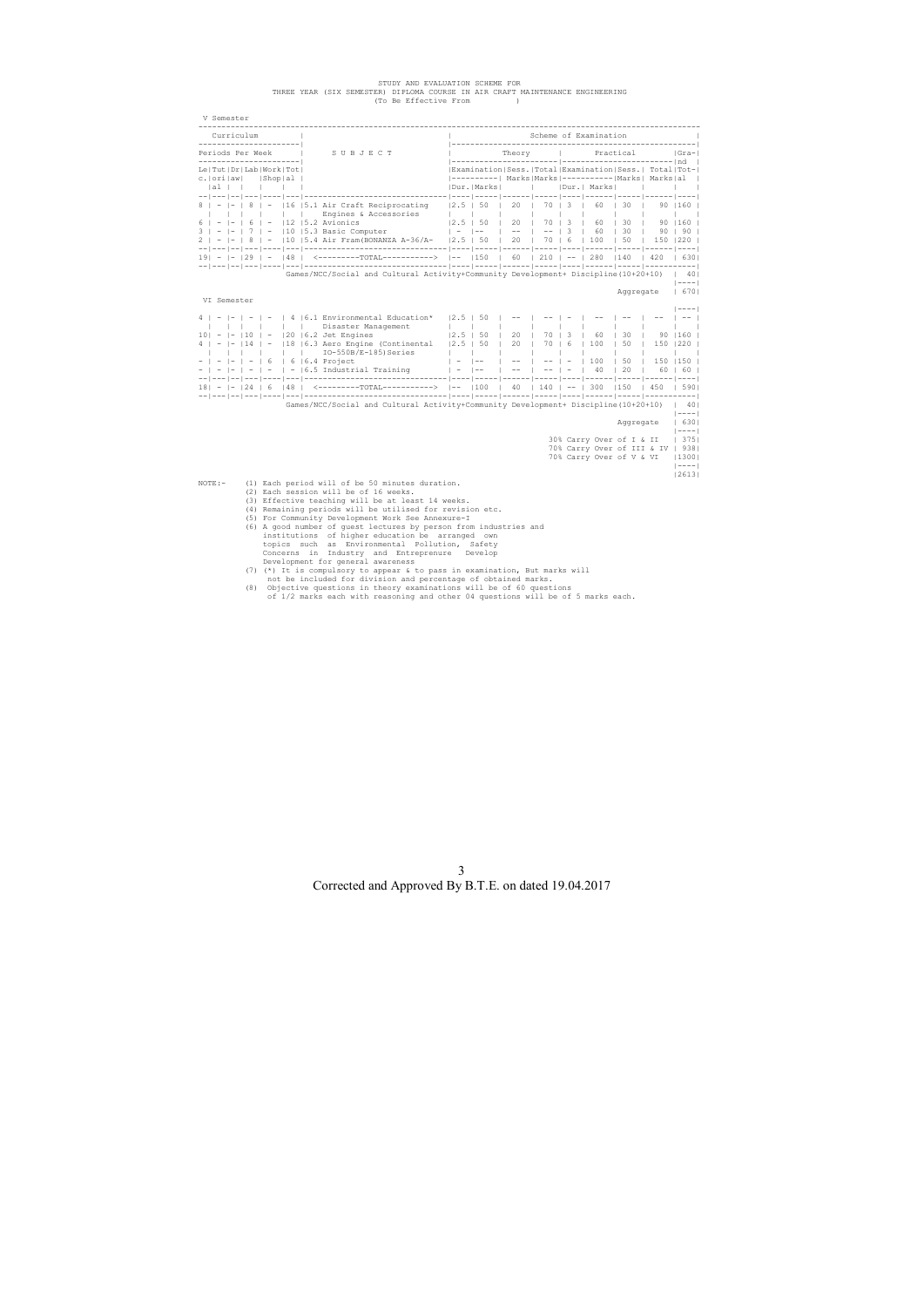# STUDY AND EVALUATION SCHEME FOR<br>THREE YEAR (SIX SEMESTER) DIPLOMA COURSE IN AIR CRAFT MAINTENANCE ENGINEERING<br>(To Be Effective From )

|                                                             | Curriculum |                          |              | -------------------------------                                                                                       |                                         |                                                                               |                                            |                |                                    | Scheme of Examination                                                |                |                           |                                  |
|-------------------------------------------------------------|------------|--------------------------|--------------|-----------------------------------------------------------------------------------------------------------------------|-----------------------------------------|-------------------------------------------------------------------------------|--------------------------------------------|----------------|------------------------------------|----------------------------------------------------------------------|----------------|---------------------------|----------------------------------|
| ______________________<br>Periods Per Week                  |            |                          |              | SUBJECT                                                                                                               |                                         | Theory   Practical                                                            |                                            |                |                                    |                                                                      |                |                           | Gra-                             |
| ---------------------- <br>Le   Tut   Dr   Lab   Work   Tot |            |                          |              |                                                                                                                       |                                         |                                                                               |                                            |                |                                    | Examination Sess. Total Examination Sess.  Total Tot-                |                |                           |                                  |
| c.   orilaw    Shop   al  <br> al                           |            |                          |              |                                                                                                                       |                                         | Dur. Marks                                                                    | $\sim$ 1.                                  |                |                                    | ----------  Marks Marks ---------- Marks  Marks al  <br> Dur.  Marks |                | <b>Contract</b>           | $\mathbf{1}$                     |
|                                                             |            |                          | $\mathbf{1}$ | $ - 8  -  16 $ 5.1 Air Craft Reciprocating<br>Engines & Accessories                                                   | $\sim$ 1 $\sim$ 1                       | $ 2.5 $ 50                                                                    | 20                                         |                | 70   3                             | 60                                                                   | $\vert$ 30     |                           | 90   160  <br><b>The Company</b> |
|                                                             |            |                          |              | $6$   -  -   6   -   12   5.2 Avionics                                                                                |                                         | $ 2.5 $ 50                                                                    | 20                                         | 70 1           | 3                                  | 60                                                                   | $\vert$ 30     |                           | $90$ $ 160$ $ $                  |
|                                                             |            |                          |              | $ 7  -  10 $ 5.3 Basic Computer<br>$ 8  -  10 $ 5.3 Basic Computer                                                    |                                         | $\frac{1}{2}$ = $\frac{1}{2}$ = $\frac{1}{2}$ = $\frac{1}{2}$ = $\frac{1}{2}$ |                                            | $\blacksquare$ | $\vert$ 3<br>$\Box$                | 60                                                                   | $\vert$ 30     |                           | 90   90                          |
|                                                             |            |                          |              | 2   -  -   8   -  10   5.4 Air Fram (BONANZA A-36/A-   2.5   50   20   70   6                                         |                                         |                                                                               |                                            |                |                                    | 100                                                                  | $\vert$ 50     | $\frac{1}{20}$ 150 1220 1 |                                  |
|                                                             |            |                          |              | 19 - 1 - 129 1 - 148 1 <--------------------------> 1-- 1150 1 60 1 210 1 -- 1 280 1140 1 420 1 6301                  |                                         |                                                                               |                                            |                |                                    |                                                                      |                |                           |                                  |
|                                                             |            |                          |              | Games/NCC/Social and Cultural Activity+Community Development+ Discipline(10+20+10)   40                               |                                         |                                                                               |                                            |                |                                    |                                                                      |                |                           | $ ------$                        |
| VI Semester                                                 |            |                          |              |                                                                                                                       |                                         |                                                                               |                                            |                |                                    |                                                                      |                | Aggregate   670           |                                  |
|                                                             |            |                          |              |                                                                                                                       |                                         |                                                                               |                                            |                |                                    |                                                                      |                |                           | $ ------$                        |
|                                                             |            |                          |              | $4$   -   -   -   -   4   6.1 Environmental Education*                                                                | $ 2.5 $ 50                              |                                                                               | $- -$                                      |                |                                    |                                                                      |                |                           | $1 - - - 1$                      |
| $10! - 1 - 110$                                             |            | $\overline{\phantom{a}}$ |              | Disaster Management<br>$ 20 $ $ 6.2$ Jet Engines                                                                      | $\mathbf{1}$ $\mathbf{1}$<br>$ 2.5 $ 50 |                                                                               | 20                                         | 70             | 3                                  | - 60                                                                 | 30             |                           | 90   160                         |
|                                                             | 114        |                          |              | 18   6.3 Aero Engine (Continental                                                                                     | $ 2.5 $ 50                              | $\blacksquare$                                                                | 20                                         | 70             | $\begin{array}{ccc} \end{array}$ 6 | 100                                                                  | 50             | $150$   220               |                                  |
|                                                             |            |                          |              | $IO-550B/E-185)$ Series                                                                                               | $\blacksquare$                          | $\mathbf{L}$                                                                  |                                            |                |                                    |                                                                      |                |                           |                                  |
|                                                             |            | -6                       |              | $\vert$ 6 $\vert$ 6.4 Project                                                                                         | $\vert$ $-$                             | $\vert$ $-$                                                                   |                                            |                |                                    | 100                                                                  | 50             | 150   150                 |                                  |
|                                                             |            |                          |              | $-$   -   -   -   -   6.5 Industrial Training   -   --                                                                |                                         |                                                                               | $\vert$ -- $\vert$ -- $\vert$ - $\vert$ 40 |                |                                    |                                                                      | $\frac{1}{20}$ | $60$   60                 |                                  |
|                                                             |            |                          |              | 18   -   -   24   6   48   $\leq$ ---------TOTAL---------->  --   100   40   140   --   300   150   450   590         |                                         |                                                                               |                                            |                |                                    |                                                                      |                |                           |                                  |
|                                                             |            |                          |              | Games/NCC/Social and Cultural Activity+Community Development+ Discipline(10+20+10)   40                               |                                         |                                                                               |                                            |                |                                    |                                                                      |                |                           |                                  |
|                                                             |            |                          |              |                                                                                                                       |                                         |                                                                               |                                            |                |                                    |                                                                      | Aqqreqate      |                           | $ ------$<br>16301<br>$ ------$  |
|                                                             |            |                          |              |                                                                                                                       |                                         |                                                                               |                                            |                |                                    | 30% Carry Over of I & II                                             |                |                           | 375                              |
|                                                             |            |                          |              |                                                                                                                       |                                         |                                                                               |                                            |                |                                    | 70% Carry Over of III & IV   938                                     |                |                           |                                  |
|                                                             |            |                          |              |                                                                                                                       |                                         |                                                                               |                                            |                |                                    | 70% Carry Over of V & VI                                             |                |                           | 1300                             |
|                                                             |            |                          |              |                                                                                                                       |                                         |                                                                               |                                            |                |                                    |                                                                      |                |                           | $  - - - -  $                    |
| $NOTE: -$                                                   |            |                          |              | (1) Each period will of be 50 minutes duration.                                                                       |                                         |                                                                               |                                            |                |                                    |                                                                      |                |                           | 2613                             |
|                                                             |            |                          |              | (2) Each session will be of 16 weeks.                                                                                 |                                         |                                                                               |                                            |                |                                    |                                                                      |                |                           |                                  |
|                                                             |            |                          |              | (3) Effective teaching will be at least 14 weeks.                                                                     |                                         |                                                                               |                                            |                |                                    |                                                                      |                |                           |                                  |
|                                                             |            |                          |              | (4) Remaining periods will be utilised for revision etc.                                                              |                                         |                                                                               |                                            |                |                                    |                                                                      |                |                           |                                  |
|                                                             |            |                          |              | (5) For Community Development Work See Annexure-I                                                                     |                                         |                                                                               |                                            |                |                                    |                                                                      |                |                           |                                  |
|                                                             |            |                          |              | (6) A good number of guest lectures by person from industries and<br>institutions of higher education be arranged own |                                         |                                                                               |                                            |                |                                    |                                                                      |                |                           |                                  |
|                                                             |            |                          |              | topics such as Environmental Pollution, Safety                                                                        |                                         |                                                                               |                                            |                |                                    |                                                                      |                |                           |                                  |
|                                                             |            |                          |              | Concerns in Industry and Entreprenure Develop                                                                         |                                         |                                                                               |                                            |                |                                    |                                                                      |                |                           |                                  |

Concerns in Industry and Entreprenure Develop<br>Development for general awareness<br>(7) (\*) It is compulsory to appear & to pass in examination, But marks will<br>not be included for division and percentage of obtained marks.<br>(8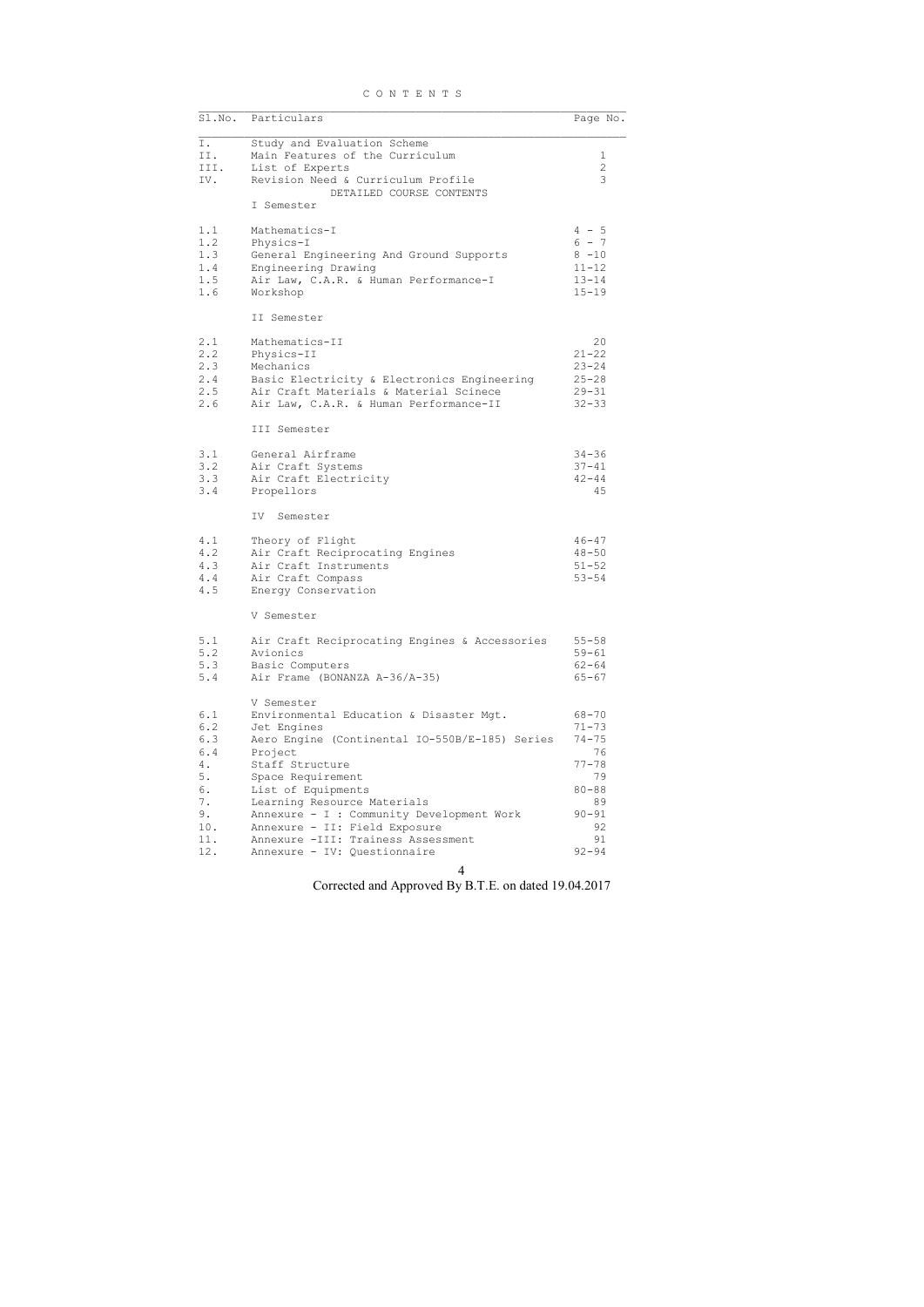|  |  |  |  |  |  |  | CONTENTS |  |  |
|--|--|--|--|--|--|--|----------|--|--|
|--|--|--|--|--|--|--|----------|--|--|

| Sl.No.                                                                      | Particulars                                                                                                                                                                                                                                                                                                                                                                        | Page No.                                                                                                              |
|-----------------------------------------------------------------------------|------------------------------------------------------------------------------------------------------------------------------------------------------------------------------------------------------------------------------------------------------------------------------------------------------------------------------------------------------------------------------------|-----------------------------------------------------------------------------------------------------------------------|
| Ι.<br>II.<br>III.<br>IV.                                                    | Study and Evaluation Scheme<br>Main Features of the Curriculum<br>List of Experts<br>Revision Need & Curriculum Profile                                                                                                                                                                                                                                                            | 1<br>$\overline{2}$<br>3                                                                                              |
|                                                                             | DETAILED COURSE CONTENTS<br>I Semester                                                                                                                                                                                                                                                                                                                                             |                                                                                                                       |
| 1.1<br>1.2<br>1.3<br>1.4<br>1.5<br>1.6                                      | Mathematics-I<br>Physics-I<br>General Engineering And Ground Supports<br>Engineering Drawing<br>Air Law, C.A.R. & Human Performance-I<br>Workshop                                                                                                                                                                                                                                  | $4 - 5$<br>$6 - 7$<br>$8 - 10$<br>$11 - 12$<br>$13 - 14$<br>$15 - 19$                                                 |
|                                                                             | II Semester                                                                                                                                                                                                                                                                                                                                                                        |                                                                                                                       |
| 2.1<br>2.2<br>2.3<br>2.4<br>2.5<br>2.6                                      | Mathematics-II<br>Physics-II<br>Mechanics<br>Basic Electricity & Electronics Engineering<br>Air Craft Materials & Material Scinece<br>Air Law, C.A.R. & Human Performance-II                                                                                                                                                                                                       | 20<br>$21 - 22$<br>$23 - 24$<br>$25 - 28$<br>$29 - 31$<br>$32 - 33$                                                   |
|                                                                             | III Semester                                                                                                                                                                                                                                                                                                                                                                       |                                                                                                                       |
| 3.1<br>3.2<br>3.3<br>3.4                                                    | General Airframe<br>Air Craft Systems<br>Air Craft Electricity<br>Propellors                                                                                                                                                                                                                                                                                                       | 34-36<br>$37 - 41$<br>$42 - 44$<br>45                                                                                 |
|                                                                             | IV.<br>Semester                                                                                                                                                                                                                                                                                                                                                                    |                                                                                                                       |
| 4.1<br>4.2<br>4.3<br>4.4<br>4.5                                             | Theory of Flight<br>Air Craft Reciprocating Engines<br>Air Craft Instruments<br>Air Craft Compass<br>Energy Conservation                                                                                                                                                                                                                                                           | $46 - 47$<br>$48 - 50$<br>$51 - 52$<br>$53 - 54$                                                                      |
|                                                                             | V Semester                                                                                                                                                                                                                                                                                                                                                                         |                                                                                                                       |
| 5.1<br>5.2<br>5.3<br>5.4                                                    | Air Craft Reciprocating Engines & Accessories<br>Avionics<br>Basic Computers<br>Air Frame (BONANZA A-36/A-35)                                                                                                                                                                                                                                                                      | $55 - 58$<br>$59 - 61$<br>$62 - 64$<br>$65 - 67$                                                                      |
| 6.1<br>6.2<br>6.3<br>6.4<br>4.<br>5.<br>6.<br>7.<br>9.<br>10.<br>11.<br>12. | V Semester<br>Environmental Education & Disaster Mgt.<br>Jet Engines<br>Aero Engine (Continental IO-550B/E-185) Series<br>Project<br>Staff Structure<br>Space Requirement<br>List of Equipments<br>Learning Resource Materials<br>Annexure - I : Community Development Work<br>Annexure - II: Field Exposure<br>Annexure -III: Trainess Assessment<br>Annexure - IV: Questionnaire | $68 - 70$<br>$71 - 73$<br>$74 - 75$<br>76<br>$77 - 78$<br>79<br>$80 - 88$<br>89<br>$90 - 91$<br>92<br>91<br>$92 - 94$ |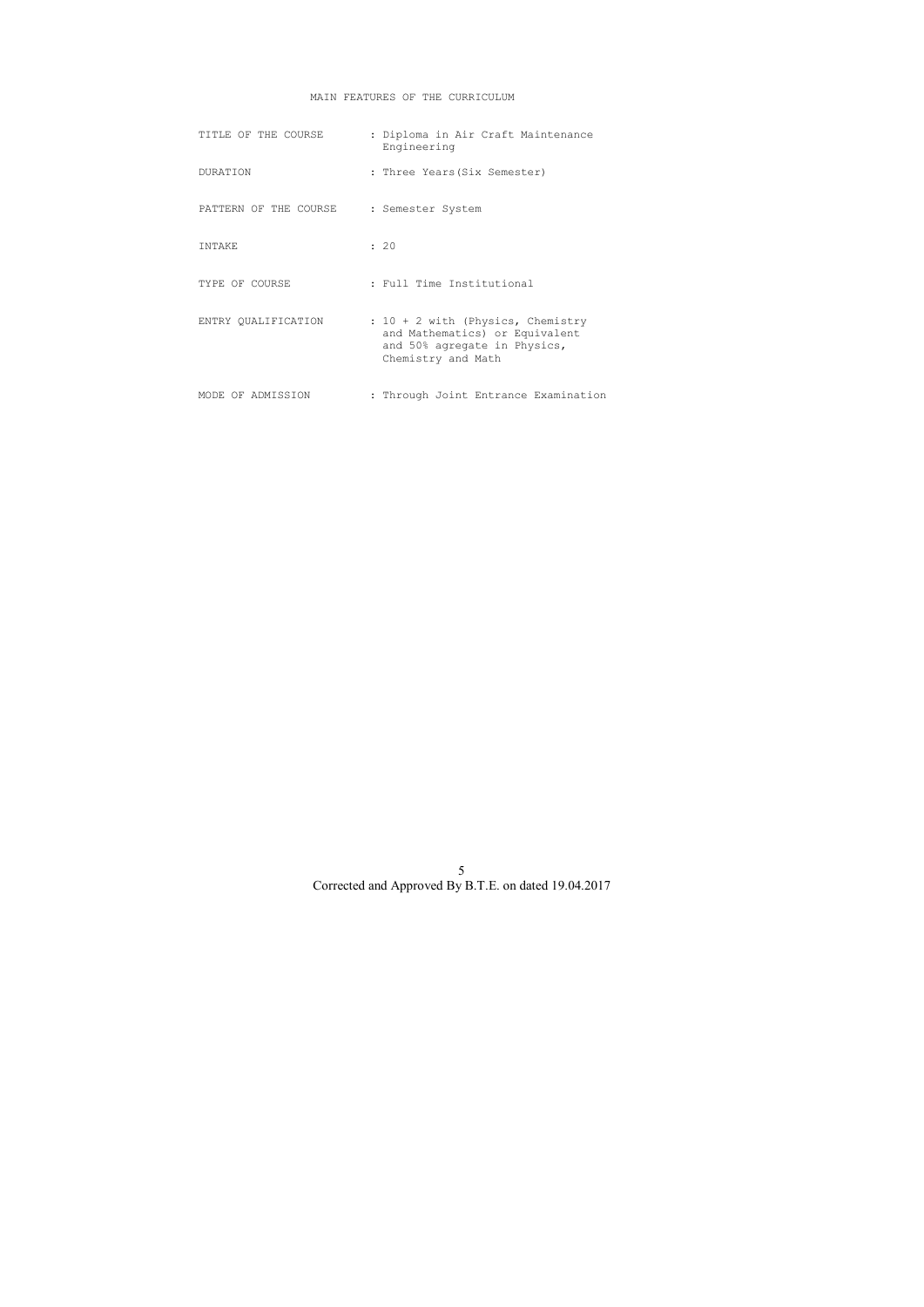# MAIN FEATURES OF THE CURRICULUM

| TITLE OF THE COURSE   | : Diploma in Air Craft Maintenance<br>Engineering                                                                           |
|-----------------------|-----------------------------------------------------------------------------------------------------------------------------|
| <b>DURATION</b>       | : Three Years(Six Semester)                                                                                                 |
| PATTERN OF THE COURSE | : Semester System                                                                                                           |
| TNTAKE                | : 20                                                                                                                        |
| TYPE OF COURSE        | : Full Time Institutional                                                                                                   |
| ENTRY OUALIFICATION   | : $10 + 2$ with (Physics, Chemistry<br>and Mathematics) or Equivalent<br>and 50% agregate in Physics,<br>Chemistry and Math |
| MODE OF ADMISSION     | : Through Joint Entrance Examination                                                                                        |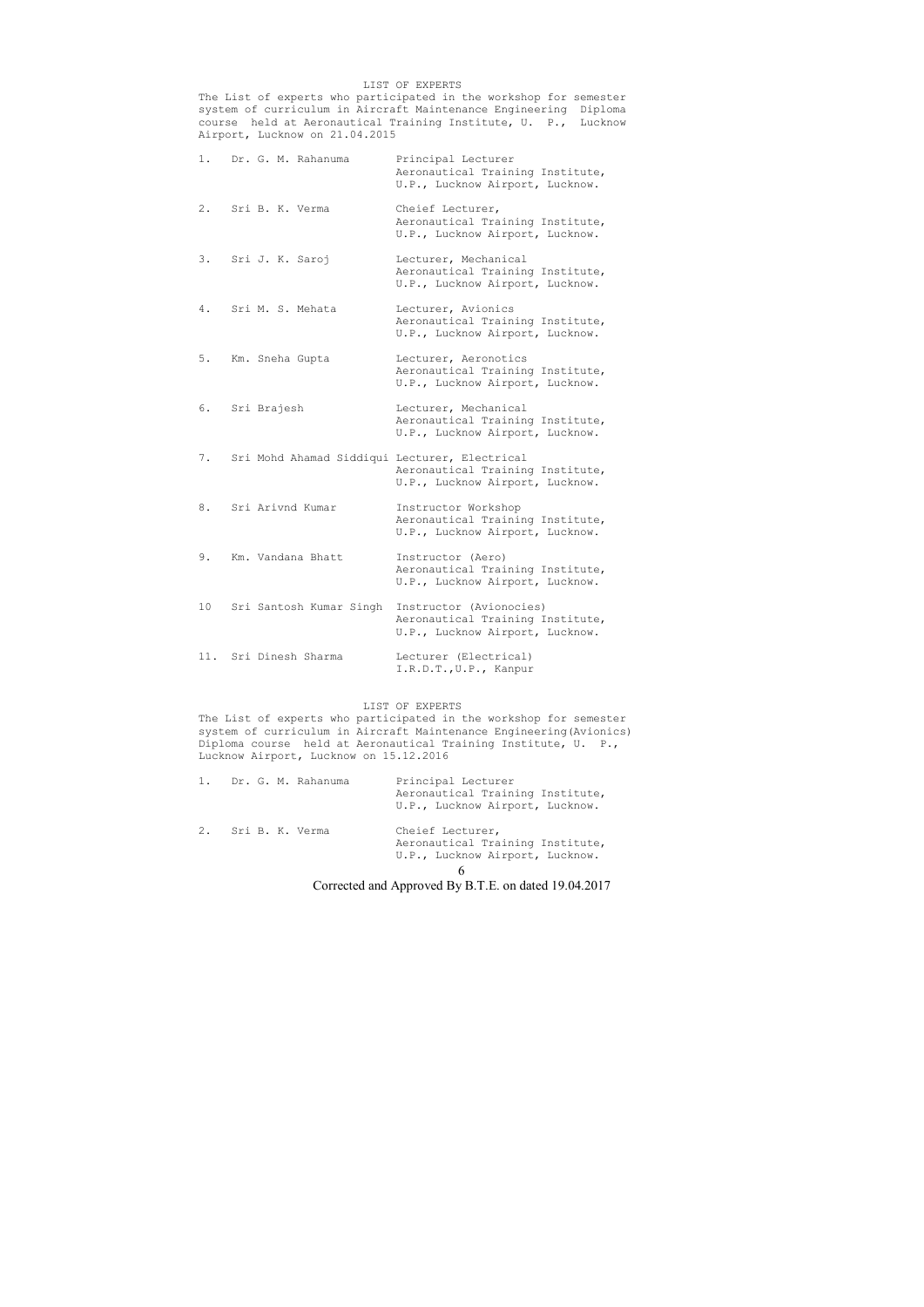### LIST OF EXPERTS

The List of experts who participated in the workshop for semester system of curriculum in Aircraft Maintenance Engineering Diploma course held at Aeronautical Training Institute, U. P., Lucknow Airport, Lucknow on 21.04.2015

|    |             | 1. Dr. G. M. Rahanuma | Principal Lecturer<br>Aeronautical Training Institute,<br>U.P., Lucknow Airport, Lucknow.                               |
|----|-------------|-----------------------|-------------------------------------------------------------------------------------------------------------------------|
|    |             | 2. Sri B. K. Verma    | Cheief Lecturer,<br>Aeronautical Training Institute,<br>U.P., Lucknow Airport, Lucknow.                                 |
| 3. |             | Sri J. K. Saroj       | Lecturer, Mechanical<br>Aeronautical Training Institute,<br>U.P., Lucknow Airport, Lucknow.                             |
| 4. |             | Sri M. S. Mehata      | Lecturer, Avionics<br>Aeronautical Training Institute,<br>U.P., Lucknow Airport, Lucknow.                               |
|    |             | 5. Km. Sneha Gupta    | Lecturer, Aeronotics<br>Aeronautical Training Institute,<br>U.P., Lucknow Airport, Lucknow.                             |
| 6. | Sri Brajesh |                       | Lecturer, Mechanical<br>Aeronautical Training Institute,<br>U.P., Lucknow Airport, Lucknow.                             |
|    |             |                       | 7. Sri Mohd Ahamad Siddiqui Lecturer, Electrical<br>Aeronautical Training Institute,<br>U.P., Lucknow Airport, Lucknow. |
| 8. |             | Sri Arivnd Kumar      | Instructor Workshop<br>Aeronautical Training Institute,<br>U.P., Lucknow Airport, Lucknow.                              |
| 9. |             | Km. Vandana Bhatt     | Instructor (Aero)<br>Aeronautical Training Institute,<br>U.P., Lucknow Airport, Lucknow.                                |
| 10 |             |                       | Sri Santosh Kumar Singh Instructor (Avionocies)<br>Aeronautical Training Institute,<br>U.P., Lucknow Airport, Lucknow.  |
|    |             | 11. Sri Dinesh Sharma | Lecturer (Electrical)<br>I.R.D.T., U.P., Kanpur                                                                         |

| 1. Dr. G. M. Rahanuma |                                           | Principal Lecturer<br>Aeronautical Training Institute,<br>U.P., Lucknow Airport, Lucknow. |
|-----------------------|-------------------------------------------|-------------------------------------------------------------------------------------------|
| 2. Sri B. K. Verma    |                                           | Cheief Lecturer,<br>Aeronautical Training Institute,<br>U.P., Lucknow Airport, Lucknow.   |
|                       |                                           |                                                                                           |
|                       | $\sim$ $\sim$ $\sim$ $\sim$ $\sim$ $\sim$ |                                                                                           |

# LIST OF EXPERTS

The List of experts who participated in the workshop for semester system of curriculum in Aircraft Maintenance Engineering(Avionics) Diploma course held at Aeronautical Training Institute, U. P., Lucknow Airport, Lucknow on 15.12.2016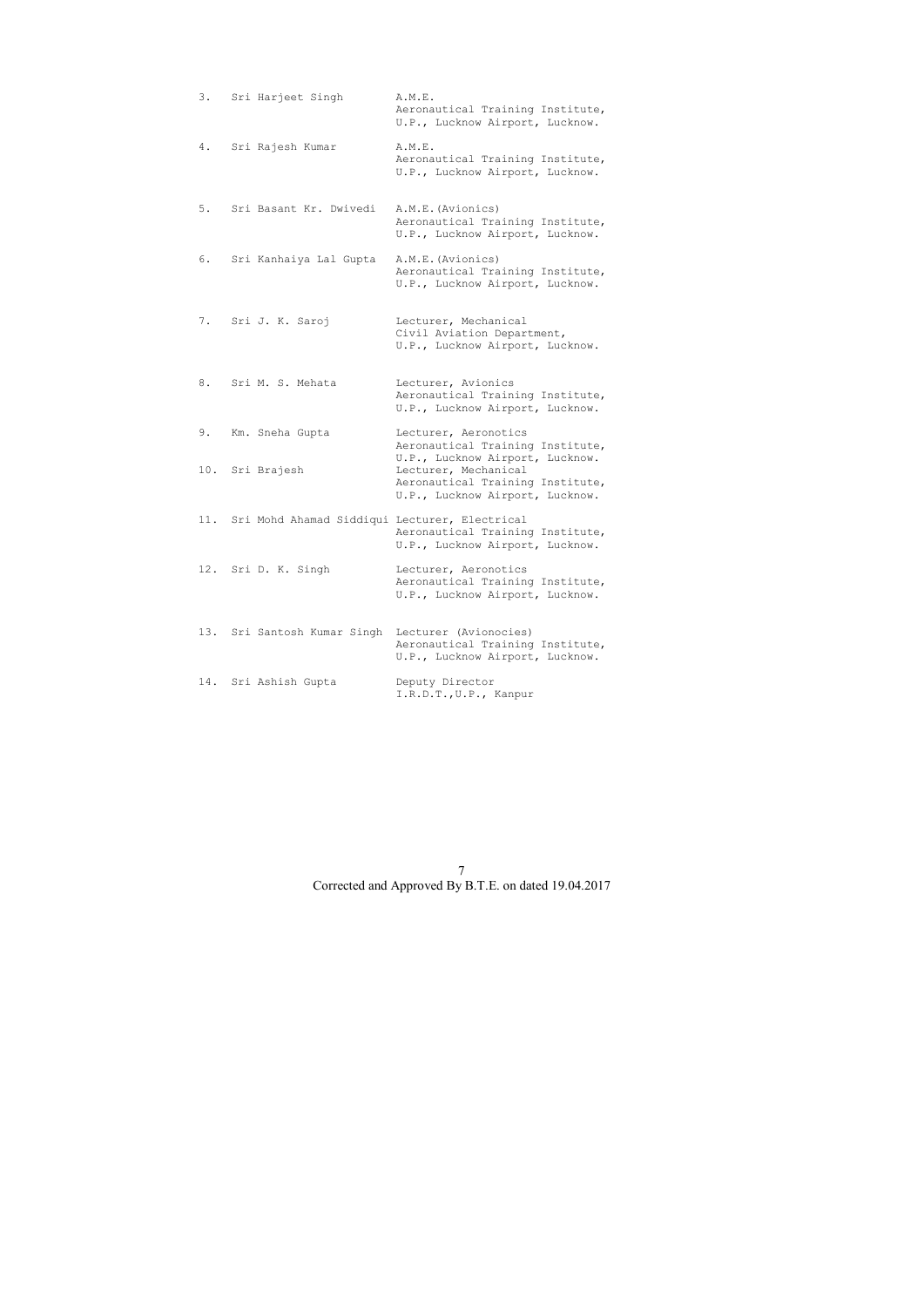|     | 3. Sri Harjeet Singh                              | A.M.E.<br>Aeronautical Training Institute,<br>U.P., Lucknow Airport, Lucknow.                                                  |
|-----|---------------------------------------------------|--------------------------------------------------------------------------------------------------------------------------------|
|     | 4. Sri Rajesh Kumar                               | A.M.E.<br>Aeronautical Training Institute,<br>U.P., Lucknow Airport, Lucknow.                                                  |
|     | 5. Sri Basant Kr. Dwivedi                         | A.M.E. (Avionics)<br>Aeronautical Training Institute,<br>U.P., Lucknow Airport, Lucknow.                                       |
|     | 6. Sri Kanhaiya Lal Gupta                         | A.M.E. (Avionics)<br>Aeronautical Training Institute,<br>U.P., Lucknow Airport, Lucknow.                                       |
|     | 7. Sri J. K. Saroj                                | Lecturer, Mechanical<br>Civil Aviation Department,<br>U.P., Lucknow Airport, Lucknow.                                          |
|     | 8. Sri M. S. Mehata                               | Lecturer, Avionics<br>Aeronautical Training Institute,<br>U.P., Lucknow Airport, Lucknow.                                      |
|     | 9. Km. Sneha Gupta                                | Lecturer, Aeronotics<br>Aeronautical Training Institute,                                                                       |
|     | 10. Sri Brajesh                                   | U.P., Lucknow Airport, Lucknow.<br>Lecturer, Mechanical<br>Aeronautical Training Institute,<br>U.P., Lucknow Airport, Lucknow. |
|     | 11. Sri Mohd Ahamad Siddiqui Lecturer, Electrical | Aeronautical Training Institute,<br>U.P., Lucknow Airport, Lucknow.                                                            |
|     | 12. Sri D. K. Singh                               | Lecturer, Aeronotics<br>Aeronautical Training Institute,<br>U.P., Lucknow Airport, Lucknow.                                    |
|     | 13. Sri Santosh Kumar Singh                       | Lecturer (Avionocies)<br>Aeronautical Training Institute,<br>U.P., Lucknow Airport, Lucknow.                                   |
| 14. | Sri Ashish Gupta                                  | Deputy Director<br>I.R.D.T., U.P., Kanpur                                                                                      |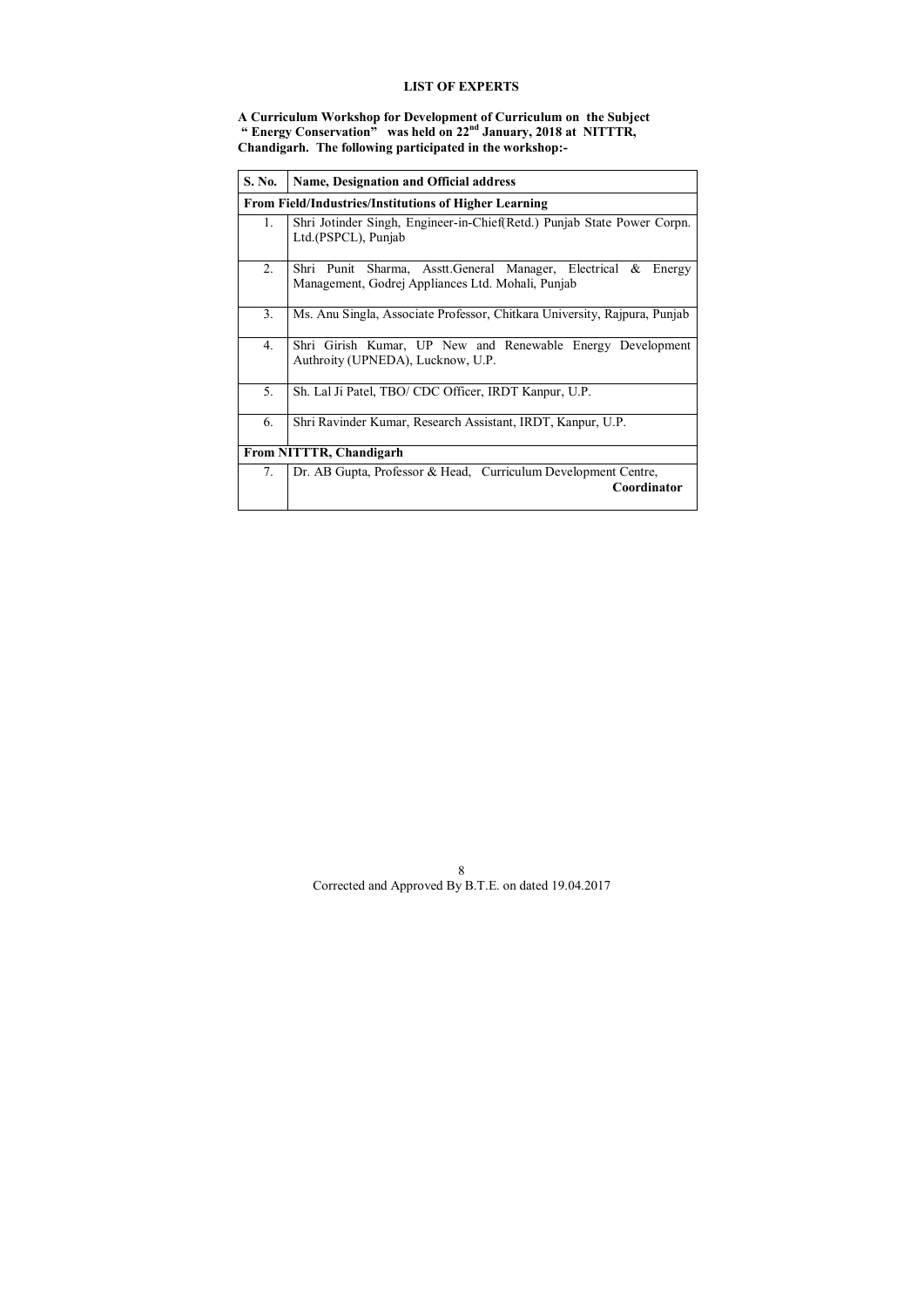# **LIST OF EXPERTS**

**A Curriculum Workshop for Development of Curriculum on the Subject " Energy Conservation" was held on 22nd January, 2018 at NITTTR, Chandigarh. The following participated in the workshop:-** 

| S. No.           | <b>Name, Designation and Official address</b>                                                                      |  |  |  |  |  |  |  |
|------------------|--------------------------------------------------------------------------------------------------------------------|--|--|--|--|--|--|--|
|                  | <b>From Field/Industries/Institutions of Higher Learning</b>                                                       |  |  |  |  |  |  |  |
| 1.               | Shri Jotinder Singh, Engineer-in-Chief(Retd.) Punjab State Power Corpn.<br>Ltd.(PSPCL), Punjab                     |  |  |  |  |  |  |  |
| 2.               | Shri Punit Sharma, Asstt.General Manager, Electrical & Energy<br>Management, Godrej Appliances Ltd. Mohali, Punjab |  |  |  |  |  |  |  |
| 3.               | Ms. Anu Singla, Associate Professor, Chitkara University, Rajpura, Punjab                                          |  |  |  |  |  |  |  |
| $\overline{4}$ . | Shri Girish Kumar, UP New and Renewable Energy Development<br>Authroity (UPNEDA), Lucknow, U.P.                    |  |  |  |  |  |  |  |
| 5.               | Sh. Lal Ji Patel, TBO/ CDC Officer, IRDT Kanpur, U.P.                                                              |  |  |  |  |  |  |  |
| 6.               | Shri Ravinder Kumar, Research Assistant, IRDT, Kanpur, U.P.                                                        |  |  |  |  |  |  |  |
|                  | <b>From NITTTR, Chandigarh</b>                                                                                     |  |  |  |  |  |  |  |
| 7.               | Dr. AB Gupta, Professor & Head, Curriculum Development Centre,<br>Coordinator                                      |  |  |  |  |  |  |  |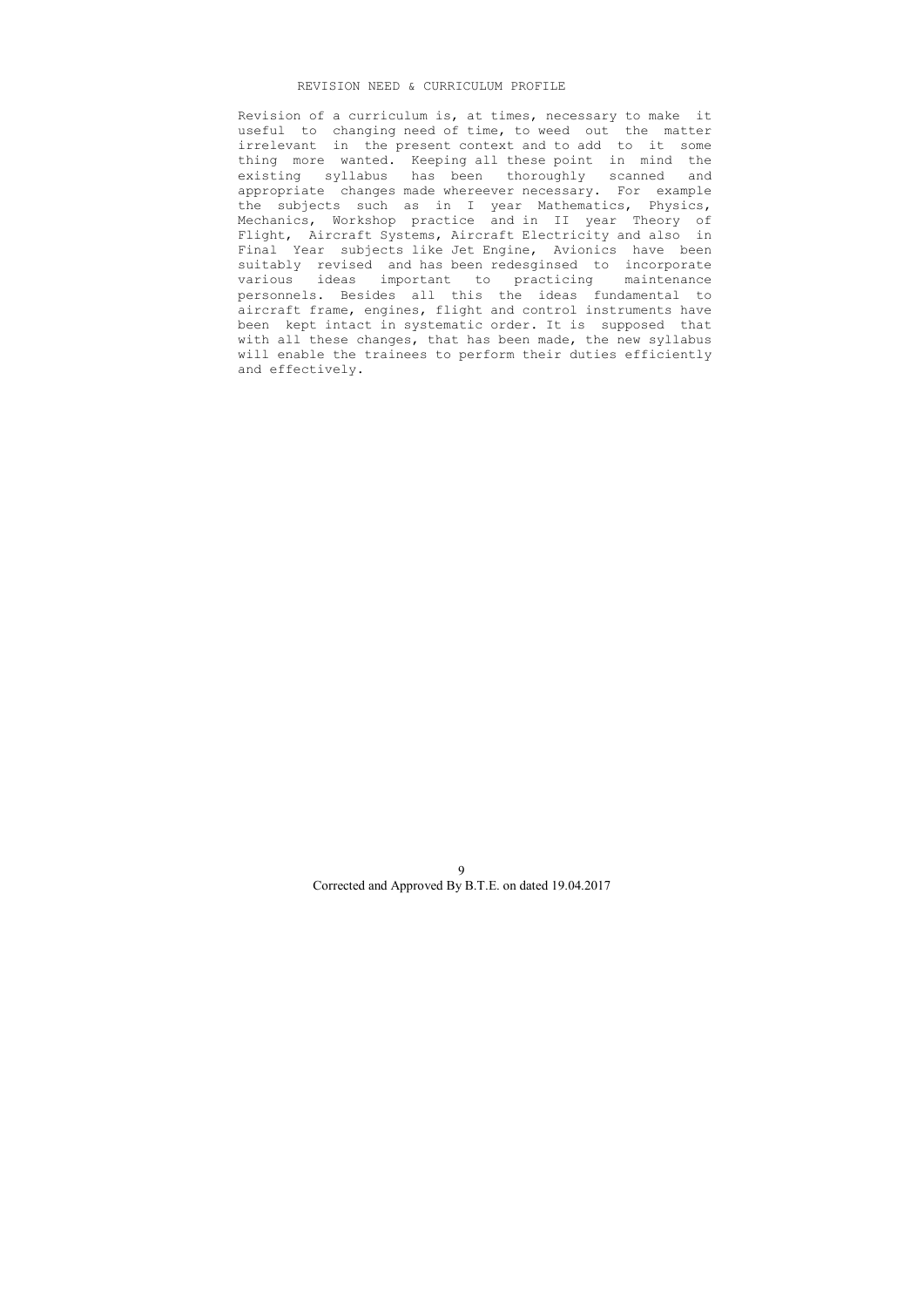### REVISION NEED & CURRICULUM PROFILE

 Revision of a curriculum is, at times, necessary to make it useful to changing need of time, to weed out the matter irrelevant in the present context and to add to it some thing more wanted. Keeping all these point in mind the existing syllabus has been thoroughly scanned and appropriate changes made whereever necessary. For example the subjects such as in I year Mathematics, Physics, Mechanics, Workshop practice and in II year Theory of Flight, Aircraft Systems, Aircraft Electricity and also in Final Year subjects like Jet Engine, Avionics have been suitably revised and has been redesginsed to incorporate various ideas important to practicing maintenance personnels. Besides all this the ideas fundamental to aircraft frame, engines, flight and control instruments have been kept intact in systematic order. It is supposed that with all these changes, that has been made, the new syllabus will enable the trainees to perform their duties efficiently and effectively.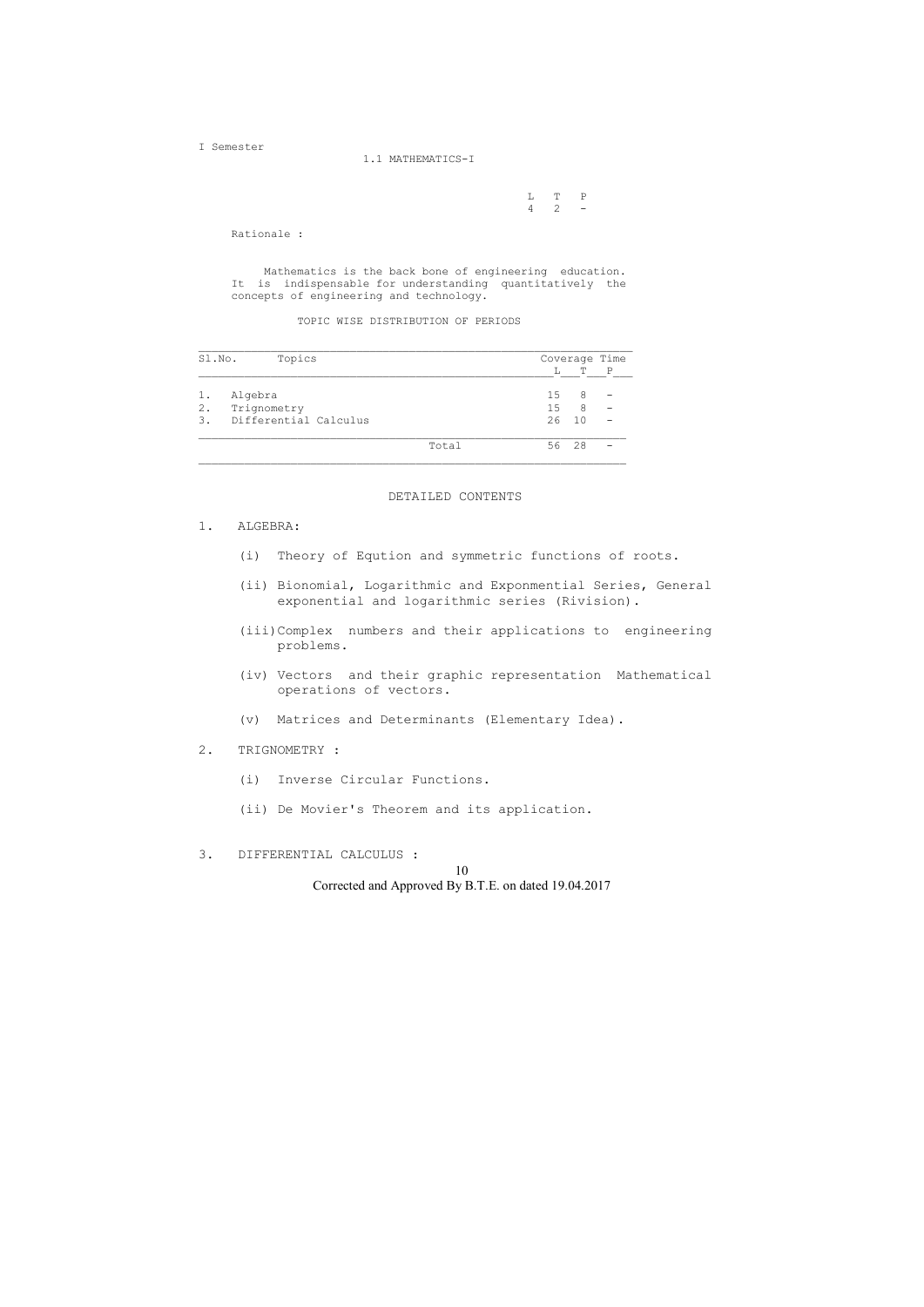L T P  $4 \quad 2 \quad -$ 

I Semester

1.1 MATHEMATICS-I

Rationale :

 Mathematics is the back bone of engineering education. It is indispensable for understanding quantitatively the concepts of engineering and technology.

TOPIC WISE DISTRIBUTION OF PERIODS

| Sl.No. | Topics                | Coverage Time |    |                |   |  |
|--------|-----------------------|---------------|----|----------------|---|--|
|        |                       |               | L  | Т              | P |  |
| $1$ .  | Algebra               |               | 15 | 8              |   |  |
| $2$ .  | Trignometry           |               | 15 | 8              |   |  |
| 3.     | Differential Calculus |               | 26 | 1 <sub>0</sub> |   |  |
|        |                       | Total         |    | 56 28          |   |  |

### DETAILED CONTENTS

### 1. ALGEBRA:

- (i) Theory of Eqution and symmetric functions of roots.
- (ii) Bionomial, Logarithmic and Exponmential Series, General exponential and logarithmic series (Rivision).
- (iii)Complex numbers and their applications to engineering problems.
- (iv) Vectors and their graphic representation Mathematical operations of vectors.
- (v) Matrices and Determinants (Elementary Idea).

# 2. TRIGNOMETRY :

- (i) Inverse Circular Functions.
- (ii) De Movier's Theorem and its application.
- 3. DIFFERENTIAL CALCULUS :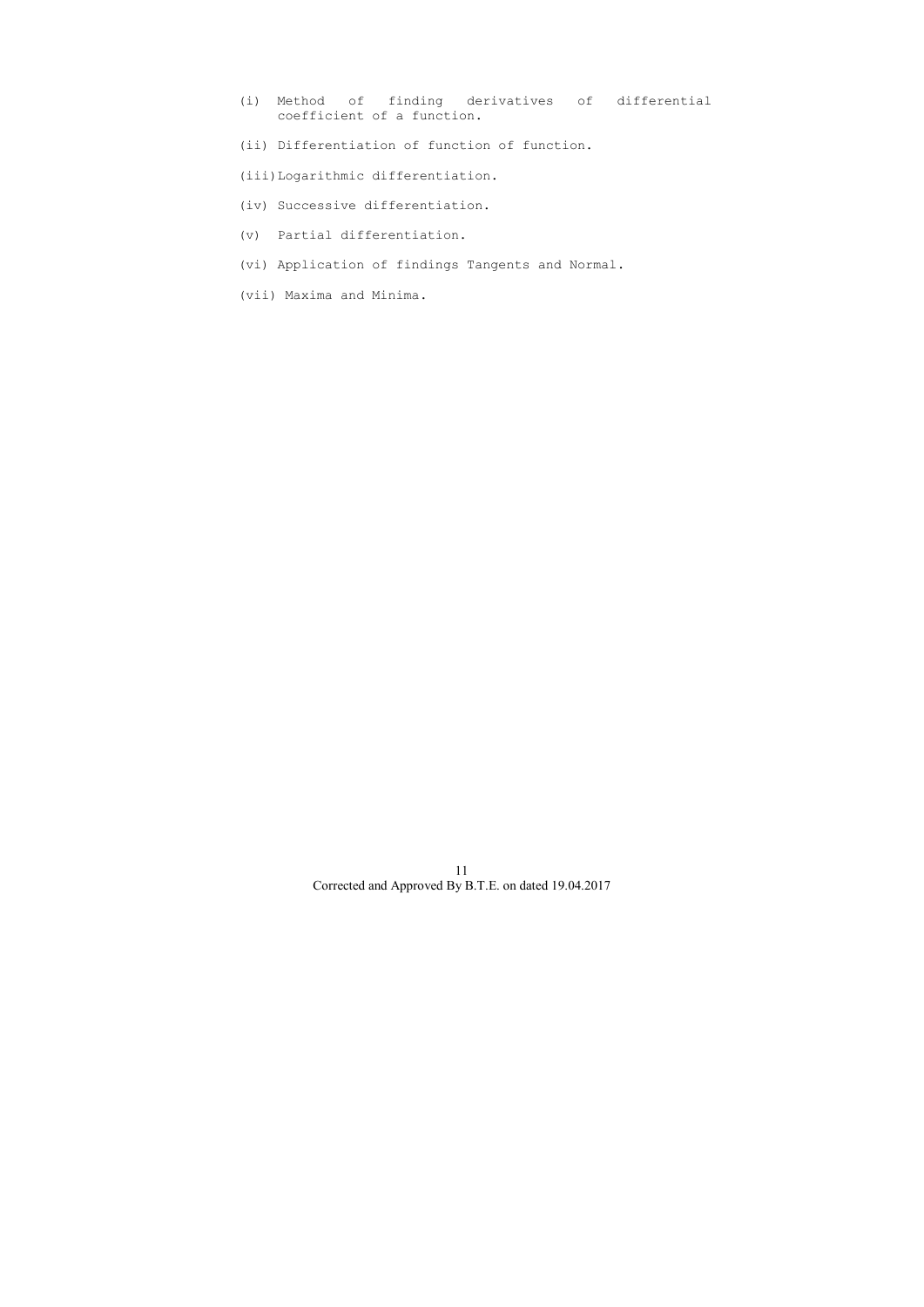- (i) Method of finding derivatives of differential coefficient of a function.
- (ii) Differentiation of function of function.
- (iii)Logarithmic differentiation.
- (iv) Successive differentiation.
- (v) Partial differentiation.
- (vi) Application of findings Tangents and Normal.
- (vii) Maxima and Minima.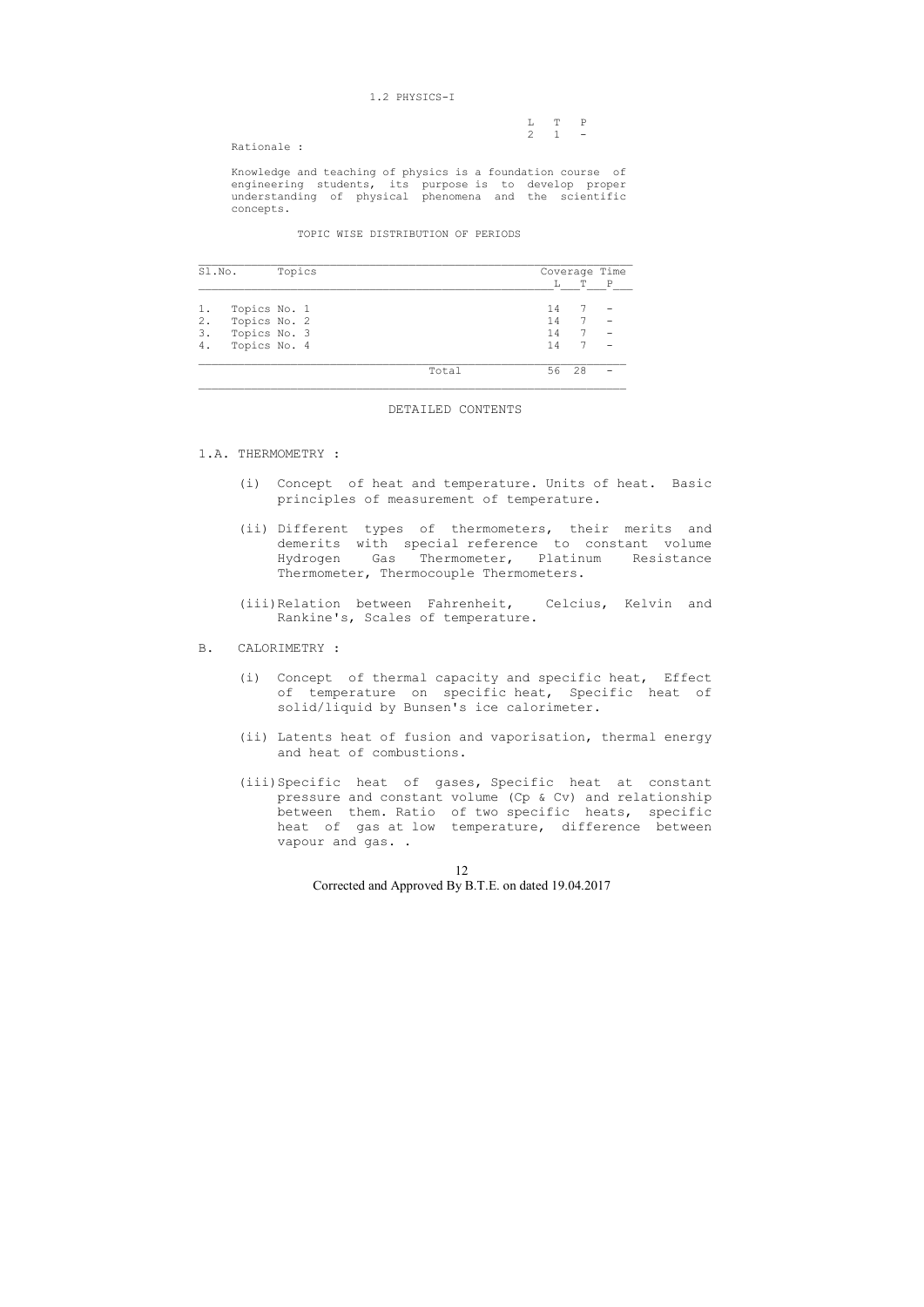### 1.2 PHYSICS-I

|         |                     | L T P |  |
|---------|---------------------|-------|--|
|         | $2 \quad 1 \quad -$ |       |  |
| $P = 1$ |                     |       |  |

Rationale :

 Knowledge and teaching of physics is a foundation course of engineering students, its purpose is to develop proper understanding of physical phenomena and the scientific concepts.

TOPIC WISE DISTRIBUTION OF PERIODS

| Sl.No. |              | Topics |  |       | Coverage Time |    |             |
|--------|--------------|--------|--|-------|---------------|----|-------------|
|        |              |        |  |       | L             | т  | $\mathbb P$ |
|        | Topics No. 1 |        |  |       | 14            |    |             |
| 2.     | Topics No. 2 |        |  |       | 14            | 7  |             |
| 3.     | Topics No. 3 |        |  |       | 14            |    |             |
| 4.     | Topics No. 4 |        |  |       | 14            |    |             |
|        |              |        |  | Total | 56            | 28 |             |

### DETAILED CONTENTS

### 1.A. THERMOMETRY :

- (i) Concept of heat and temperature. Units of heat. Basic principles of measurement of temperature.
- (ii) Different types of thermometers, their merits and demerits with special reference to constant volume Hydrogen Gas Thermometer, Platinum Resistance Thermometer, Thermocouple Thermometers.
- (iii)Relation between Fahrenheit, Celcius, Kelvin and Rankine's, Scales of temperature.
- B. CALORIMETRY :
	- (i) Concept of thermal capacity and specific heat, Effect of temperature on specific heat, Specific heat of solid/liquid by Bunsen's ice calorimeter.
	- (ii) Latents heat of fusion and vaporisation, thermal energy and heat of combustions.
	- (iii)Specific heat of gases, Specific heat at constant pressure and constant volume (Cp & Cv) and relationship between them. Ratio of two specific heats, specific heat of gas at low temperature, difference between vapour and gas. .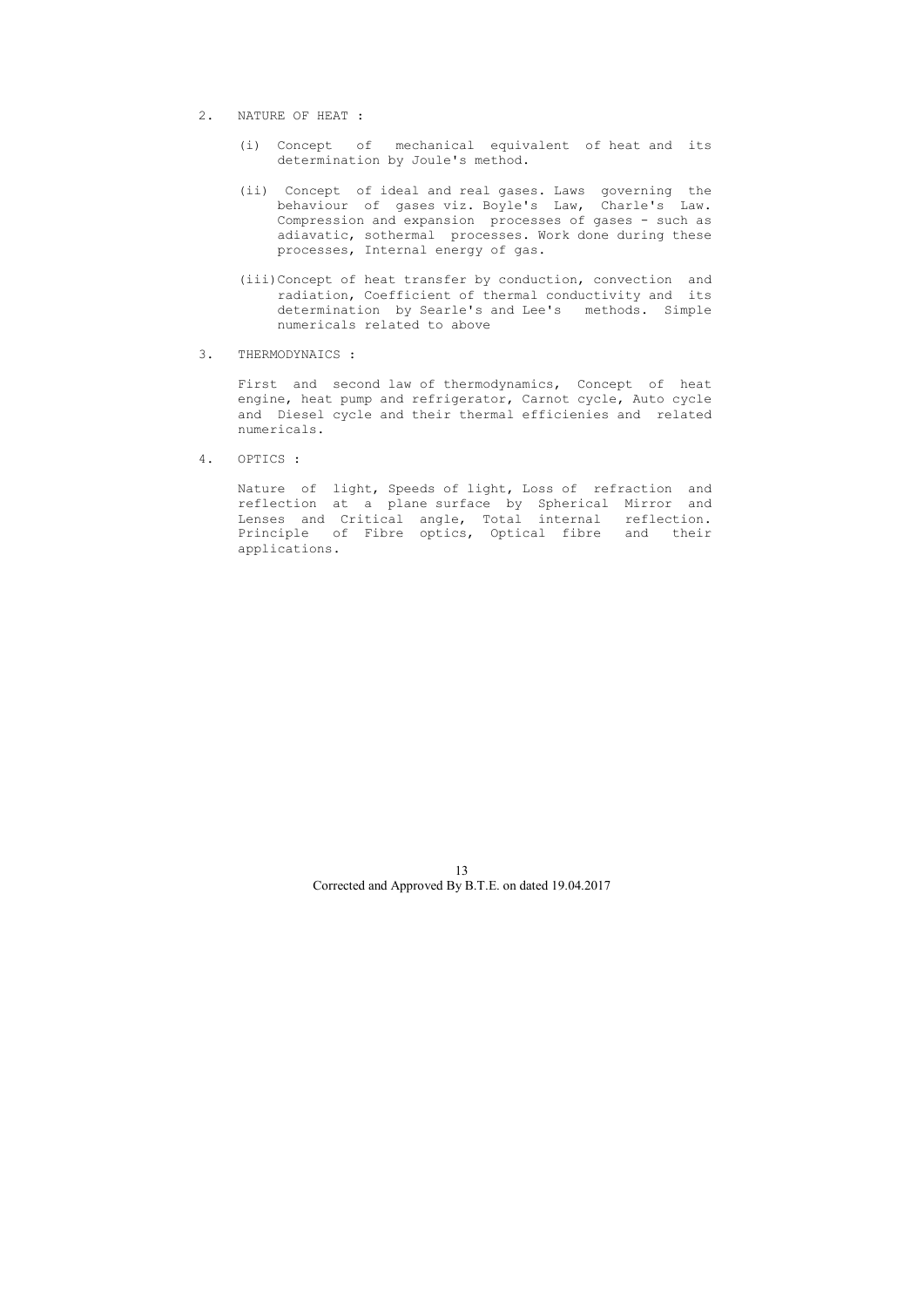- 2. NATURE OF HEAT :
	- (i) Concept of mechanical equivalent of heat and its determination by Joule's method.
	- (ii) Concept of ideal and real gases. Laws governing the behaviour of gases viz. Boyle's Law, Charle's Law. Compression and expansion processes of gases - such as adiavatic, sothermal processes. Work done during these processes, Internal energy of gas.
	- (iii)Concept of heat transfer by conduction, convection and radiation, Coefficient of thermal conductivity and its determination by Searle's and Lee's methods. Simple numericals related to above
- 3. THERMODYNAICS :

 First and second law of thermodynamics, Concept of heat engine, heat pump and refrigerator, Carnot cycle, Auto cycle and Diesel cycle and their thermal efficienies and related numericals.

4. OPTICS :

 Nature of light, Speeds of light, Loss of refraction and reflection at a plane surface by Spherical Mirror and Lenses and Critical angle, Total internal reflection. Principle of Fibre optics, Optical fibre and their applications.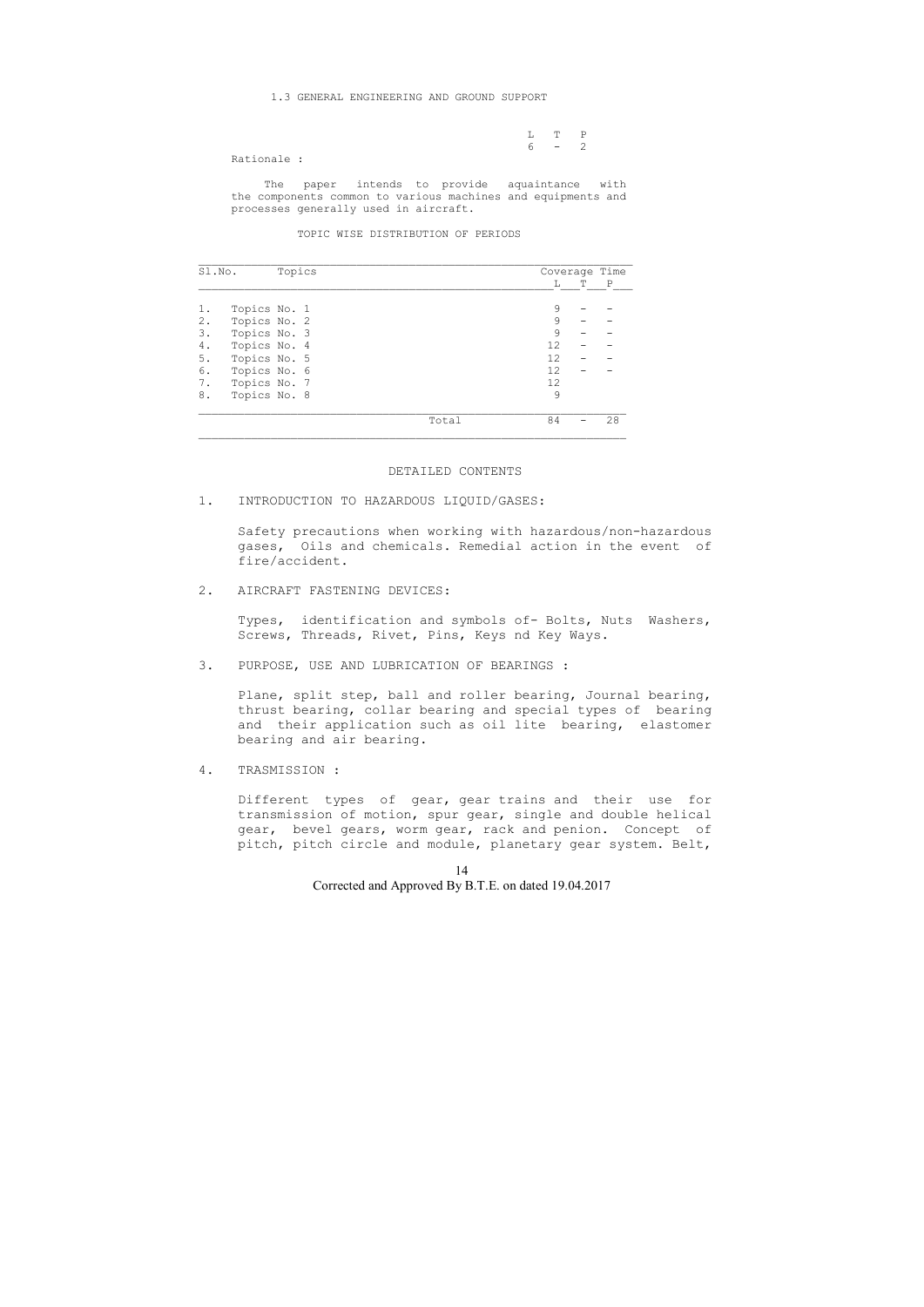L T P  $6 - 2$ 

### 1.3 GENERAL ENGINEERING AND GROUND SUPPORT

Rationale :

 The paper intends to provide aquaintance with the components common to various machines and equipments and processes generally used in aircraft.

TOPIC WISE DISTRIBUTION OF PERIODS

| Sl.No. | Topics       |       | Coverage Time |   |    |
|--------|--------------|-------|---------------|---|----|
|        |              |       | L             | Т | P  |
|        | Topics No. 1 |       | 9             |   |    |
| $2$ .  | Topics No. 2 |       | 9             |   |    |
| 3.     | Topics No. 3 |       | $\circ$       |   |    |
| 4.     | Topics No. 4 |       | 12            |   |    |
| 5.     | Topics No. 5 |       | 12            |   |    |
| 6.     | Topics No. 6 |       | 12            |   |    |
| 7.     | Topics No. 7 |       | 12            |   |    |
| 8.     | Topics No. 8 |       | 9             |   |    |
|        |              | Total | 84            |   | 28 |

### DETAILED CONTENTS

### 1. INTRODUCTION TO HAZARDOUS LIQUID/GASES:

 Safety precautions when working with hazardous/non-hazardous gases, Oils and chemicals. Remedial action in the event of fire/accident.

# 2. AIRCRAFT FASTENING DEVICES:

 Types, identification and symbols of- Bolts, Nuts Washers, Screws, Threads, Rivet, Pins, Keys nd Key Ways.

3. PURPOSE, USE AND LUBRICATION OF BEARINGS :

 Plane, split step, ball and roller bearing, Journal bearing, thrust bearing, collar bearing and special types of bearing and their application such as oil lite bearing, elastomer bearing and air bearing.

4. TRASMISSION :

 Different types of gear, gear trains and their use for transmission of motion, spur gear, single and double helical gear, bevel gears, worm gear, rack and penion. Concept of pitch, pitch circle and module, planetary gear system. Belt,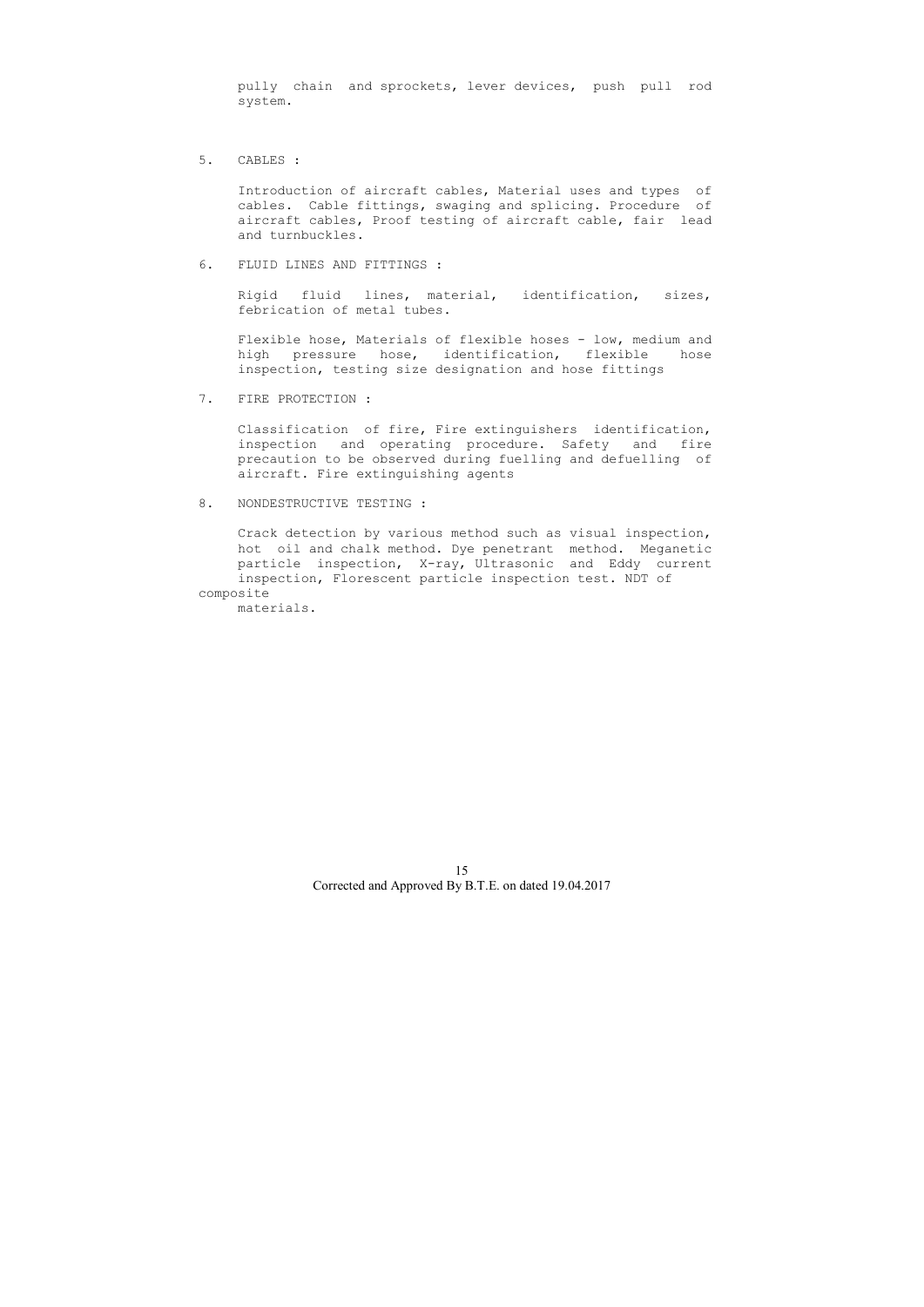pully chain and sprockets, lever devices, push pull rod system.

5. CABLES :

 Introduction of aircraft cables, Material uses and types of cables. Cable fittings, swaging and splicing. Procedure of aircraft cables, Proof testing of aircraft cable, fair lead and turnbuckles.

Flexible hose, Materials of flexible hoses - low, medium and high pressure hose, identification, flexible hose inspection, testing size designation and hose fittings

6. FLUID LINES AND FITTINGS :

 Rigid fluid lines, material, identification, sizes, febrication of metal tubes.

7. FIRE PROTECTION :

 Classification of fire, Fire extinguishers identification, inspection and operating procedure. Safety and fire precaution to be observed during fuelling and defuelling of aircraft. Fire extinguishing agents

8. NONDESTRUCTIVE TESTING :

 Crack detection by various method such as visual inspection, hot oil and chalk method. Dye penetrant method. Meganetic particle inspection, X-ray, Ultrasonic and Eddy current inspection, Florescent particle inspection test. NDT of composite

materials.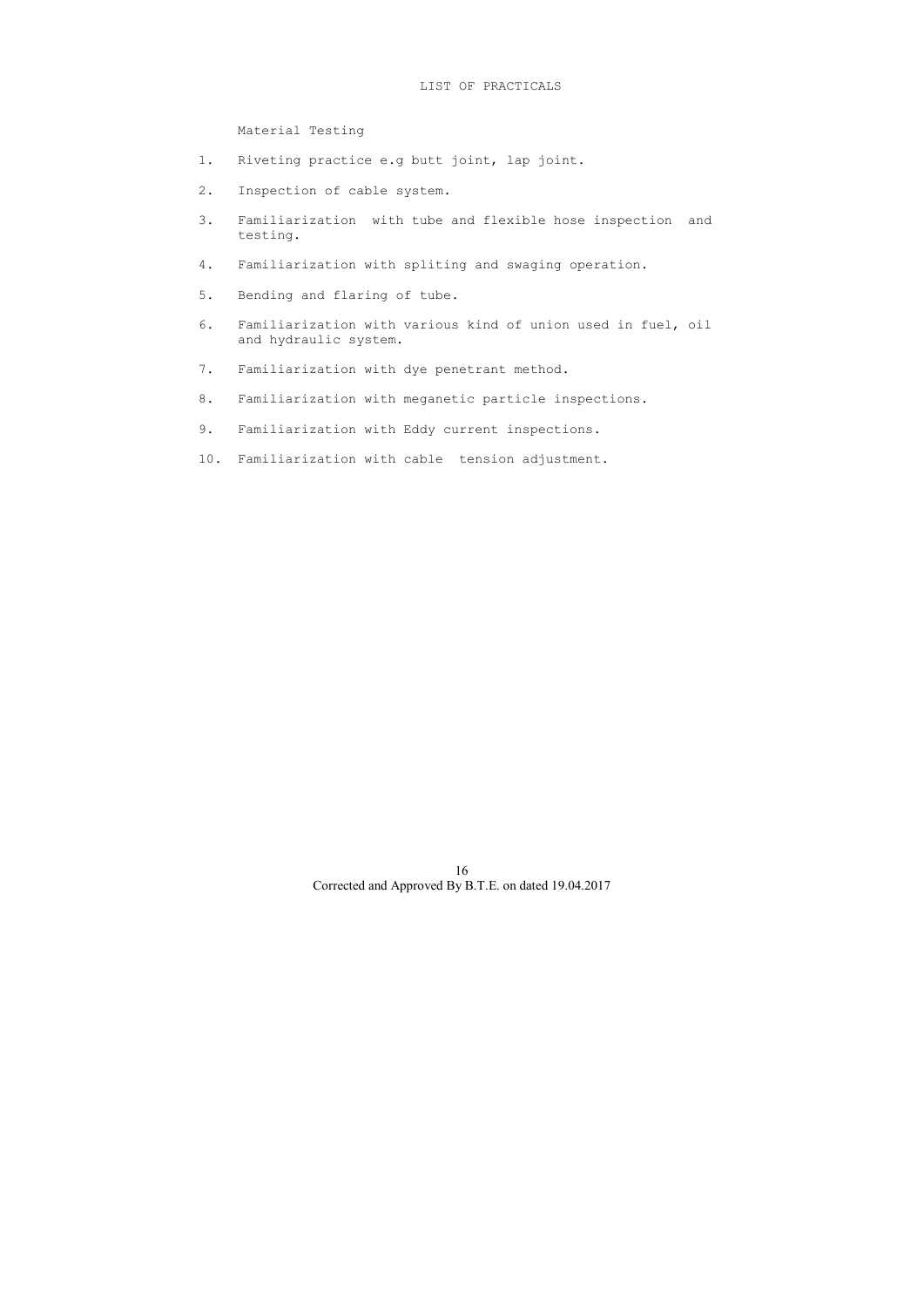# LIST OF PRACTICALS

Material Testing

- 1. Riveting practice e.g butt joint, lap joint.
- 2. Inspection of cable system.
- 3. Familiarization with tube and flexible hose inspection and testing.
- 4. Familiarization with spliting and swaging operation.
- 5. Bending and flaring of tube.
- 6. Familiarization with various kind of union used in fuel, oil and hydraulic system.
- 7. Familiarization with dye penetrant method.
- 8. Familiarization with meganetic particle inspections.
- 9. Familiarization with Eddy current inspections.
- 10. Familiarization with cable tension adjustment.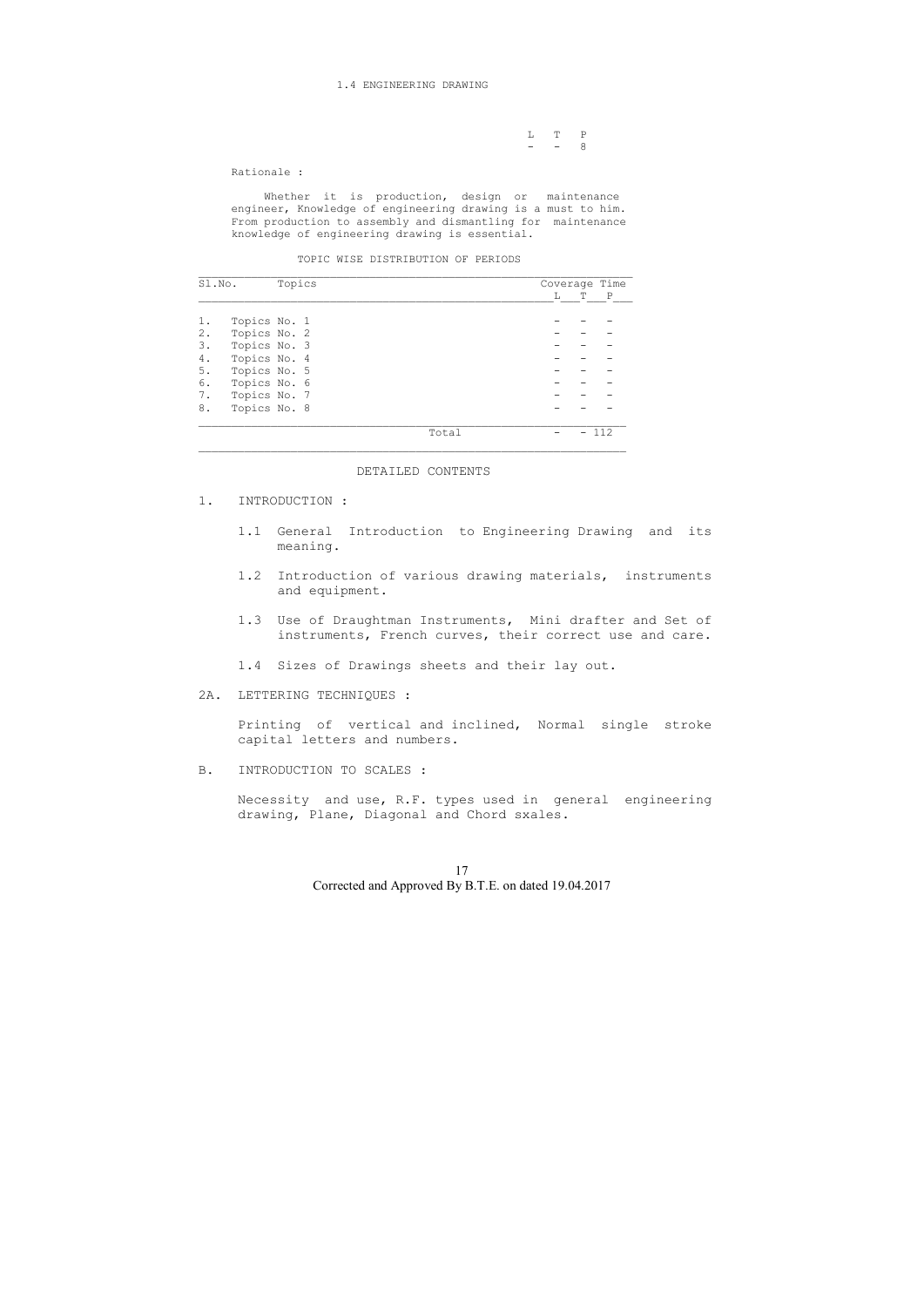### 1.4 ENGINEERING DRAWING

$$
\begin{array}{cccc}\nL & T & P \\
- & - & 8\n\end{array}
$$

Rationale :

Whether it is production, design or maintenance engineer, Knowledge of engineering drawing is a must to him. From production to assembly and dismantling for maintenance knowledge of engineering drawing is essential.

|  | TOPIC WISE DISTRIBUTION OF PERIODS |  |  |
|--|------------------------------------|--|--|
|  |                                    |  |  |

| Sl.No. |              | Topics |       |    | Coverage Time |             |  |
|--------|--------------|--------|-------|----|---------------|-------------|--|
|        |              |        |       | L. | т             | $\mathbf P$ |  |
|        | Topics No. 1 |        |       |    |               |             |  |
| $2$ .  | Topics No. 2 |        |       |    |               |             |  |
| 3.     | Topics No. 3 |        |       |    |               |             |  |
| 4.     | Topics No. 4 |        |       |    |               |             |  |
| 5.     | Topics No. 5 |        |       |    |               |             |  |
| 6.     | Topics No. 6 |        |       |    |               |             |  |
| 7.     | Topics No. 7 |        |       |    |               |             |  |
| 8.     | Topics No. 8 |        |       |    |               |             |  |
|        |              |        | Total |    |               | 112         |  |

### DETAILED CONTENTS

- 1. INTRODUCTION :
	- 1.1 General Introduction to Engineering Drawing and its meaning.
	- 1.2 Introduction of various drawing materials, instruments and equipment.
	- 1.3 Use of Draughtman Instruments, Mini drafter and Set of instruments, French curves, their correct use and care.

1.4 Sizes of Drawings sheets and their lay out.

2A. LETTERING TECHNIQUES :

 Printing of vertical and inclined, Normal single stroke capital letters and numbers.

B. INTRODUCTION TO SCALES :

 Necessity and use, R.F. types used in general engineering drawing, Plane, Diagonal and Chord sxales.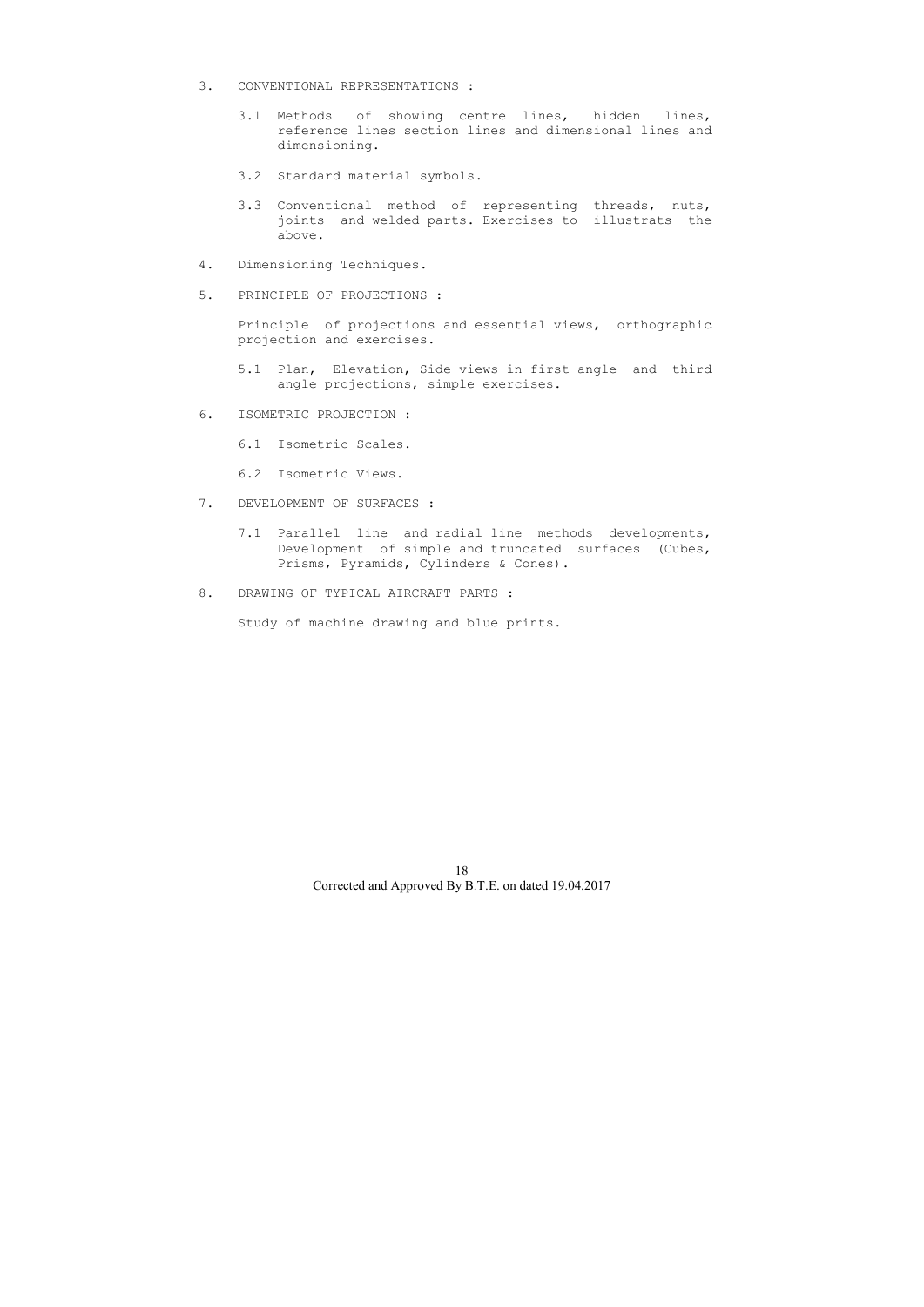- 3. CONVENTIONAL REPRESENTATIONS :
	- 3.1 Methods of showing centre lines, hidden lines, reference lines section lines and dimensional lines and dimensioning.
	- 3.2 Standard material symbols.
	- 3.3 Conventional method of representing threads, nuts, joints and welded parts. Exercises to illustrats the above.
- 4. Dimensioning Techniques.
- 5. PRINCIPLE OF PROJECTIONS :

 Principle of projections and essential views, orthographic projection and exercises.

- 5.1 Plan, Elevation, Side views in first angle and third angle projections, simple exercises.
- 6. ISOMETRIC PROJECTION :
	- 6.1 Isometric Scales.
	- 6.2 Isometric Views.
- 7. DEVELOPMENT OF SURFACES :
	- 7.1 Parallel line and radial line methods developments, Development of simple and truncated surfaces (Cubes, Prisms, Pyramids, Cylinders & Cones).
- 8. DRAWING OF TYPICAL AIRCRAFT PARTS :

Study of machine drawing and blue prints.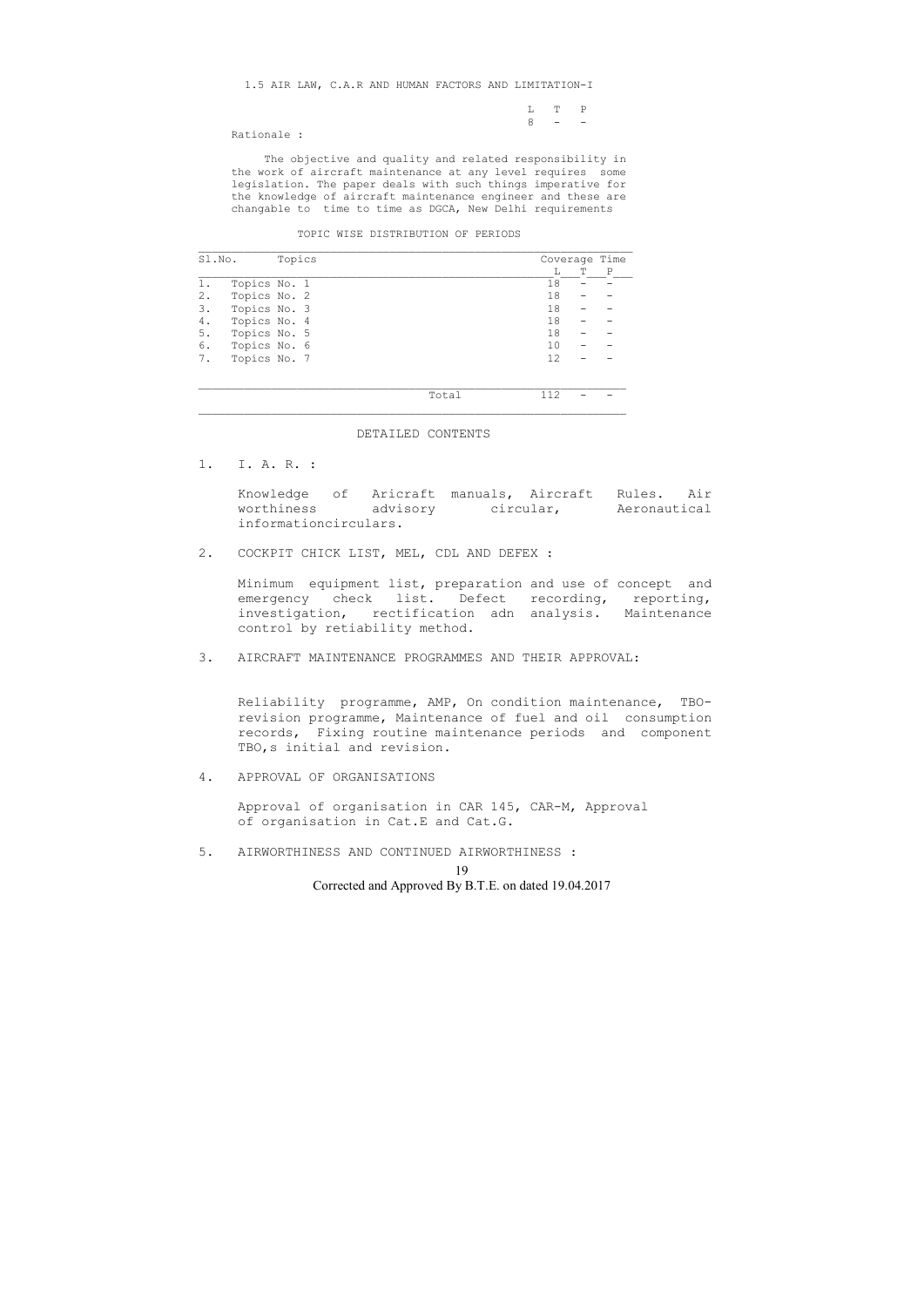1.5 AIR LAW, C.A.R AND HUMAN FACTORS AND LIMITATION-I

| $L \qquad T \qquad P$ |  |
|-----------------------|--|
| $8 - -$               |  |

Rationale :

 The objective and quality and related responsibility in the work of aircraft maintenance at any level requires some legislation. The paper deals with such things imperative for the knowledge of aircraft maintenance engineer and these are changable to time to time as DGCA, New Delhi requirements

### TOPIC WISE DISTRIBUTION OF PERIODS

| Sl.No. | Topics       |       |    | Coverage Time |   |  |
|--------|--------------|-------|----|---------------|---|--|
|        |              |       |    | Т             | P |  |
| 1.     | Topics No. 1 |       | 18 |               |   |  |
| 2.     | Topics No. 2 |       | 18 |               |   |  |
| 3.     | Topics No. 3 |       | 18 |               |   |  |
| 4.     | Topics No. 4 |       | 18 |               |   |  |
| 5.     | Topics No. 5 |       | 18 |               |   |  |
| 6.     | Topics No. 6 |       | 10 |               |   |  |
| 7.     | Topics No. 7 |       | 12 |               |   |  |
|        |              |       |    |               |   |  |
|        |              |       |    |               |   |  |
|        |              | Total |    |               |   |  |

 Reliability programme, AMP, On condition maintenance, TBO revision programme, Maintenance of fuel and oil consumption records, Fixing routine maintenance periods and component TBO, s initial and revision.

### DETAILED CONTENTS

 $\overline{\phantom{a}}$  , and the contribution of the contribution of the contribution of the contribution of the contribution of the contribution of the contribution of the contribution of the contribution of the contribution of the

1. I. A. R. :

 Knowledge of Aricraft manuals, Aircraft Rules. Air worthiness advisory circular, Aeronautical informationcirculars.

2. COCKPIT CHICK LIST, MEL, CDL AND DEFEX :

 Minimum equipment list, preparation and use of concept and emergency check list. Defect recording, reporting, investigation, rectification adn analysis. Maintenance control by retiability method.

3. AIRCRAFT MAINTENANCE PROGRAMMES AND THEIR APPROVAL:

4. APPROVAL OF ORGANISATIONS

 Approval of organisation in CAR 145, CAR-M, Approval of organisation in Cat.E and Cat.G.

5. AIRWORTHINESS AND CONTINUED AIRWORTHINESS :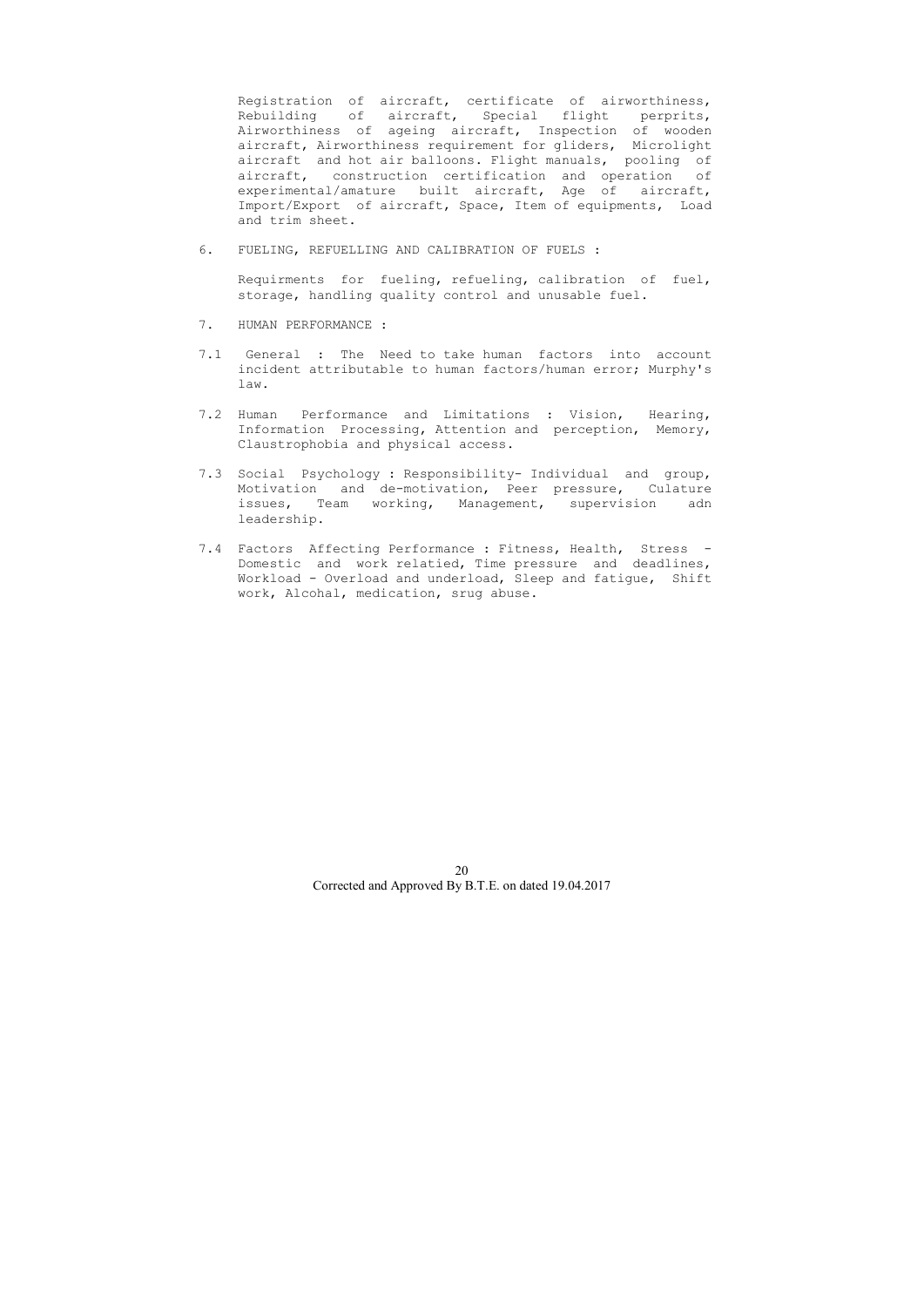Registration of aircraft, certificate of airworthiness, Rebuilding of aircraft, Special flight perprits, Airworthiness of ageing aircraft, Inspection of wooden aircraft, Airworthiness requirement for gliders, Microlight aircraft and hot air balloons. Flight manuals, pooling of aircraft, construction certification and operation of experimental/amature built aircraft, Age of aircraft, Import/Export of aircraft, Space, Item of equipments, Load and trim sheet.

6. FUELING, REFUELLING AND CALIBRATION OF FUELS :

 Requirments for fueling, refueling, calibration of fuel, storage, handling quality control and unusable fuel.

- 7. HUMAN PERFORMANCE :
- 7.1 General : The Need to take human factors into account incident attributable to human factors/human error; Murphy's law.
- 7.2 Human Performance and Limitations : Vision, Hearing, Information Processing, Attention and perception, Memory, Claustrophobia and physical access.
- 7.3 Social Psychology : Responsibility- Individual and group, Motivation and de-motivation, Peer pressure, Culature issues, Team working, Management, supervision adn leadership.
- 7.4 Factors Affecting Performance : Fitness, Health, Stress Domestic and work relatied, Time pressure and deadlines, Workload - Overload and underload, Sleep and fatigue, Shift work, Alcohal, medication, srug abuse.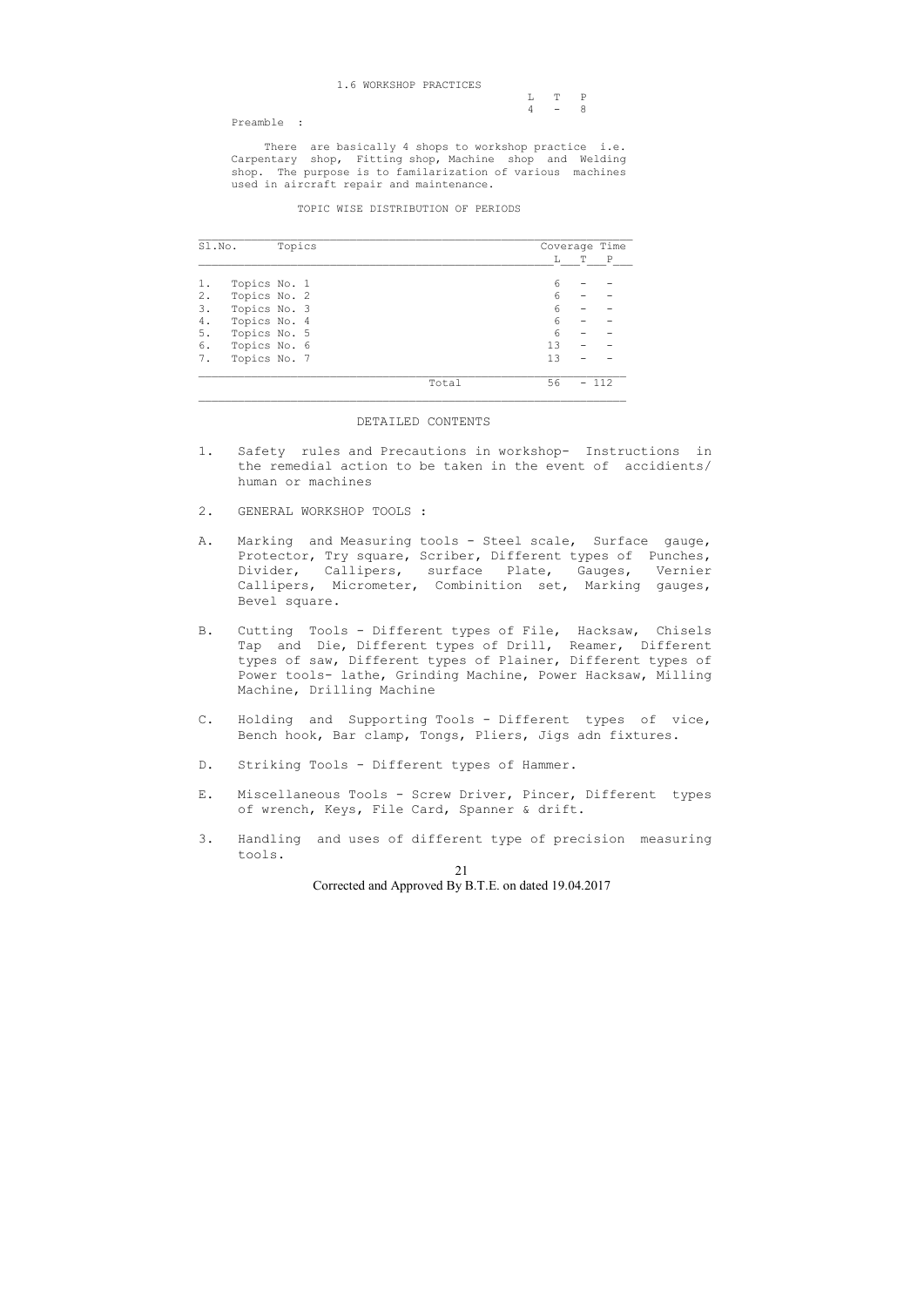| L T P   |  |
|---------|--|
| $4 - 8$ |  |

Preamble :

 There are basically 4 shops to workshop practice i.e. Carpentary shop, Fitting shop, Machine shop and Welding shop. The purpose is to familarization of various machines used in aircraft repair and maintenance.

TOPIC WISE DISTRIBUTION OF PERIODS

| Sl.No. |              | Topics |  |  | Coverage Time |    |   |     |
|--------|--------------|--------|--|--|---------------|----|---|-----|
|        |              |        |  |  |               | L  | T | P   |
|        | Topics No. 1 |        |  |  |               | 6  |   |     |
| 2.     | Topics No. 2 |        |  |  |               | 6  |   |     |
| 3.     | Topics No. 3 |        |  |  |               | 6  |   |     |
| 4.     | Topics No. 4 |        |  |  |               | 6  |   |     |
| 5.     | Topics No. 5 |        |  |  |               | 6  |   |     |
| 6.     | Topics No. 6 |        |  |  |               | 13 |   |     |
| 7.     | Topics No. 7 |        |  |  |               | 13 |   |     |
|        |              |        |  |  | Total         | 56 |   | 112 |

### DETAILED CONTENTS

- 1. Safety rules and Precautions in workshop- Instructions in the remedial action to be taken in the event of accidients/ human or machines
- 2. GENERAL WORKSHOP TOOLS :
- A. Marking and Measuring tools Steel scale, Surface gauge, Protector, Try square, Scriber, Different types of Punches, Divider, Callipers, surface Plate, Gauges, Vernier Callipers, Micrometer, Combinition set, Marking gauges, Bevel square.
- B. Cutting Tools Different types of File, Hacksaw, Chisels Tap and Die, Different types of Drill, Reamer, Different types of saw, Different types of Plainer, Different types of Power tools- lathe, Grinding Machine, Power Hacksaw, Milling Machine, Drilling Machine
- C. Holding and Supporting Tools Different types of vice, Bench hook, Bar clamp, Tongs, Pliers, Jigs adn fixtures.
- D. Striking Tools Different types of Hammer.
- E. Miscellaneous Tools Screw Driver, Pincer, Different types of wrench, Keys, File Card, Spanner & drift.
- 3. Handling and uses of different type of precision measuring tools.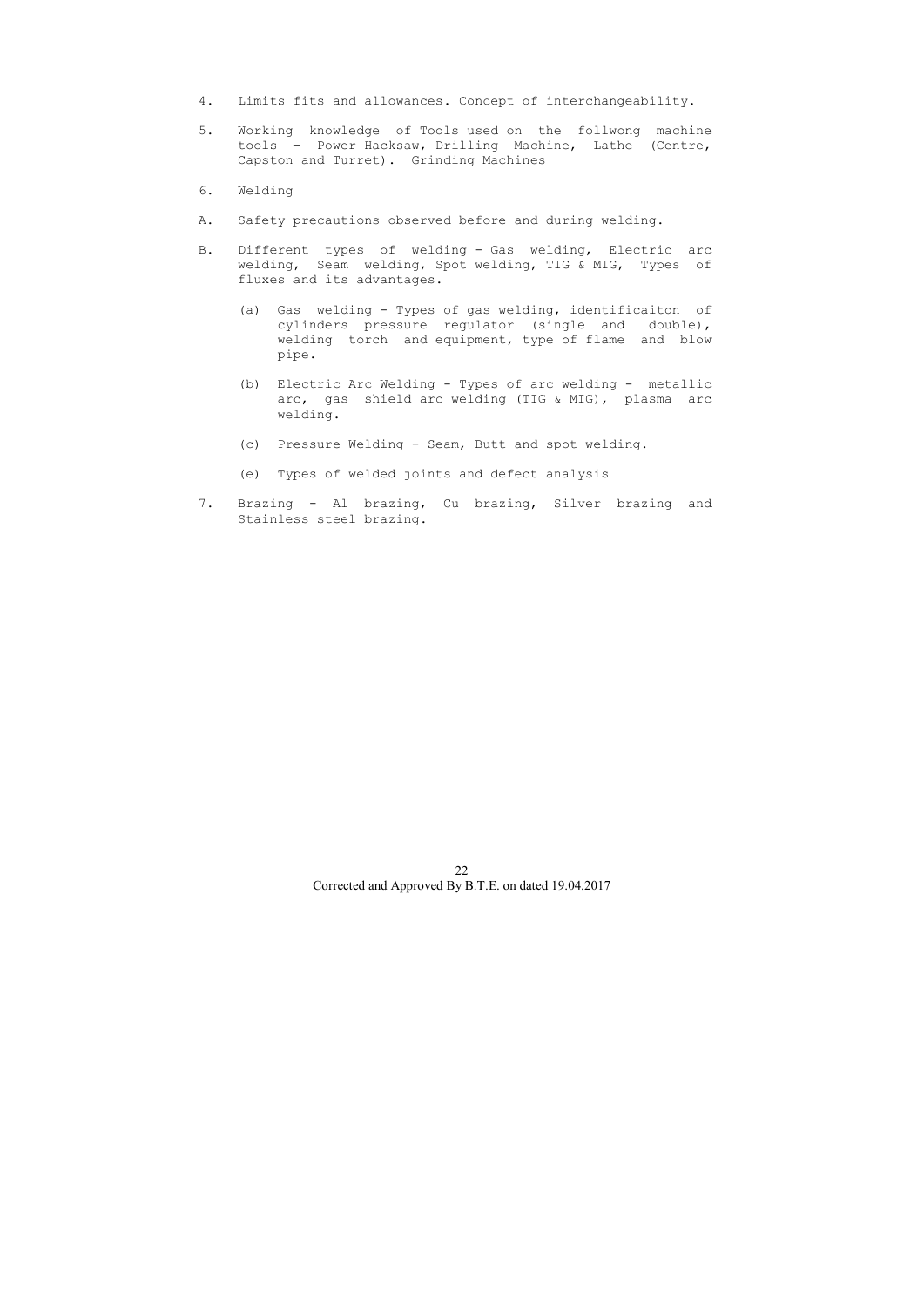- 4. Limits fits and allowances. Concept of interchangeability.
- 5. Working knowledge of Tools used on the follwong machine tools - Power Hacksaw, Drilling Machine, Lathe (Centre, Capston and Turret). Grinding Machines
- 6. Welding
- A. Safety precautions observed before and during welding.
- B. Different types of welding Gas welding, Electric arc welding, Seam welding, Spot welding, TIG & MIG, Types of fluxes and its advantages.
	- (a) Gas welding Types of gas welding, identificaiton of cylinders pressure regulator (single and double), welding torch and equipment, type of flame and blow pipe.
	- (b) Electric Arc Welding Types of arc welding metallic arc, gas shield arc welding (TIG & MIG), plasma arc welding.
	- (c) Pressure Welding Seam, Butt and spot welding.
	- (e) Types of welded joints and defect analysis
- 7. Brazing Al brazing, Cu brazing, Silver brazing and Stainless steel brazing.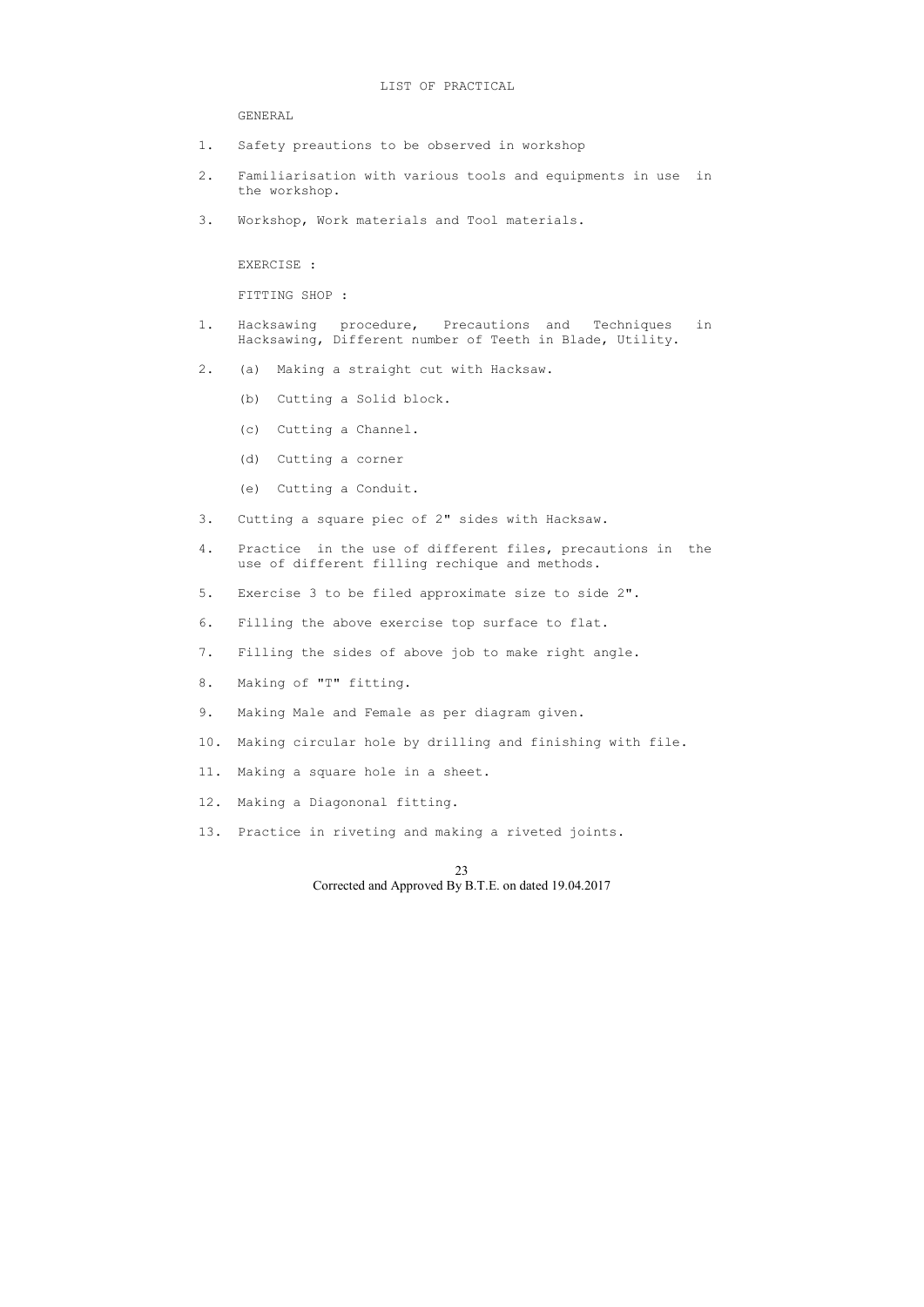### LIST OF PRACTICAL

GENERAL

- 1. Safety preautions to be observed in workshop
- 2. Familiarisation with various tools and equipments in use in the workshop.
- 3. Workshop, Work materials and Tool materials.

EXERCISE :

FITTING SHOP :

- 1. Hacksawing procedure, Precautions and Techniques in Hacksawing, Different number of Teeth in Blade, Utility.
- 2. (a) Making a straight cut with Hacksaw.
	- (b) Cutting a Solid block.
	- (c) Cutting a Channel.
	- (d) Cutting a corner
	- (e) Cutting a Conduit.
- 3. Cutting a square piec of 2" sides with Hacksaw.
- 4. Practice in the use of different files, precautions in the use of different filling rechique and methods.
- 5. Exercise 3 to be filed approximate size to side 2".
- 6. Filling the above exercise top surface to flat.
- 7. Filling the sides of above job to make right angle.
- 8. Making of "T" fitting.
- 9. Making Male and Female as per diagram given.
- 10. Making circular hole by drilling and finishing with file.
- 11. Making a square hole in a sheet.
- 12. Making a Diagononal fitting.
- 13. Practice in riveting and making a riveted joints.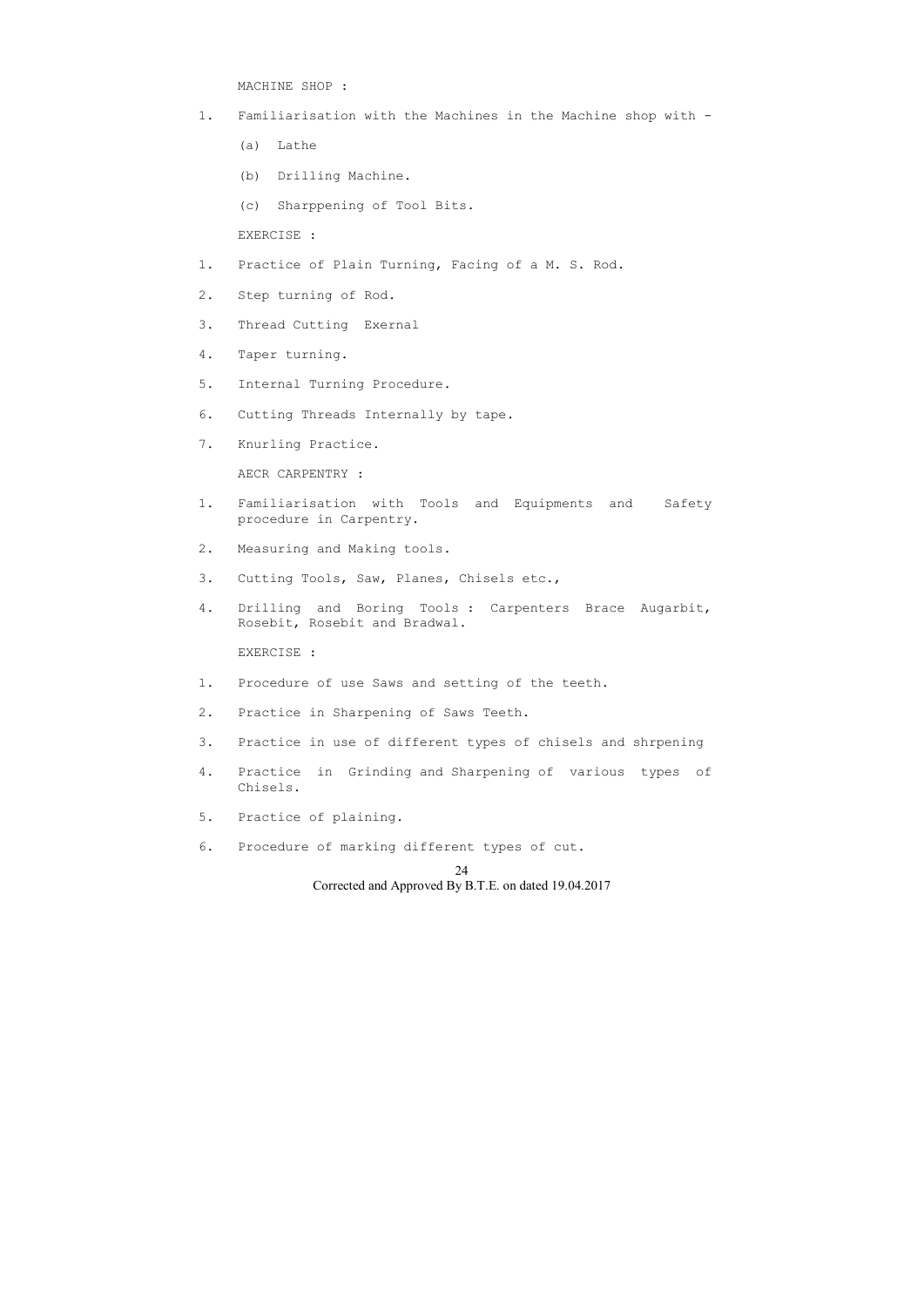MACHINE SHOP :

- 1. Familiarisation with the Machines in the Machine shop with
	- (a) Lathe
	- (b) Drilling Machine.
	- (c) Sharppening of Tool Bits.

EXERCISE :

- 1. Practice of Plain Turning, Facing of a M. S. Rod.
- 2. Step turning of Rod.
- 3. Thread Cutting Exernal
- 4. Taper turning.
- 5. Internal Turning Procedure.
- 6. Cutting Threads Internally by tape.
- 7. Knurling Practice.

AECR CARPENTRY :

- 1. Familiarisation with Tools and Equipments and Safety procedure in Carpentry.
- 2. Measuring and Making tools.
- 3. Cutting Tools, Saw, Planes, Chisels etc.,
- 4. Drilling and Boring Tools : Carpenters Brace Augarbit, Rosebit, Rosebit and Bradwal.

EXERCISE :

- 1. Procedure of use Saws and setting of the teeth.
- 2. Practice in Sharpening of Saws Teeth.
- 3. Practice in use of different types of chisels and shrpening
- 4. Practice in Grinding and Sharpening of various types of Chisels.
- 5. Practice of plaining.
- 6. Procedure of marking different types of cut.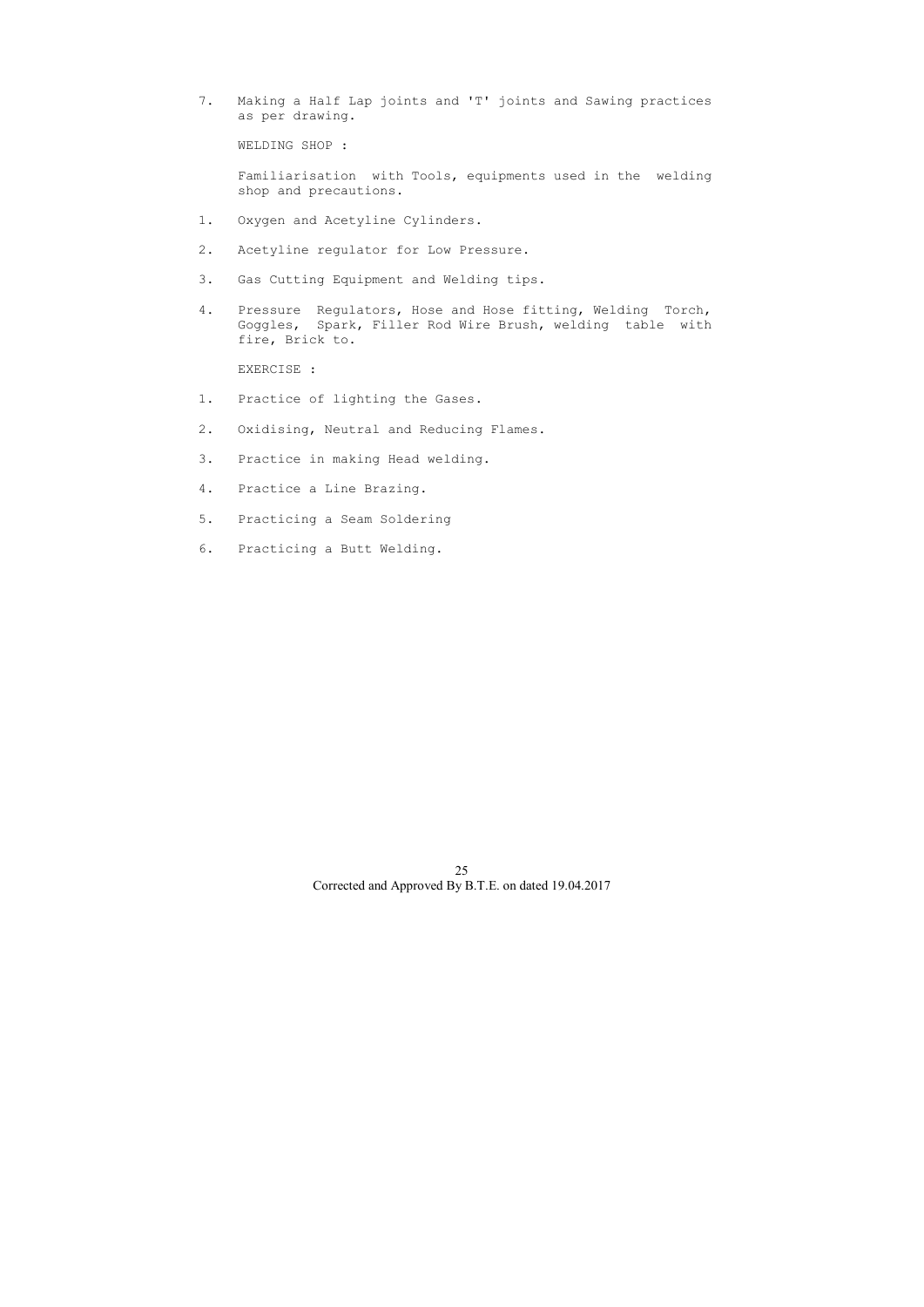7. Making a Half Lap joints and 'T' joints and Sawing practices as per drawing.

WELDING SHOP :

 Familiarisation with Tools, equipments used in the welding shop and precautions.

- 1. Oxygen and Acetyline Cylinders.
- 2. Acetyline regulator for Low Pressure.
- 3. Gas Cutting Equipment and Welding tips.
- 4. Pressure Regulators, Hose and Hose fitting, Welding Torch, Goggles, Spark, Filler Rod Wire Brush, welding table with fire, Brick to.

EXERCISE :

- 1. Practice of lighting the Gases.
- 2. Oxidising, Neutral and Reducing Flames.
- 3. Practice in making Head welding.
- 4. Practice a Line Brazing.
- 5. Practicing a Seam Soldering
- 6. Practicing a Butt Welding.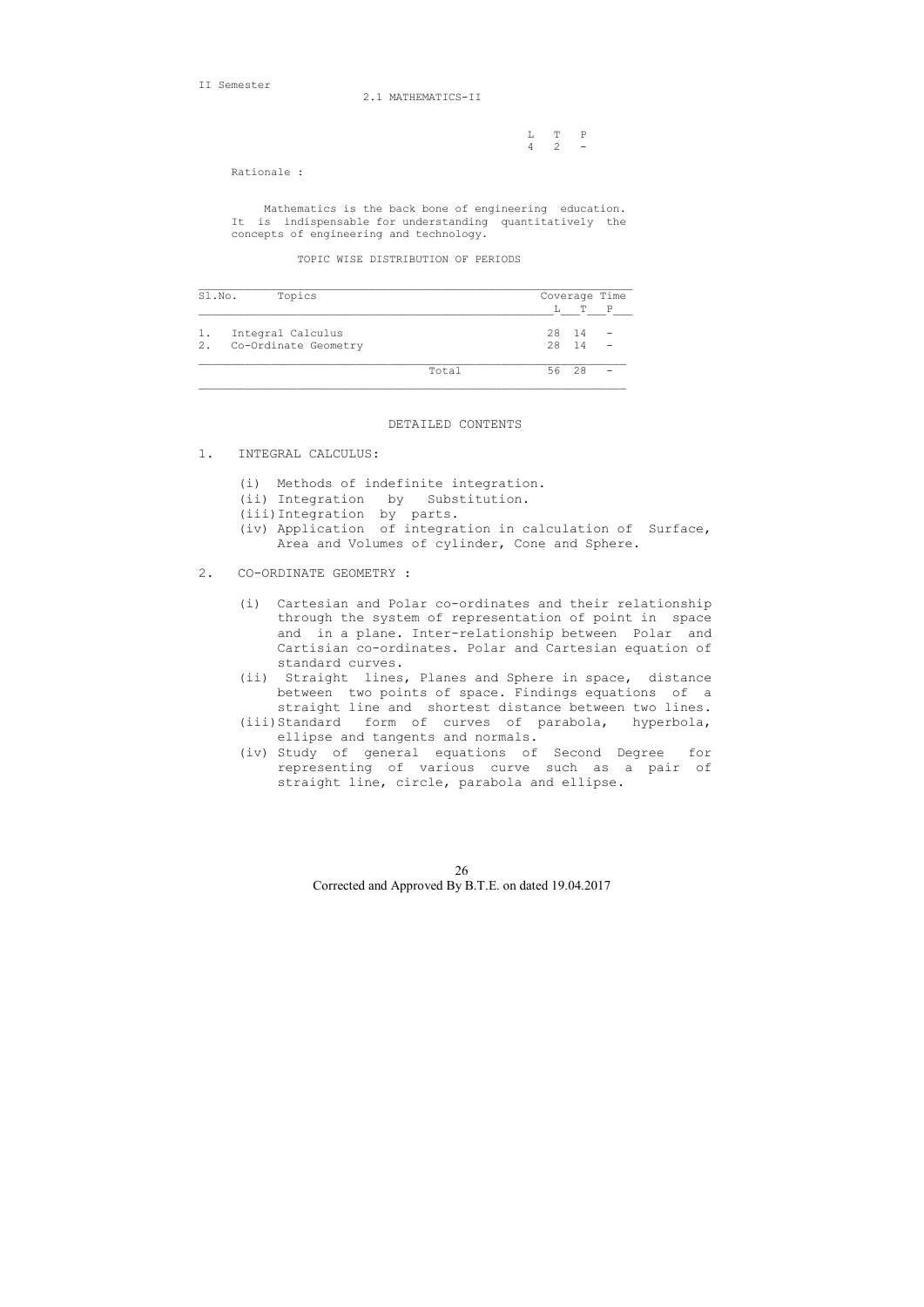II Semester

2.1 MATHEMATICS-II

 L T P 4 2 -

Rationale :

 Mathematics is the back bone of engineering education. It is indispensable for understanding quantitatively the concepts of engineering and technology.

TOPIC WISE DISTRIBUTION OF PERIODS

| Sl.No. | Topics               |       |       | Coverage Time |
|--------|----------------------|-------|-------|---------------|
|        |                      |       | T     | $\mathsf{P}$  |
|        | Integral Calculus    |       | 28 14 |               |
| 2.     | Co-Ordinate Geometry |       | 28 14 |               |
|        |                      | Total | 56 28 |               |

### DETAILED CONTENTS

- 1. INTEGRAL CALCULUS:
	- (i) Methods of indefinite integration.
	- (ii) Integration by Substitution.
	- (iii)Integration by parts.
	- (iv) Application of integration in calculation of Surface, Area and Volumes of cylinder, Cone and Sphere.
- 2. CO-ORDINATE GEOMETRY :
	- (i) Cartesian and Polar co-ordinates and their relationship through the system of representation of point in space and in a plane. Inter-relationship between Polar and Cartisian co-ordinates. Polar and Cartesian equation of standard curves.
	- (ii) Straight lines, Planes and Sphere in space, distance between two points of space. Findings equations of a straight line and shortest distance between two lines.
	- (iii)Standard form of curves of parabola, hyperbola, ellipse and tangents and normals.
	- (iv) Study of general equations of Second Degree for representing of various curve such as a pair of straight line, circle, parabola and ellipse.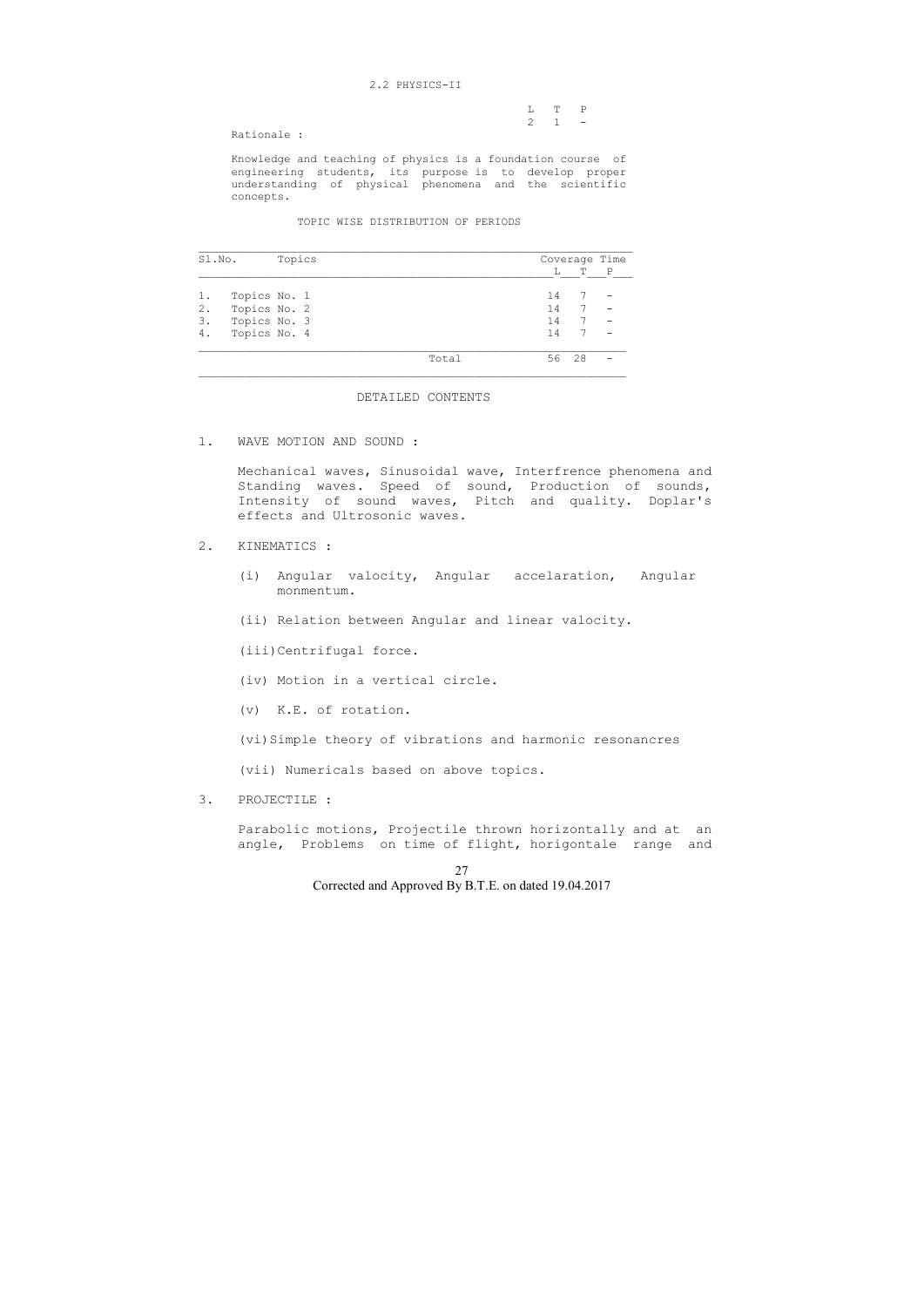### 2.2 PHYSICS-II

|  | $L \tT \tP$         |  |
|--|---------------------|--|
|  | $2 \quad 1 \quad -$ |  |

Rationale :

 Knowledge and teaching of physics is a foundation course of engineering students, its purpose is to develop proper understanding of physical phenomena and the scientific concepts.

### TOPIC WISE DISTRIBUTION OF PERIODS

| Sl.No. |              | Topics |  | Coverage Time |    |    |   |
|--------|--------------|--------|--|---------------|----|----|---|
|        |              |        |  |               | Ь  | Т  | P |
| 1.     | Topics No. 1 |        |  |               | 14 |    |   |
| 2.     | Topics No. 2 |        |  |               | 14 | 7  |   |
| 3.     | Topics No. 3 |        |  |               | 14 |    |   |
| 4.     | Topics No. 4 |        |  |               | 14 |    |   |
|        |              |        |  | Total         | 56 | 28 |   |

### DETAILED CONTENTS

1. WAVE MOTION AND SOUND :

 Mechanical waves, Sinusoidal wave, Interfrence phenomena and Standing waves. Speed of sound, Production of sounds, Intensity of sound waves, Pitch and quality. Doplar's effects and Ultrosonic waves.

# 2. KINEMATICS :

- (i) Angular valocity, Angular accelaration, Angular monmentum.
- (ii) Relation between Angular and linear valocity.

(iii)Centrifugal force.

- (iv) Motion in a vertical circle.
- (v) K.E. of rotation.
- (vi)Simple theory of vibrations and harmonic resonancres

(vii) Numericals based on above topics.

3. PROJECTILE :

 Parabolic motions, Projectile thrown horizontally and at an angle, Problems on time of flight, horigontale range and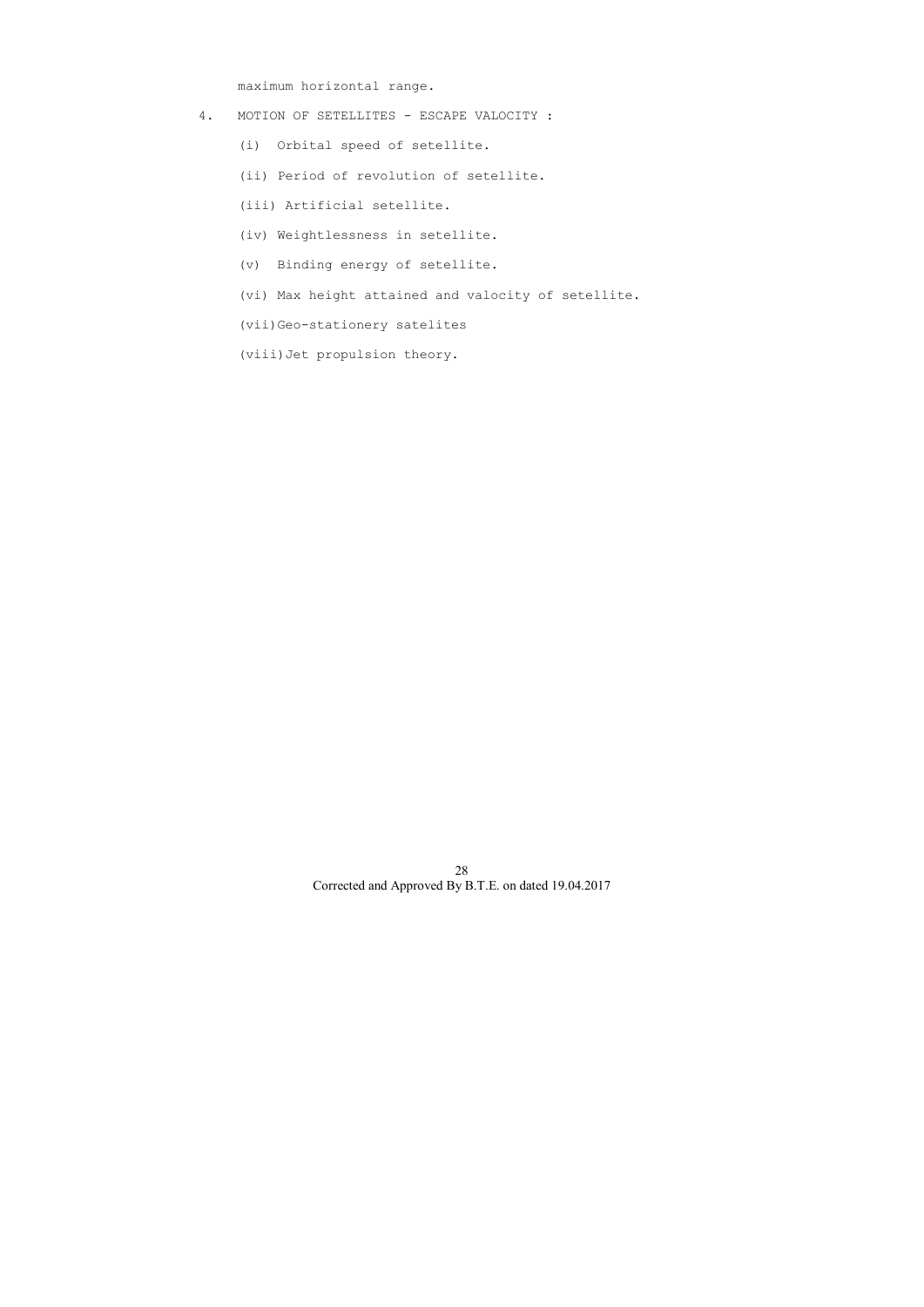maximum horizontal range.

- 4. MOTION OF SETELLITES ESCAPE VALOCITY :
	- (i) Orbital speed of setellite.
	- (ii) Period of revolution of setellite.
	- (iii) Artificial setellite.
	- (iv) Weightlessness in setellite.
	- (v) Binding energy of setellite.
	- (vi) Max height attained and valocity of setellite.
	- (vii)Geo-stationery satelites
	- (viii)Jet propulsion theory.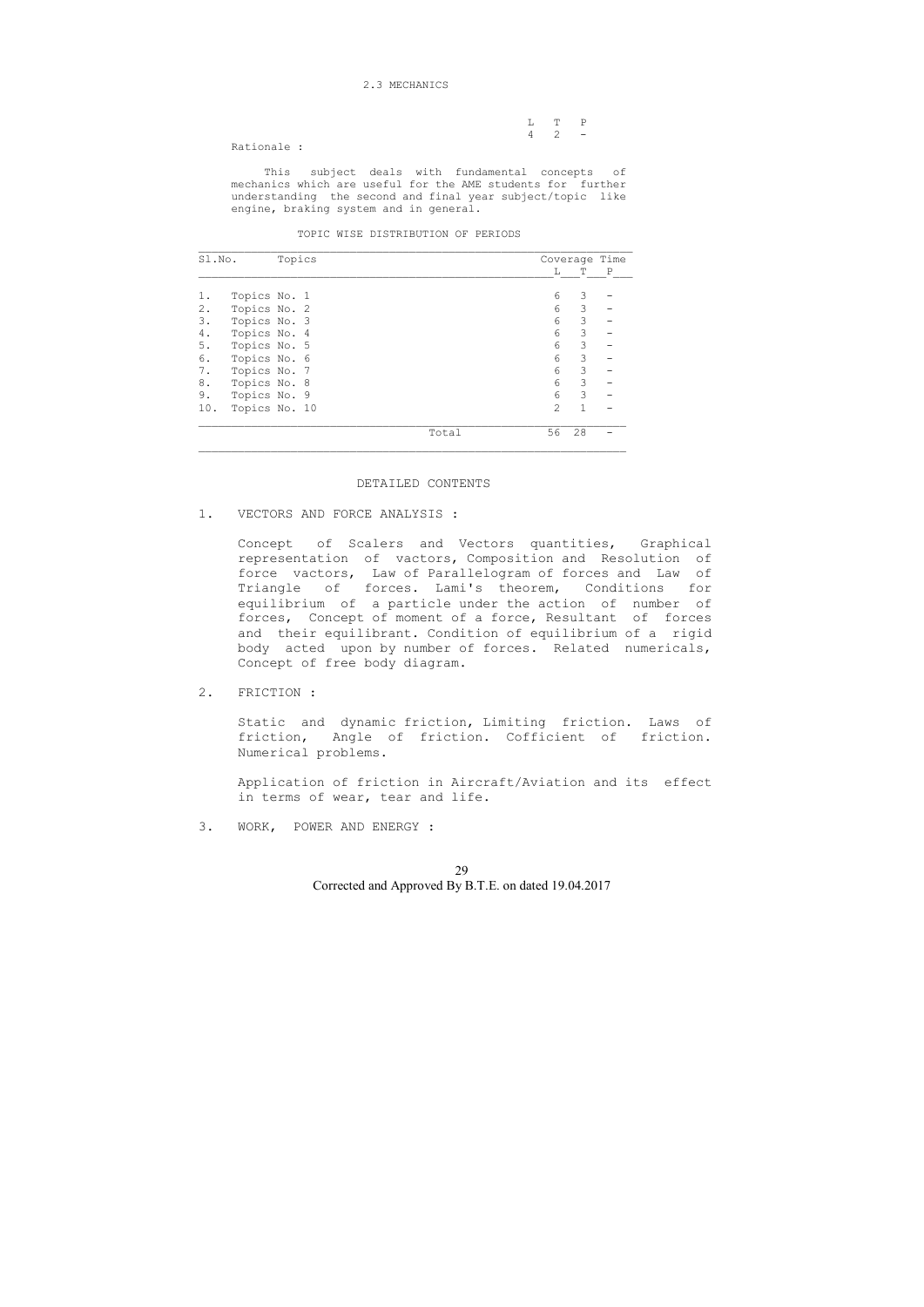### 2.3 MECHANICS

|                      |  | L T P       |
|----------------------|--|-------------|
|                      |  | $4 \t2 \t-$ |
| $Rational$ $\bullet$ |  |             |

Rationale :

 This subject deals with fundamental concepts of mechanics which are useful for the AME students for further understanding the second and final year subject/topic like engine, braking system and in general.

TOPIC WISE DISTRIBUTION OF PERIODS

| Sl.No. |               | Topics |       |               | Coverage Time |             |
|--------|---------------|--------|-------|---------------|---------------|-------------|
|        |               |        |       | L             | T             | $\mathbf P$ |
| 1.     | Topics No. 1  |        |       | 6             | 3             |             |
| $2$ .  | Topics No. 2  |        |       | 6             | 3             |             |
| 3.     | Topics No. 3  |        |       | 6             | 3             |             |
| 4.     | Topics No. 4  |        |       | 6             | 3             |             |
| 5.     | Topics No. 5  |        |       | 6             | 3             |             |
| 6.     | Topics No. 6  |        |       | 6             | 3             |             |
| 7.     | Topics No. 7  |        |       | 6             | 3             |             |
| 8.     | Topics No. 8  |        |       | 6             | 3             |             |
| 9.     | Topics No. 9  |        |       | 6             | 3             |             |
| 10.    | Topics No. 10 |        |       | $\mathcal{L}$ | 1             |             |
|        |               |        | Total | 56            | 28            |             |

### DETAILED CONTENTS

1. VECTORS AND FORCE ANALYSIS :

 Concept of Scalers and Vectors quantities, Graphical representation of vactors, Composition and Resolution of force vactors, Law of Parallelogram of forces and Law of Triangle of forces. Lami's theorem, Conditions for equilibrium of a particle under the action of number of forces, Concept of moment of a force, Resultant of forces and their equilibrant. Condition of equilibrium of a rigid body acted upon by number of forces. Related numericals, Concept of free body diagram.

2. FRICTION :

 Static and dynamic friction, Limiting friction. Laws of friction, Angle of friction. Cofficient of friction. Numerical problems.

 Application of friction in Aircraft/Aviation and its effect in terms of wear, tear and life.

3. WORK, POWER AND ENERGY :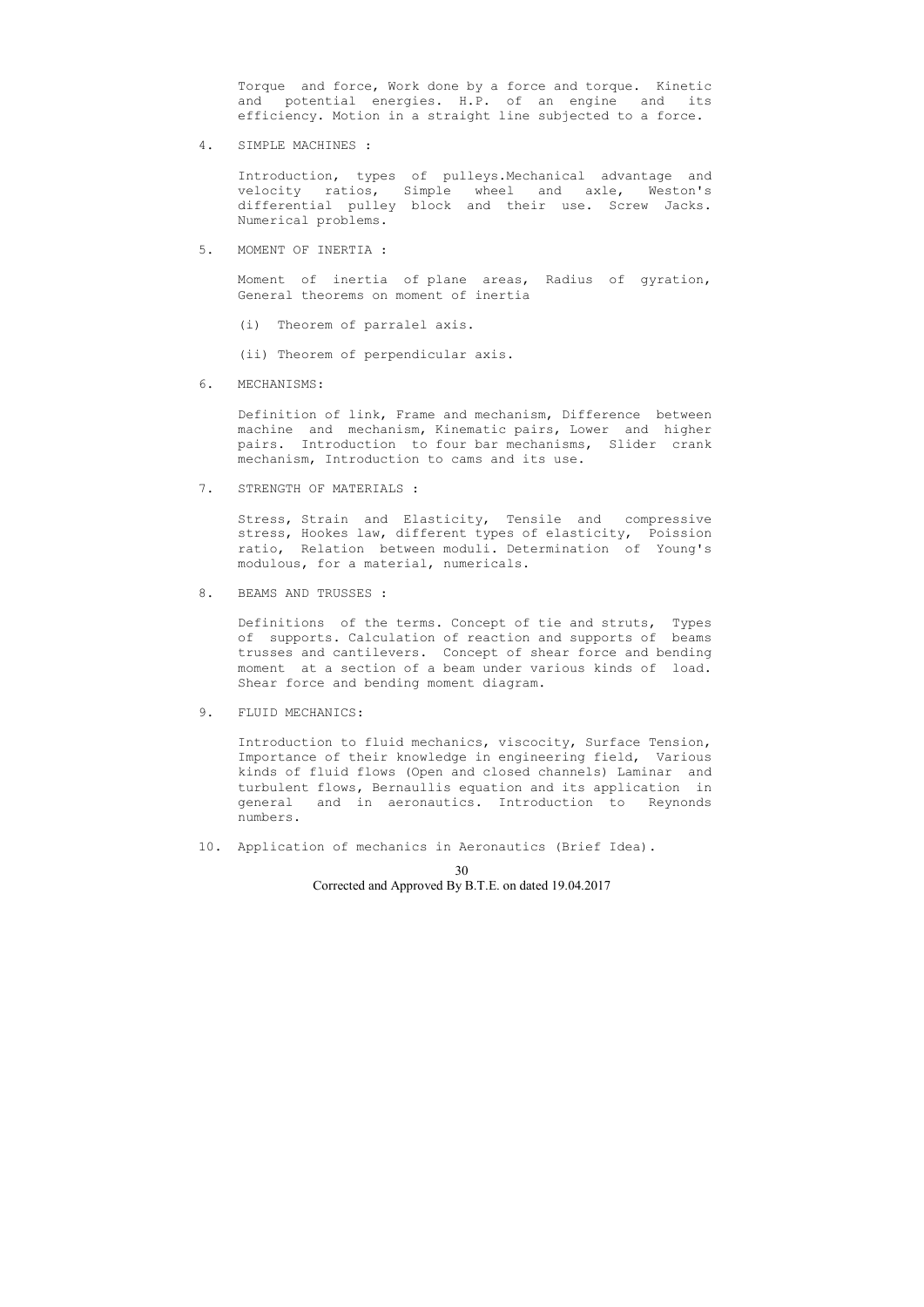Torque and force, Work done by a force and torque. Kinetic and potential energies. H.P. of an engine and its efficiency. Motion in a straight line subjected to a force.

4. SIMPLE MACHINES :

 Introduction, types of pulleys.Mechanical advantage and velocity ratios, Simple wheel and axle, Weston's differential pulley block and their use. Screw Jacks. Numerical problems.

5. MOMENT OF INERTIA :

 Moment of inertia of plane areas, Radius of gyration, General theorems on moment of inertia

- (i) Theorem of parralel axis.
- (ii) Theorem of perpendicular axis.
- 6. MECHANISMS:

 Definition of link, Frame and mechanism, Difference between machine and mechanism, Kinematic pairs, Lower and higher pairs. Introduction to four bar mechanisms, Slider crank mechanism, Introduction to cams and its use.

7. STRENGTH OF MATERIALS :

 Stress, Strain and Elasticity, Tensile and compressive stress, Hookes law, different types of elasticity, Poission ratio, Relation between moduli. Determination of Young's modulous, for a material, numericals.

8. BEAMS AND TRUSSES :

 Definitions of the terms. Concept of tie and struts, Types of supports. Calculation of reaction and supports of beams trusses and cantilevers. Concept of shear force and bending moment at a section of a beam under various kinds of load. Shear force and bending moment diagram.

9. FLUID MECHANICS:

 Introduction to fluid mechanics, viscocity, Surface Tension, Importance of their knowledge in engineering field, Various kinds of fluid flows (Open and closed channels) Laminar and turbulent flows, Bernaullis equation and its application in general and in aeronautics. Introduction to Reynonds numbers.

10. Application of mechanics in Aeronautics (Brief Idea).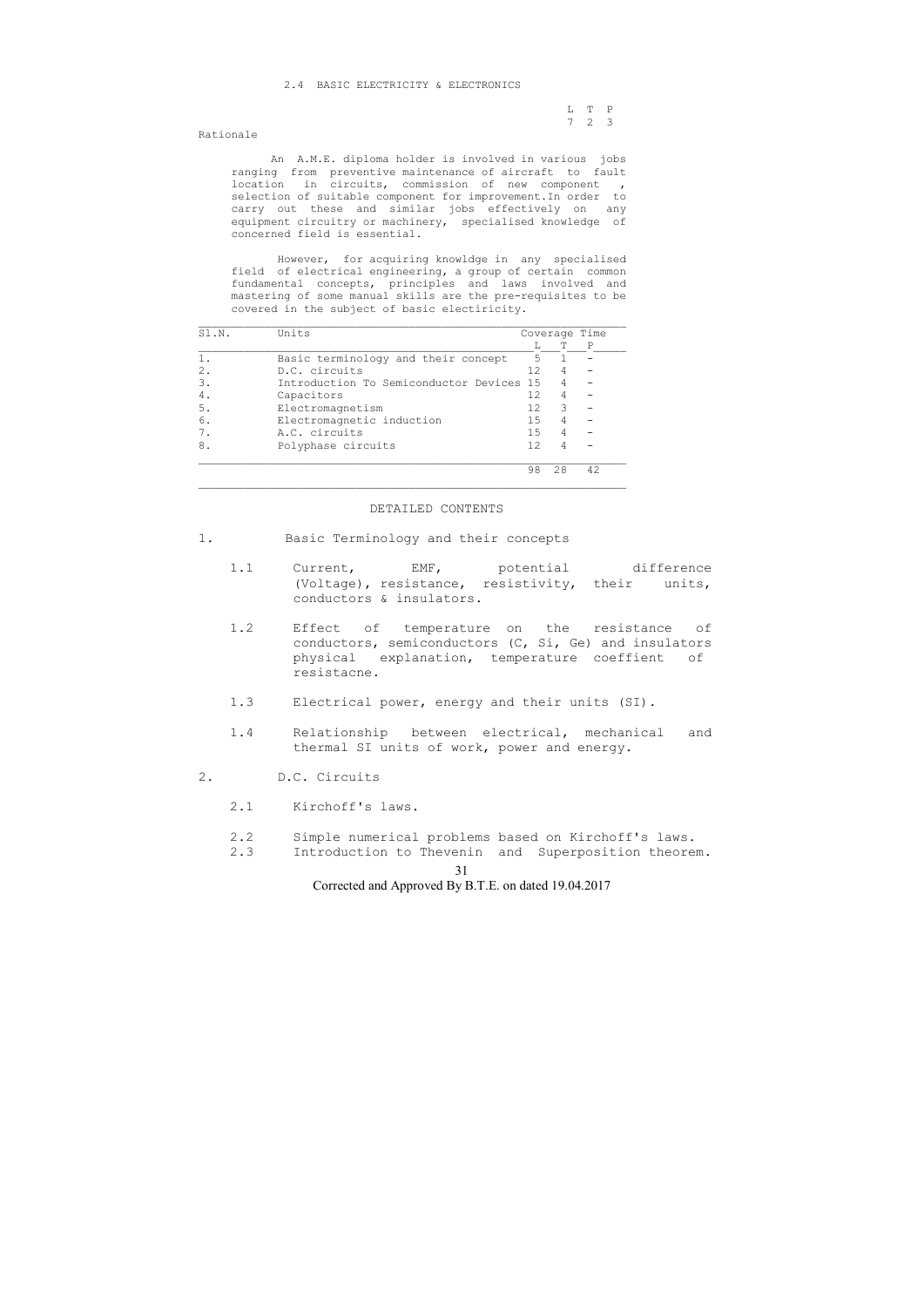31

Corrected and Approved By B.T.E. on dated 19.04.2017

# 2.4 BASIC ELECTRICITY & ELECTRONICS

 L T P 7 2 3

Rationale

 An A.M.E. diploma holder is involved in various jobs ranging from preventive maintenance of aircraft to fault location in circuits, commission of new component , selection of suitable component for improvement.In order to carry out these and similar jobs effectively on any equipment circuitry or machinery, specialised knowledge of concerned field is essential.

 However, for acquiring knowldge in any specialised field of electrical engineering, a group of certain common fundamental concepts, principles and laws involved and mastering of some manual skills are the pre-requisites to be covered in the subject of basic electiricity.

| SI.N. | Units                                 |     | Coverage Time |    |  |  |
|-------|---------------------------------------|-----|---------------|----|--|--|
|       |                                       |     |               | P  |  |  |
|       | Basic terminology and their concept   | 5   |               |    |  |  |
| 2.    | D.C. circuits                         | 12. |               |    |  |  |
| 3.    | Introduction To Semiconductor Devices | 1.5 |               |    |  |  |
| 4.    | Capacitors                            | 12  | 4             |    |  |  |
| 5.    | Electromagnetism                      | 12  | 3             |    |  |  |
| 6.    | Electromagnetic induction             | 1.5 | 4             |    |  |  |
|       | A.C. circuits                         | 1.5 | 4             |    |  |  |
| 8.    | Polyphase circuits                    | 12  | 4             |    |  |  |
|       |                                       | 98  | 28            | 42 |  |  |

 $\overline{\phantom{a}}$  , and the contribution of the contribution of the contribution of the contribution of the contribution of the contribution of the contribution of the contribution of the contribution of the contribution of the

### DETAILED CONTENTS

- 1. Basic Terminology and their concepts
	- 1.1 Current, EMF, potential difference (Voltage), resistance, resistivity, their units, conductors & insulators.
	- 1.2 Effect of temperature on the resistance of conductors, semiconductors (C, Si, Ge) and insulators physical explanation, temperature coeffient of resistacne.
	- 1.3 Electrical power, energy and their units (SI).
	- 1.4 Relationship between electrical, mechanical and thermal SI units of work, power and energy.
- 2. D.C. Circuits
	- 2.1 Kirchoff's laws.
	- 2.2 Simple numerical problems based on Kirchoff's laws.
	- 2.3 Introduction to Thevenin and Superposition theorem.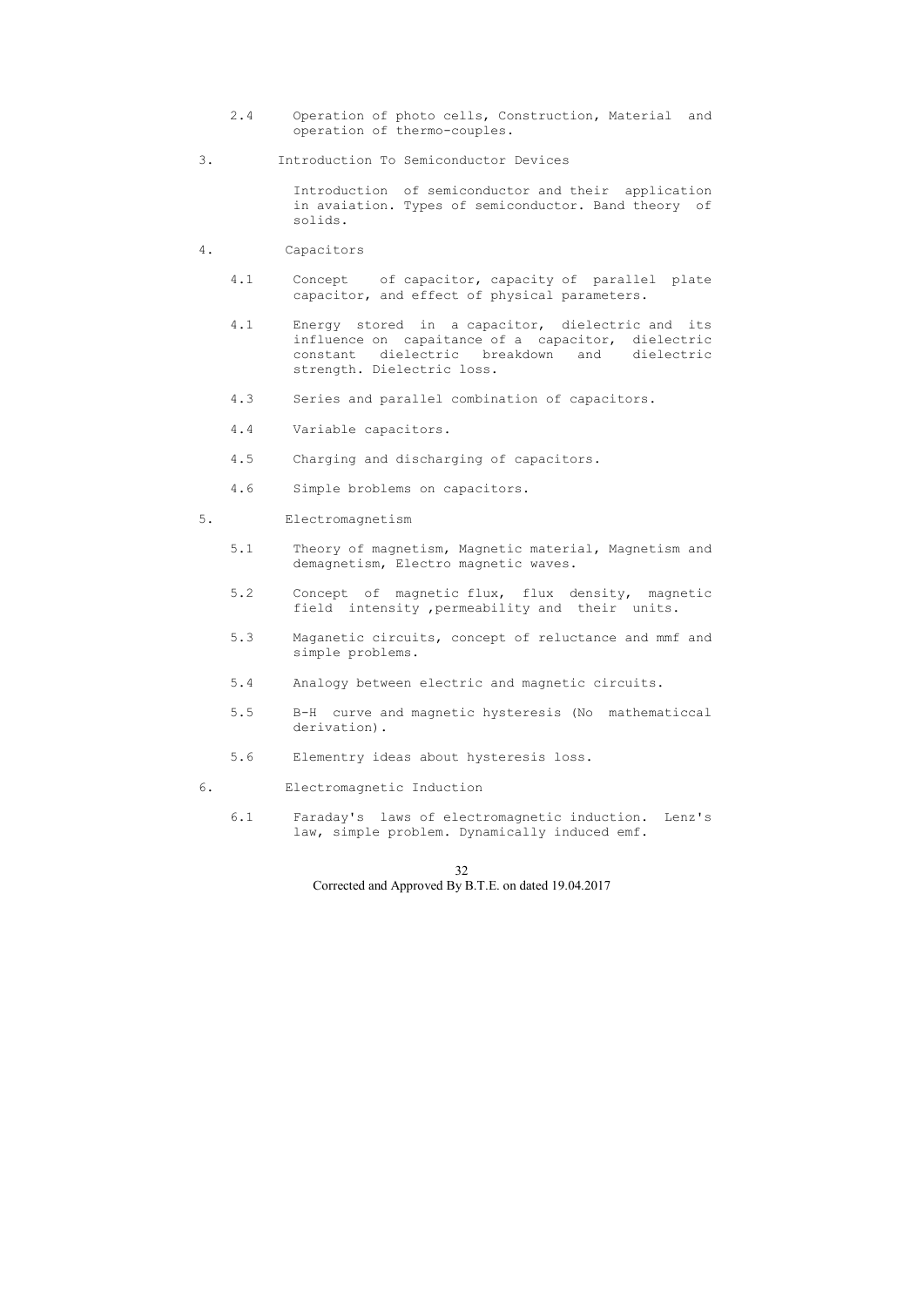- 2.4 Operation of photo cells, Construction, Material and operation of thermo-couples.
- 3. Introduction To Semiconductor Devices

 Introduction of semiconductor and their application in avaiation. Types of semiconductor. Band theory of solids.

- 4. Capacitors
	- 4.1 Concept of capacitor, capacity of parallel plate capacitor, and effect of physical parameters.
	- 4.1 Energy stored in a capacitor, dielectric and its influence on capaitance of a capacitor, dielectric constant dielectric breakdown and dielectric strength. Dielectric loss.
	- 4.3 Series and parallel combination of capacitors.
	- 4.4 Variable capacitors.
	- 4.5 Charging and discharging of capacitors.
	- 4.6 Simple broblems on capacitors.
- 5. Electromagnetism
	- 5.1 Theory of magnetism, Magnetic material, Magnetism and demagnetism, Electro magnetic waves.
	- 5.2 Concept of magnetic flux, flux density, magnetic field intensity ,permeability and their units.
	- 5.3 Maganetic circuits, concept of reluctance and mmf and simple problems.
	- 5.4 Analogy between electric and magnetic circuits.
	- 5.5 B-H curve and magnetic hysteresis (No mathematiccal derivation).
	- 5.6 Elementry ideas about hysteresis loss.
- 6. Electromagnetic Induction
	- 6.1 Faraday's laws of electromagnetic induction. Lenz's law, simple problem. Dynamically induced emf.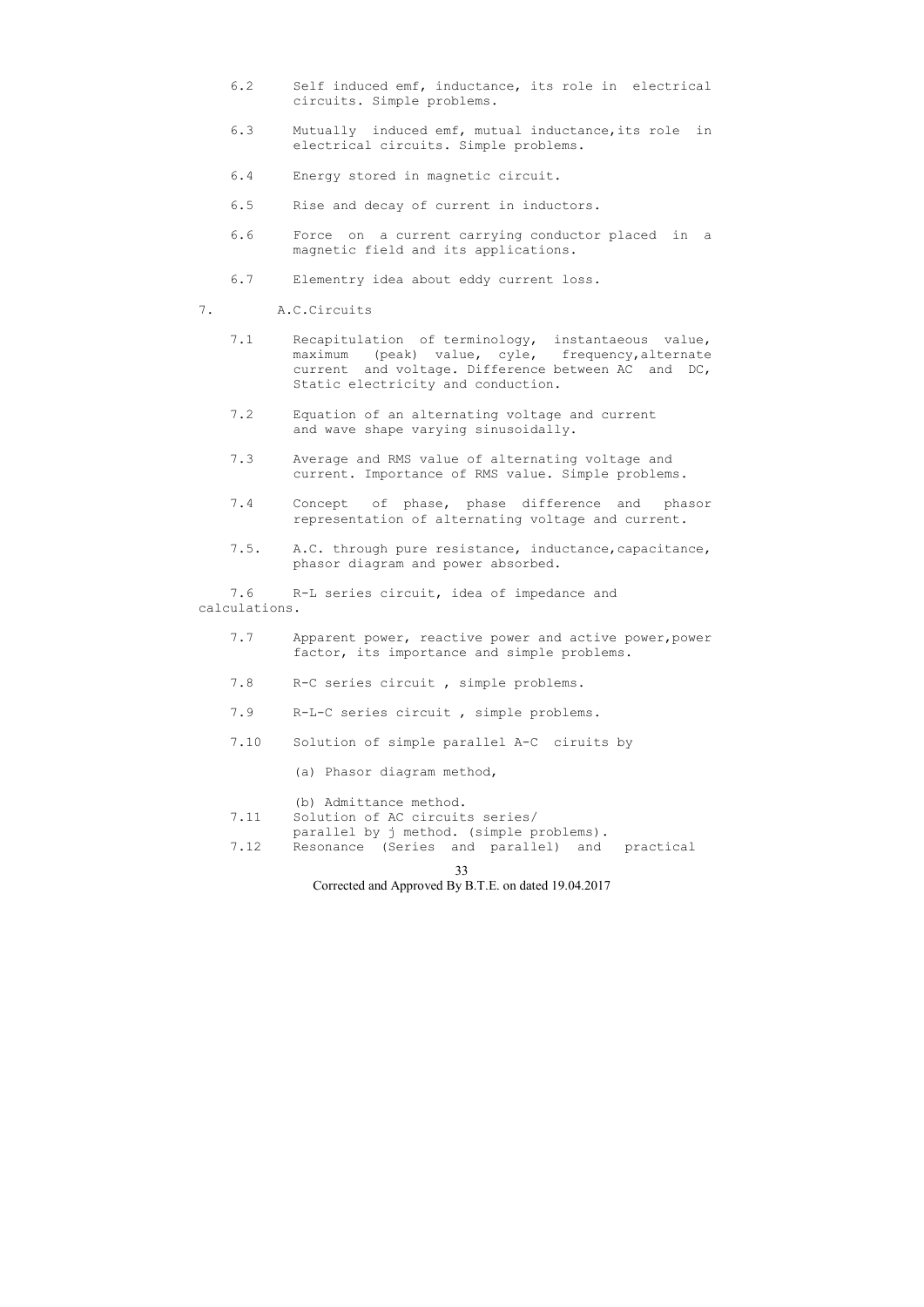33

Corrected and Approved By B.T.E. on dated 19.04.2017

- 6.2 Self induced emf, inductance, its role in electrical circuits. Simple problems.
- 6.3 Mutually induced emf, mutual inductance,its role in electrical circuits. Simple problems.
- 6.4 Energy stored in magnetic circuit.
- 6.5 Rise and decay of current in inductors.
- 6.6 Force on a current carrying conductor placed in a magnetic field and its applications.
- 6.7 Elementry idea about eddy current loss.
- 7. A.C.Circuits
	- 7.1 Recapitulation of terminology, instantaeous value, maximum (peak) value, cyle, frequency,alternate current and voltage. Difference between AC and DC, Static electricity and conduction.
	- 7.2 Equation of an alternating voltage and current and wave shape varying sinusoidally.
	- 7.3 Average and RMS value of alternating voltage and current. Importance of RMS value. Simple problems.
	- 7.4 Concept of phase, phase difference and phasor representation of alternating voltage and current.
	- 7.5. A.C. through pure resistance, inductance,capacitance, phasor diagram and power absorbed.

- 7.7 Apparent power, reactive power and active power, power factor, its importance and simple problems.
- 7.8 R-C series circuit , simple problems.
- 7.9 R-L-C series circuit , simple problems.
- 7.10 Solution of simple parallel A-C ciruits by
	- (a) Phasor diagram method,

 7.6 R-L series circuit, idea of impedance and calculations.

(b) Admittance method.

- 7.11 Solution of AC circuits series/
	- parallel by j method. (simple problems).
- 7.12 Resonance (Series and parallel) and practical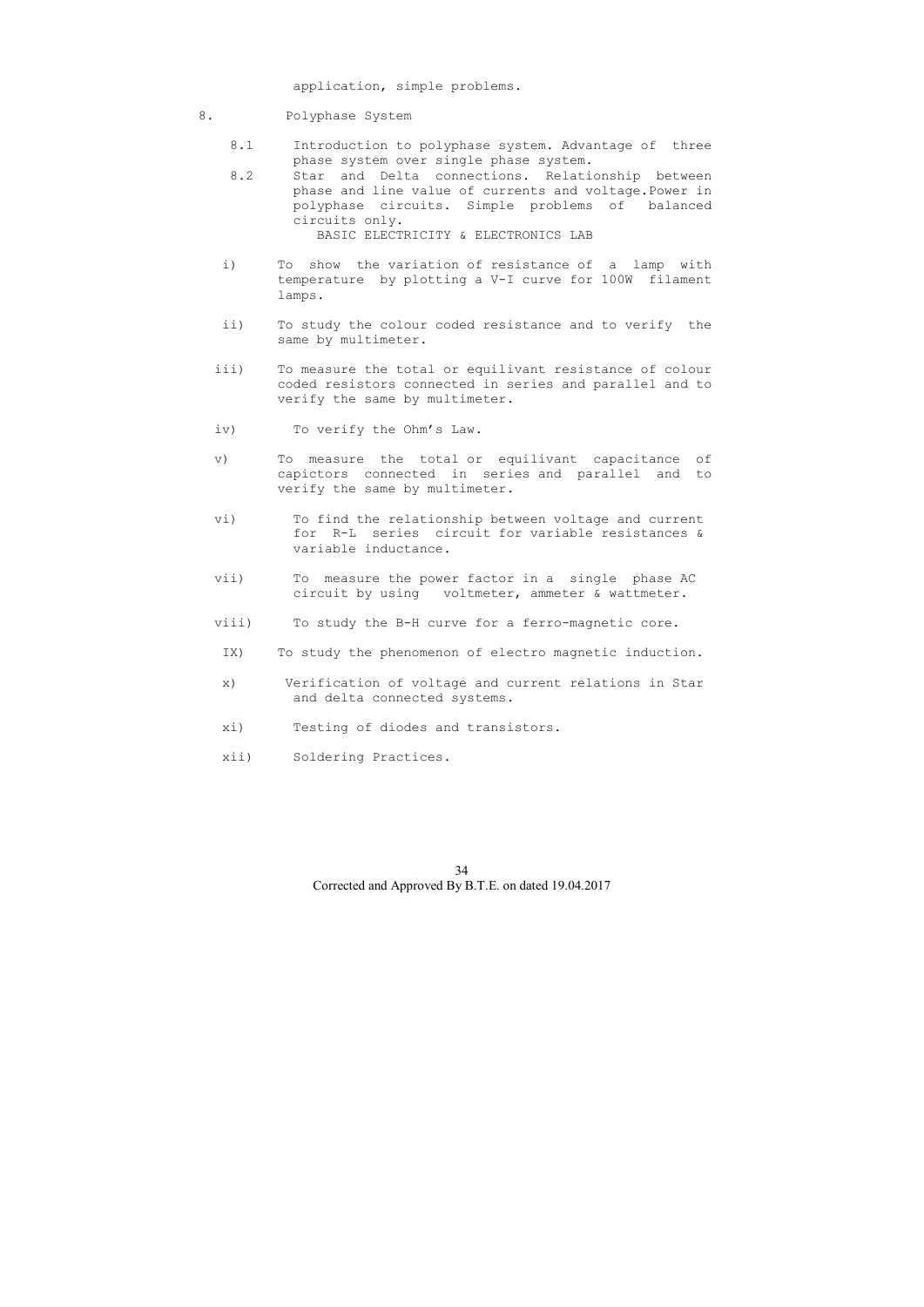application, simple problems.

- 8. Polyphase System
	- 8.1 Introduction to polyphase system. Advantage of three phase system over single phase system.
	- 8.2 Star and Delta connections. Relationship between phase and line value of currents and voltage.Power in polyphase circuits. Simple problems of balanced circuits only. BASIC ELECTRICITY & ELECTRONICS LAB
	- i) To show the variation of resistance of a lamp with temperature by plotting a V-I curve for 100W filament lamps.
	- ii) To study the colour coded resistance and to verify the same by multimeter.
	- iii) To measure the total or equilivant resistance of colour coded resistors connected in series and parallel and to verify the same by multimeter.
	- iv) To verify the Ohm's Law.
	- v) To measure the total or equilivant capacitance of capictors connected in series and parallel and to verify the same by multimeter.
	- vi) To find the relationship between voltage and current for R-L series circuit for variable resistances & variable inductance.
	- vii) To measure the power factor in a single phase AC circuit by using voltmeter, ammeter & wattmeter.
	- viii) To study the B-H curve for a ferro-magnetic core.
	- IX) To study the phenomenon of electro magnetic induction.
	- x) Verification of voltage and current relations in Star and delta connected systems.
	- xi) Testing of diodes and transistors.
	- xii) Soldering Practices.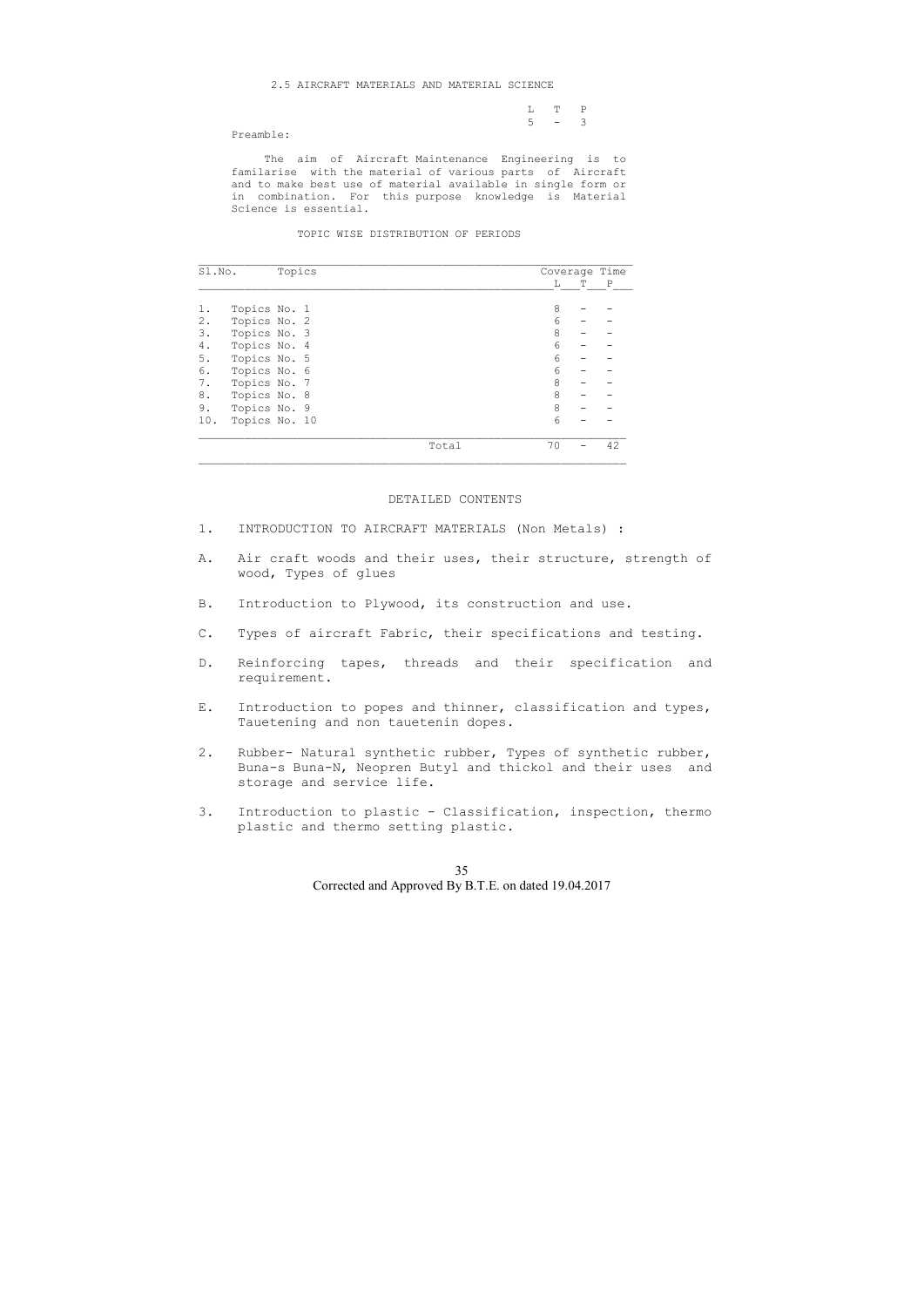#### 2.5 AIRCRAFT MATERIALS AND MATERIAL SCIENCE

|  | $L T P$ |  |
|--|---------|--|
|  | $5 - 3$ |  |

Preamble:

 The aim of Aircraft Maintenance Engineering is to familarise with the material of various parts of Aircraft and to make best use of material available in single form or in combination. For this purpose knowledge is Material Science is essential.

TOPIC WISE DISTRIBUTION OF PERIODS

| Sl.No. |               | Topics |  |       |    | Coverage Time |             |
|--------|---------------|--------|--|-------|----|---------------|-------------|
|        |               |        |  |       | L  | т             | $\mathbb P$ |
|        | Topics No. 1  |        |  |       | 8  |               |             |
| 2.     | Topics No. 2  |        |  |       | 6  |               |             |
| 3.     | Topics No. 3  |        |  |       | 8  |               |             |
| 4.     | Topics No. 4  |        |  |       | 6  |               |             |
| 5.     | Topics No. 5  |        |  |       | 6  |               |             |
| 6.     | Topics No. 6  |        |  |       | 6  |               |             |
| 7.     | Topics No. 7  |        |  |       | 8  |               |             |
| 8.     | Topics No. 8  |        |  |       | 8  |               |             |
| 9.     | Topics No. 9  |        |  |       | 8  |               |             |
| 10.    | Topics No. 10 |        |  |       | 6  |               |             |
|        |               |        |  | Total | 70 |               | 42          |

# DETAILED CONTENTS

- 1. INTRODUCTION TO AIRCRAFT MATERIALS (Non Metals) :
- A. Air craft woods and their uses, their structure, strength of wood, Types of glues
- B. Introduction to Plywood, its construction and use.
- C. Types of aircraft Fabric, their specifications and testing.
- D. Reinforcing tapes, threads and their specification and requirement.
- E. Introduction to popes and thinner, classification and types, Tauetening and non tauetenin dopes.
- 2. Rubber- Natural synthetic rubber, Types of synthetic rubber, Buna-s Buna-N, Neopren Butyl and thickol and their uses and storage and service life.
- 3. Introduction to plastic Classification, inspection, thermo plastic and thermo setting plastic.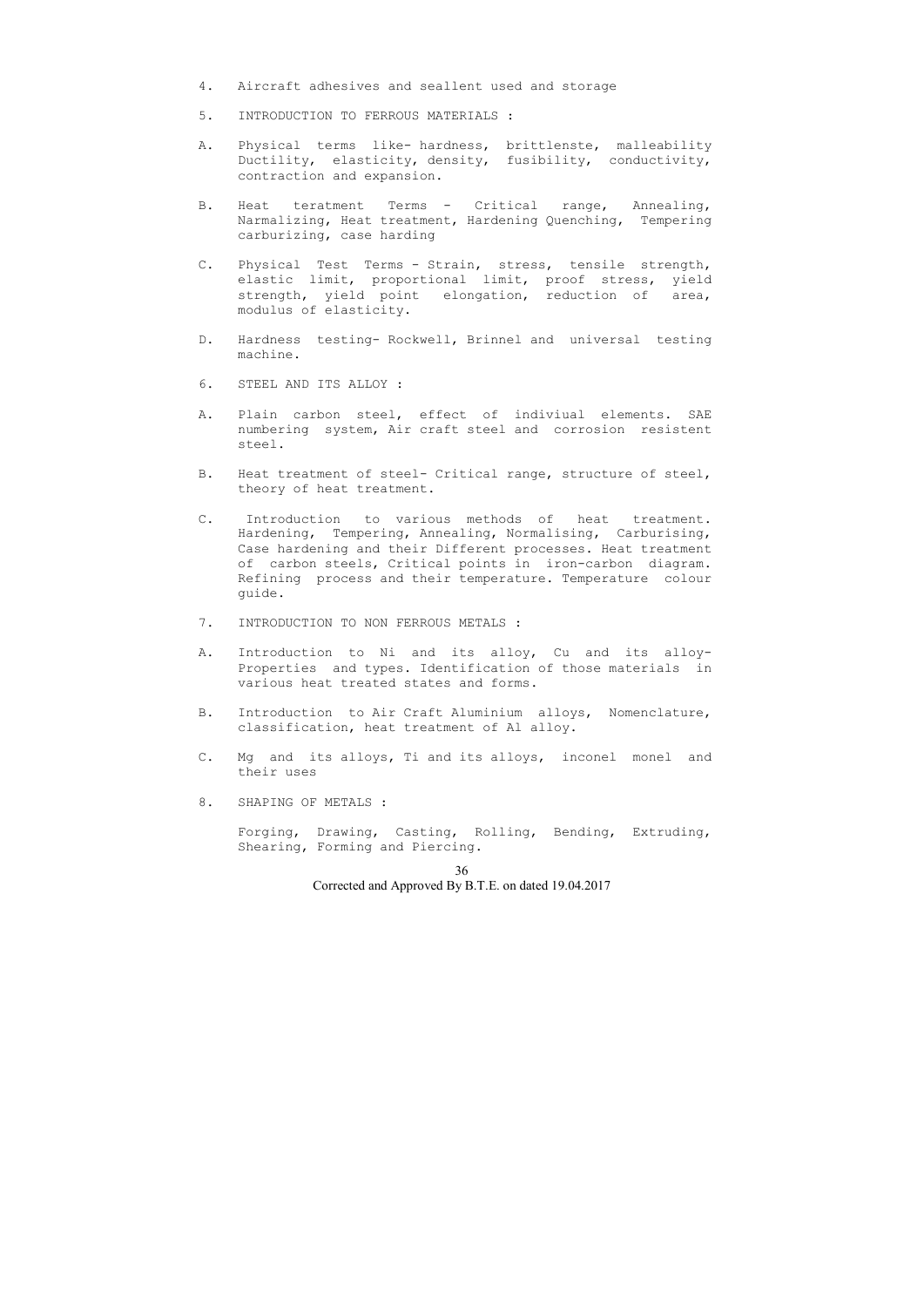- 4. Aircraft adhesives and seallent used and storage
- 5. INTRODUCTION TO FERROUS MATERIALS :
- A. Physical terms like- hardness, brittlenste, malleability Ductility, elasticity, density, fusibility, conductivity, contraction and expansion.
- B. Heat teratment Terms Critical range, Annealing, Narmalizing, Heat treatment, Hardening Quenching, Tempering carburizing, case harding
- C. Physical Test Terms Strain, stress, tensile strength, elastic limit, proportional limit, proof stress, yield strength, yield point elongation, reduction of area, modulus of elasticity.
- D. Hardness testing- Rockwell, Brinnel and universal testing machine.
- 6. STEEL AND ITS ALLOY :
- A. Plain carbon steel, effect of indiviual elements. SAE numbering system, Air craft steel and corrosion resistent steel.
- B. Heat treatment of steel- Critical range, structure of steel, theory of heat treatment.
- C. Introduction to various methods of heat treatment. Hardening, Tempering, Annealing, Normalising, Carburising, Case hardening and their Different processes. Heat treatment of carbon steels, Critical points in iron-carbon diagram. Refining process and their temperature. Temperature colour guide.
- 7. INTRODUCTION TO NON FERROUS METALS :
- A. Introduction to Ni and its alloy, Cu and its alloy- Properties and types. Identification of those materials in various heat treated states and forms.
- B. Introduction to Air Craft Aluminium alloys, Nomenclature, classification, heat treatment of Al alloy.
- C. Mg and its alloys, Ti and its alloys, inconel monel and their uses
- 8. SHAPING OF METALS :

 Forging, Drawing, Casting, Rolling, Bending, Extruding, Shearing, Forming and Piercing.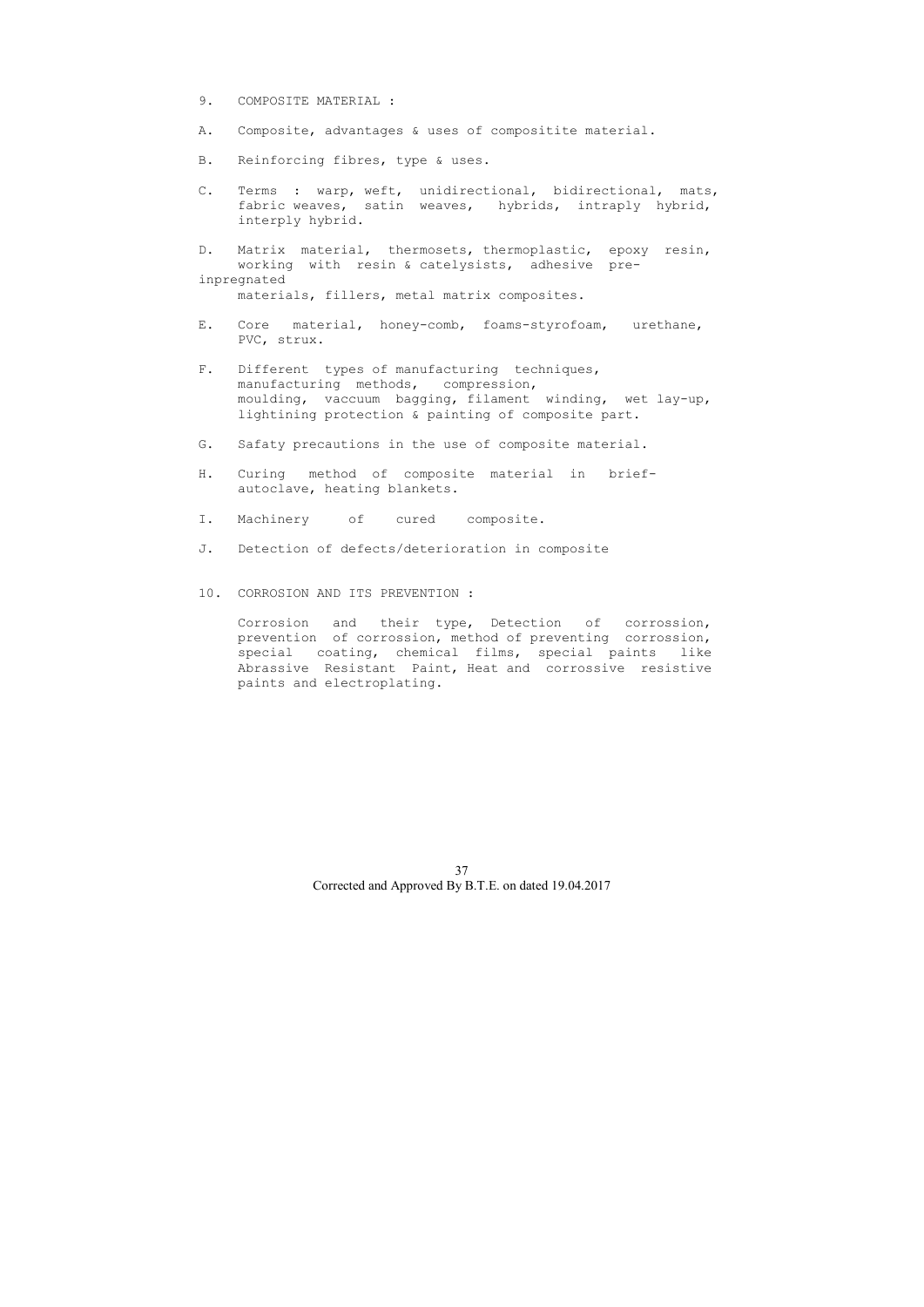- 9. COMPOSITE MATERIAL :
- A. Composite, advantages & uses of compositite material.
- B. Reinforcing fibres, type & uses.
- C. Terms : warp, weft, unidirectional, bidirectional, mats, fabric weaves, satin weaves, hybrids, intraply hybrid, interply hybrid.

D. Matrix material, thermosets, thermoplastic, epoxy resin, working with resin & catelysists, adhesive preinpregnated materials, fillers, metal matrix composites.

- E. Core material, honey-comb, foams-styrofoam, urethane, PVC, strux.
- F. Different types of manufacturing techniques, manufacturing methods, compression, moulding, vaccuum bagging, filament winding, wet lay-up, lightining protection & painting of composite part.
- G. Safaty precautions in the use of composite material.
- H. Curing method of composite material in brief autoclave, heating blankets.
- I. Machinery of cured composite.
- J. Detection of defects/deterioration in composite
- 10. CORROSION AND ITS PREVENTION :

 Corrosion and their type, Detection of corrossion, prevention of corrossion, method of preventing corrossion, special coating, chemical films, special paints like Abrassive Resistant Paint, Heat and corrossive resistive paints and electroplating.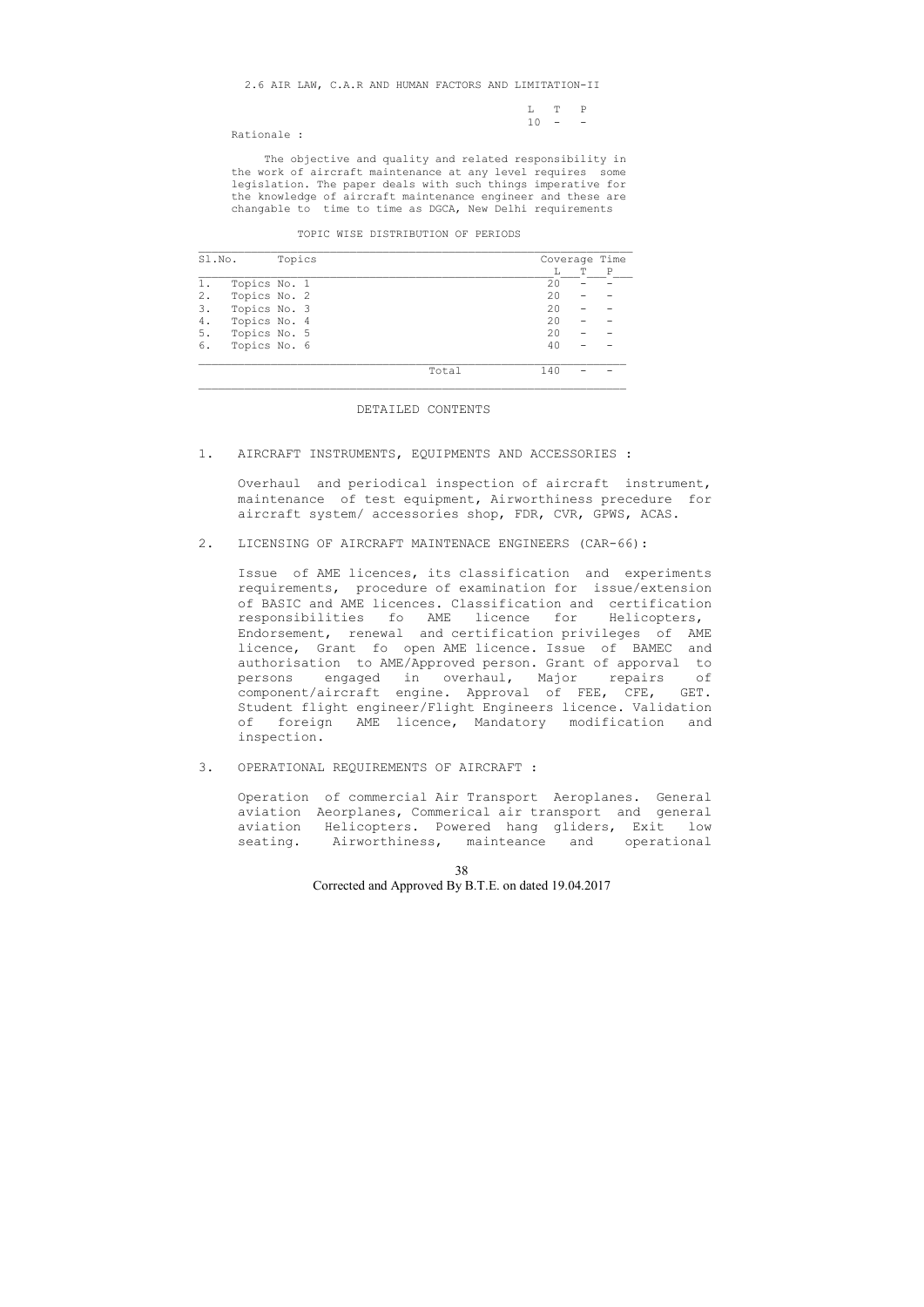2.6 AIR LAW, C.A.R AND HUMAN FACTORS AND LIMITATION-II

|  |  |  | $\begin{tabular}{cccccc} L & T & P \\ \end{tabular}$ |  |
|--|--|--|------------------------------------------------------|--|
|  |  |  | $10 - -$                                             |  |
|  |  |  |                                                      |  |

Rationale :

 The objective and quality and related responsibility in the work of aircraft maintenance at any level requires some legislation. The paper deals with such things imperative for the knowledge of aircraft maintenance engineer and these are changable to time to time as DGCA, New Delhi requirements

#### TOPIC WISE DISTRIBUTION OF PERIODS

| Sl.No. |              | Topics |       |     |   | Coverage Time |
|--------|--------------|--------|-------|-----|---|---------------|
|        |              |        |       |     | T | P             |
| 1.     | Topics No. 1 |        |       | 20  |   |               |
| 2.     | Topics No. 2 |        |       | 20  |   |               |
| 3.     | Topics No. 3 |        |       | 20  |   |               |
| 4.     | Topics No. 4 |        |       | 20  |   |               |
| 5.     | Topics No. 5 |        |       | 20  |   |               |
| 6.     | Topics No. 6 |        |       | 40  |   |               |
|        |              |        | Total | 140 |   |               |

#### DETAILED CONTENTS

#### 1. AIRCRAFT INSTRUMENTS, EQUIPMENTS AND ACCESSORIES :

 Overhaul and periodical inspection of aircraft instrument, maintenance of test equipment, Airworthiness precedure for aircraft system/ accessories shop, FDR, CVR, GPWS, ACAS.

### 2. LICENSING OF AIRCRAFT MAINTENACE ENGINEERS (CAR-66):

 Issue of AME licences, its classification and experiments requirements, procedure of examination for issue/extension of BASIC and AME licences. Classification and certification responsibilities fo AME licence for Helicopters, Endorsement, renewal and certification privileges of AME licence, Grant fo open AME licence. Issue of BAMEC and authorisation to AME/Approved person. Grant of apporval to persons engaged in overhaul, Major repairs of component/aircraft engine. Approval of FEE, CFE, GET. Student flight engineer/Flight Engineers licence. Validation of foreign AME licence, Mandatory modification and inspection.

3. OPERATIONAL REQUIREMENTS OF AIRCRAFT :

 Operation of commercial Air Transport Aeroplanes. General aviation Aeorplanes, Commerical air transport and general aviation Helicopters. Powered hang gliders, Exit low seating. Airworthiness, mainteance and operational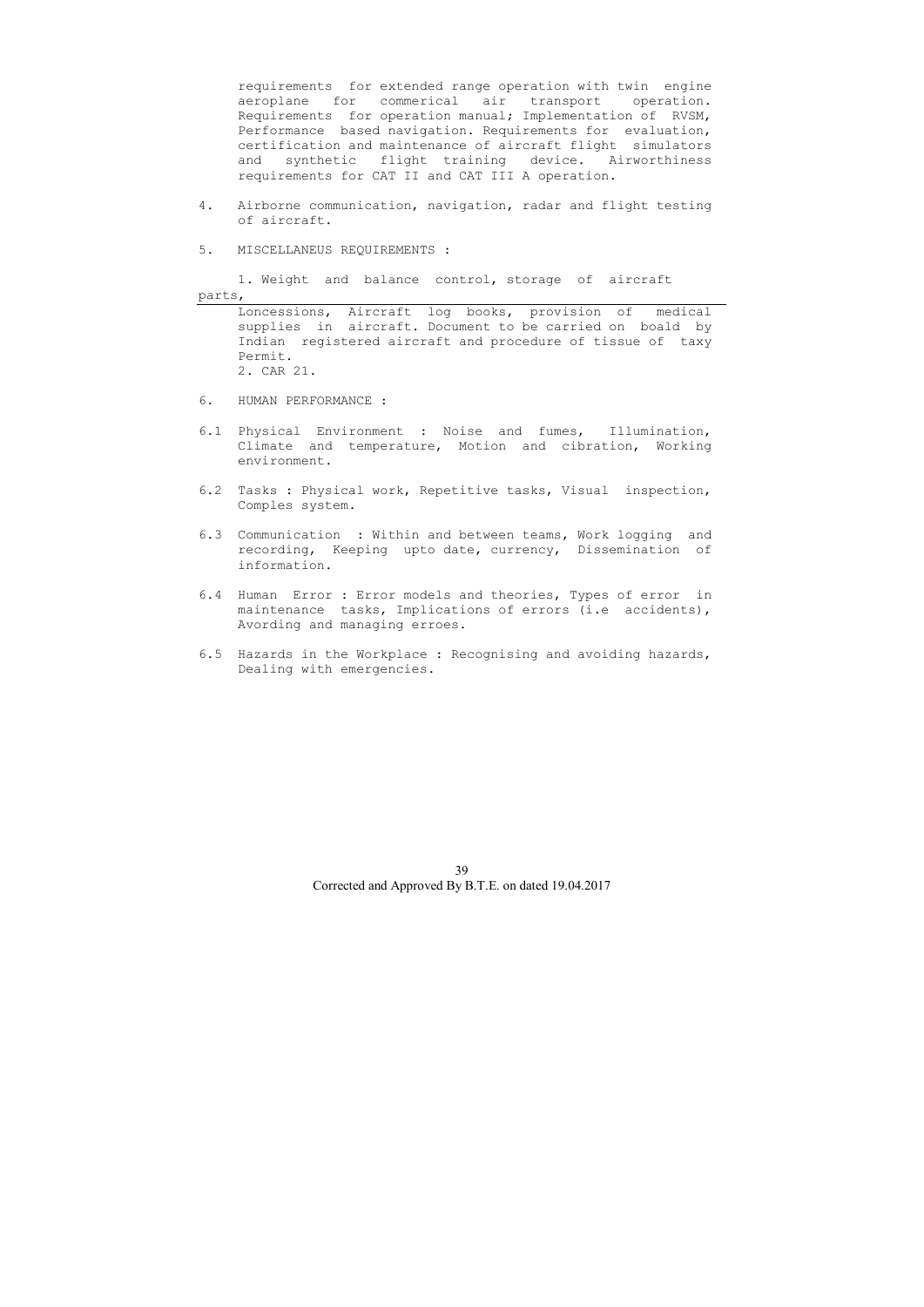requirements for extended range operation with twin engine aeroplane for commerical air transport operation. Requirements for operation manual; Implementation of RVSM, Performance based navigation. Requirements for evaluation, certification and maintenance of aircraft flight simulators and synthetic flight training device. Airworthiness requirements for CAT II and CAT III A operation.

- 4. Airborne communication, navigation, radar and flight testing of aircraft.
- 5. MISCELLANEUS REQUIREMENTS :

 1. Weight and balance control, storage of aircraft parts,

 Loncessions, Aircraft log books, provision of medical supplies in aircraft. Document to be carried on boald by Indian registered aircraft and procedure of tissue of taxy Permit. 2. CAR 21.

- 6. HUMAN PERFORMANCE :
- 6.1 Physical Environment : Noise and fumes, Illumination, Climate and temperature, Motion and cibration, Working environment.
- 6.2 Tasks : Physical work, Repetitive tasks, Visual inspection, Comples system.
- 6.3 Communication : Within and between teams, Work logging and recording, Keeping upto date, currency, Dissemination of information.
- 6.4 Human Error : Error models and theories, Types of error in maintenance tasks, Implications of errors (i.e accidents), Avording and managing erroes.
- 6.5 Hazards in the Workplace : Recognising and avoiding hazards, Dealing with emergencies.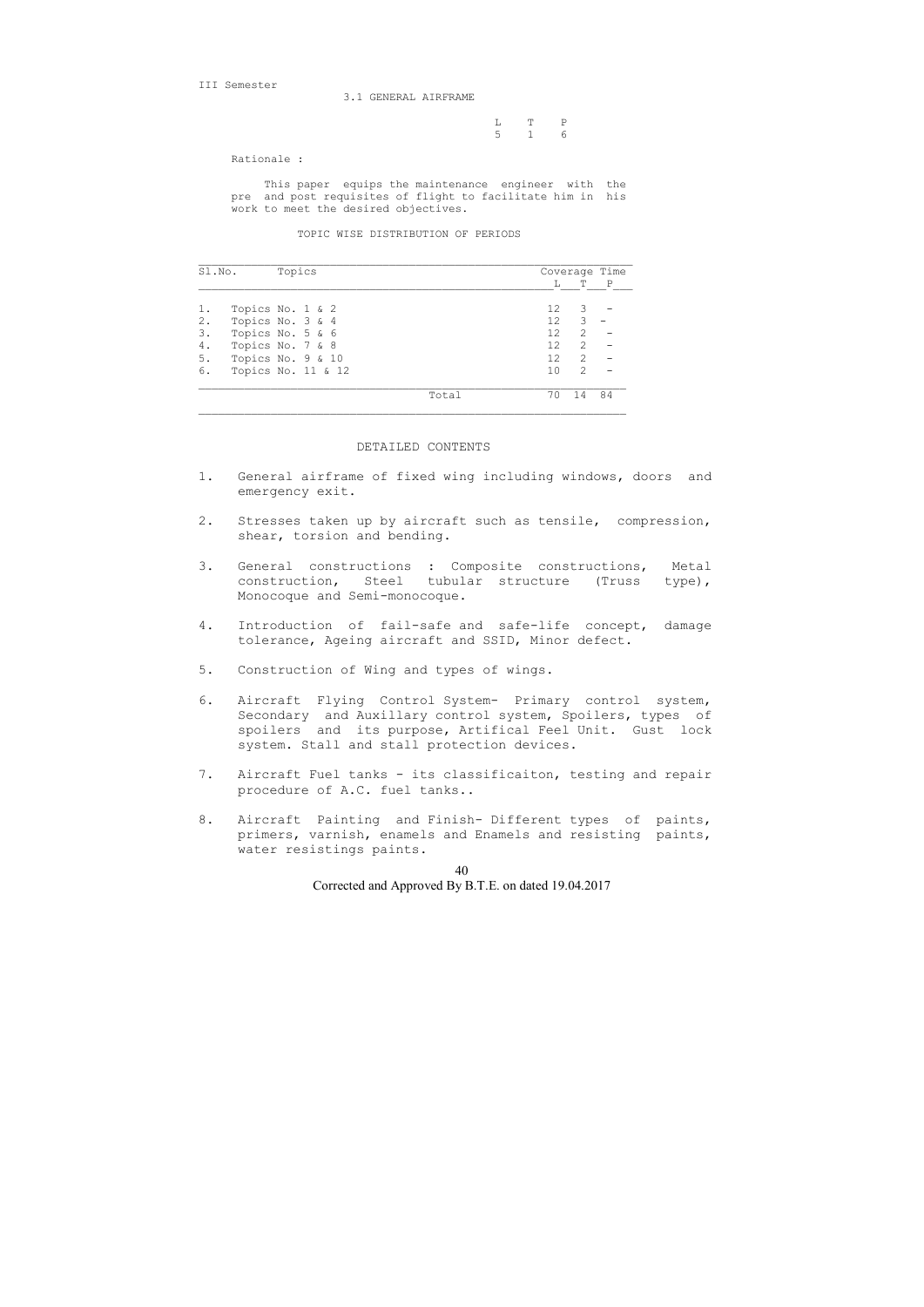III Semester

3.1 GENERAL AIRFRAME

|  | L T P |  |
|--|-------|--|
|  | 5 1 6 |  |

Rationale :

 This paper equips the maintenance engineer with the pre and post requisites of flight to facilitate him in his work to meet the desired objectives.

TOPIC WISE DISTRIBUTION OF PERIODS

| Sl.No. | Topics             |       |                 |               | Coverage Time |
|--------|--------------------|-------|-----------------|---------------|---------------|
|        |                    |       | L               | Т             | $\mathbb{P}$  |
|        | Topics No. 1 & 2   |       | 12 <sup>°</sup> | 3             |               |
| 2.     | Topics No. 3 & 4   |       | 12 <sup>2</sup> | 3             |               |
| 3.     | Topics No. 5 & 6   |       | 12              | $\mathcal{L}$ |               |
| 4.     | Topics No. 7 & 8   |       | 12              | $\mathcal{L}$ |               |
| 5.     | Topics No. 9 & 10  |       | 12              | $\mathcal{L}$ |               |
| 6.     | Topics No. 11 & 12 |       | 1 <sub>0</sub>  | $\mathcal{L}$ |               |
|        |                    | Total | 70              | 14            | 84            |

### DETAILED CONTENTS

- 1. General airframe of fixed wing including windows, doors and emergency exit.
- 2. Stresses taken up by aircraft such as tensile, compression, shear, torsion and bending.
- 3. General constructions : Composite constructions, Metal construction, Steel tubular structure (Truss type), Monocoque and Semi-monocoque.
- 4. Introduction of fail-safe and safe-life concept, damage tolerance, Ageing aircraft and SSID, Minor defect.
- 5. Construction of Wing and types of wings.
- 6. Aircraft Flying Control System- Primary control system, Secondary and Auxillary control system, Spoilers, types of spoilers and its purpose, Artifical Feel Unit. Gust lock system. Stall and stall protection devices.
- 7. Aircraft Fuel tanks its classificaiton, testing and repair procedure of A.C. fuel tanks..
- 8. Aircraft Painting and Finish- Different types of paints, primers, varnish, enamels and Enamels and resisting paints, water resistings paints.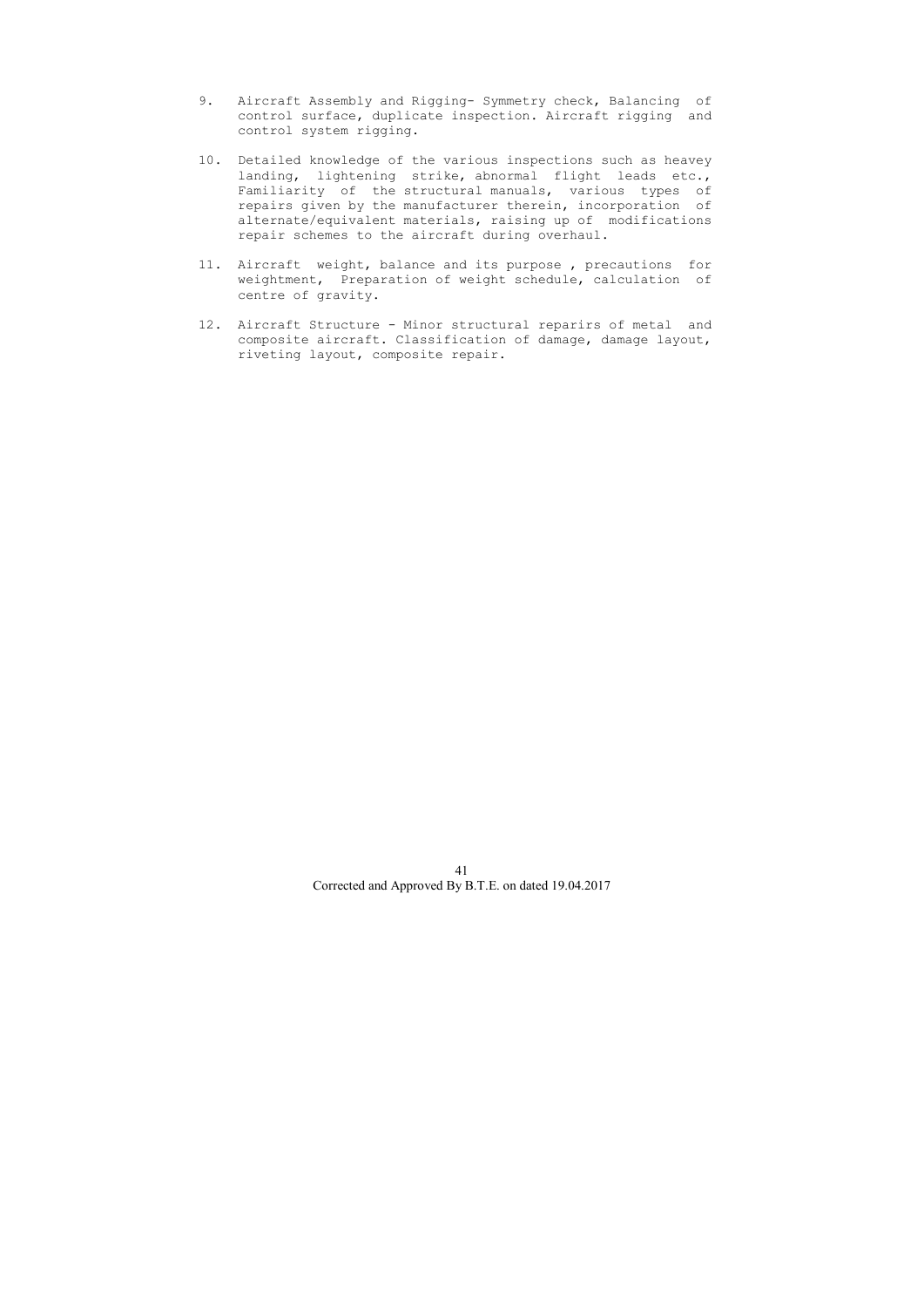- 9. Aircraft Assembly and Rigging- Symmetry check, Balancing of control surface, duplicate inspection. Aircraft rigging and control system rigging.
- 10. Detailed knowledge of the various inspections such as heavey landing, lightening strike, abnormal flight leads etc., Familiarity of the structural manuals, various types of repairs given by the manufacturer therein, incorporation of alternate/equivalent materials, raising up of modifications repair schemes to the aircraft during overhaul.
- 11. Aircraft weight, balance and its purpose , precautions for weightment, Preparation of weight schedule, calculation of centre of gravity.
- 12. Aircraft Structure Minor structural reparirs of metal and composite aircraft. Classification of damage, damage layout, riveting layout, composite repair.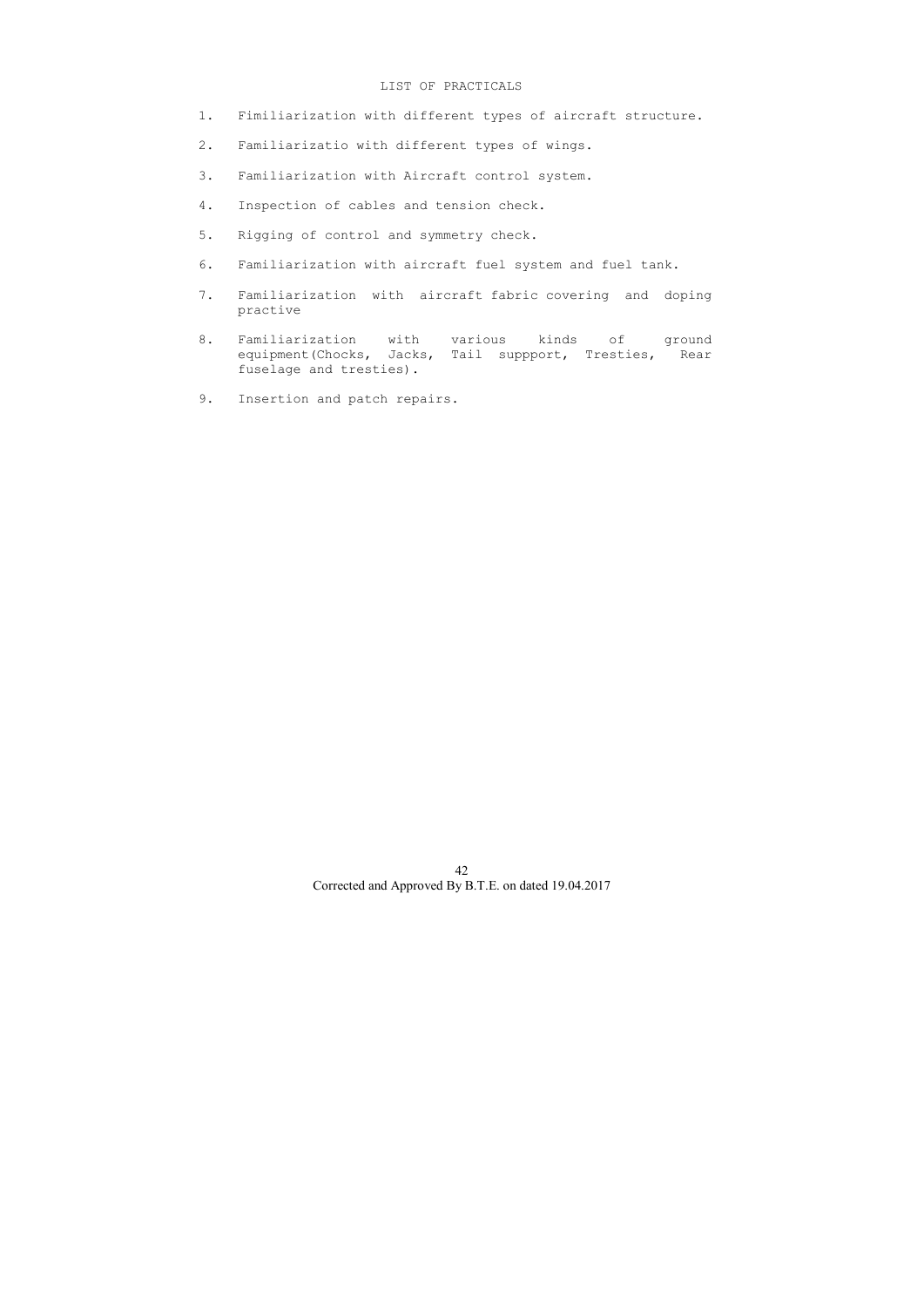- 1. Fimiliarization with different types of aircraft structure.
- 2. Familiarizatio with different types of wings.
- 3. Familiarization with Aircraft control system.
- 4. Inspection of cables and tension check.
- 5. Rigging of control and symmetry check.
- 6. Familiarization with aircraft fuel system and fuel tank.
- 7. Familiarization with aircraft fabric covering and doping practive
- 8. Familiarization with various kinds of ground equipment(Chocks, Jacks, Tail suppport, Tresties, Rear fuselage and tresties).
- 9. Insertion and patch repairs.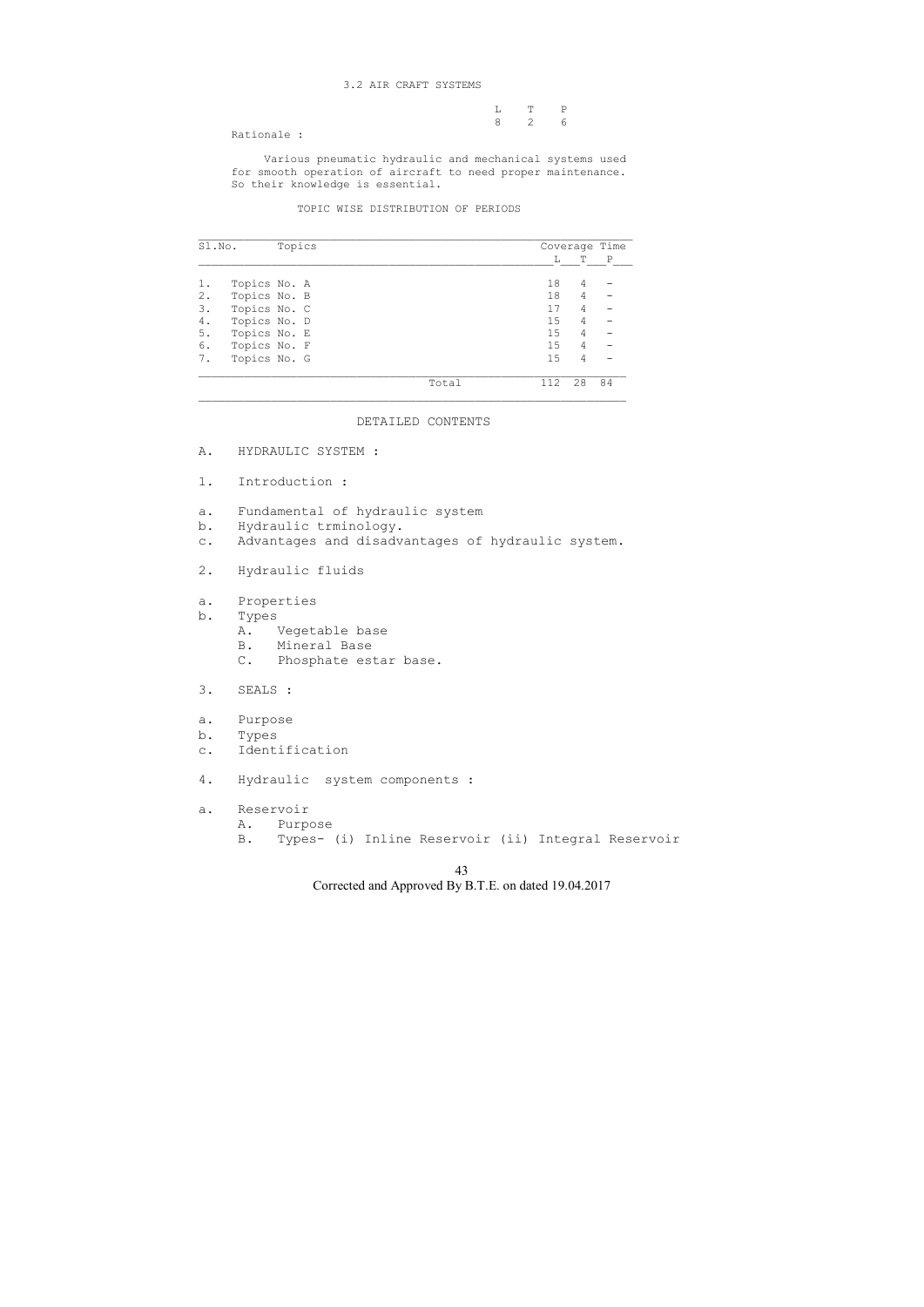## 3.2 AIR CRAFT SYSTEMS

 L T P 8 2 6

Rationale :

 Various pneumatic hydraulic and mechanical systems used for smooth operation of aircraft to need proper maintenance. So their knowledge is essential.

## TOPIC WISE DISTRIBUTION OF PERIODS

| Sl.No. |              | Topics |       |     |    | Coverage Time |
|--------|--------------|--------|-------|-----|----|---------------|
|        |              |        |       | L   | T  | P             |
|        | Topics No. A |        |       | 18  | 4  |               |
| 2.     | Topics No. B |        |       | 18  | 4  |               |
| 3.     | Topics No. C |        |       | 17  | 4  |               |
| 4.     | Topics No. D |        |       | 15  | 4  |               |
| 5.     | Topics No. E |        |       | 15  | 4  |               |
| 6.     | Topics No. F |        |       | 15  | 4  |               |
| 7.     | Topics No. G |        |       | 15  | 4  |               |
|        |              |        | Total | 112 | 28 | 84            |

### DETAILED CONTENTS

- A. HYDRAULIC SYSTEM :
- 1. Introduction :
- a. Fundamental of hydraulic system
- b. Hydraulic trminology.
- c. Advantages and disadvantages of hydraulic system.
- 2. Hydraulic fluids
- a. Properties
- b. Types
	- A. Vegetable base
	- B. Mineral Base
	- C. Phosphate estar base.
- 3. SEALS :
- a. Purpose
- b. Types
- c. Identification
- 4. Hydraulic system components :
- a. Reservoir
	- A. Purpose
		- B. Types- (i) Inline Reservoir (ii) Integral Reservoir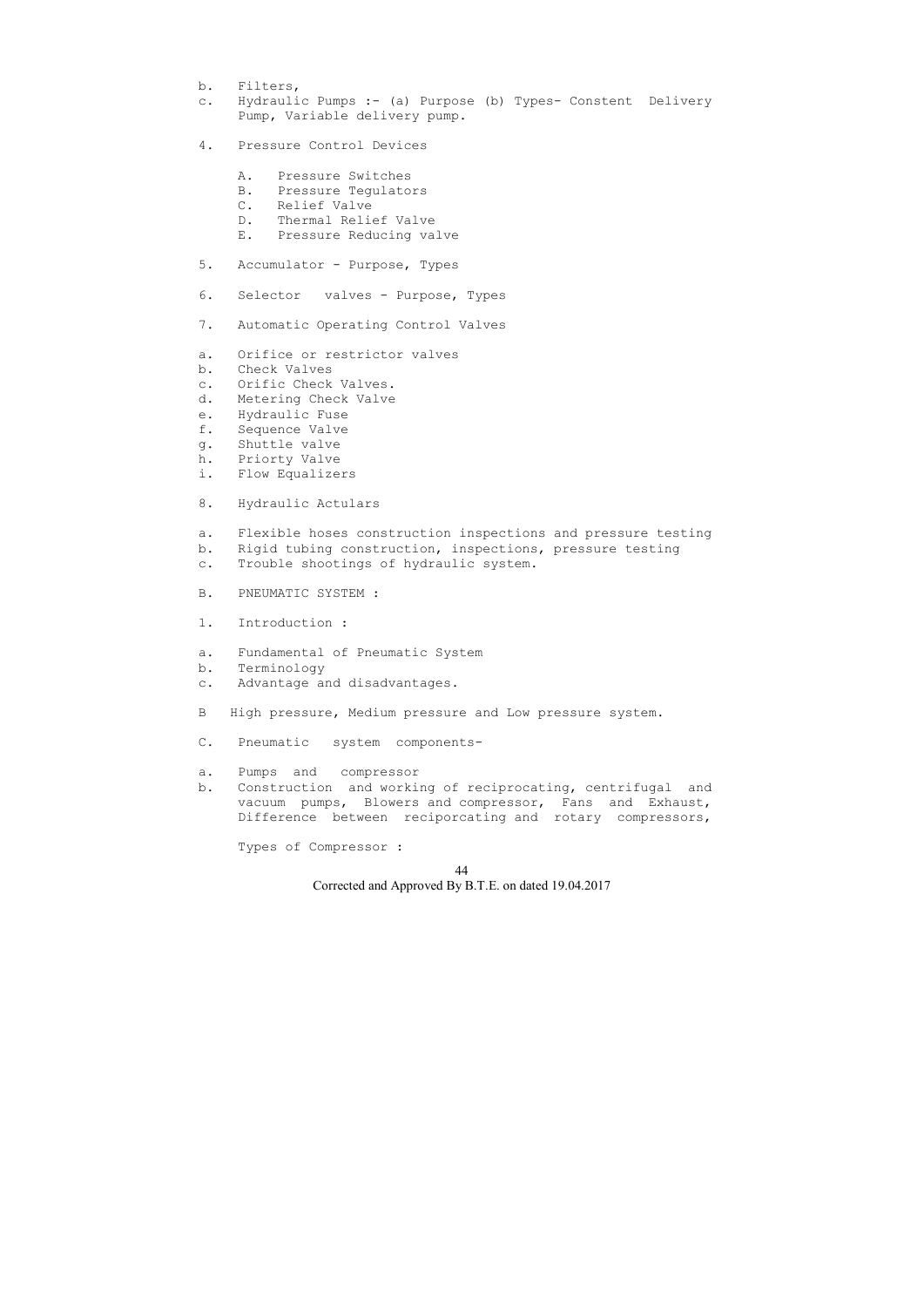- b. Filters,
- c. Hydraulic Pumps :- (a) Purpose (b) Types- Constent Delivery Pump, Variable delivery pump.
- 4. Pressure Control Devices
	- A. Pressure Switches
	- B. Pressure Tegulators
	- C. Relief Valve
	- D. Thermal Relief Valve
	- E. Pressure Reducing valve
- 5. Accumulator Purpose, Types
- 6. Selector valves Purpose, Types
- 7. Automatic Operating Control Valves
- a. Orifice or restrictor valves
- b. Check Valves
- c. Orific Check Valves.
- d. Metering Check Valve
- e. Hydraulic Fuse
- f. Sequence Valve
- g. Shuttle valve
- h. Priorty Valve
- i. Flow Equalizers
- 8. Hydraulic Actulars
- a. Flexible hoses construction inspections and pressure testing
- b. Rigid tubing construction, inspections, pressure testing
- c. Trouble shootings of hydraulic system.
- B. PNEUMATIC SYSTEM :
- 1. Introduction :
- a. Fundamental of Pneumatic System
- b. Terminology
- c. Advantage and disadvantages.
- B High pressure, Medium pressure and Low pressure system.
- C. Pneumatic system components-
- a. Pumps and compressor
- b. Construction and working of reciprocating, centrifugal and vacuum pumps, Blowers and compressor, Fans and Exhaust, Difference between reciporcating and rotary compressors,

Types of Compressor :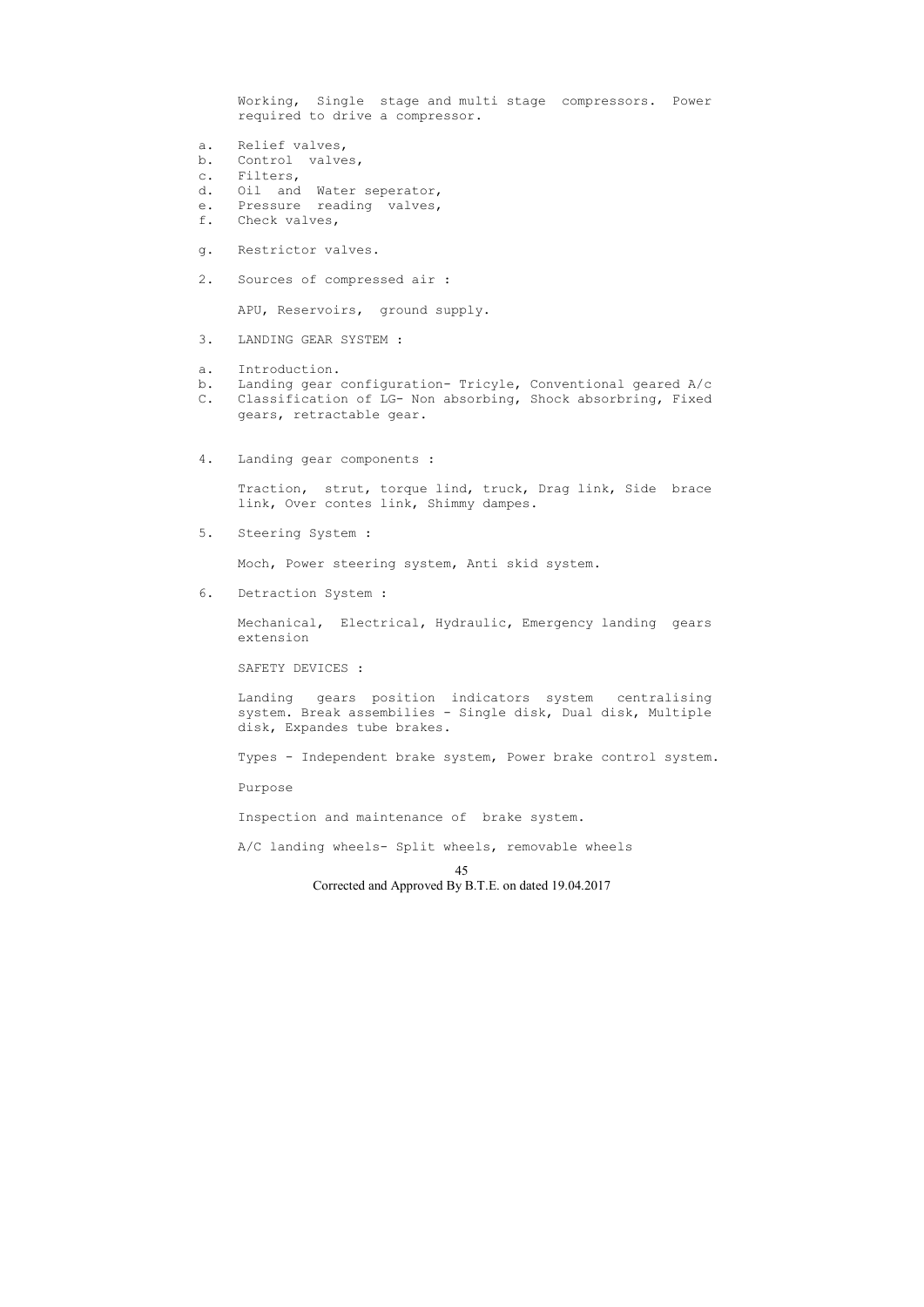45 Corrected and Approved By B.T.E. on dated 19.04.2017 Working, Single stage and multi stage compressors. Power required to drive a compressor. a. Relief valves, b. Control valves, c. Filters, d. Oil and Water seperator, e. Pressure reading valves, f. Check valves, g. Restrictor valves. 2. Sources of compressed air : APU, Reservoirs, ground supply. 3. LANDING GEAR SYSTEM : a. Introduction. b. Landing gear configuration- Tricyle, Conventional geared A/c C. Classification of LG- Non absorbing, Shock absorbring, Fixed gears, retractable gear. 4. Landing gear components : Traction, strut, torque lind, truck, Drag link, Side brace link, Over contes link, Shimmy dampes. 5. Steering System : Moch, Power steering system, Anti skid system. 6. Detraction System : Mechanical, Electrical, Hydraulic, Emergency landing gears extension SAFETY DEVICES : Landing gears position indicators system centralising system. Break assembilies - Single disk, Dual disk, Multiple disk, Expandes tube brakes. Types - Independent brake system, Power brake control system. Purpose Inspection and maintenance of brake system. A/C landing wheels- Split wheels, removable wheels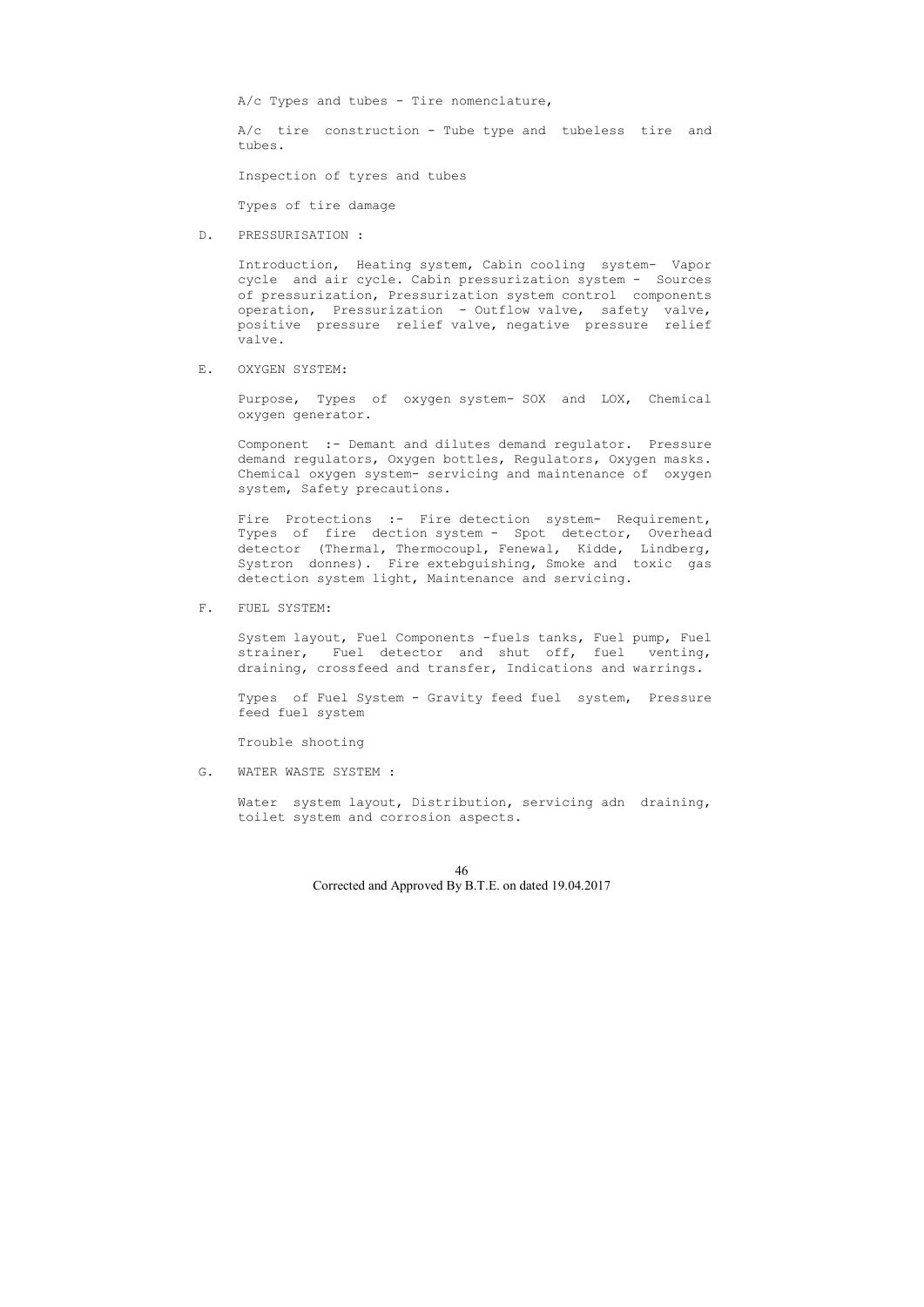$A/c$  Types and tubes - Tire nomenclature,

 A/c tire construction - Tube type and tubeless tire and tubes.

Inspection of tyres and tubes

Types of tire damage

D. PRESSURISATION :

 Introduction, Heating system, Cabin cooling system- Vapor cycle and air cycle. Cabin pressurization system - Sources of pressurization, Pressurization system control components operation, Pressurization - Outflow valve, safety valve, positive pressure relief valve, negative pressure relief valve.

## E. OXYGEN SYSTEM:

Fire Protections :- Fire detection system- Requirement, Types of fire dection system - Spot detector, Overhead detector (Thermal, Thermocoupl, Fenewal, Kidde, Lindberg, Systron donnes). Fire extebguishing, Smoke and toxic gas detection system light, Maintenance and servicing.

 Purpose, Types of oxygen system- SOX and LOX, Chemical oxygen generator.

 Component :- Demant and dilutes demand regulator. Pressure demand regulators, Oxygen bottles, Regulators, Oxygen masks. Chemical oxygen system- servicing and maintenance of oxygen system, Safety precautions.

F. FUEL SYSTEM:

 System layout, Fuel Components -fuels tanks, Fuel pump, Fuel strainer, Fuel detector and shut off, fuel venting, draining, crossfeed and transfer, Indications and warrings.

 Types of Fuel System - Gravity feed fuel system, Pressure feed fuel system

Trouble shooting

G. WATER WASTE SYSTEM :

 Water system layout, Distribution, servicing adn draining, toilet system and corrosion aspects.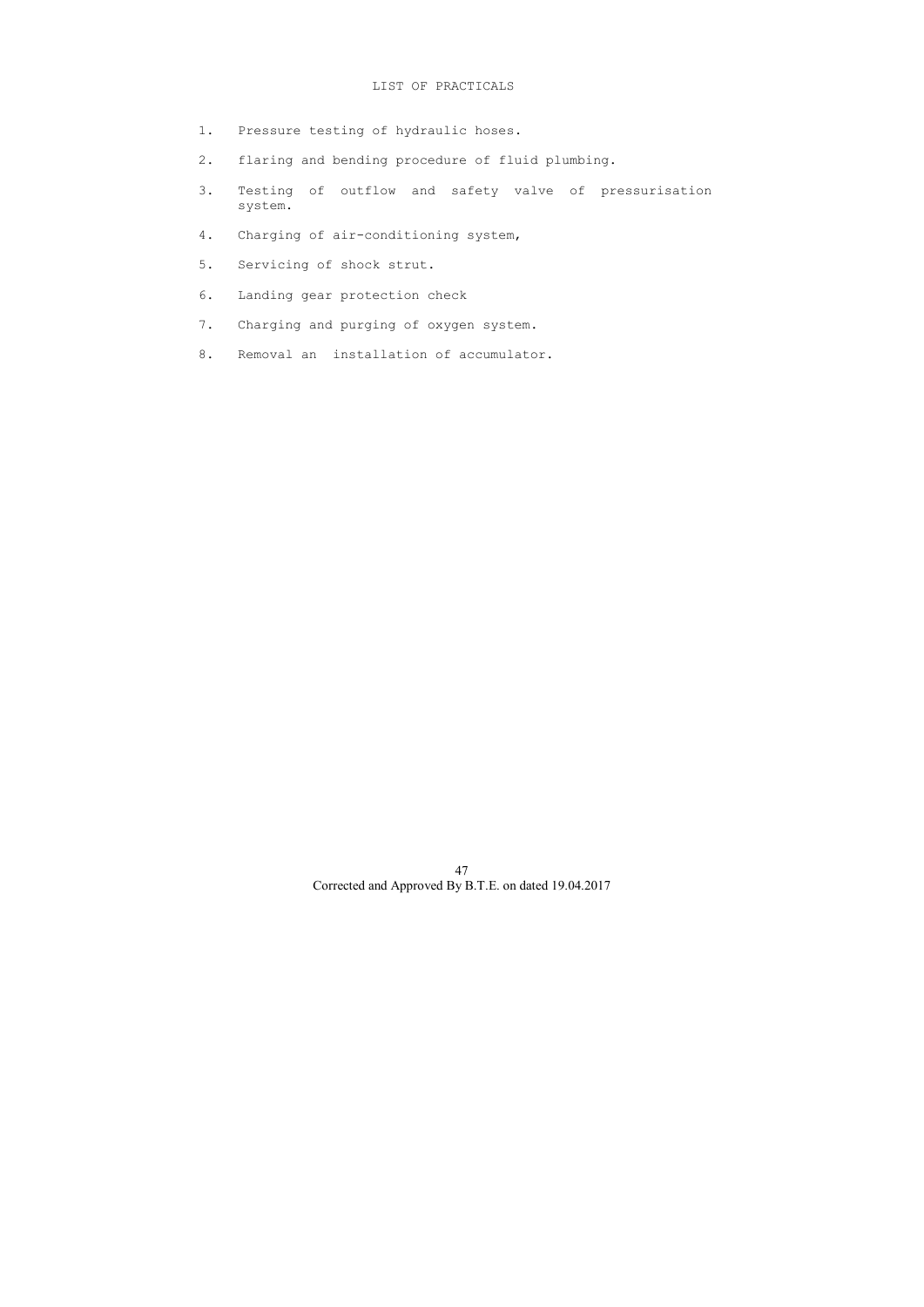- 1. Pressure testing of hydraulic hoses.
- 2. flaring and bending procedure of fluid plumbing.
- 3. Testing of outflow and safety valve of pressurisation system.
- 4. Charging of air-conditioning system,
- 5. Servicing of shock strut.
- 6. Landing gear protection check
- 7. Charging and purging of oxygen system.
- 8. Removal an installation of accumulator.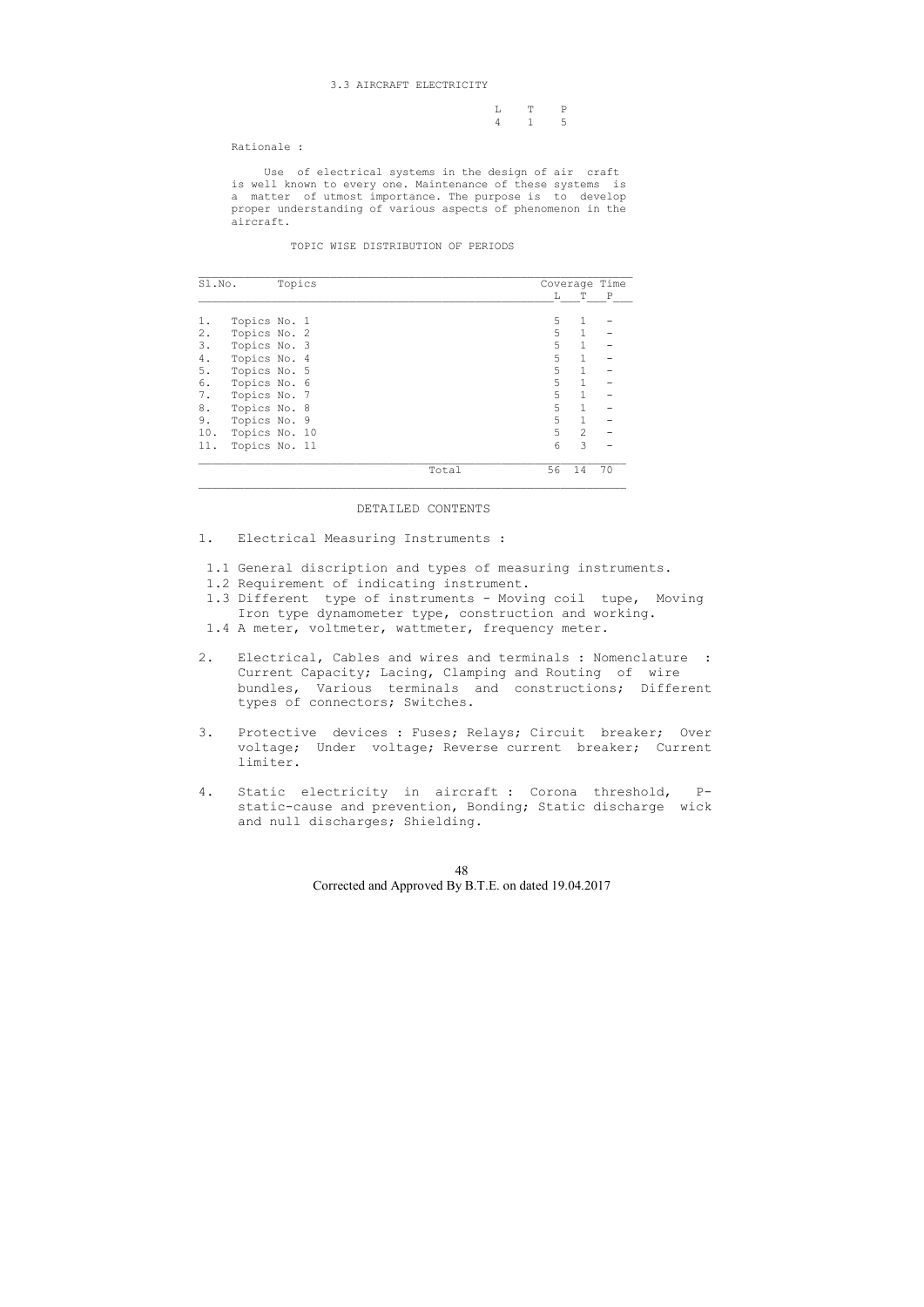### 3.3 AIRCRAFT ELECTRICITY

|  | L T P |  |
|--|-------|--|
|  | 4 1 5 |  |

Rationale :

 Use of electrical systems in the design of air craft is well known to every one. Maintenance of these systems is a matter of utmost importance. The purpose is to develop proper understanding of various aspects of phenomenon in the aircraft.

#### TOPIC WISE DISTRIBUTION OF PERIODS

| Sl.No. |               | Topics |       |    |              | Coverage Time |
|--------|---------------|--------|-------|----|--------------|---------------|
|        |               |        |       | L  | Т            | $\mathbb{P}$  |
| 1.     | Topics No. 1  |        |       | 5  | 1            |               |
| 2.     | Topics No. 2  |        |       | 5  | $\mathbf{1}$ |               |
| 3.     | Topics No. 3  |        |       | 5  | $\mathbf{1}$ |               |
| 4.     | Topics No. 4  |        |       | 5  | $\mathbf{1}$ |               |
| 5.     | Topics No. 5  |        |       | 5  | $\mathbf{1}$ |               |
| 6.     | Topics No. 6  |        |       | 5  | $\mathbf 1$  |               |
| 7.     | Topics No. 7  |        |       | 5  | $\mathbf{1}$ |               |
| 8.     | Topics No. 8  |        |       | 5  | 1            |               |
| 9.     | Topics No. 9  |        |       | 5  | $\mathbf{1}$ |               |
| 10.    | Topics No. 10 |        |       | 5  | 2            |               |
| 11.    | Topics No. 11 |        | 6     | 3  |              |               |
|        |               |        | Total | 56 | 14           | 70            |

## DETAILED CONTENTS

- 1. Electrical Measuring Instruments :
- 1.1 General discription and types of measuring instruments.
- 1.2 Requirement of indicating instrument.
- 1.3 Different type of instruments Moving coil tupe, Moving Iron type dynamometer type, construction and working.
- 1.4 A meter, voltmeter, wattmeter, frequency meter.
- 2. Electrical, Cables and wires and terminals : Nomenclature : Current Capacity; Lacing, Clamping and Routing of wire bundles, Various terminals and constructions; Different types of connectors; Switches.
- 3. Protective devices : Fuses; Relays; Circuit breaker; Over voltage; Under voltage; Reverse current breaker; Current limiter.
- 4. Static electricity in aircraft : Corona threshold, P static-cause and prevention, Bonding; Static discharge wick and null discharges; Shielding.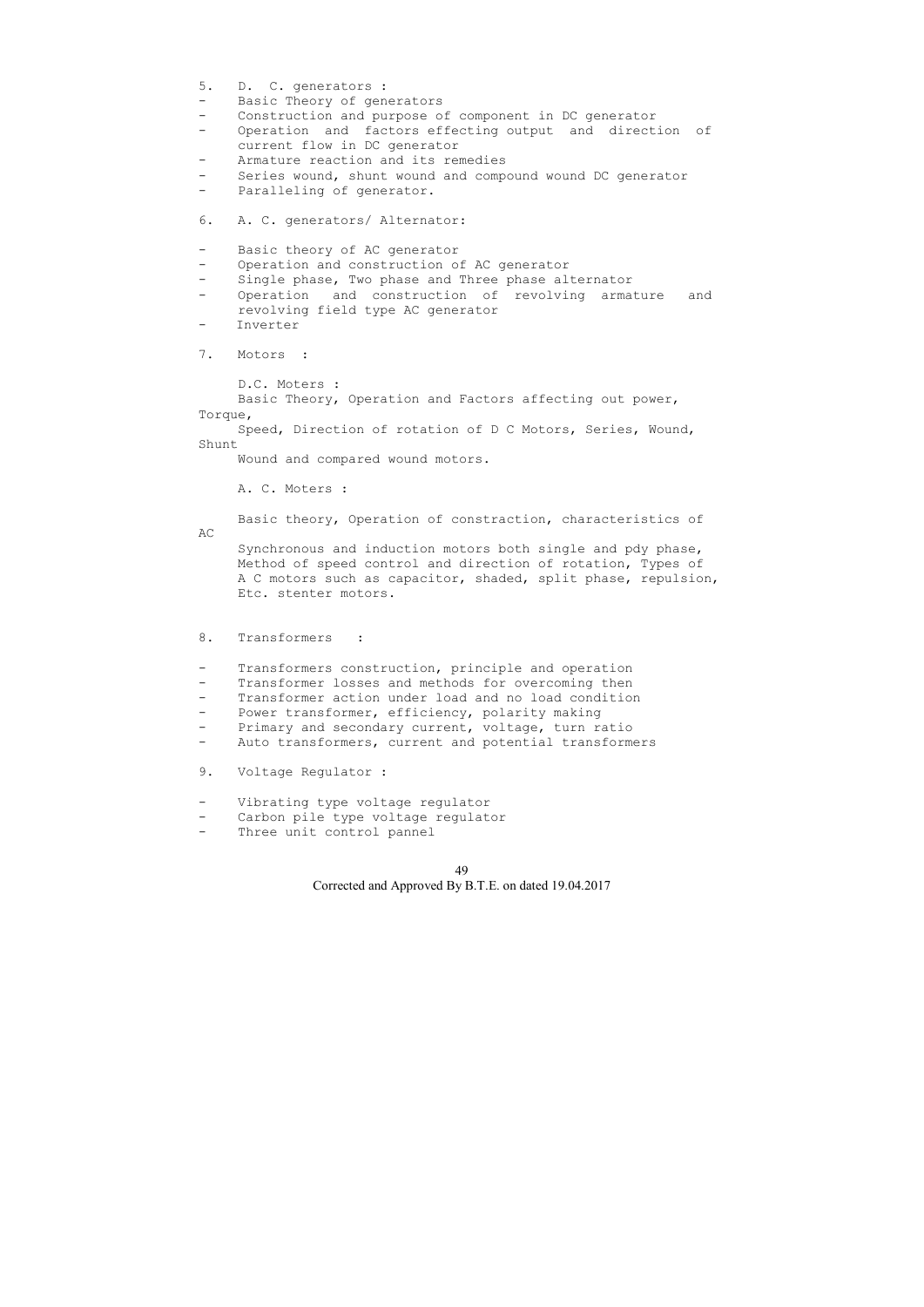```
5. D. C. generators :
```
- Basic Theory of generators
- Construction and purpose of component in DC generator
- Operation and factors effecting output and direction of current flow in DC generator
- Armature reaction and its remedies
- Series wound, shunt wound and compound wound DC generator
- Paralleling of generator.
- 6. A. C. generators/ Alternator:
- Basic theory of AC generator
- Operation and construction of AC generator
- Single phase, Two phase and Three phase alternator
- Operation and construction of revolving armature and revolving field type AC generator
- Inverter

7. Motors :

D.C. Moters :

 Basic Theory, Operation and Factors affecting out power, Torque,

 Speed, Direction of rotation of D C Motors, Series, Wound, Shunt

Wound and compared wound motors.

A. C. Moters :

Basic theory, Operation of constraction, characteristics of

AC Synchronous and induction motors both single and pdy phase, Method of speed control and direction of rotation, Types of A C motors such as capacitor, shaded, split phase, repulsion, Etc. stenter motors.

8. Transformers :

- Transformers construction, principle and operation
- Transformer losses and methods for overcoming then
- Transformer action under load and no load condition
- Power transformer, efficiency, polarity making
- Primary and secondary current, voltage, turn ratio
- Auto transformers, current and potential transformers
- 9. Voltage Regulator :
- Vibrating type voltage regulator
- Carbon pile type voltage regulator
- Three unit control pannel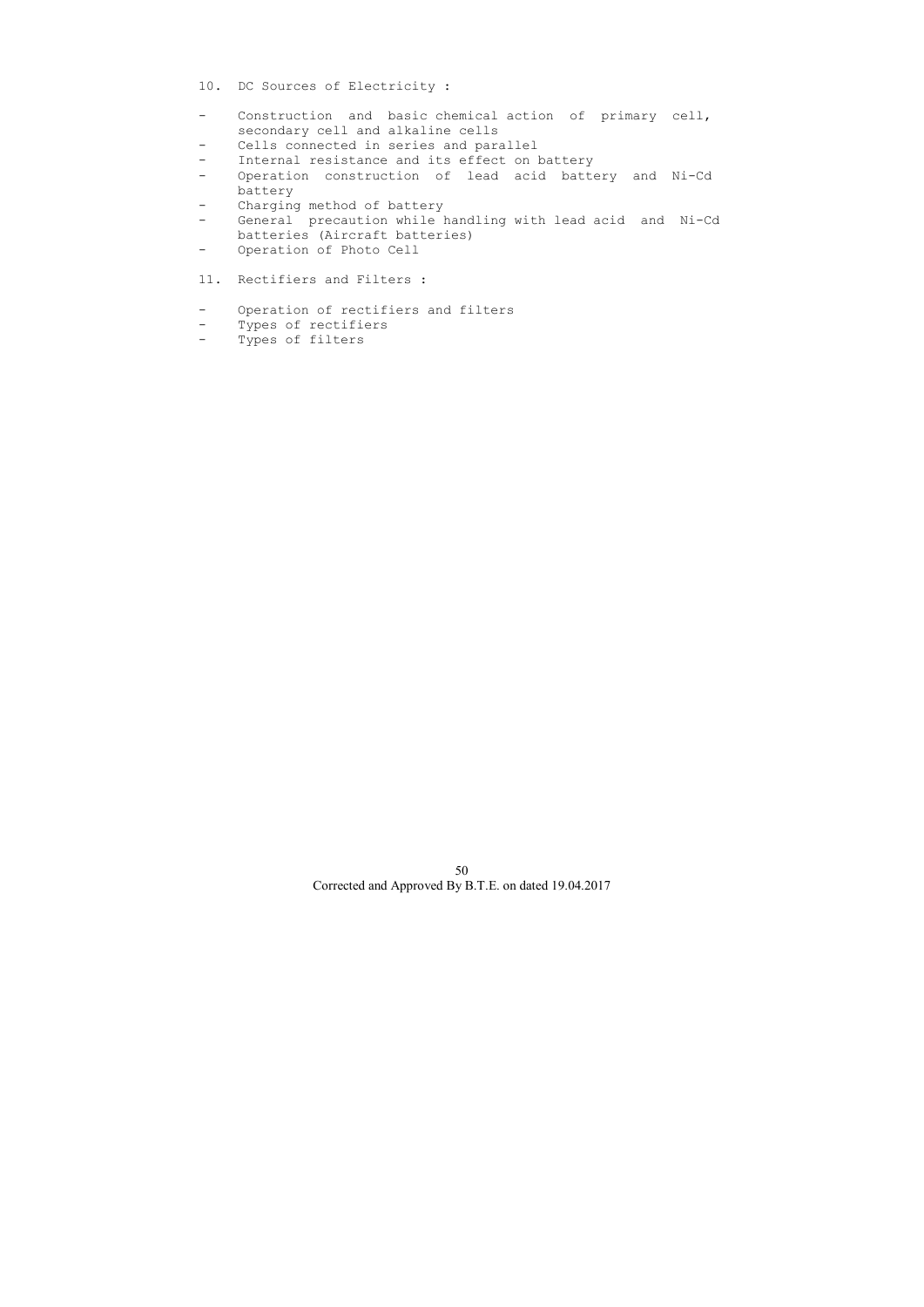- 10. DC Sources of Electricity :
- Construction and basic chemical action of primary cell, secondary cell and alkaline cells
- Cells connected in series and parallel
- Internal resistance and its effect on battery
- Operation construction of lead acid battery and Ni-Cd battery
- Charging method of battery
- General precaution while handling with lead acid and Ni-Cd batteries (Aircraft batteries)
- Operation of Photo Cell
- 11. Rectifiers and Filters :
- Operation of rectifiers and filters<br>- Types of rectifiers
- Types of rectifiers
- Types of filters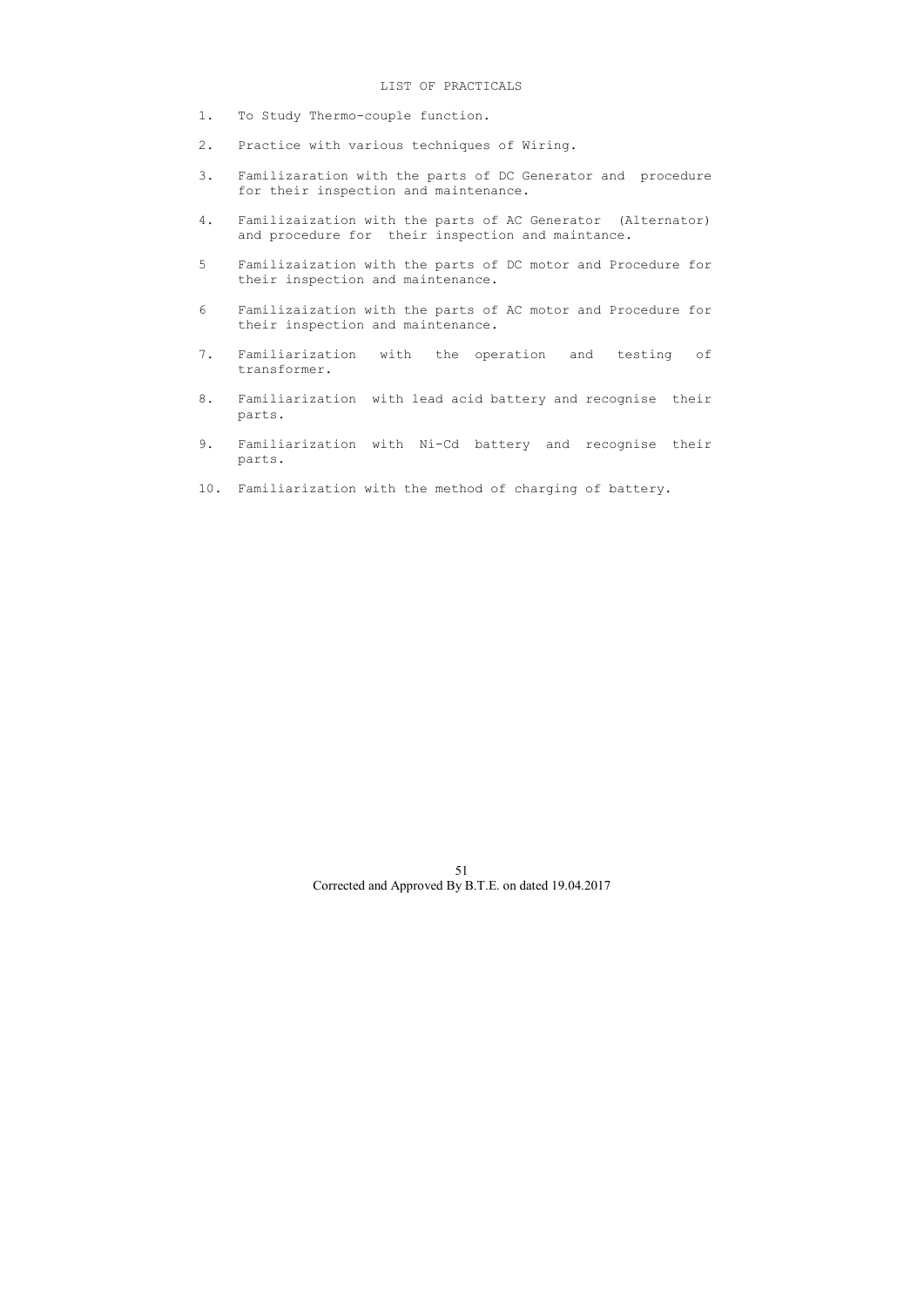- 1. To Study Thermo-couple function.
- 2. Practice with various techniques of Wiring.
- 3. Familizaration with the parts of DC Generator and procedure for their inspection and maintenance.
- 4. Familizaization with the parts of AC Generator (Alternator) and procedure for their inspection and maintance.
- 5 Familizaization with the parts of DC motor and Procedure for their inspection and maintenance.
- 6 Familizaization with the parts of AC motor and Procedure for their inspection and maintenance.
- 7. Familiarization with the operation and testing of transformer.
- 8. Familiarization with lead acid battery and recognise their parts.
- 9. Familiarization with Ni-Cd battery and recognise their parts.
- 10. Familiarization with the method of charging of battery.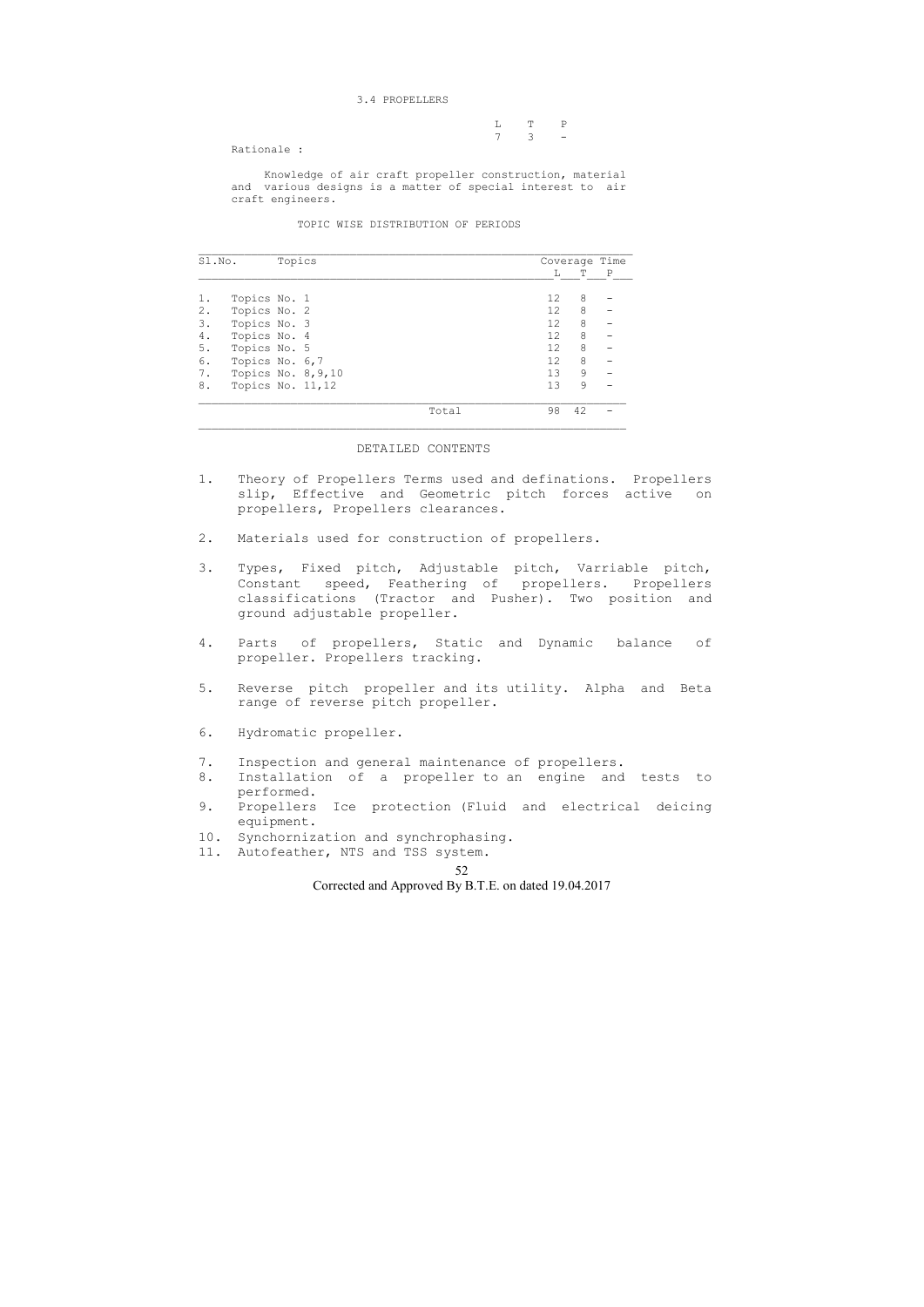## 52

Corrected and Approved By B.T.E. on dated 19.04.2017

#### 3.4 PROPELLERS

|                                              |  | $L$ T P             |  |
|----------------------------------------------|--|---------------------|--|
|                                              |  | $7 \quad 3 \quad -$ |  |
| $D \rightarrow i \rightarrow 1 \rightarrow $ |  |                     |  |

Rationale :

 Knowledge of air craft propeller construction, material and various designs is a matter of special interest to air craft engineers.

### TOPIC WISE DISTRIBUTION OF PERIODS

|    | Topics<br>Sl.No.      |  |       |                   |         | Coverage Time |
|----|-----------------------|--|-------|-------------------|---------|---------------|
|    |                       |  |       | L                 | Т       | $\mathbf{P}$  |
|    | Topics No. 1          |  |       | 12                | 8       |               |
| 2. | Topics No. 2          |  |       | $12 \overline{ }$ | 8       |               |
| 3. | Topics No. 3          |  |       | 12                | 8       |               |
| 4. | Topics No. 4          |  |       | 12                | 8       |               |
| 5. | Topics No. 5          |  |       | 12                | 8       |               |
| 6. | Topics No. 6,7        |  |       | 12                | 8       |               |
| 7. | Topics No. $8, 9, 10$ |  |       | 13                | $\circ$ |               |
| 8. | Topics No. 11,12      |  |       | 13                | 9       |               |
|    |                       |  | Total | 98                | 42      |               |

#### DETAILED CONTENTS

 $\overline{\phantom{a}}$  , and the contribution of the contribution of the contribution of the contribution of the contribution of the contribution of the contribution of the contribution of the contribution of the contribution of the

- 1. Theory of Propellers Terms used and definations. Propellers slip, Effective and Geometric pitch forces active on propellers, Propellers clearances.
- 2. Materials used for construction of propellers.
- 3. Types, Fixed pitch, Adjustable pitch, Varriable pitch, Constant speed, Feathering of propellers. Propellers classifications (Tractor and Pusher). Two position and ground adjustable propeller.
- 4. Parts of propellers, Static and Dynamic balance of propeller. Propellers tracking.
- 5. Reverse pitch propeller and its utility. Alpha and Beta range of reverse pitch propeller.
- 6. Hydromatic propeller.
- 7. Inspection and general maintenance of propellers.
- 8. Installation of a propeller to an engine and tests to performed.
- 9. Propellers Ice protection (Fluid and electrical deicing equipment.
- 10. Synchornization and synchrophasing.
- 11. Autofeather, NTS and TSS system.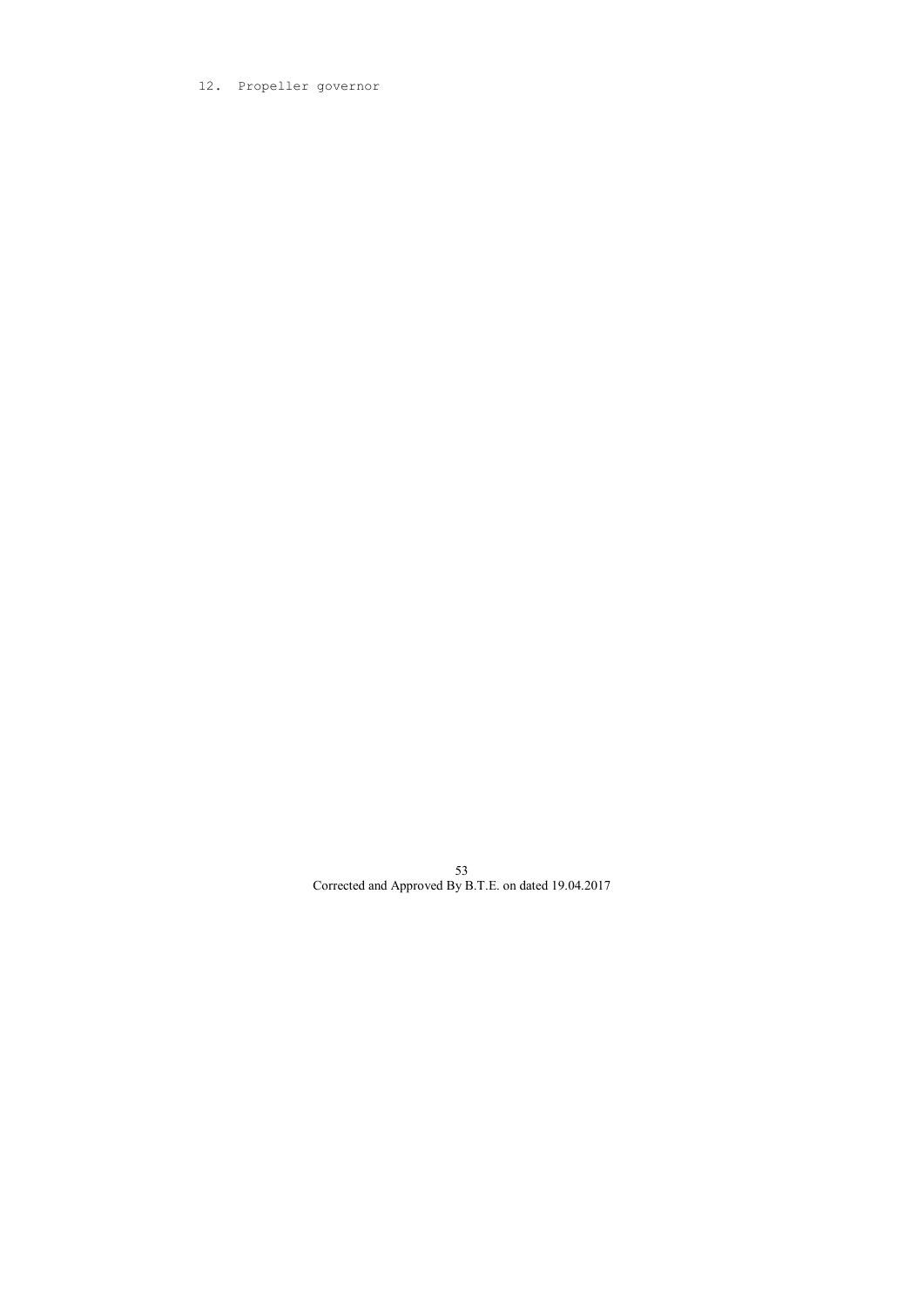# 12. Propeller governor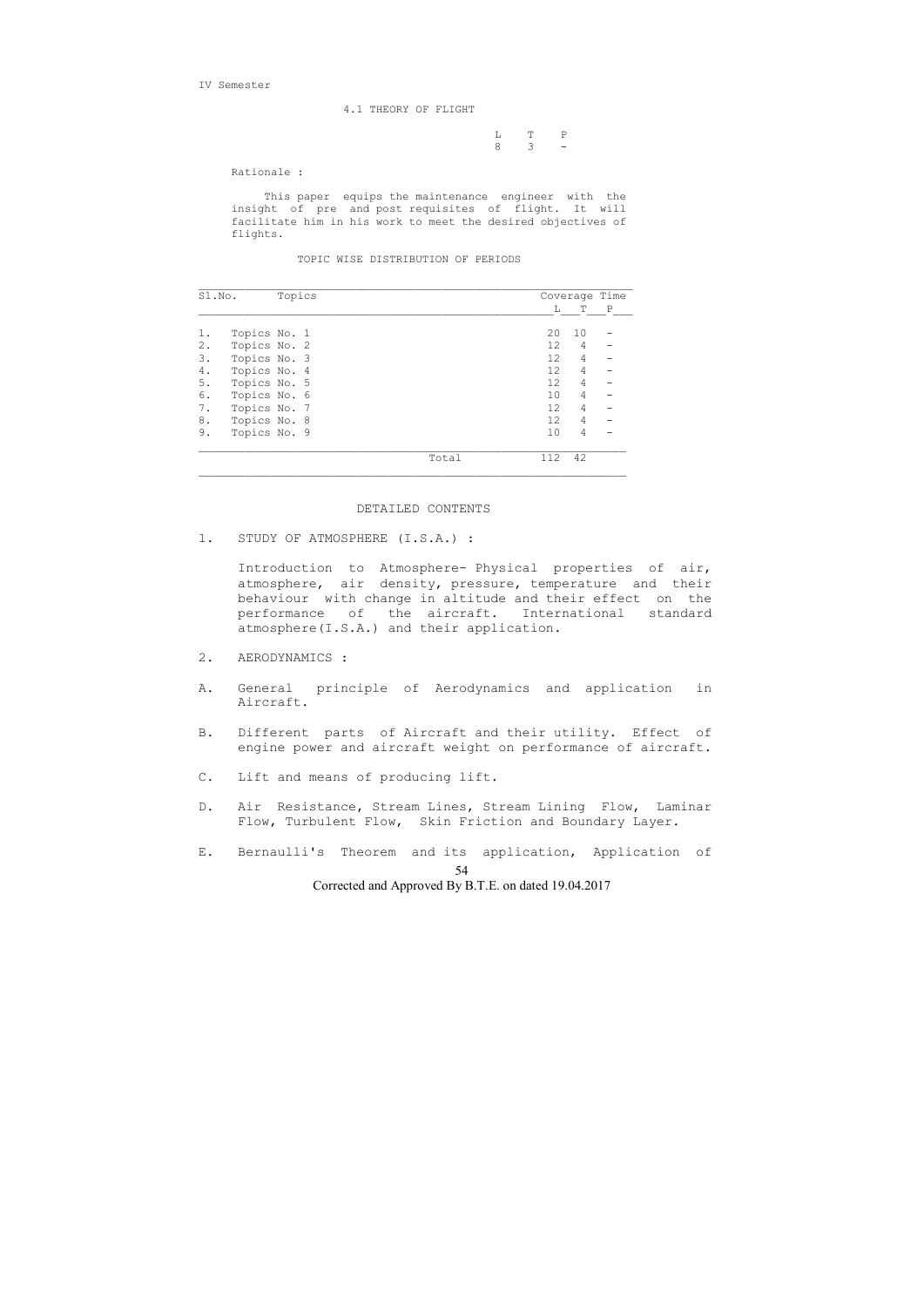IV Semester

4.1 THEORY OF FLIGHT

 L T P 8 3 -

Rationale :

 This paper equips the maintenance engineer with the insight of pre and post requisites of flight. It will facilitate him in his work to meet the desired objectives of flights.

TOPIC WISE DISTRIBUTION OF PERIODS

| Sl.No. |              | Topics |  |       | Coverage Time     |                |   |
|--------|--------------|--------|--|-------|-------------------|----------------|---|
|        |              |        |  |       | L                 | Т              | Ρ |
| 1.     | Topics No. 1 |        |  |       | 20                | 10             |   |
| $2$ .  | Topics No. 2 |        |  |       | 12 <sup>°</sup>   | 4              |   |
| 3.     | Topics No. 3 |        |  |       | 12 <sup>°</sup>   | $\overline{4}$ |   |
| 4.     | Topics No. 4 |        |  |       | 12 <sup>°</sup>   | 4              |   |
| 5.     | Topics No. 5 |        |  |       | 12 <sup>°</sup>   | $\overline{4}$ |   |
| 6.     | Topics No. 6 |        |  |       | 10                | 4              |   |
| 7.     | Topics No. 7 |        |  |       | 12                | 4              |   |
| 8.     | Topics No. 8 |        |  |       | $12 \overline{ }$ | 4              |   |
| 9.     | Topics No. 9 |        |  |       | 10                | 4              |   |
|        |              |        |  | Total | 112               | 42             |   |

## DETAILED CONTENTS

1. STUDY OF ATMOSPHERE (I.S.A.) :

 Introduction to Atmosphere- Physical properties of air, atmosphere, air density, pressure, temperature and their behaviour with change in altitude and their effect on the performance of the aircraft. International standard atmosphere(I.S.A.) and their application.

- 2. AERODYNAMICS :
- A. General principle of Aerodynamics and application in Aircraft.
- B. Different parts of Aircraft and their utility. Effect of engine power and aircraft weight on performance of aircraft.
- C. Lift and means of producing lift.
- D. Air Resistance, Stream Lines, Stream Lining Flow, Laminar Flow, Turbulent Flow, Skin Friction and Boundary Layer.
- 54 E. Bernaulli's Theorem and its application, Application of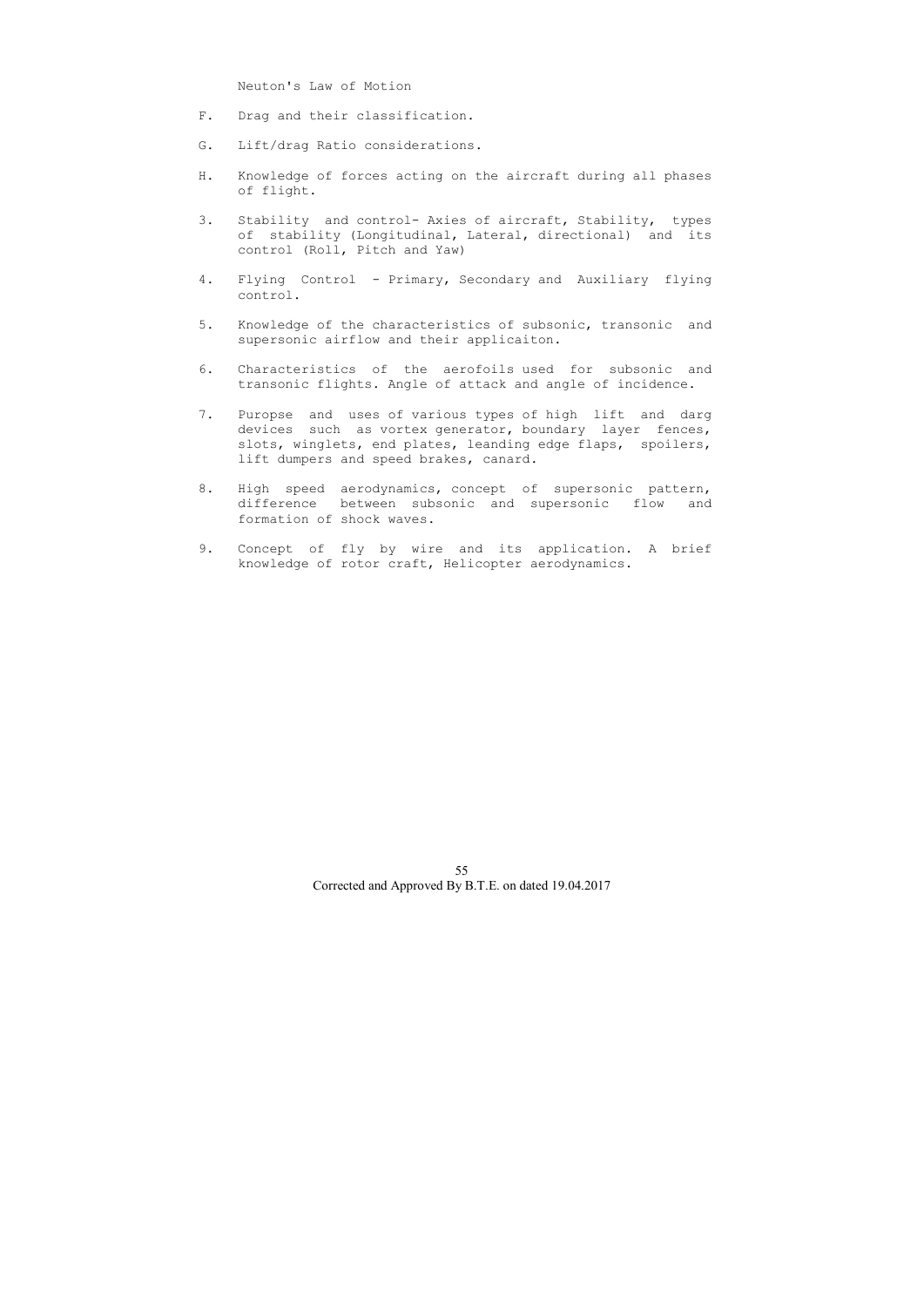Neuton's Law of Motion

- F. Drag and their classification.
- G. Lift/drag Ratio considerations.
- H. Knowledge of forces acting on the aircraft during all phases of flight.
- 3. Stability and control- Axies of aircraft, Stability, types of stability (Longitudinal, Lateral, directional) and its control (Roll, Pitch and Yaw)
- 4. Flying Control Primary, Secondary and Auxiliary flying control.
- 5. Knowledge of the characteristics of subsonic, transonic and supersonic airflow and their applicaiton.
- 6. Characteristics of the aerofoils used for subsonic and transonic flights. Angle of attack and angle of incidence.
- 7. Puropse and uses of various types of high lift and darg devices such as vortex generator, boundary layer fences, slots, winglets, end plates, leanding edge flaps, spoilers, lift dumpers and speed brakes, canard.
- 8. High speed aerodynamics, concept of supersonic pattern, difference between subsonic and supersonic flow and formation of shock waves.
- 9. Concept of fly by wire and its application. A brief knowledge of rotor craft, Helicopter aerodynamics.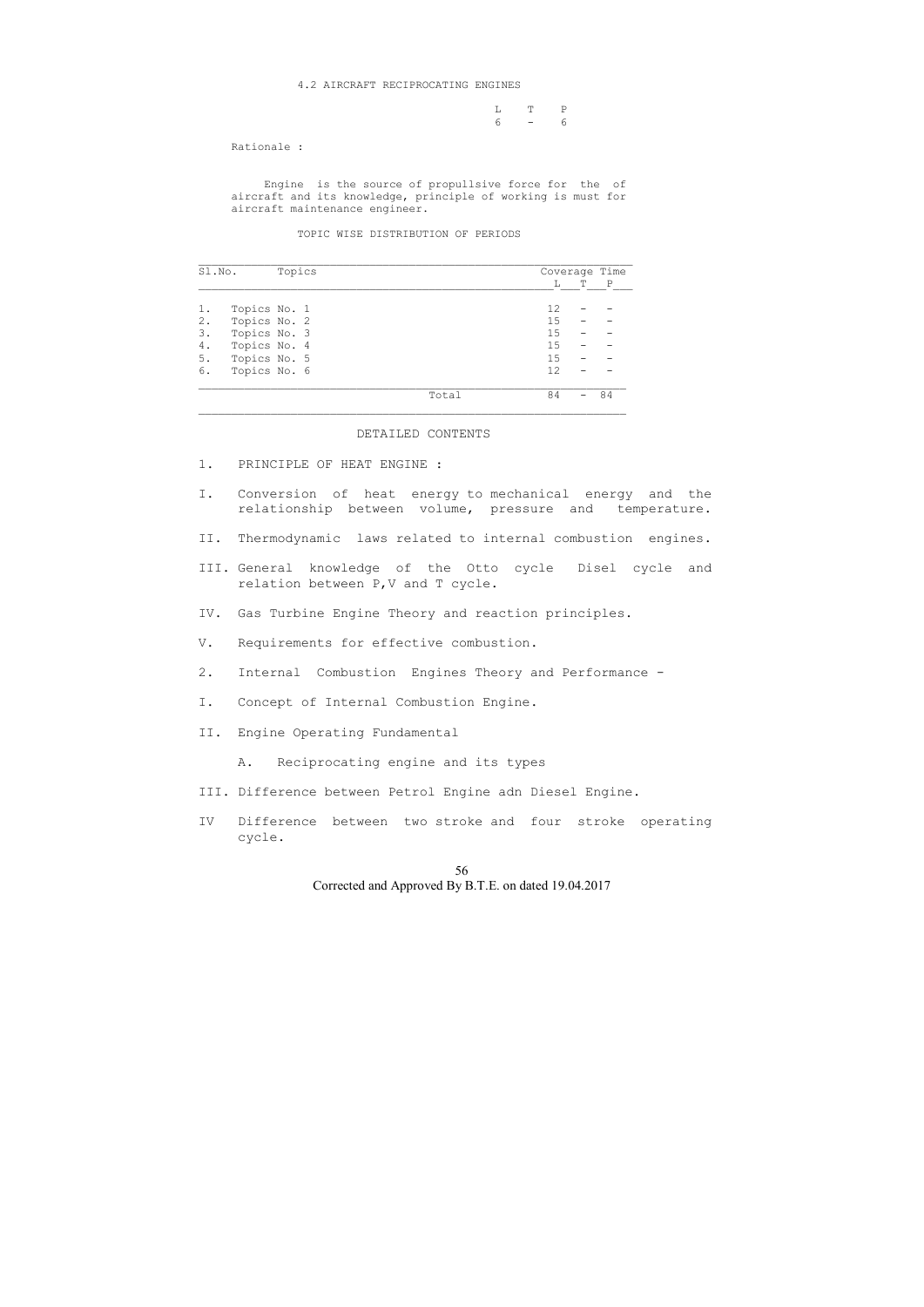#### 4.2 AIRCRAFT RECIPROCATING ENGINES

 L T P 6 - 6

Rationale :

 Engine is the source of propullsive force for the of aircraft and its knowledge, principle of working is must for aircraft maintenance engineer.

TOPIC WISE DISTRIBUTION OF PERIODS

| Sl.No. |              | Topics |             |   | Coverage Time |
|--------|--------------|--------|-------------|---|---------------|
|        |              |        | L           | Т | $\mathbf P$   |
| 1.     | Topics No. 1 |        | 12          |   |               |
| 2.     | Topics No. 2 |        | 15          |   |               |
| 3.     | Topics No. 3 |        | 15          |   |               |
| 4.     | Topics No. 4 |        | 15          |   |               |
| 5.     | Topics No. 5 |        | 15          |   |               |
| 6.     | Topics No. 6 |        | 12          |   |               |
|        |              |        | 84<br>Total |   | 84            |

### DETAILED CONTENTS

- 1. PRINCIPLE OF HEAT ENGINE :
- I. Conversion of heat energy to mechanical energy and the relationship between volume, pressure and temperature.
- II. Thermodynamic laws related to internal combustion engines.
- III. General knowledge of the Otto cycle Disel cycle and relation between P,V and T cycle.
- IV. Gas Turbine Engine Theory and reaction principles.
- V. Requirements for effective combustion.
- 2. Internal Combustion Engines Theory and Performance -
- I. Concept of Internal Combustion Engine.
- II. Engine Operating Fundamental
	- A. Reciprocating engine and its types
- III. Difference between Petrol Engine adn Diesel Engine.
- IV Difference between two stroke and four stroke operating cycle.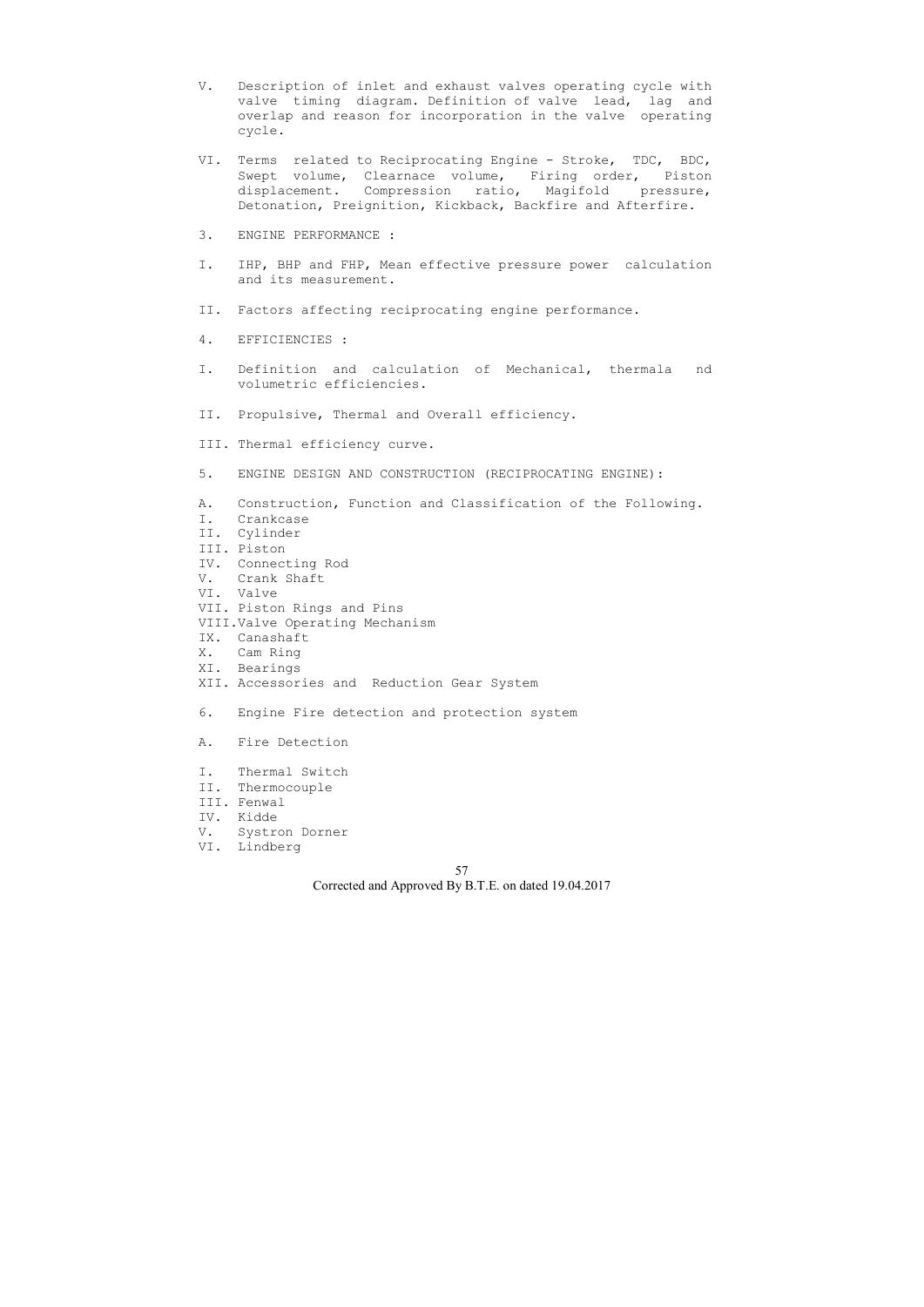- V. Description of inlet and exhaust valves operating cycle with valve timing diagram. Definition of valve lead, lag and overlap and reason for incorporation in the valve operating cycle.
- VI. Terms related to Reciprocating Engine Stroke, TDC, BDC, Swept volume, Clearnace volume, Firing order, Piston displacement. Compression ratio, Magifold pressure, Detonation, Preignition, Kickback, Backfire and Afterfire.
- 3. ENGINE PERFORMANCE :
- I. IHP, BHP and FHP, Mean effective pressure power calculation and its measurement.
- II. Factors affecting reciprocating engine performance.
- 4. EFFICIENCIES :
- I. Definition and calculation of Mechanical, thermala nd volumetric efficiencies.
- II. Propulsive, Thermal and Overall efficiency.
- III. Thermal efficiency curve.
- 5. ENGINE DESIGN AND CONSTRUCTION (RECIPROCATING ENGINE):
- A. Construction, Function and Classification of the Following.
- I. Crankcase
- II. Cylinder
- III. Piston
- IV. Connecting Rod
- V. Crank Shaft
- VI. Valve
- VII. Piston Rings and Pins
- VIII.Valve Operating Mechanism
- IX. Canashaft
- X. Cam Ring
- XI. Bearings
- XII. Accessories and Reduction Gear System
- 6. Engine Fire detection and protection system
- A. Fire Detection
- I. Thermal Switch
- II. Thermocouple
- III. Fenwal
- IV. Kidde
- V. Systron Dorner
- VI. Lindberg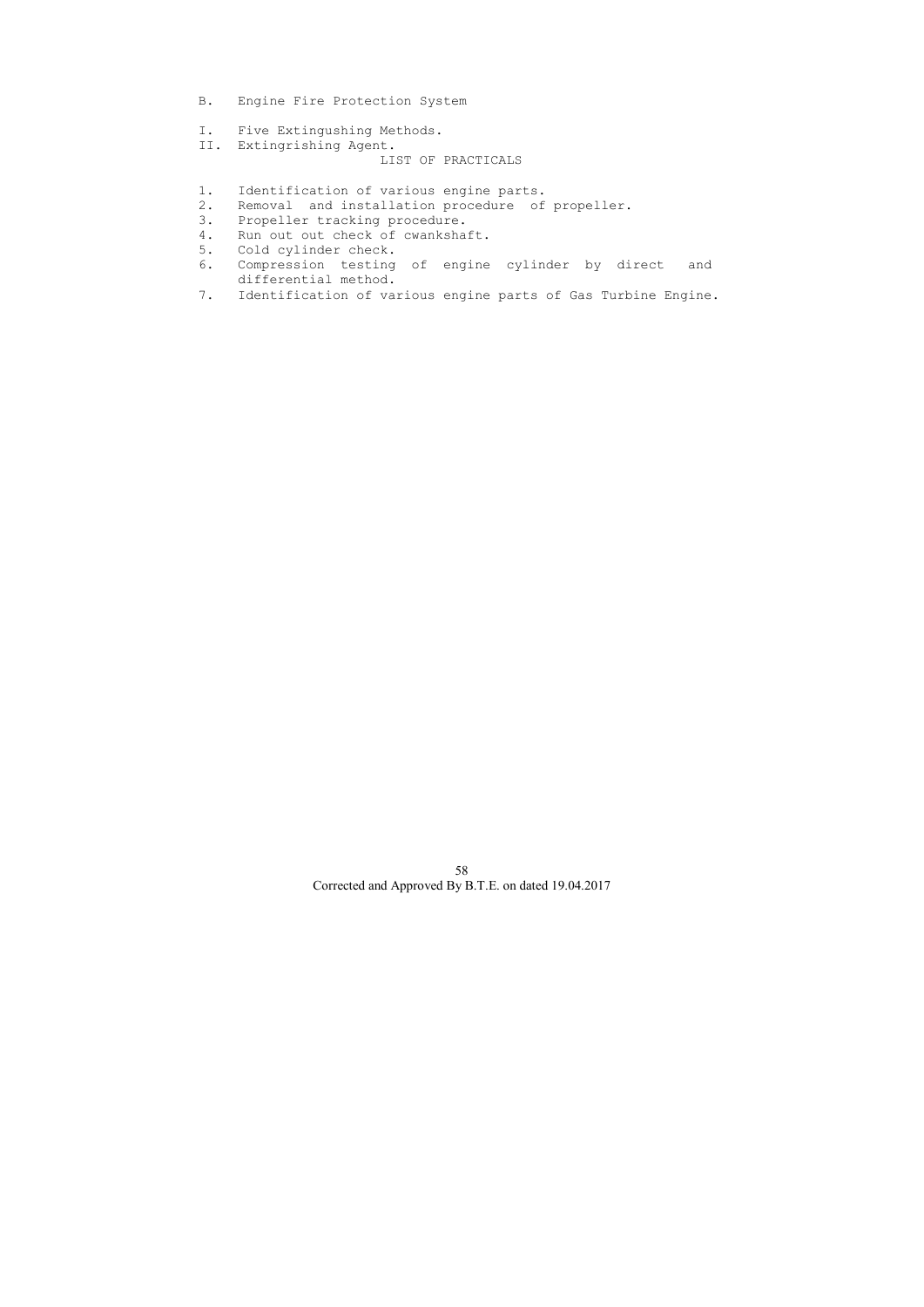- B. Engine Fire Protection System
- I. Five Extingushing Methods.
- II. Extingrishing Agent.

- 1. Identification of various engine parts.
- 2. Removal and installation procedure of propeller.
- 3. Propeller tracking procedure.
- 4. Run out out check of cwankshaft.
- 5. Cold cylinder check.
- 6. Compression testing of engine cylinder by direct and differential method.
- 7. Identification of various engine parts of Gas Turbine Engine.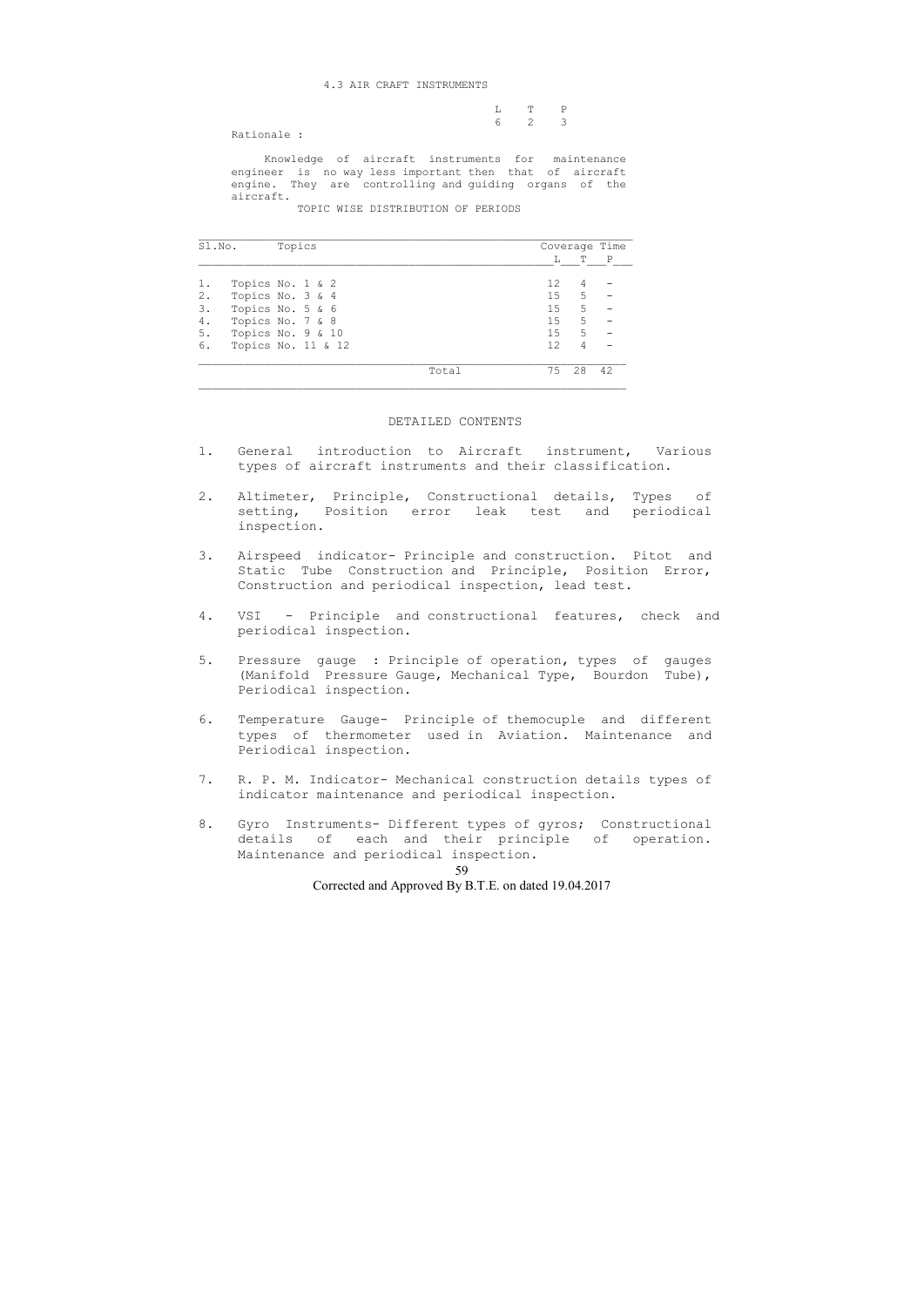|  | $L$ T P               |  |
|--|-----------------------|--|
|  | $6 \qquad 2 \qquad 3$ |  |

Rationale :

 Knowledge of aircraft instruments for maintenance engineer is no way less important then that of aircraft engine. They are controlling and guiding organs of the aircraft.

TOPIC WISE DISTRIBUTION OF PERIODS

| Sl.No. | Topics             |       | Coverage Time   |    |              |
|--------|--------------------|-------|-----------------|----|--------------|
|        |                    |       | L               | Т  | $\mathbf{P}$ |
| 1.     | Topics No. 1 & 2   |       | 12 <sup>2</sup> | 4  |              |
| 2.     | Topics No. 3 & 4   |       | 15              | 5  |              |
| 3.     | Topics No. 5 & 6   |       | 15              | 5  |              |
| 4.     | Topics No. 7 & 8   |       | 15              | 5  |              |
| 5.     | Topics No. 9 & 10  |       | 15              | 5  |              |
| 6.     | Topics No. 11 & 12 |       | 12              | 4  |              |
|        |                    | Total | 75              | 28 | 42           |

#### DETAILED CONTENTS

- 1. General introduction to Aircraft instrument, Various types of aircraft instruments and their classification.
- 2. Altimeter, Principle, Constructional details, Types of setting, Position error leak test and periodical inspection.
- 3. Airspeed indicator- Principle and construction. Pitot and Static Tube Construction and Principle, Position Error, Construction and periodical inspection, lead test.
- 4. VSI Principle and constructional features, check and periodical inspection.
- 5. Pressure gauge : Principle of operation, types of gauges (Manifold Pressure Gauge, Mechanical Type, Bourdon Tube), Periodical inspection.
- 6. Temperature Gauge- Principle of themocuple and different types of thermometer used in Aviation. Maintenance and Periodical inspection.
- 7. R. P. M. Indicator- Mechanical construction details types of indicator maintenance and periodical inspection.
- 8. Gyro Instruments- Different types of gyros; Constructional details of each and their principle of operation. Maintenance and periodical inspection.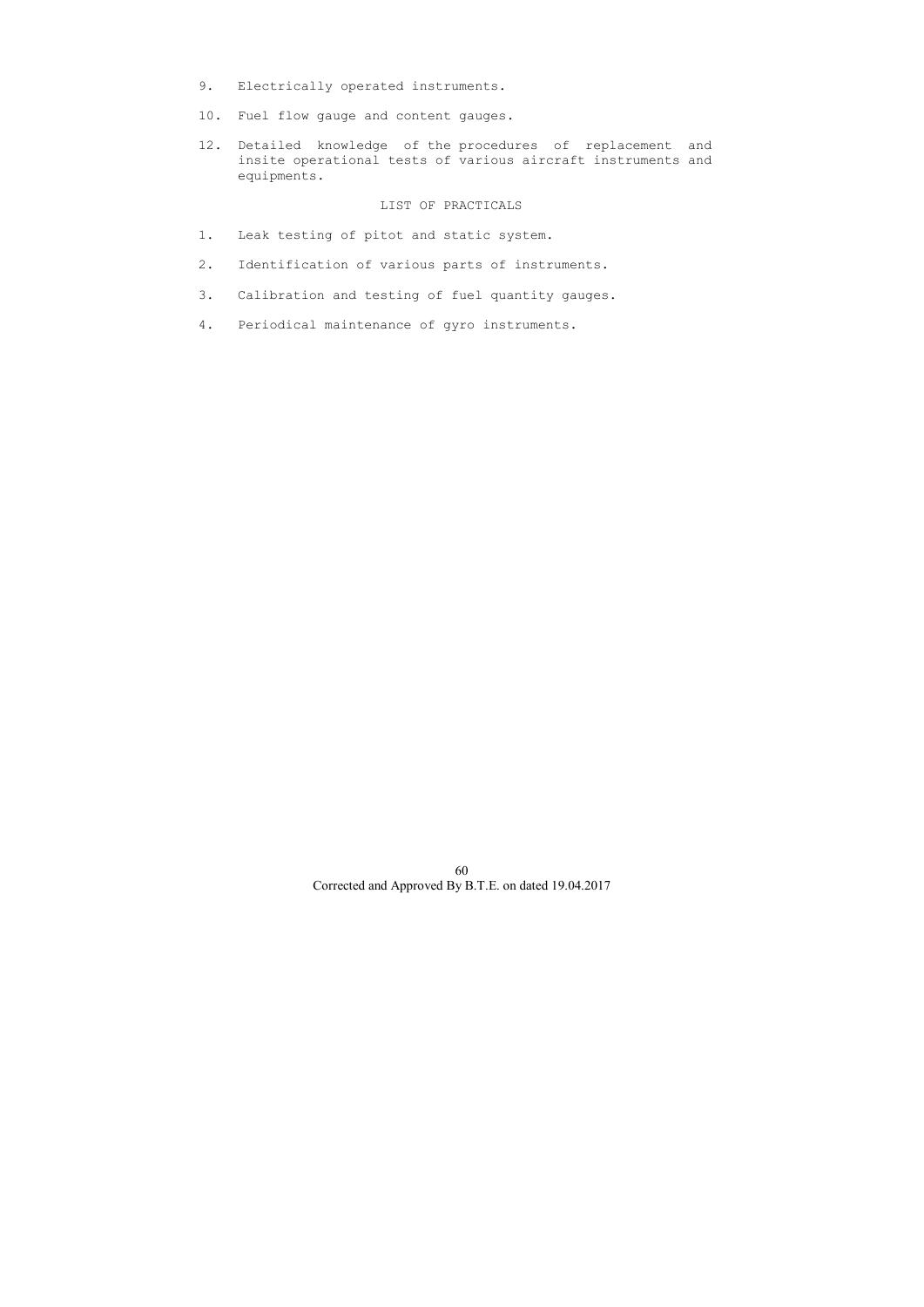- 9. Electrically operated instruments.
- 10. Fuel flow gauge and content gauges.
- 12. Detailed knowledge of the procedures of replacement and insite operational tests of various aircraft instruments and equipments.

- 1. Leak testing of pitot and static system.
- 2. Identification of various parts of instruments.
- 3. Calibration and testing of fuel quantity gauges.
- 4. Periodical maintenance of gyro instruments.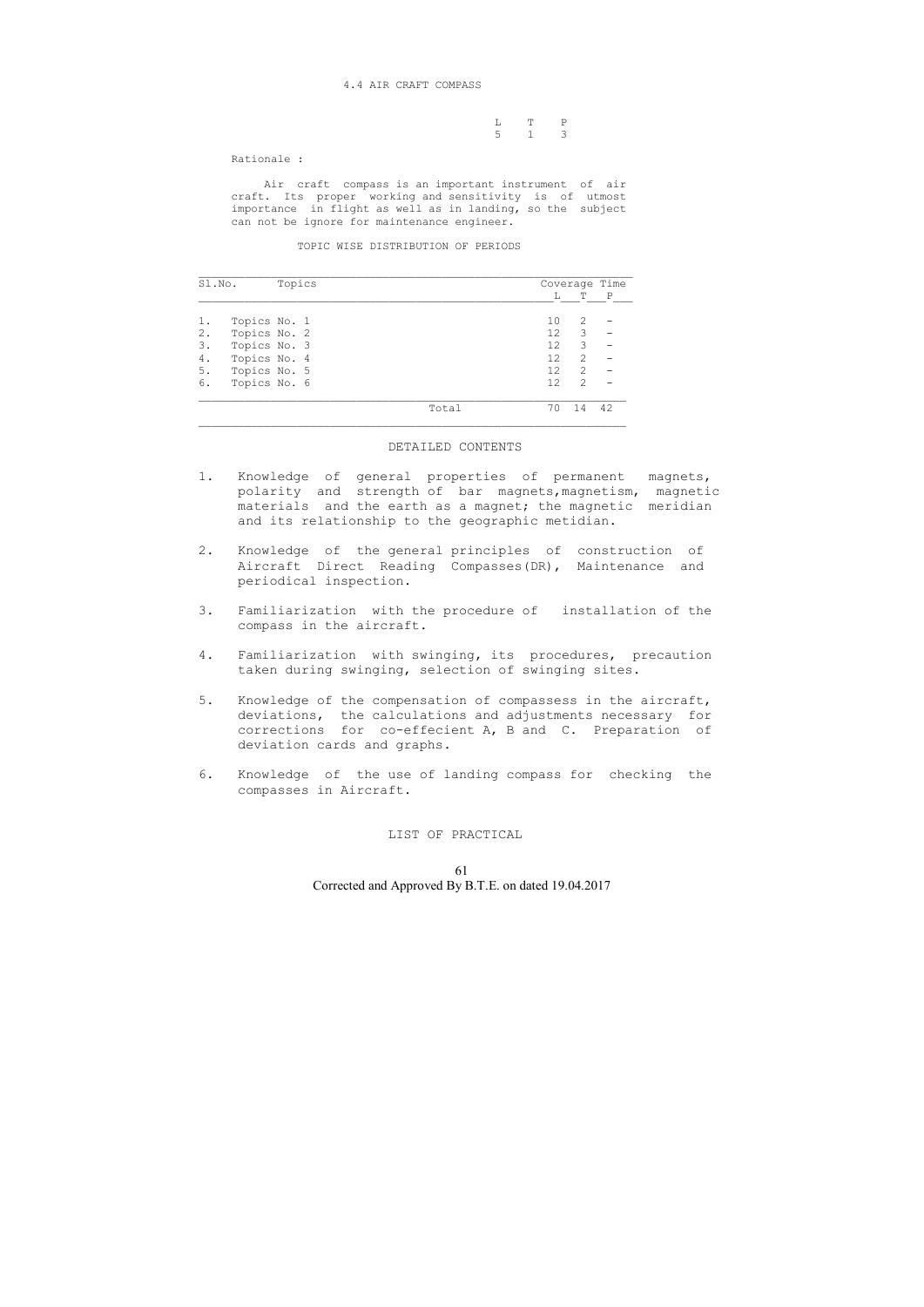L T P  $5 \t 1 \t 3$ 

Rationale :

 Air craft compass is an important instrument of air craft. Its proper working and sensitivity is of utmost importance in flight as well as in landing, so the subject can not be ignore for maintenance engineer.

TOPIC WISE DISTRIBUTION OF PERIODS

| Sl.No. |              | Topics |       | Coverage Time     |                                                                                                                                                                 |    |  |
|--------|--------------|--------|-------|-------------------|-----------------------------------------------------------------------------------------------------------------------------------------------------------------|----|--|
|        |              |        |       |                   | T                                                                                                                                                               | P  |  |
|        | Topics No. 1 |        |       | 10                | $\mathcal{D}_{\mathcal{A}}^{\mathcal{A}}(\mathcal{A})=\mathcal{D}_{\mathcal{A}}^{\mathcal{A}}(\mathcal{A})\mathcal{D}_{\mathcal{A}}^{\mathcal{A}}(\mathcal{A})$ |    |  |
| 2.     | Topics No. 2 |        |       | $12 \overline{c}$ | 3                                                                                                                                                               |    |  |
| 3.     | Topics No. 3 |        |       | 12                | 3                                                                                                                                                               |    |  |
| 4.     | Topics No. 4 |        |       | 12                | $\mathcal{D}$                                                                                                                                                   |    |  |
| 5.     | Topics No. 5 |        |       | 12                | $\mathcal{L}$                                                                                                                                                   |    |  |
| 6.     | Topics No. 6 |        |       | 12                | $\overline{2}$                                                                                                                                                  |    |  |
|        |              |        | Total | 70                |                                                                                                                                                                 | Λつ |  |

 $\overline{\phantom{a}}$  , and the contribution of the contribution of the contribution of the contribution of the contribution of the contribution of the contribution of the contribution of the contribution of the contribution of the

#### DETAILED CONTENTS

- 1. Knowledge of general properties of permanent magnets, polarity and strength of bar magnets,magnetism, magnetic materials and the earth as a magnet; the magnetic meridian and its relationship to the geographic metidian.
- 2. Knowledge of the general principles of construction of Aircraft Direct Reading Compasses(DR), Maintenance and periodical inspection.
- 3. Familiarization with the procedure of installation of the compass in the aircraft.
- 4. Familiarization with swinging, its procedures, precaution taken during swinging, selection of swinging sites.
- 5. Knowledge of the compensation of compassess in the aircraft, deviations, the calculations and adjustments necessary for corrections for co-effecient A, B and C. Preparation of deviation cards and graphs.
- 6. Knowledge of the use of landing compass for checking the compasses in Aircraft.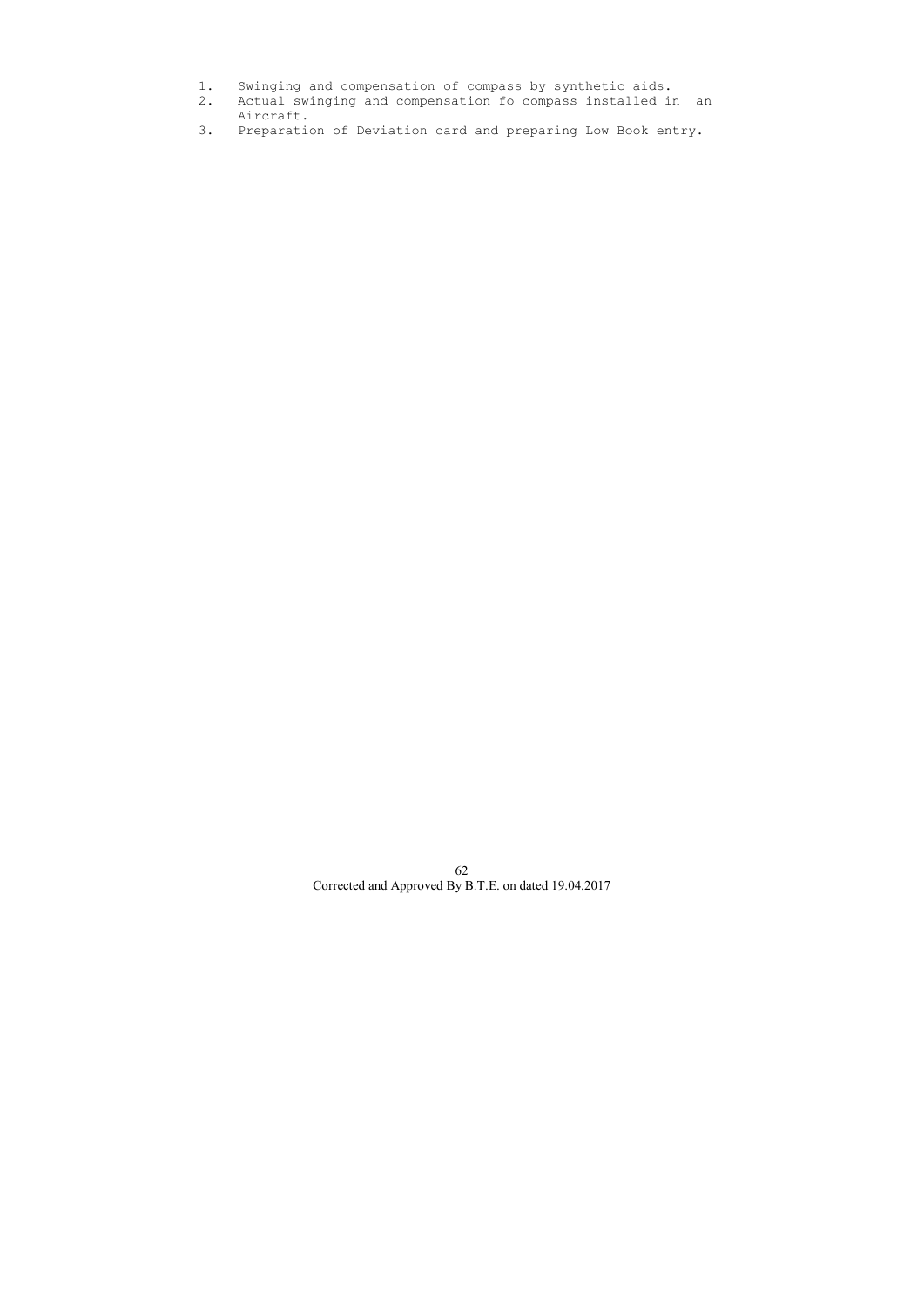- 1. Swinging and compensation of compass by synthetic aids.
- 2. Actual swinging and compensation fo compass installed in an Aircraft.
- 3. Preparation of Deviation card and preparing Low Book entry.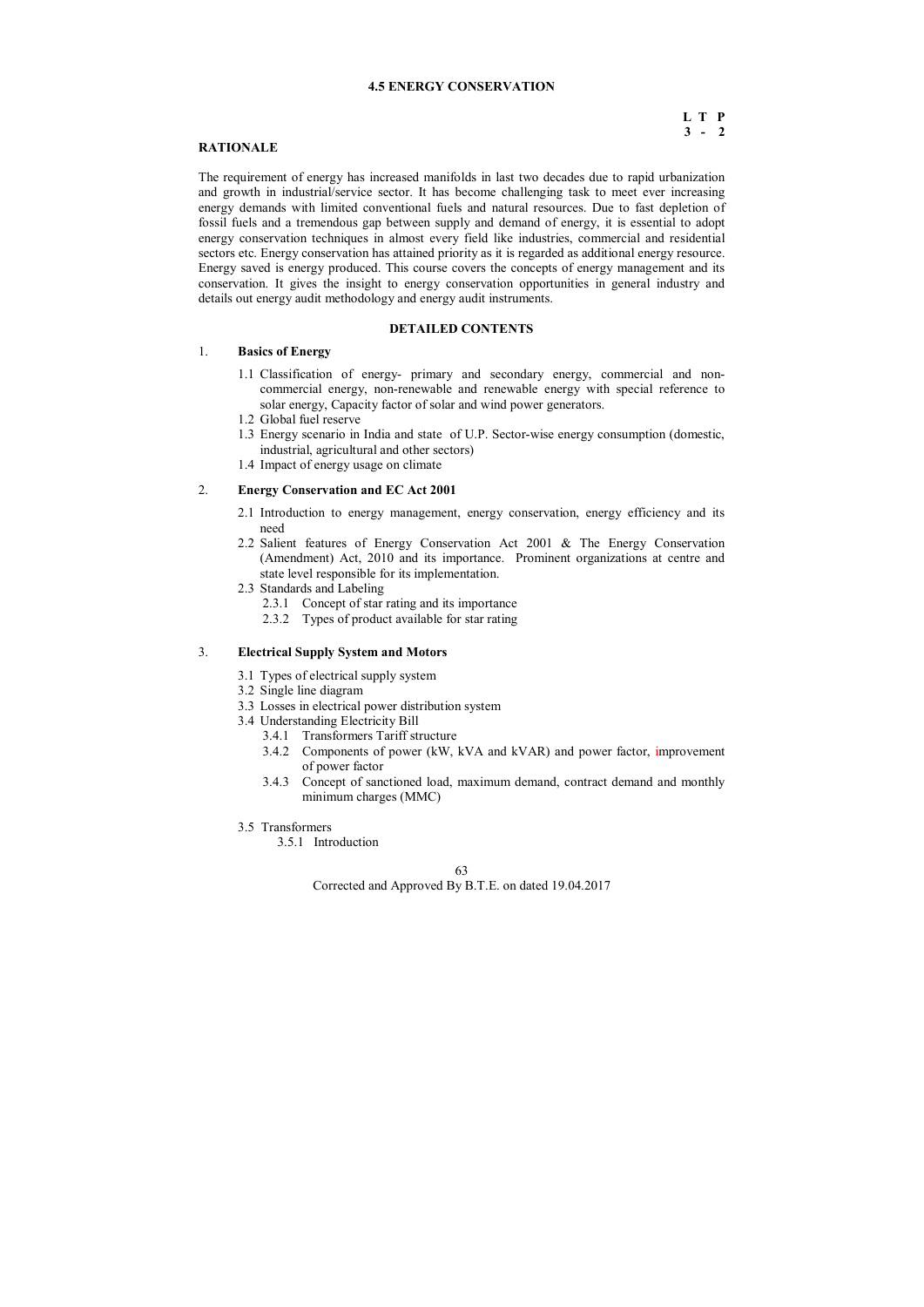## 63

Corrected and Approved By B.T.E. on dated 19.04.2017

## **4.5 ENERGY CONSERVATION**

# **L T P 3 - 2**

# **RATIONALE**

The requirement of energy has increased manifolds in last two decades due to rapid urbanization and growth in industrial/service sector. It has become challenging task to meet ever increasing energy demands with limited conventional fuels and natural resources. Due to fast depletion of fossil fuels and a tremendous gap between supply and demand of energy, it is essential to adopt energy conservation techniques in almost every field like industries, commercial and residential sectors etc. Energy conservation has attained priority as it is regarded as additional energy resource. Energy saved is energy produced. This course covers the concepts of energy management and its conservation. It gives the insight to energy conservation opportunities in general industry and details out energy audit methodology and energy audit instruments.

## **DETAILED CONTENTS**

## 1. **Basics of Energy**

- 1.1 Classification of energy- primary and secondary energy, commercial and noncommercial energy, non-renewable and renewable energy with special reference to solar energy, Capacity factor of solar and wind power generators.
- 1.2 Global fuel reserve
- 1.3 Energy scenario in India and state of U.P. Sector-wise energy consumption (domestic, industrial, agricultural and other sectors)
- 1.4 Impact of energy usage on climate

# 2. **Energy Conservation and EC Act 2001**

- 2.1 Introduction to energy management, energy conservation, energy efficiency and its need
- 2.2 Salient features of Energy Conservation Act 2001 & The Energy Conservation (Amendment) Act, 2010 and its importance. Prominent organizations at centre and state level responsible for its implementation.
- 2.3 Standards and Labeling
	- 2.3.1 Concept of star rating and its importance
	- 2.3.2 Types of product available for star rating

## 3. **Electrical Supply System and Motors**

- 3.1 Types of electrical supply system
- 3.2 Single line diagram
- 3.3 Losses in electrical power distribution system
- 3.4 Understanding Electricity Bill
	- 3.4.1 Transformers Tariff structure
	- 3.4.2 Components of power (kW, kVA and kVAR) and power factor, improvement of power factor
	- 3.4.3 Concept of sanctioned load, maximum demand, contract demand and monthly minimum charges (MMC)
- 3.5 Transformers
	- 3.5.1 Introduction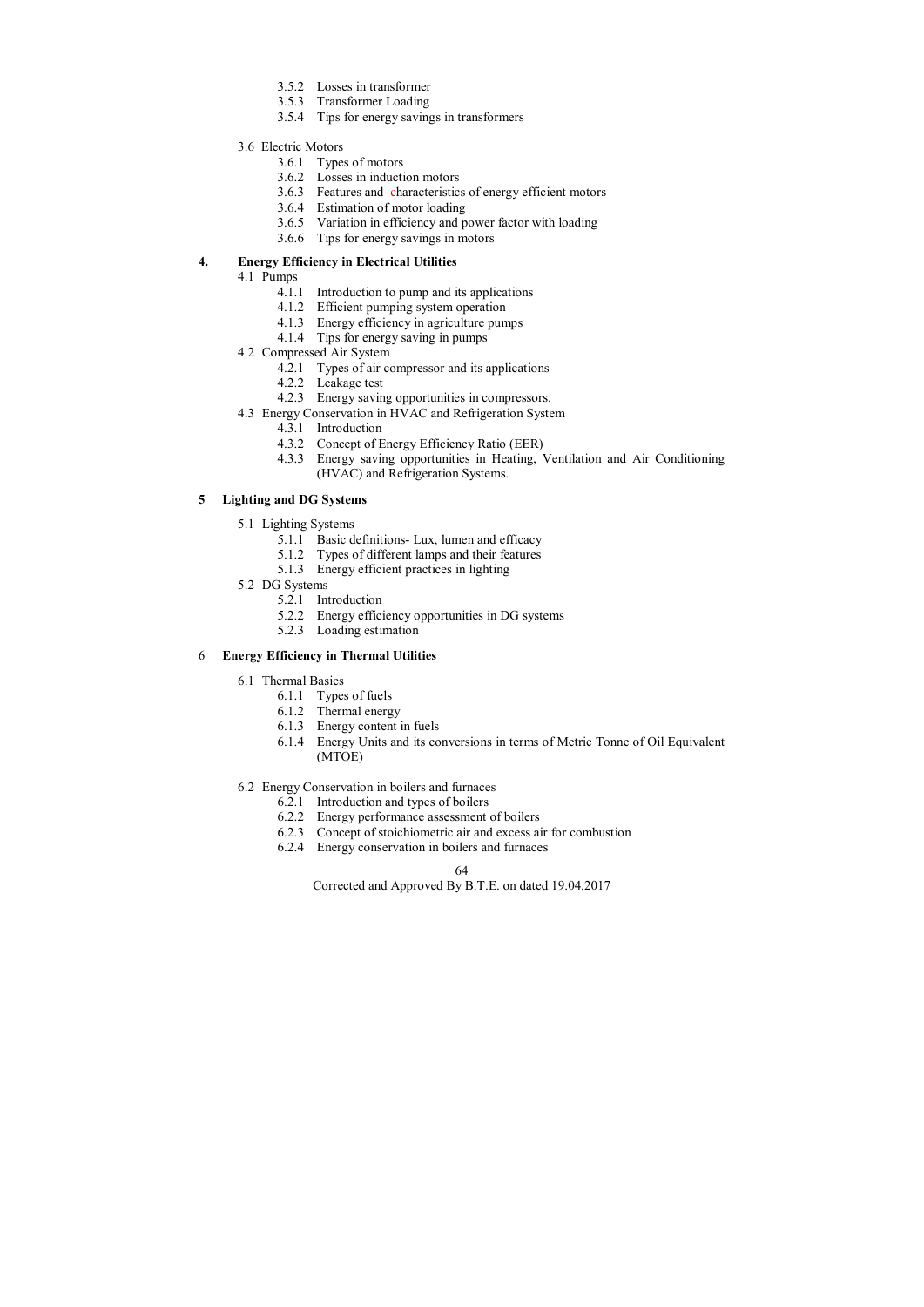- 3.5.2 Losses in transformer
- 3.5.3 Transformer Loading
- 3.5.4 Tips for energy savings in transformers
- 3.6 Electric Motors
	- 3.6.1 Types of motors
	- 3.6.2 Losses in induction motors
	- 3.6.3 Features and characteristics of energy efficient motors
	- 3.6.4 Estimation of motor loading
	- 3.6.5 Variation in efficiency and power factor with loading
	- 3.6.6 Tips for energy savings in motors

# **4. Energy Efficiency in Electrical Utilities**

- 4.1 Pumps
	- 4.1.1 Introduction to pump and its applications
	- 4.1.2 Efficient pumping system operation
	- 4.1.3 Energy efficiency in agriculture pumps
	- 4.1.4 Tips for energy saving in pumps
- 4.2 Compressed Air System
	- 4.2.1 Types of air compressor and its applications
	- 4.2.2 Leakage test
	- 4.2.3 Energy saving opportunities in compressors.
- 4.3 Energy Conservation in HVAC and Refrigeration System
	- 4.3.1 Introduction
	- 4.3.2 Concept of Energy Efficiency Ratio (EER)
	- 4.3.3 Energy saving opportunities in Heating, Ventilation and Air Conditioning (HVAC) and Refrigeration Systems.

# **5 Lighting and DG Systems**

- 5.1 Lighting Systems
	- 5.1.1 Basic definitions- Lux, lumen and efficacy
	- 5.1.2 Types of different lamps and their features
	- 5.1.3 Energy efficient practices in lighting
- 5.2 DG Systems
	- 5.2.1 Introduction
	- 5.2.2 Energy efficiency opportunities in DG systems
	- 5.2.3 Loading estimation

# 6 **Energy Efficiency in Thermal Utilities**

- 6.1 Thermal Basics
	- 6.1.1 Types of fuels
	- 6.1.2 Thermal energy
	- 6.1.3 Energy content in fuels
	- 6.1.4 Energy Units and its conversions in terms of Metric Tonne of Oil Equivalent (MTOE)
- 6.2 Energy Conservation in boilers and furnaces
	- 6.2.1 Introduction and types of boilers
	- 6.2.2 Energy performance assessment of boilers
	- 6.2.3 Concept of stoichiometric air and excess air for combustion
	- 6.2.4 Energy conservation in boilers and furnaces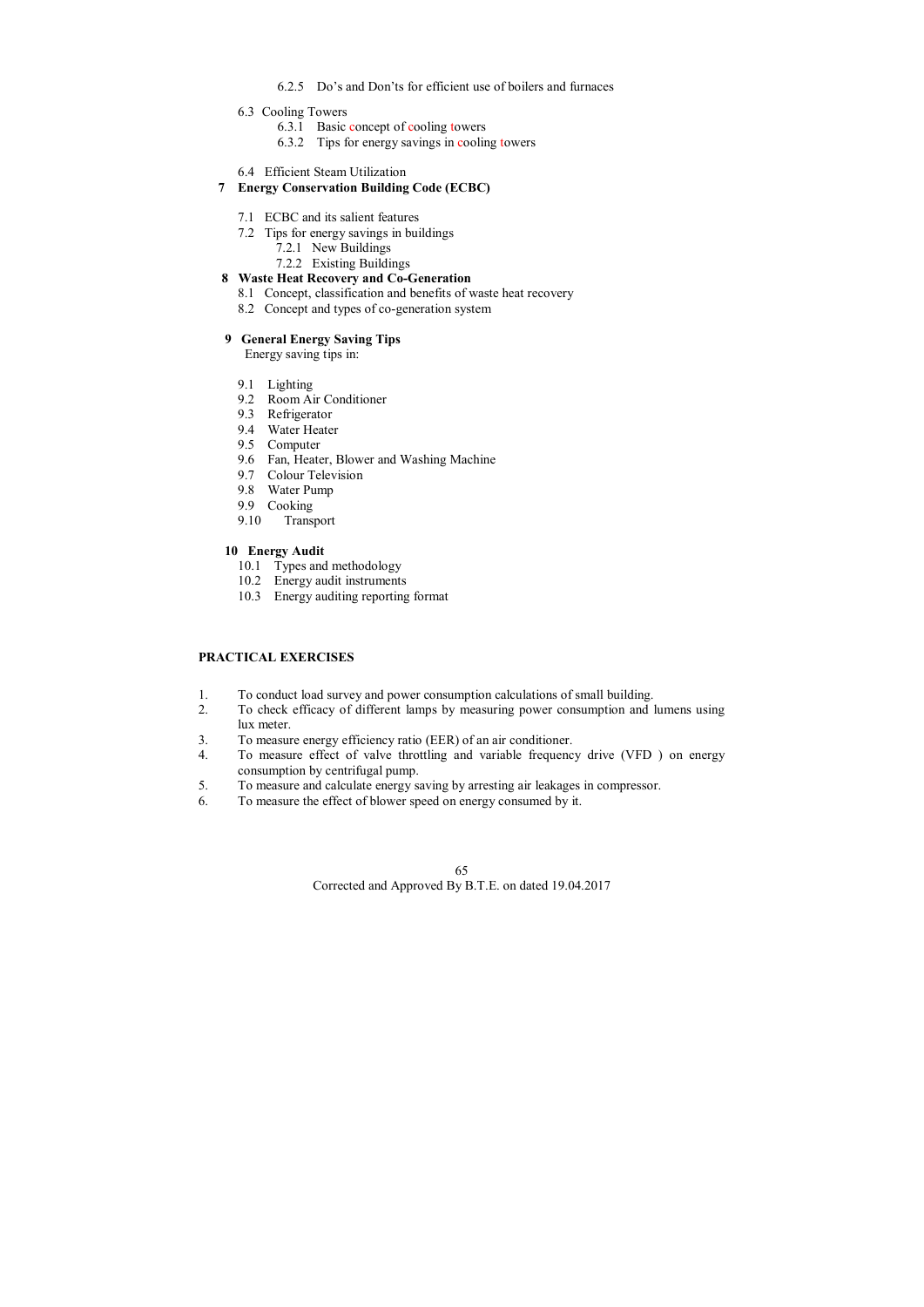- 6.2.5 Do's and Don'ts for efficient use of boilers and furnaces
- 6.3 Cooling Towers
	- 6.3.1 Basic concept of cooling towers
	- 6.3.2 Tips for energy savings in cooling towers
- 6.4 Efficient Steam Utilization

# **7 Energy Conservation Building Code (ECBC)**

- 7.1 ECBC and its salient features
- 7.2 Tips for energy savings in buildings
	- 7.2.1 New Buildings
	- 7.2.2 Existing Buildings

# **8 Waste Heat Recovery and Co-Generation**

- 8.1 Concept, classification and benefits of waste heat recovery
- 8.2 Concept and types of co-generation system

# **9 General Energy Saving Tips**

Energy saving tips in:

- 9.1 Lighting
- 9.2 Room Air Conditioner
- 9.3 Refrigerator
- 9.4 Water Heater
- 9.5 Computer
- 9.6 Fan, Heater, Blower and Washing Machine
- 9.7 Colour Television
- 9.8 Water Pump
- 9.9 Cooking
- 9.10 Transport

# **10 Energy Audit**

- 10.1 Types and methodology
- 10.2 Energy audit instruments
- 10.3 Energy auditing reporting format

# **PRACTICAL EXERCISES**

- 1. To conduct load survey and power consumption calculations of small building.
- 2. To check efficacy of different lamps by measuring power consumption and lumens using lux meter.
- 3. To measure energy efficiency ratio (EER) of an air conditioner.
- 4. To measure effect of valve throttling and variable frequency drive (VFD ) on energy consumption by centrifugal pump.
- 5. To measure and calculate energy saving by arresting air leakages in compressor.
- 6. To measure the effect of blower speed on energy consumed by it.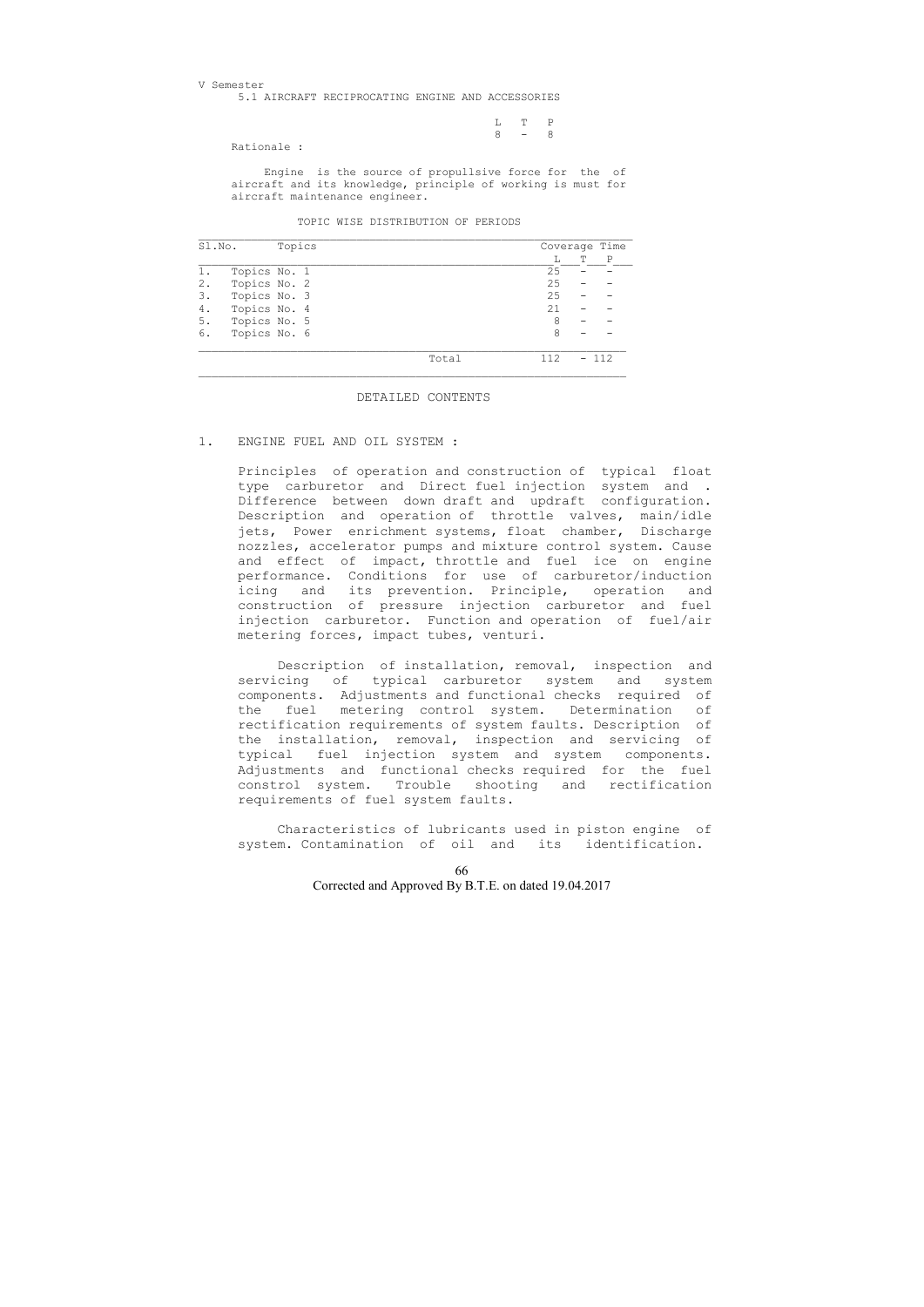L T P  $8 - 8$ 

V Semester 5.1 AIRCRAFT RECIPROCATING ENGINE AND ACCESSORIES

Rationale :

 Engine is the source of propullsive force for the of aircraft and its knowledge, principle of working is must for aircraft maintenance engineer.

TOPIC WISE DISTRIBUTION OF PERIODS

| Sl.No. |              | Topics |       |     | Coverage Time |     |  |
|--------|--------------|--------|-------|-----|---------------|-----|--|
|        |              |        |       |     | T             | P   |  |
|        | Topics No. 1 |        |       | 25  |               |     |  |
| 2.     | Topics No. 2 |        |       | 25  |               |     |  |
| 3.     | Topics No. 3 |        |       | 25  |               |     |  |
| 4.     | Topics No. 4 |        |       | 21  |               |     |  |
| 5.     | Topics No. 5 |        |       | 8   |               |     |  |
| 6.     | Topics No. 6 |        |       | 8   |               |     |  |
|        |              |        | Total | 112 |               | 112 |  |

#### DETAILED CONTENTS

#### 1. ENGINE FUEL AND OIL SYSTEM :

 Principles of operation and construction of typical float type carburetor and Direct fuel injection system and . Difference between down draft and updraft configuration. Description and operation of throttle valves, main/idle jets, Power enrichment systems, float chamber, Discharge nozzles, accelerator pumps and mixture control system. Cause and effect of impact, throttle and fuel ice on engine performance. Conditions for use of carburetor/induction icing and its prevention. Principle, operation and construction of pressure injection carburetor and fuel injection carburetor. Function and operation of fuel/air metering forces, impact tubes, venturi.

 Description of installation, removal, inspection and servicing of typical carburetor system and system components. Adjustments and functional checks required of the fuel metering control system. Determination of rectification requirements of system faults. Description of the installation, removal, inspection and servicing of typical fuel injection system and system components. Adjustments and functional checks required for the fuel constrol system. Trouble shooting and rectification requirements of fuel system faults.

 Characteristics of lubricants used in piston engine of system. Contamination of oil and its identification.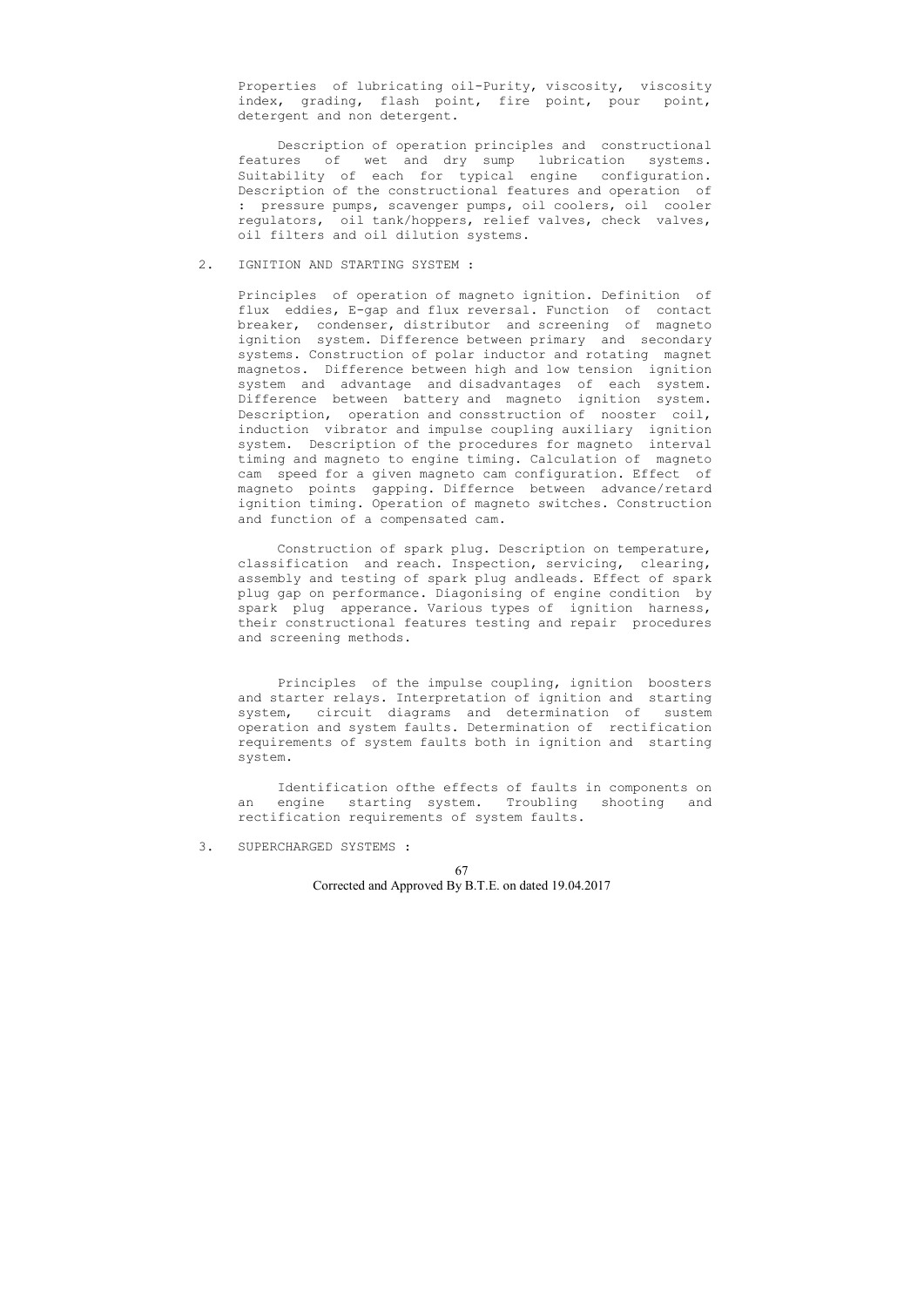Properties of lubricating oil-Purity, viscosity, viscosity index, grading, flash point, fire point, pour point, detergent and non detergent.

 Description of operation principles and constructional features of wet and dry sump lubrication systems. Suitability of each for typical engine configuration. Description of the constructional features and operation of : pressure pumps, scavenger pumps, oil coolers, oil cooler regulators, oil tank/hoppers, relief valves, check valves, oil filters and oil dilution systems.

### 2. IGNITION AND STARTING SYSTEM :

 Principles of operation of magneto ignition. Definition of flux eddies, E-gap and flux reversal. Function of contact breaker, condenser, distributor and screening of magneto ignition system. Difference between primary and secondary systems. Construction of polar inductor and rotating magnet magnetos. Difference between high and low tension ignition system and advantage and disadvantages of each system. Difference between battery and magneto ignition system. Description, operation and consstruction of nooster coil, induction vibrator and impulse coupling auxiliary ignition system. Description of the procedures for magneto interval timing and magneto to engine timing. Calculation of magneto cam speed for a given magneto cam configuration. Effect of magneto points gapping. Differnce between advance/retard ignition timing. Operation of magneto switches. Construction and function of a compensated cam.

 Construction of spark plug. Description on temperature, classification and reach. Inspection, servicing, clearing, assembly and testing of spark plug andleads. Effect of spark plug gap on performance. Diagonising of engine condition by spark plug apperance. Various types of ignition harness, their constructional features testing and repair procedures and screening methods.

 Principles of the impulse coupling, ignition boosters and starter relays. Interpretation of ignition and starting system, circuit diagrams and determination of sustem operation and system faults. Determination of rectification requirements of system faults both in ignition and starting system.

 Identification ofthe effects of faults in components on an engine starting system. Troubling shooting and rectification requirements of system faults.

3. SUPERCHARGED SYSTEMS :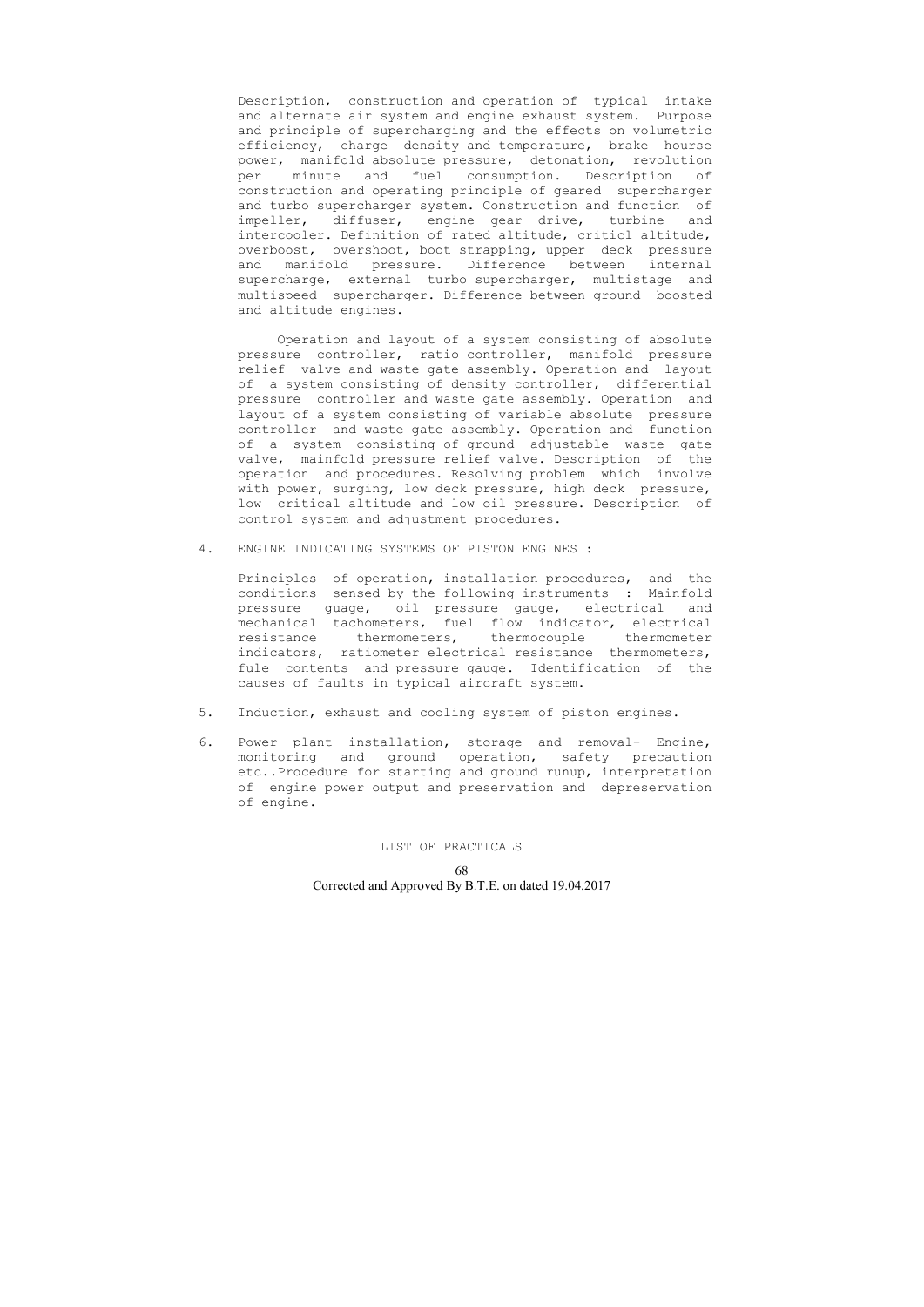Description, construction and operation of typical intake and alternate air system and engine exhaust system. Purpose and principle of supercharging and the effects on volumetric efficiency, charge density and temperature, brake hourse power, manifold absolute pressure, detonation, revolution per minute and fuel consumption. Description of construction and operating principle of geared supercharger and turbo supercharger system. Construction and function of impeller, diffuser, engine gear drive, turbine and intercooler. Definition of rated altitude, criticl altitude, overboost, overshoot, boot strapping, upper deck pressure and manifold pressure. Difference between internal supercharge, external turbo supercharger, multistage and multispeed supercharger. Difference between ground boosted and altitude engines.

 Operation and layout of a system consisting of absolute pressure controller, ratio controller, manifold pressure relief valve and waste gate assembly. Operation and layout of a system consisting of density controller, differential pressure controller and waste gate assembly. Operation and layout of a system consisting of variable absolute pressure controller and waste gate assembly. Operation and function of a system consisting of ground adjustable waste gate valve, mainfold pressure relief valve. Description of the operation and procedures. Resolving problem which involve with power, surging, low deck pressure, high deck pressure, low critical altitude and low oil pressure. Description of control system and adjustment procedures.

4. ENGINE INDICATING SYSTEMS OF PISTON ENGINES :

 Principles of operation, installation procedures, and the conditions sensed by the following instruments : Mainfold pressure guage, oil pressure gauge, electrical and mechanical tachometers, fuel flow indicator, electrical resistance thermometers, thermocouple thermometer indicators, ratiometer electrical resistance thermometers, fule contents and pressure gauge. Identification of the causes of faults in typical aircraft system.

- 5. Induction, exhaust and cooling system of piston engines.
- 6. Power plant installation, storage and removal- Engine, monitoring and ground operation, safety precaution etc..Procedure for starting and ground runup, interpretation of engine power output and preservation and depreservation of engine.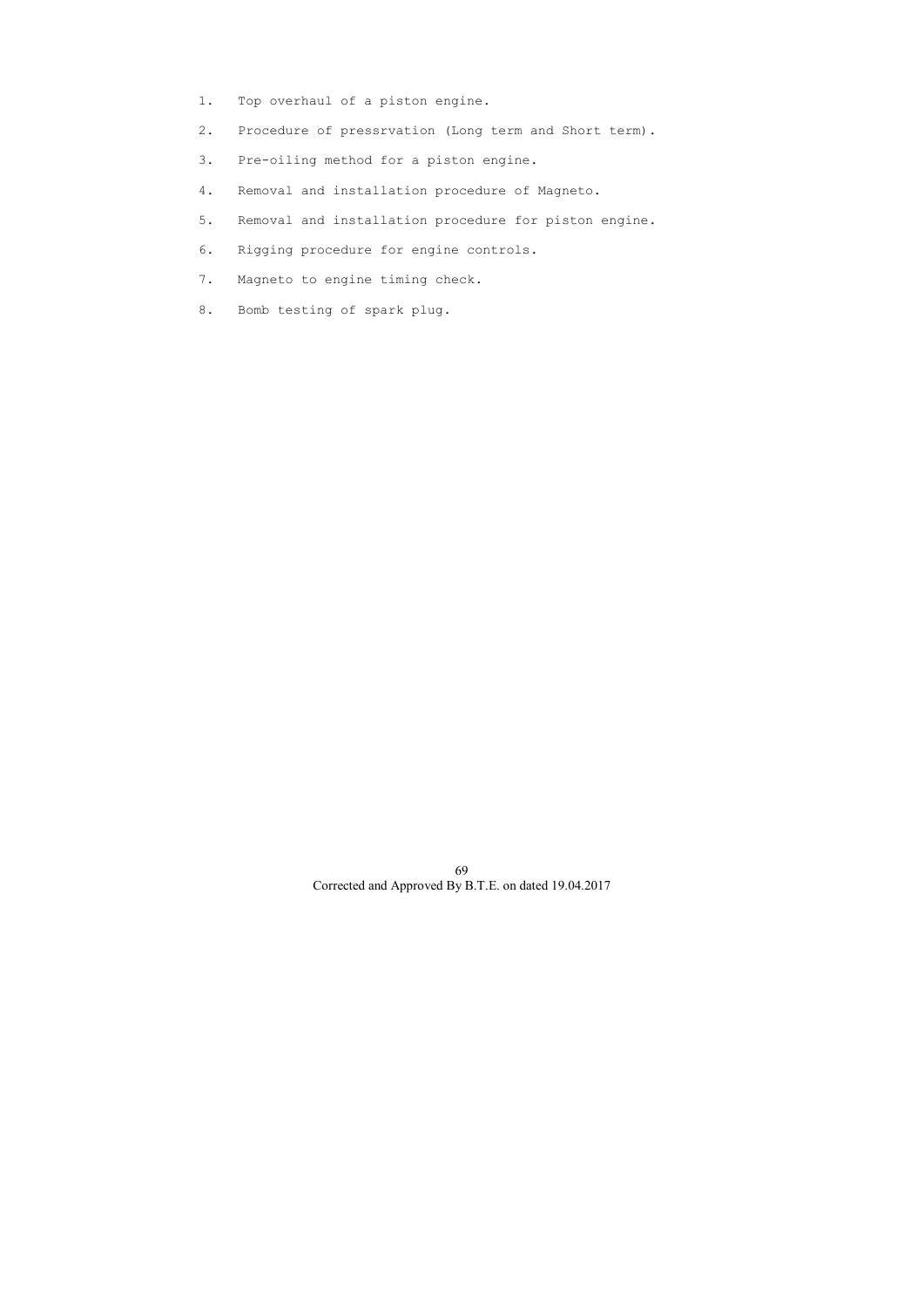- 1. Top overhaul of a piston engine.
- 2. Procedure of pressrvation (Long term and Short term).
- 3. Pre-oiling method for a piston engine.
- 4. Removal and installation procedure of Magneto.
- 5. Removal and installation procedure for piston engine.
- 6. Rigging procedure for engine controls.
- 7. Magneto to engine timing check.
- 8. Bomb testing of spark plug.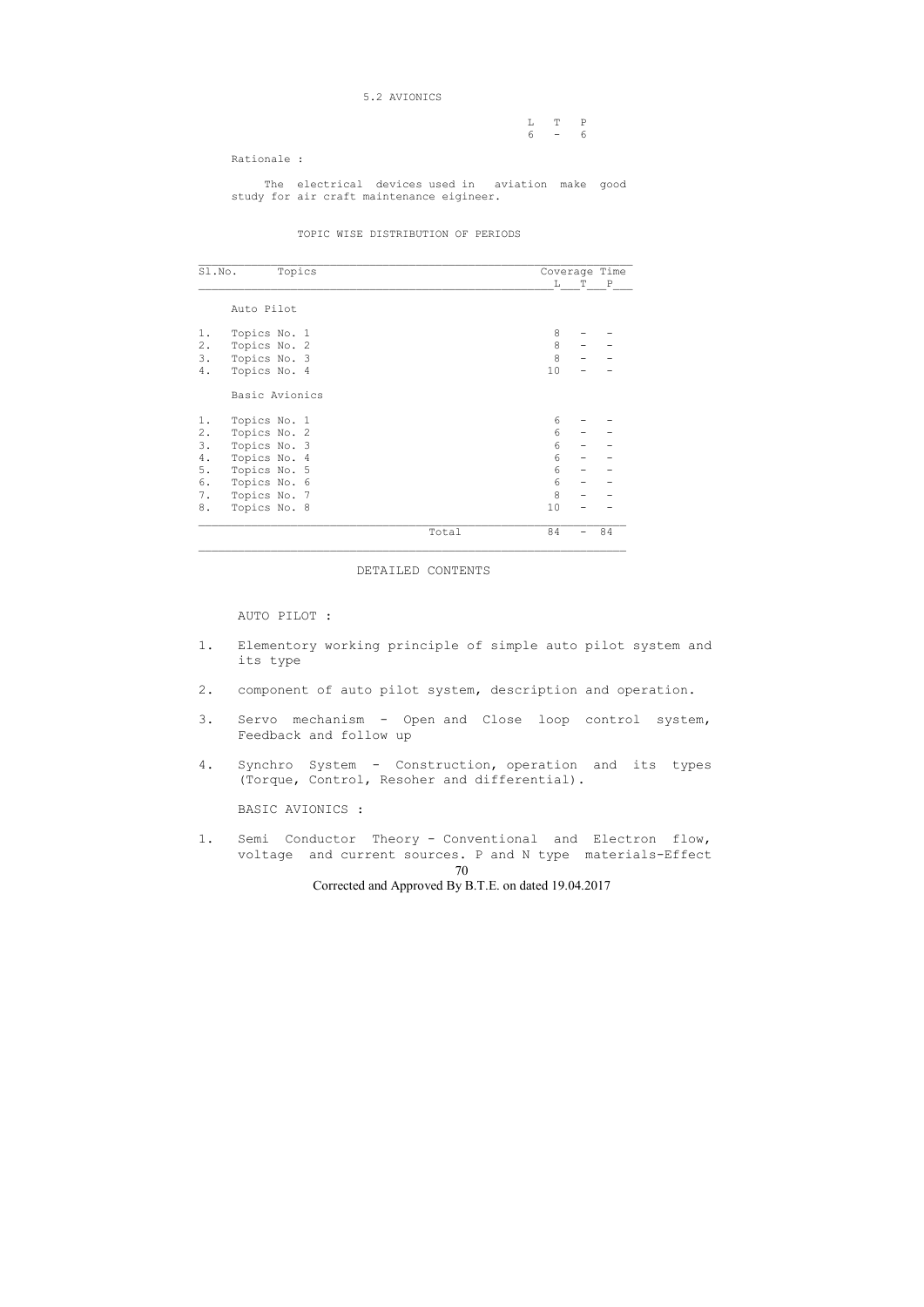### 5.2 AVIONICS

|       | $L \tT \tP$ |
|-------|-------------|
| 6 – 6 |             |

Rationale :

 The electrical devices used in aviation make good study for air craft maintenance eigineer.

#### TOPIC WISE DISTRIBUTION OF PERIODS

\_\_\_\_\_\_\_\_\_\_\_\_\_\_\_\_\_\_\_\_\_\_\_\_\_\_\_\_\_\_\_\_\_\_\_\_\_\_\_\_\_\_\_\_\_\_\_\_\_\_\_\_\_\_\_\_\_\_\_\_\_\_\_\_\_\_ Sl.No. Topics Coverage Time  $\begin{array}{c} \begin{array}{c} \begin{array}{c} \begin{array}{c} \begin{array}{c} \end{array} \end{array} & \begin{array}{c} \text{T} \end{array} & \begin{array}{c} \end{array} & \text{P} \end{array} \\ \end{array} \end{array}$  Auto Pilot 1. Topics No. 1 8 - -Basic Avionics

|       | $-0$ $-0$ $-0$ $-1$ |       |         |    |
|-------|---------------------|-------|---------|----|
| $2$ . | Topics No. 2        |       | 8       |    |
| 3.    | Topics No. 3        |       | 8       |    |
| 4.    | Topics No. 4        |       | 10      |    |
|       | Basic Avionics      |       |         |    |
| 1.    | Topics No. 1        |       | 6       |    |
| $2$ . | Topics No. 2        |       | 6       |    |
| 3.    | Topics No. 3        |       | 6       |    |
| $4$ . | Topics No. 4        |       | 6       |    |
| $5.$  | Topics No. 5        |       | 6       |    |
| 6.    | Topics No. 6        |       | 6       |    |
| 7.    | Topics No. 7        |       | $\,8\,$ |    |
| 8.    | Topics No. 8        |       | 10      |    |
|       |                     | Total | 84      | 84 |
|       |                     |       |         |    |

70 Corrected and Approved By B.T.E. on dated 19.04.2017 1. Semi Conductor Theory - Conventional and Electron flow, voltage and current sources. P and N type materials-Effect

### DETAILED CONTENTS

#### AUTO PILOT :

- 1. Elementory working principle of simple auto pilot system and its type
- 2. component of auto pilot system, description and operation.
- 3. Servo mechanism Open and Close loop control system, Feedback and follow up
- 4. Synchro System Construction, operation and its types (Torque, Control, Resoher and differential).

BASIC AVIONICS :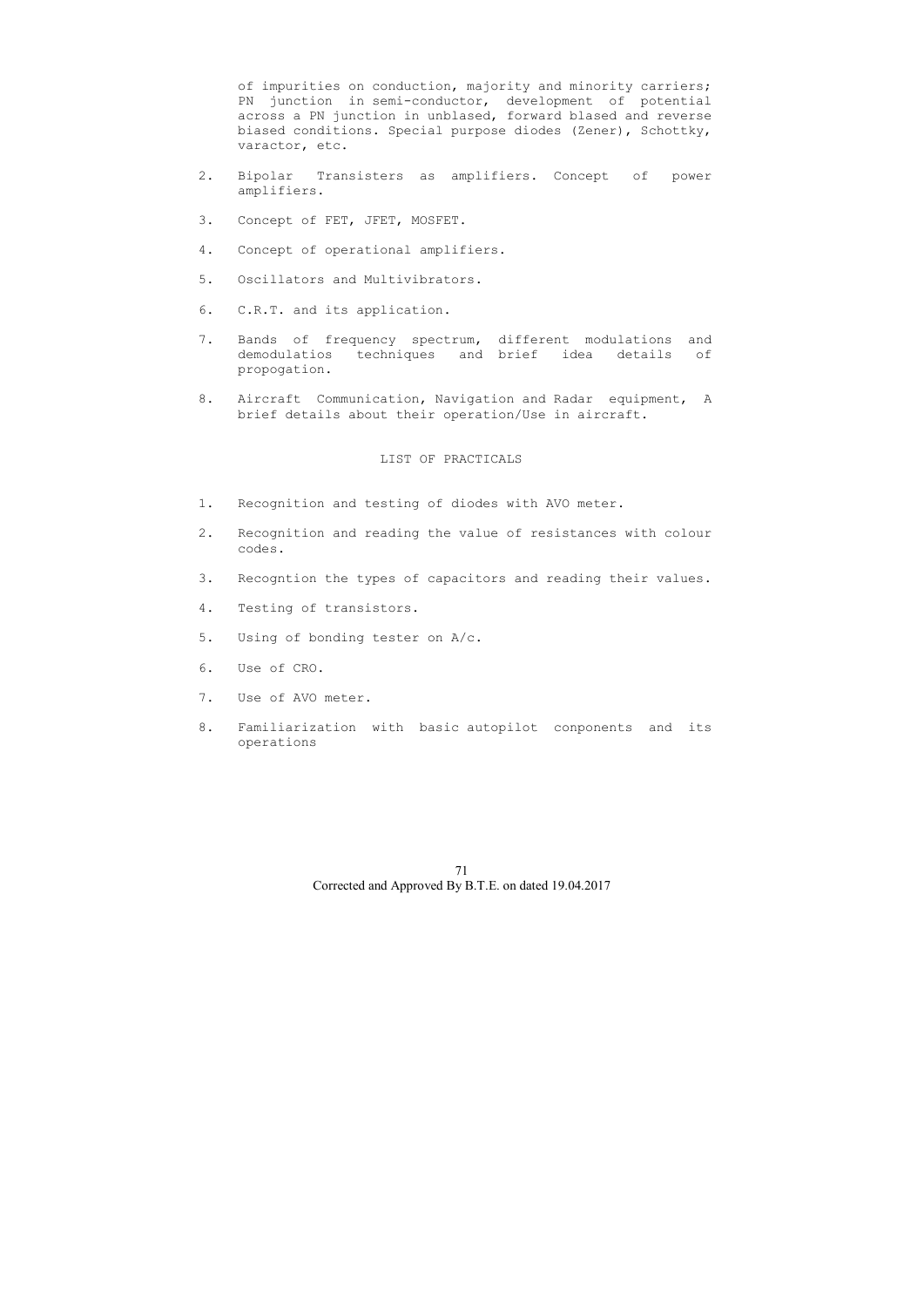of impurities on conduction, majority and minority carriers; PN junction in semi-conductor, development of potential across a PN junction in unblased, forward blased and reverse biased conditions. Special purpose diodes (Zener), Schottky, varactor, etc.

- 2. Bipolar Transisters as amplifiers. Concept of power amplifiers.
- 3. Concept of FET, JFET, MOSFET.
- 4. Concept of operational amplifiers.
- 5. Oscillators and Multivibrators.
- 6. C.R.T. and its application.
- 7. Bands of frequency spectrum, different modulations and demodulatios techniques and brief idea details of propogation.
- 8. Aircraft Communication, Navigation and Radar equipment, A brief details about their operation/Use in aircraft.

- 1. Recognition and testing of diodes with AVO meter.
- 2. Recognition and reading the value of resistances with colour codes.
- 3. Recogntion the types of capacitors and reading their values.
- 4. Testing of transistors.
- 5. Using of bonding tester on A/c.
- 6. Use of CRO.
- 7. Use of AVO meter.
- 8. Familiarization with basic autopilot conponents and its operations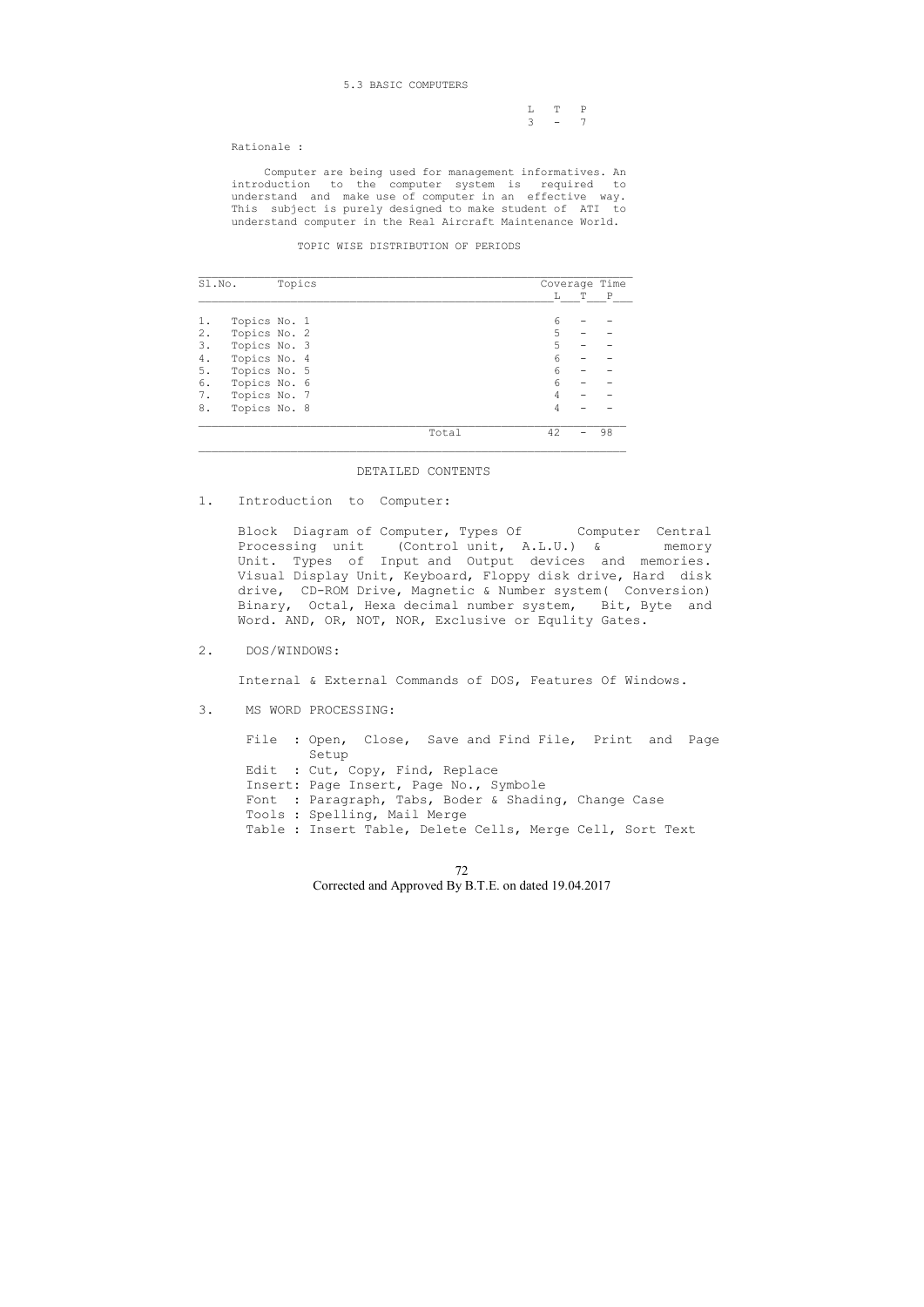## 5.3 BASIC COMPUTERS

|  | $L T P$ |  |
|--|---------|--|
|  | $3 - 7$ |  |

Rationale :

 Computer are being used for management informatives. An introduction to the computer system is required to understand and make use of computer in an effective way. This subject is purely designed to make student of ATI to understand computer in the Real Aircraft Maintenance World.

#### TOPIC WISE DISTRIBUTION OF PERIODS

| Sl.No. |              | Topics |       |    | Coverage Time |              |
|--------|--------------|--------|-------|----|---------------|--------------|
|        |              |        |       | L  | т             | $\mathbb{P}$ |
|        | Topics No. 1 |        |       | 6  |               |              |
| 2.     | Topics No. 2 |        |       | 5  |               |              |
| 3.     | Topics No. 3 |        |       | 5  |               |              |
| 4.     | Topics No. 4 |        |       | 6  |               |              |
| 5.     | Topics No. 5 |        |       | 6  |               |              |
| 6.     | Topics No. 6 |        |       | 6  |               |              |
| 7.     | Topics No. 7 |        |       | 4  |               |              |
| 8.     | Topics No. 8 |        |       | 4  |               |              |
|        |              |        | Total | 42 |               | 98           |

Block Diagram of Computer, Types Of Computer Central Processing unit (Control unit, A.L.U.) & memory Unit. Types of Input and Output devices and memories. Visual Display Unit, Keyboard, Floppy disk drive, Hard disk drive, CD-ROM Drive, Magnetic & Number system( Conversion) Binary, Octal, Hexa decimal number system, Bit, Byte and Word. AND, OR, NOT, NOR, Exclusive or Equlity Gates.

## DETAILED CONTENTS

1. Introduction to Computer:

2. DOS/WINDOWS:

Internal & External Commands of DOS, Features Of Windows.

3. MS WORD PROCESSING:

| File : Open, Close, Save and Find File, Print and Page    |
|-----------------------------------------------------------|
| Setup                                                     |
| Edit : Cut, Copy, Find, Replace                           |
| Insert: Page Insert, Page No., Symbole                    |
| Font : Paragraph, Tabs, Boder & Shading, Change Case      |
| Tools : Spelling, Mail Merge                              |
| Table : Insert Table, Delete Cells, Merge Cell, Sort Text |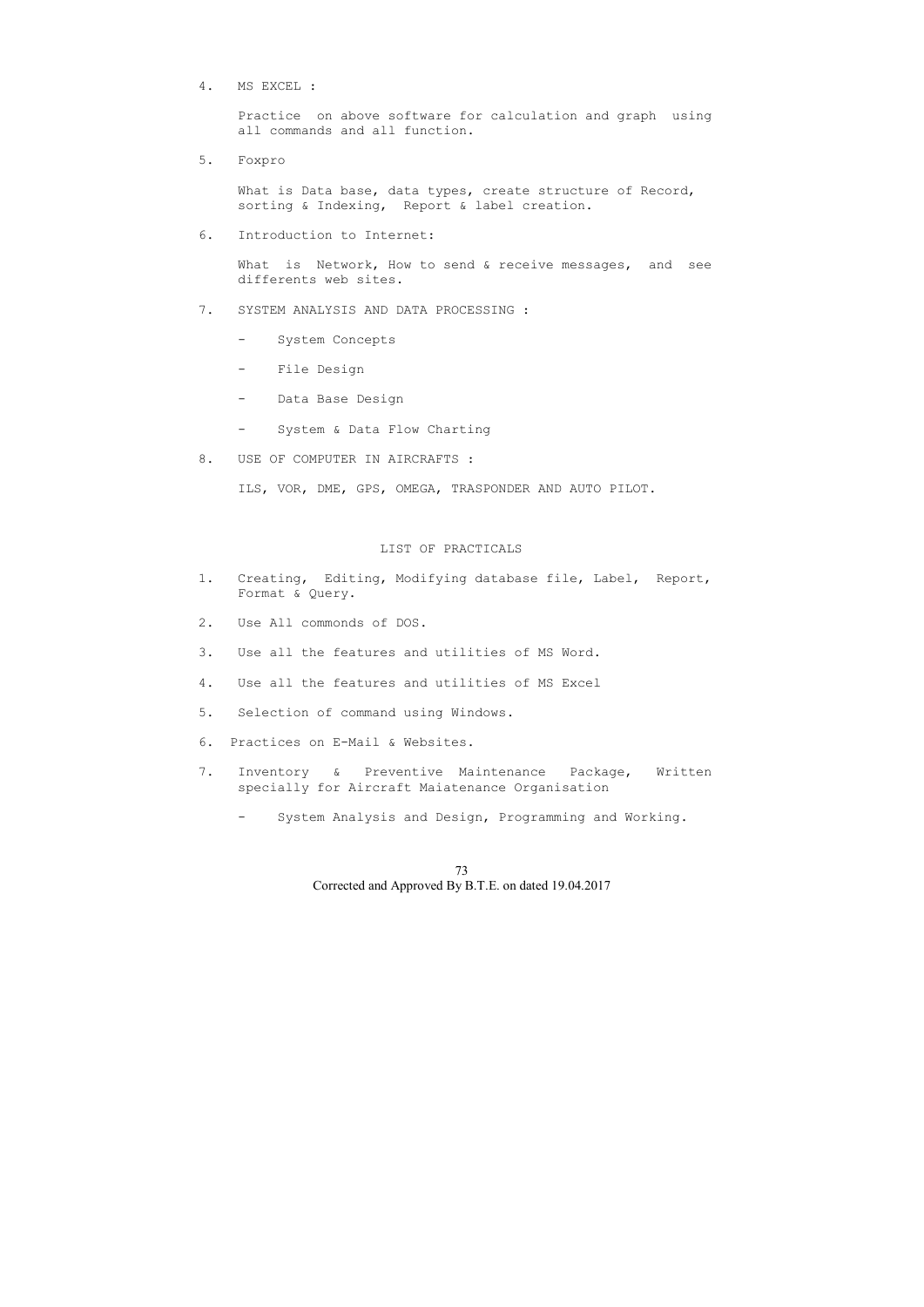4. MS EXCEL :

 Practice on above software for calculation and graph using all commands and all function.

What is Data base, data types, create structure of Record, sorting & Indexing, Report & label creation.

5. Foxpro

What is Network, How to send & receive messages, and see differents web sites.

6. Introduction to Internet:

- 1. Creating, Editing, Modifying database file, Label, Report, Format & Query.
- 2. Use All commonds of DOS.
- 3. Use all the features and utilities of MS Word.
- 4. Use all the features and utilities of MS Excel
- 5. Selection of command using Windows.
- 6. Practices on E-Mail & Websites.
- 7. Inventory & Preventive Maintenance Package, Written specially for Aircraft Maiatenance Organisation
	- System Analysis and Design, Programming and Working.
- 7. SYSTEM ANALYSIS AND DATA PROCESSING :
	- System Concepts
	- File Design
	- Data Base Design
	- System & Data Flow Charting
- 8. USE OF COMPUTER IN AIRCRAFTS :

ILS, VOR, DME, GPS, OMEGA, TRASPONDER AND AUTO PILOT.

## LIST OF PRACTICALS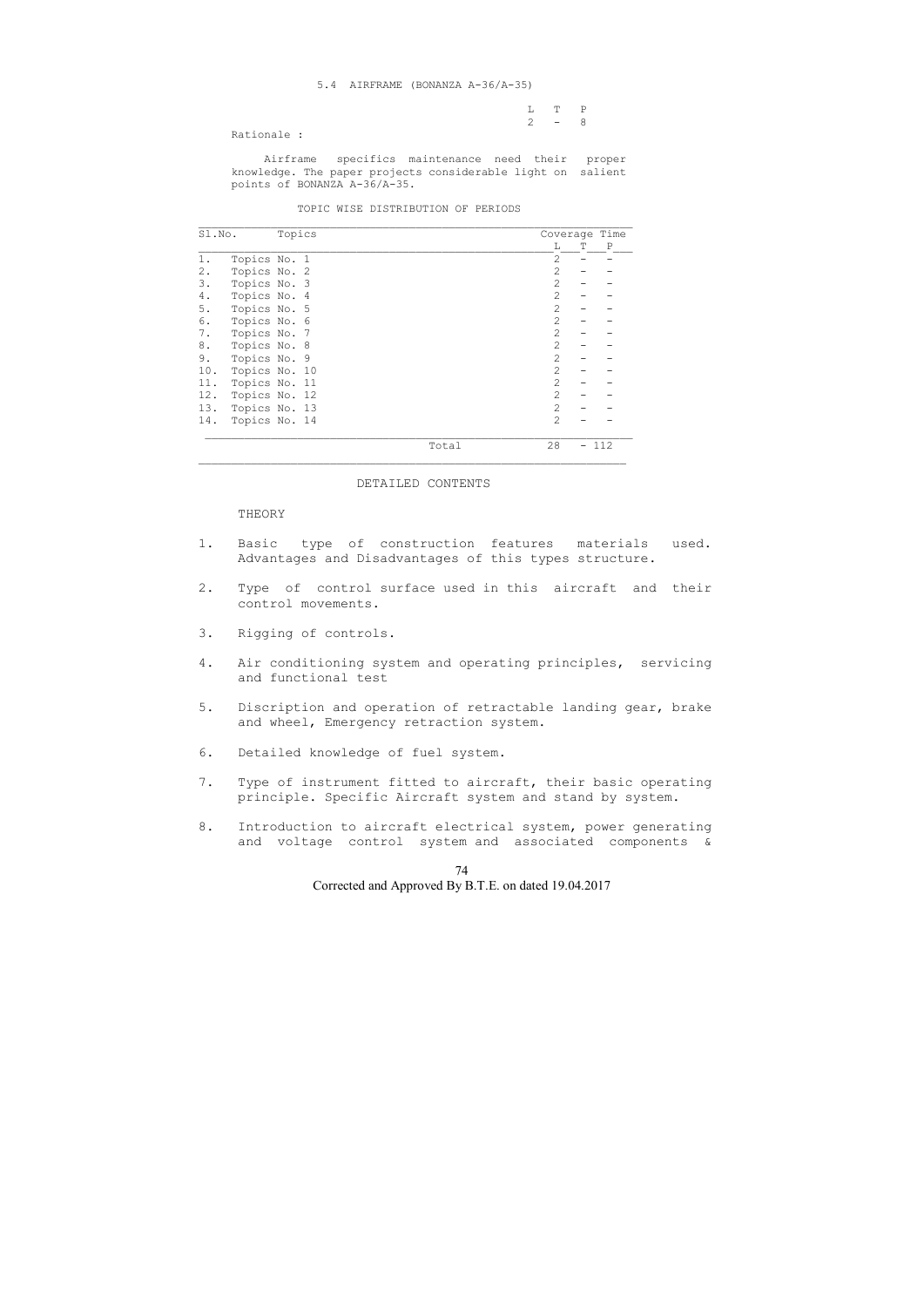5.4 AIRFRAME (BONANZA A-36/A-35)

|           |  |  |  | L T P   |  |
|-----------|--|--|--|---------|--|
|           |  |  |  |         |  |
|           |  |  |  | $2 - 8$ |  |
|           |  |  |  |         |  |
| $      -$ |  |  |  |         |  |

Rationale :

 Airframe specifics maintenance need their proper knowledge. The paper projects considerable light on salient points of BONANZA A-36/A-35.

### TOPIC WISE DISTRIBUTION OF PERIODS

| Sl.No. |               | Topics |  |       |                |   | Coverage Time |
|--------|---------------|--------|--|-------|----------------|---|---------------|
|        |               |        |  |       | L              | Т | P             |
| 1.     | Topics No. 1  |        |  |       | 2              |   |               |
| 2.     | Topics No. 2  |        |  |       | 2              |   |               |
| 3.     | Topics No. 3  |        |  |       | $\overline{2}$ |   |               |
| 4.     | Topics No. 4  |        |  |       | $\overline{2}$ |   |               |
| 5.     | Topics No. 5  |        |  |       | $\overline{2}$ |   |               |
| 6.     | Topics No. 6  |        |  |       | $\overline{2}$ |   |               |
| 7.     | Topics No. 7  |        |  |       | 2              |   |               |
| 8.     | Topics No. 8  |        |  |       | 2              |   |               |
| 9.     | Topics No. 9  |        |  |       | $\mathfrak{D}$ |   |               |
| 10.    | Topics No. 10 |        |  |       | $\overline{2}$ |   |               |
| 11.    | Topics No. 11 |        |  |       | $\overline{2}$ |   |               |
| 12.    | Topics No. 12 |        |  |       | 2              |   |               |
| 13.    | Topics No. 13 |        |  |       | $\mathfrak{D}$ |   |               |
| 14.    | Topics No. 14 |        |  |       | $\mathcal{L}$  |   |               |
|        |               |        |  | Total | 28             |   | 112           |

#### DETAILED CONTENTS

THEORY

- 1. Basic type of construction features materials used. Advantages and Disadvantages of this types structure.
- 2. Type of control surface used in this aircraft and their control movements.
- 3. Rigging of controls.
- 4. Air conditioning system and operating principles, servicing and functional test
- 5. Discription and operation of retractable landing gear, brake and wheel, Emergency retraction system.
- 6. Detailed knowledge of fuel system.
- 7. Type of instrument fitted to aircraft, their basic operating principle. Specific Aircraft system and stand by system.
- 8. Introduction to aircraft electrical system, power generating and voltage control system and associated components &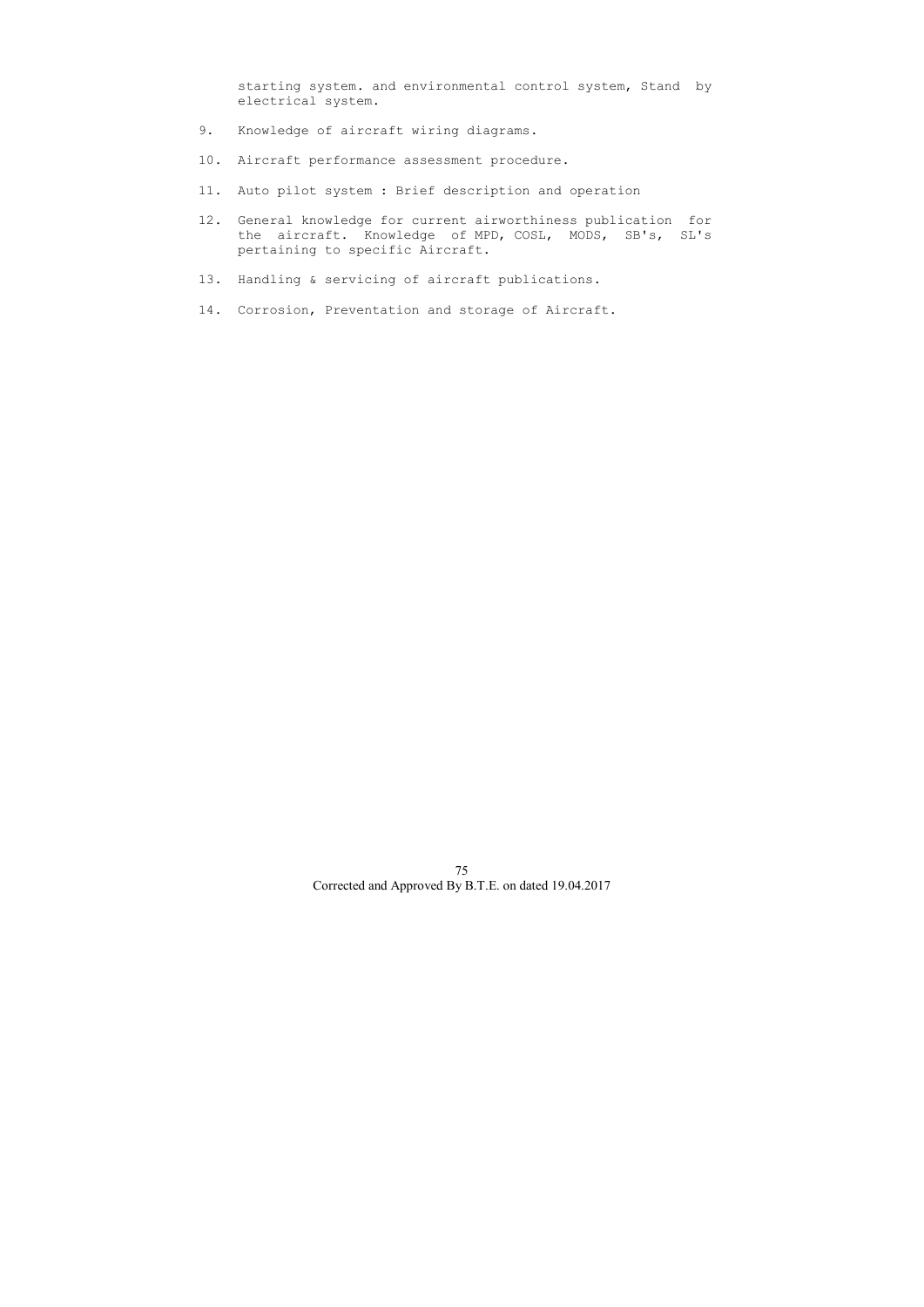starting system. and environmental control system, Stand by electrical system.

- 9. Knowledge of aircraft wiring diagrams.
- 10. Aircraft performance assessment procedure.
- 11. Auto pilot system : Brief description and operation
- 12. General knowledge for current airworthiness publication for the aircraft. Knowledge of MPD, COSL, MODS, SB's, SL's pertaining to specific Aircraft.
- 13. Handling & servicing of aircraft publications.
- 14. Corrosion, Preventation and storage of Aircraft.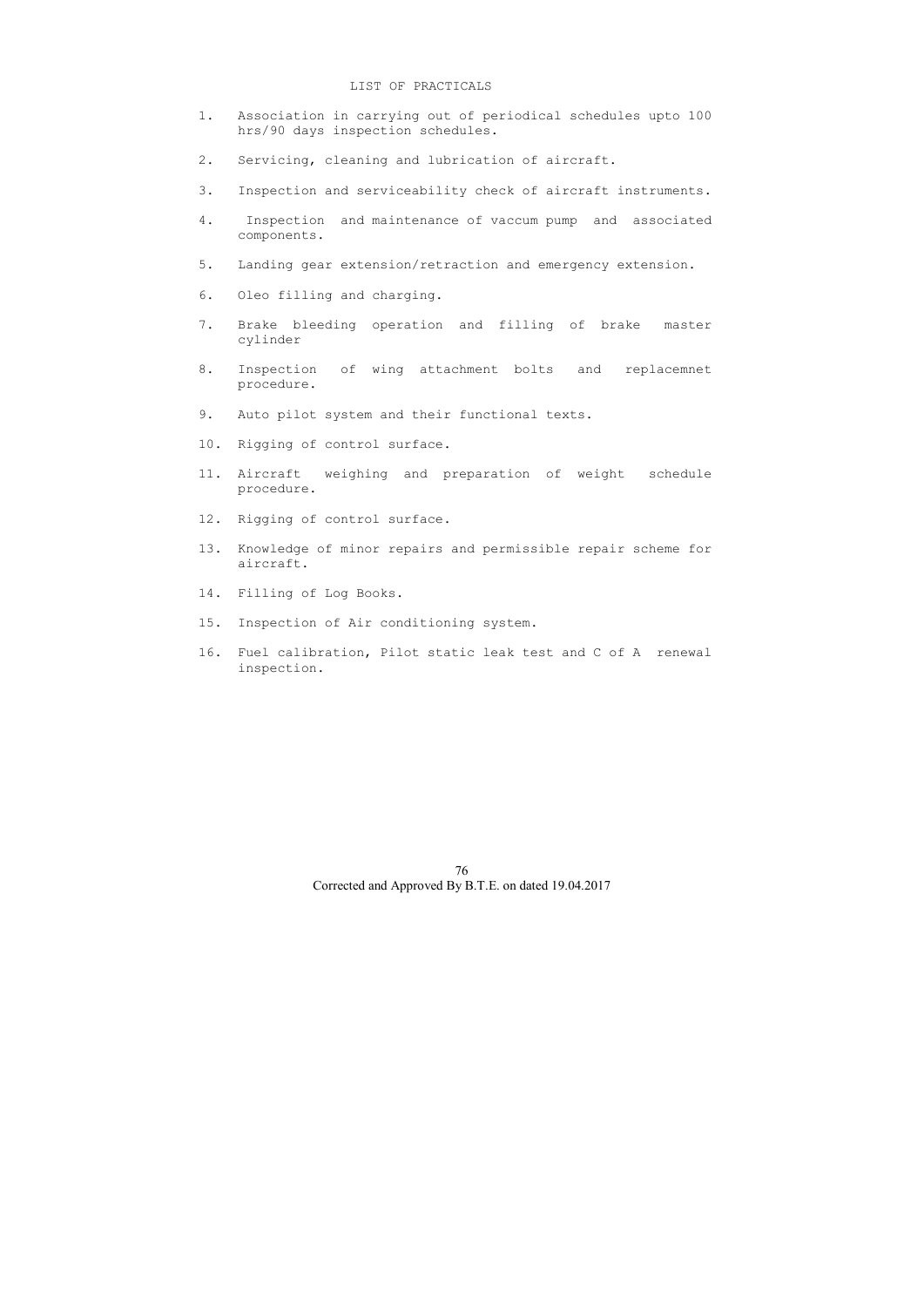### LIST OF PRACTICALS

- 1. Association in carrying out of periodical schedules upto 100 hrs/90 days inspection schedules.
- 2. Servicing, cleaning and lubrication of aircraft.
- 3. Inspection and serviceability check of aircraft instruments.
- 4. Inspection and maintenance of vaccum pump and associated components.
- 5. Landing gear extension/retraction and emergency extension.
- 6. Oleo filling and charging.
- 7. Brake bleeding operation and filling of brake master cylinder
- 8. Inspection of wing attachment bolts and replacemnet procedure.
- 9. Auto pilot system and their functional texts.
- 10. Rigging of control surface.
- 11. Aircraft weighing and preparation of weight schedule procedure.
- 12. Rigging of control surface.
- 13. Knowledge of minor repairs and permissible repair scheme for aircraft.
- 14. Filling of Log Books.
- 15. Inspection of Air conditioning system.
- 16. Fuel calibration, Pilot static leak test and C of A renewal inspection.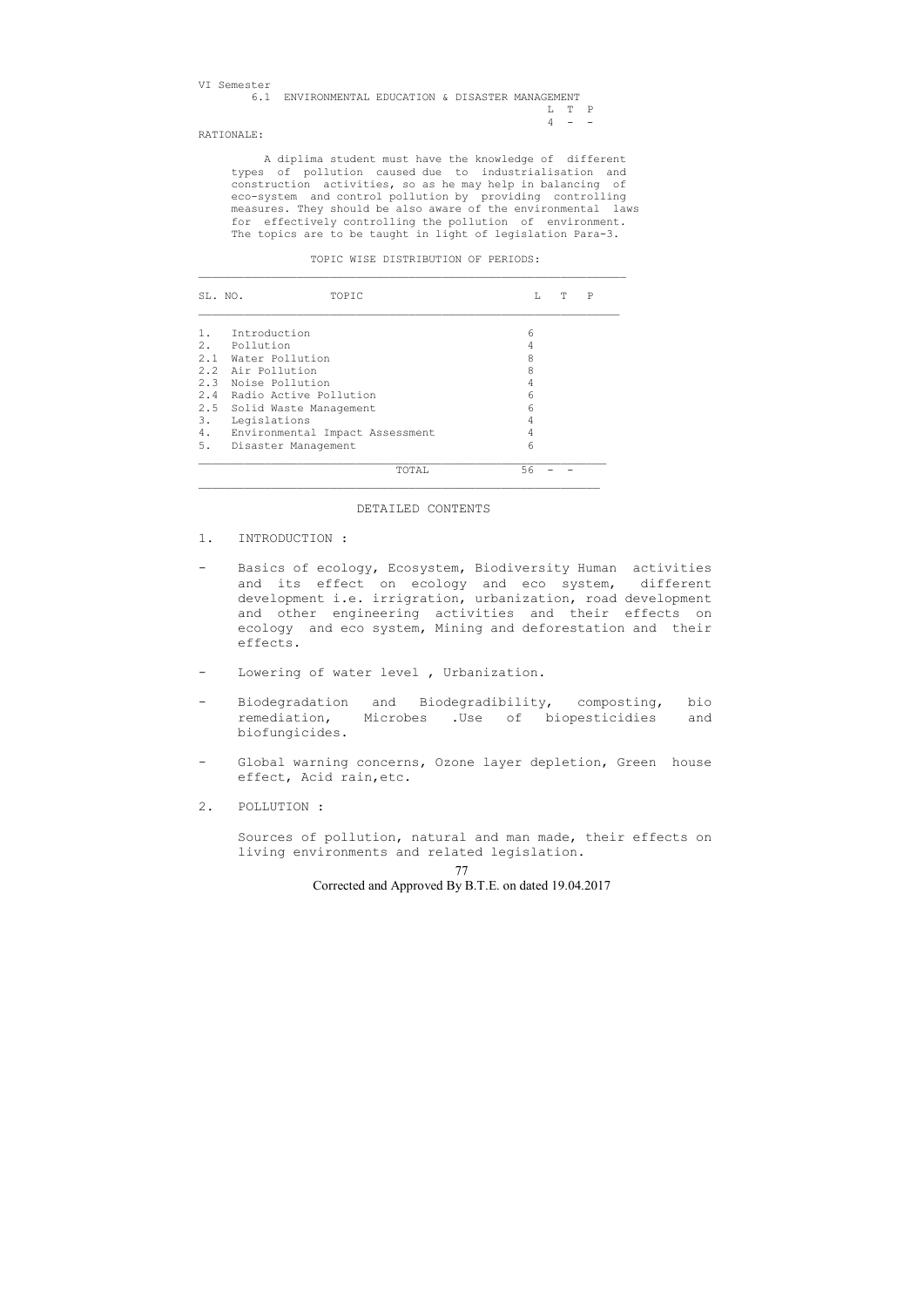| VI Semester |                                                   |  |  |         |  |
|-------------|---------------------------------------------------|--|--|---------|--|
|             | 6.1 ENVIRONMENTAL EDUCATION & DISASTER MANAGEMENT |  |  |         |  |
|             |                                                   |  |  | T. T. P |  |
|             |                                                   |  |  | $4 - -$ |  |
|             |                                                   |  |  |         |  |

RATIONALE:

 A diplima student must have the knowledge of different types of pollution caused due to industrialisation and construction activities, so as he may help in balancing of eco-system and control pollution by providing controlling measures. They should be also aware of the environmental laws for effectively controlling the pollution of environment. The topics are to be taught in light of legislation Para-3.

TOPIC WISE DISTRIBUTION OF PERIODS:

| SL. NO.             | TOPIC                           | L  | Т | P |
|---------------------|---------------------------------|----|---|---|
| Introduction<br>1.  |                                 | 6  |   |   |
| 2. Pollution        |                                 | 4  |   |   |
| 2.1 Water Pollution |                                 | 8  |   |   |
| 2.2 Air Pollution   |                                 | 8  |   |   |
| 2.3 Noise Pollution |                                 | 4  |   |   |
| 2.4                 | Radio Active Pollution          | 6  |   |   |
|                     | 2.5 Solid Waste Management      | 6  |   |   |
| 3.<br>Legislations  |                                 | 4  |   |   |
| 4.                  | Environmental Impact Assessment | 4  |   |   |
| 5.                  | Disaster Management             | 6  |   |   |
|                     | TOTAL                           | 56 |   |   |

#### DETAILED CONTENTS

- 1. INTRODUCTION :
- Basics of ecology, Ecosystem, Biodiversity Human activities and its effect on ecology and eco system, different development i.e. irrigration, urbanization, road development and other engineering activities and their effects on ecology and eco system, Mining and deforestation and their effects.
- Lowering of water level, Urbanization.
- Biodegradation and Biodegradibility, composting, bio remediation, Microbes .Use of biopesticidies and biofungicides.
- Global warning concerns, Ozone layer depletion, Green house effect, Acid rain,etc.
- 2. POLLUTION :

 Sources of pollution, natural and man made, their effects on living environments and related legislation.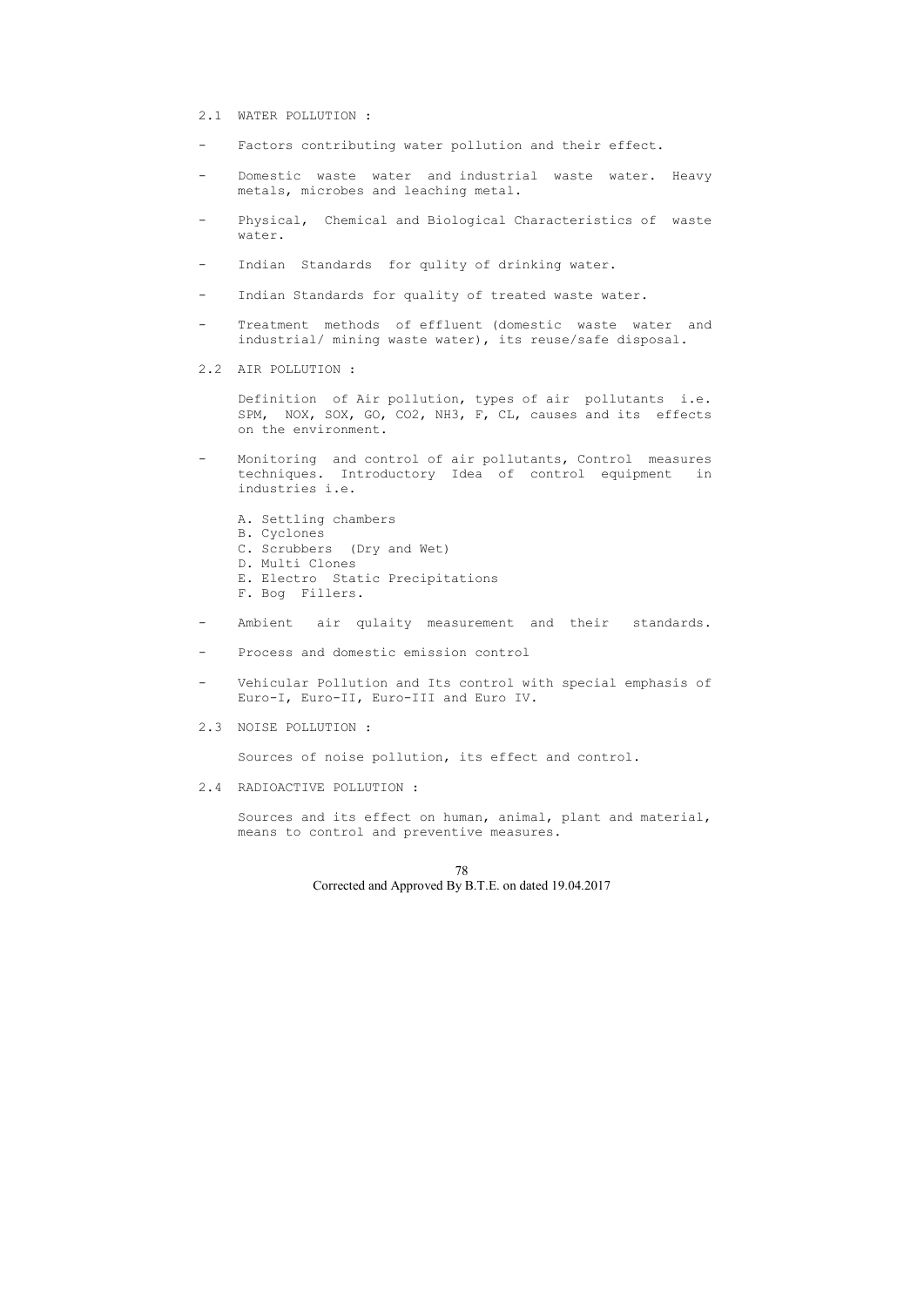## 2.1 WATER POLLUTION :

- Factors contributing water pollution and their effect.
- Domestic waste water and industrial waste water. Heavy metals, microbes and leaching metal.
- Physical, Chemical and Biological Characteristics of waste water.
- Indian Standards for qulity of drinking water.
- Indian Standards for quality of treated waste water.
- Treatment methods of effluent (domestic waste water and industrial/ mining waste water), its reuse/safe disposal.
- 2.2 AIR POLLUTION :

- Monitoring and control of air pollutants, Control measures techniques. Introductory Idea of control equipment in industries i.e.
	- A. Settling chambers
	- B. Cyclones
	- C. Scrubbers (Dry and Wet)
	- D. Multi Clones
	- E. Electro Static Precipitations
	- F. Bog Fillers.
- Ambient air qulaity measurement and their standards.
- Process and domestic emission control
- Vehicular Pollution and Its control with special emphasis of Euro-I, Euro-II, Euro-III and Euro IV.
- 2.3 NOISE POLLUTION :

 Definition of Air pollution, types of air pollutants i.e. SPM, NOX, SOX, GO, CO2, NH3, F, CL, causes and its effects on the environment.

Sources of noise pollution, its effect and control.

2.4 RADIOACTIVE POLLUTION :

 Sources and its effect on human, animal, plant and material, means to control and preventive measures.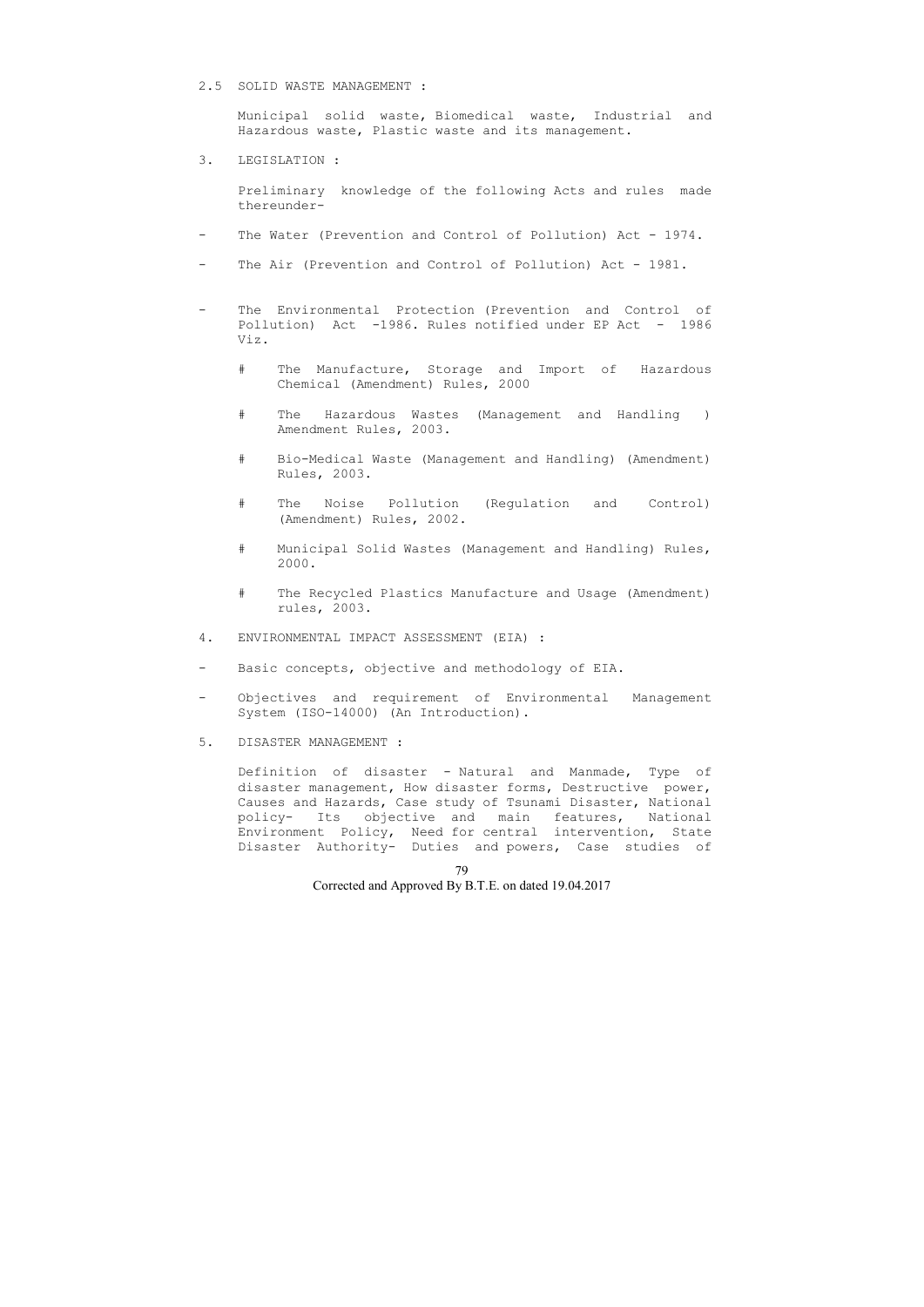#### 2.5 SOLID WASTE MANAGEMENT :

 Municipal solid waste, Biomedical waste, Industrial and Hazardous waste, Plastic waste and its management.

#### 3. LEGISLATION :

 Preliminary knowledge of the following Acts and rules made thereunder-

- The Water (Prevention and Control of Pollution) Act 1974.
- The Air (Prevention and Control of Pollution) Act 1981.
- The Environmental Protection (Prevention and Control of Pollution) Act -1986. Rules notified under EP Act - 1986 Viz.
	- # The Manufacture, Storage and Import of Hazardous Chemical (Amendment) Rules, 2000
	- # The Hazardous Wastes (Management and Handling ) Amendment Rules, 2003.
	- # Bio-Medical Waste (Management and Handling) (Amendment) Rules, 2003.
	- # The Noise Pollution (Regulation and Control) (Amendment) Rules, 2002.
	- # Municipal Solid Wastes (Management and Handling) Rules, 2000.
	- # The Recycled Plastics Manufacture and Usage (Amendment) rules, 2003.
- 4. ENVIRONMENTAL IMPACT ASSESSMENT (EIA) :
- Basic concepts, objective and methodology of EIA.
- Objectives and requirement of Environmental Management System (ISO-14000) (An Introduction).
- 5. DISASTER MANAGEMENT :

 Definition of disaster - Natural and Manmade, Type of disaster management, How disaster forms, Destructive power, Causes and Hazards, Case study of Tsunami Disaster, National policy- Its objective and main features, National Environment Policy, Need for central intervention, State Disaster Authority- Duties and powers, Case studies of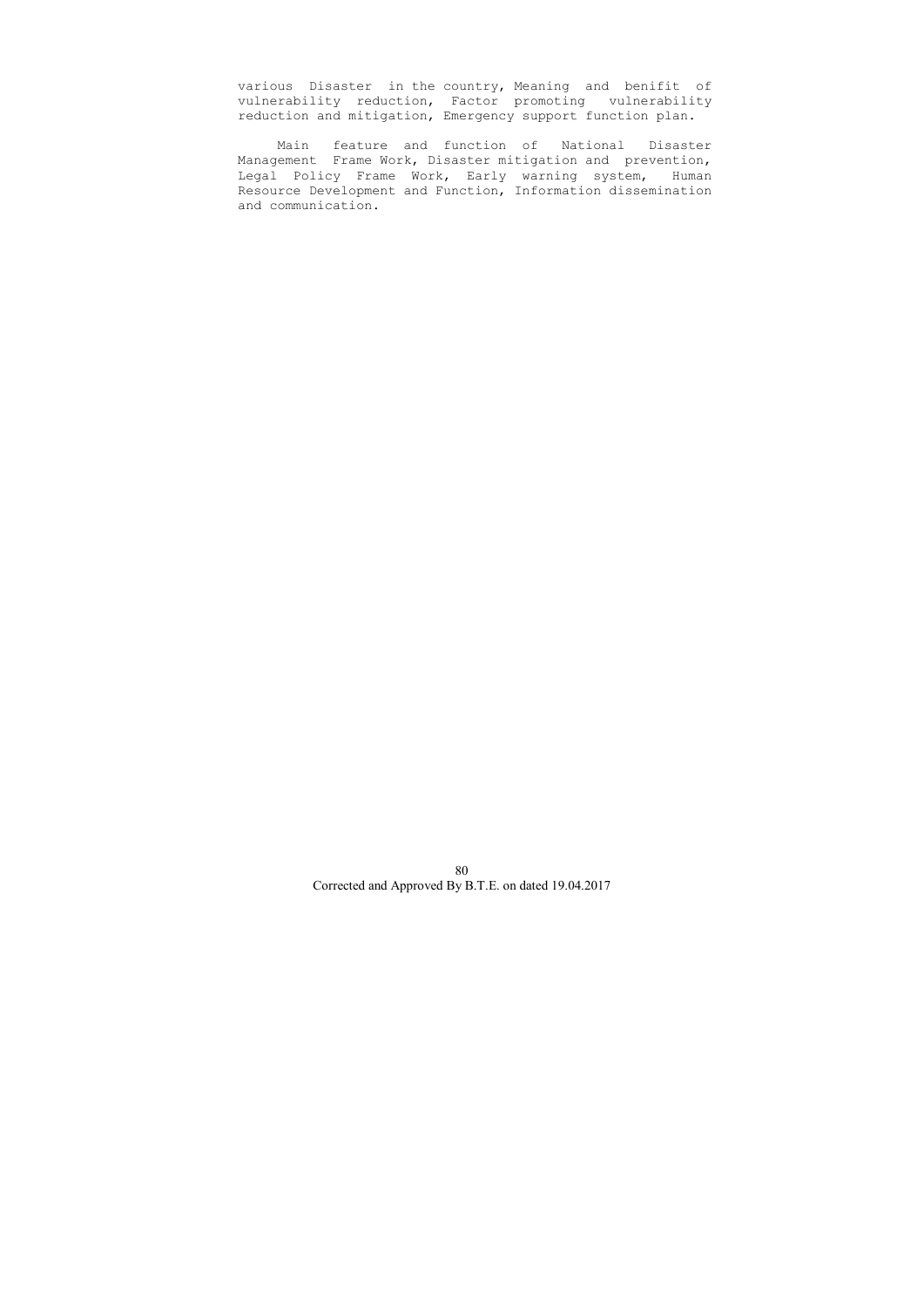various Disaster in the country, Meaning and benifit of vulnerability reduction, Factor promoting vulnerability reduction and mitigation, Emergency support function plan.

 Main feature and function of National Disaster Management Frame Work, Disaster mitigation and prevention, Legal Policy Frame Work, Early warning system, Human Resource Development and Function, Information dissemination and communication.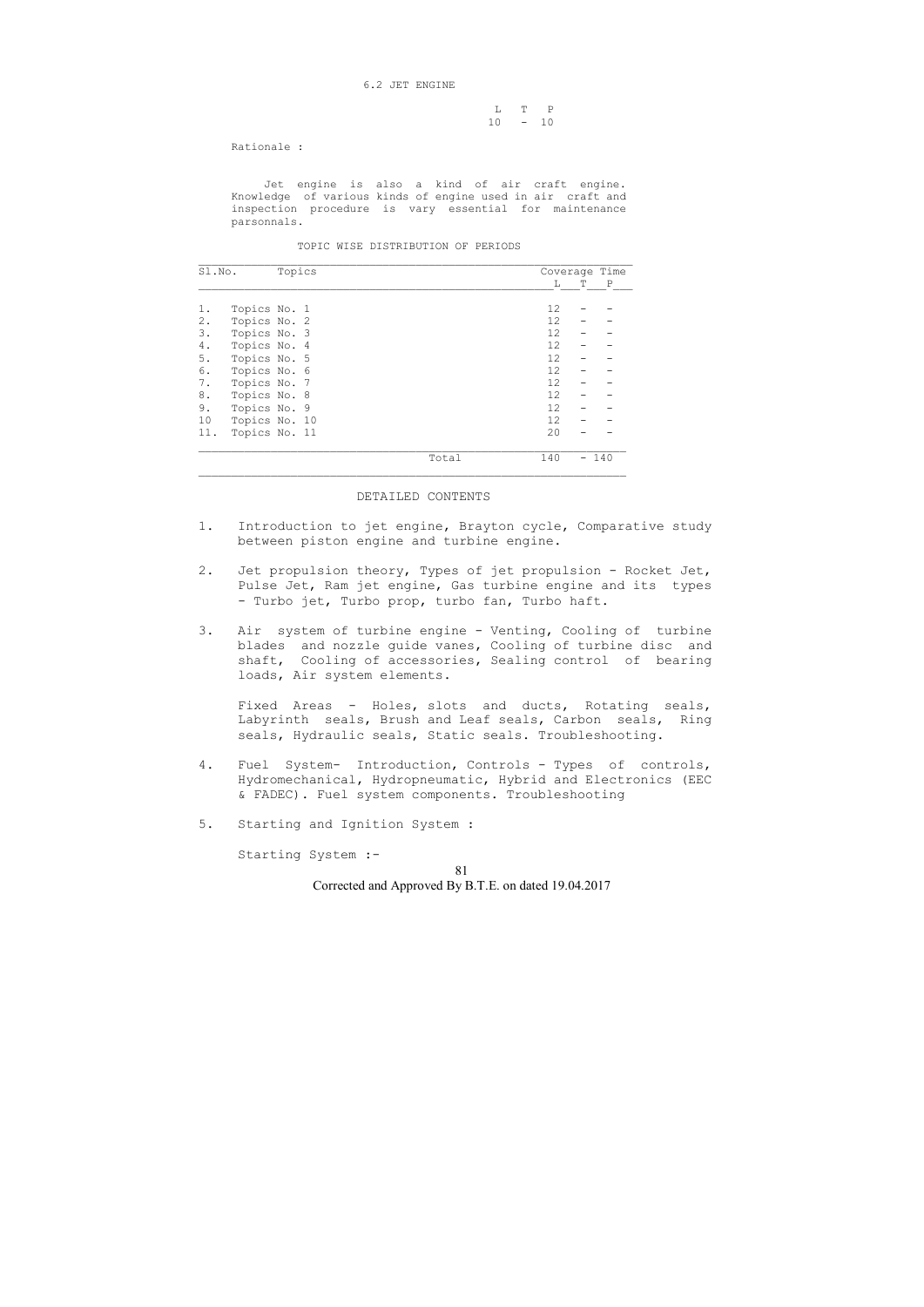6.2 JET ENGINE

 L T P 10 - 10

Rationale :

 Jet engine is also a kind of air craft engine. Knowledge of various kinds of engine used in air craft and inspection procedure is vary essential for maintenance parsonnals.

TOPIC WISE DISTRIBUTION OF PERIODS

| Sl.No.               |               | Topics |  |  |       | Coverage Time     |   |              |
|----------------------|---------------|--------|--|--|-------|-------------------|---|--------------|
|                      |               |        |  |  |       | L                 | T | $\mathbf{P}$ |
| 1.                   | Topics No. 1  |        |  |  |       | 12                |   |              |
| 2.                   | Topics No. 2  |        |  |  |       | $12 \overline{ }$ |   |              |
| 3.                   | Topics No. 3  |        |  |  |       | 12                |   |              |
| 4.                   | Topics No. 4  |        |  |  |       | 12 <sup>2</sup>   |   |              |
| 5.                   | Topics No. 5  |        |  |  |       | 12 <sup>2</sup>   |   |              |
| 6.                   | Topics No. 6  |        |  |  |       | 12                |   |              |
| 7.                   | Topics No. 7  |        |  |  |       | 12                |   |              |
| 8.                   | Topics No. 8  |        |  |  |       | 12                |   |              |
| 9.                   | Topics No. 9  |        |  |  |       | $12 \overline{c}$ |   |              |
| 10                   | Topics No. 10 |        |  |  |       | 12                |   |              |
| Topics No. 11<br>11. |               |        |  |  | 20    |                   |   |              |
|                      |               |        |  |  | Total | 140               | — | 140          |

#### DETAILED CONTENTS

- 1. Introduction to jet engine, Brayton cycle, Comparative study between piston engine and turbine engine.
- 2. Jet propulsion theory, Types of jet propulsion Rocket Jet, Pulse Jet, Ram jet engine, Gas turbine engine and its types - Turbo jet, Turbo prop, turbo fan, Turbo haft.
- 3. Air system of turbine engine Venting, Cooling of turbine blades and nozzle guide vanes, Cooling of turbine disc and shaft, Cooling of accessories, Sealing control of bearing loads, Air system elements.

 Fixed Areas - Holes, slots and ducts, Rotating seals, Labyrinth seals, Brush and Leaf seals, Carbon seals, Ring seals, Hydraulic seals, Static seals. Troubleshooting.

- 4. Fuel System- Introduction, Controls Types of controls, Hydromechanical, Hydropneumatic, Hybrid and Electronics (EEC & FADEC). Fuel system components. Troubleshooting
- 5. Starting and Ignition System :

Starting System :-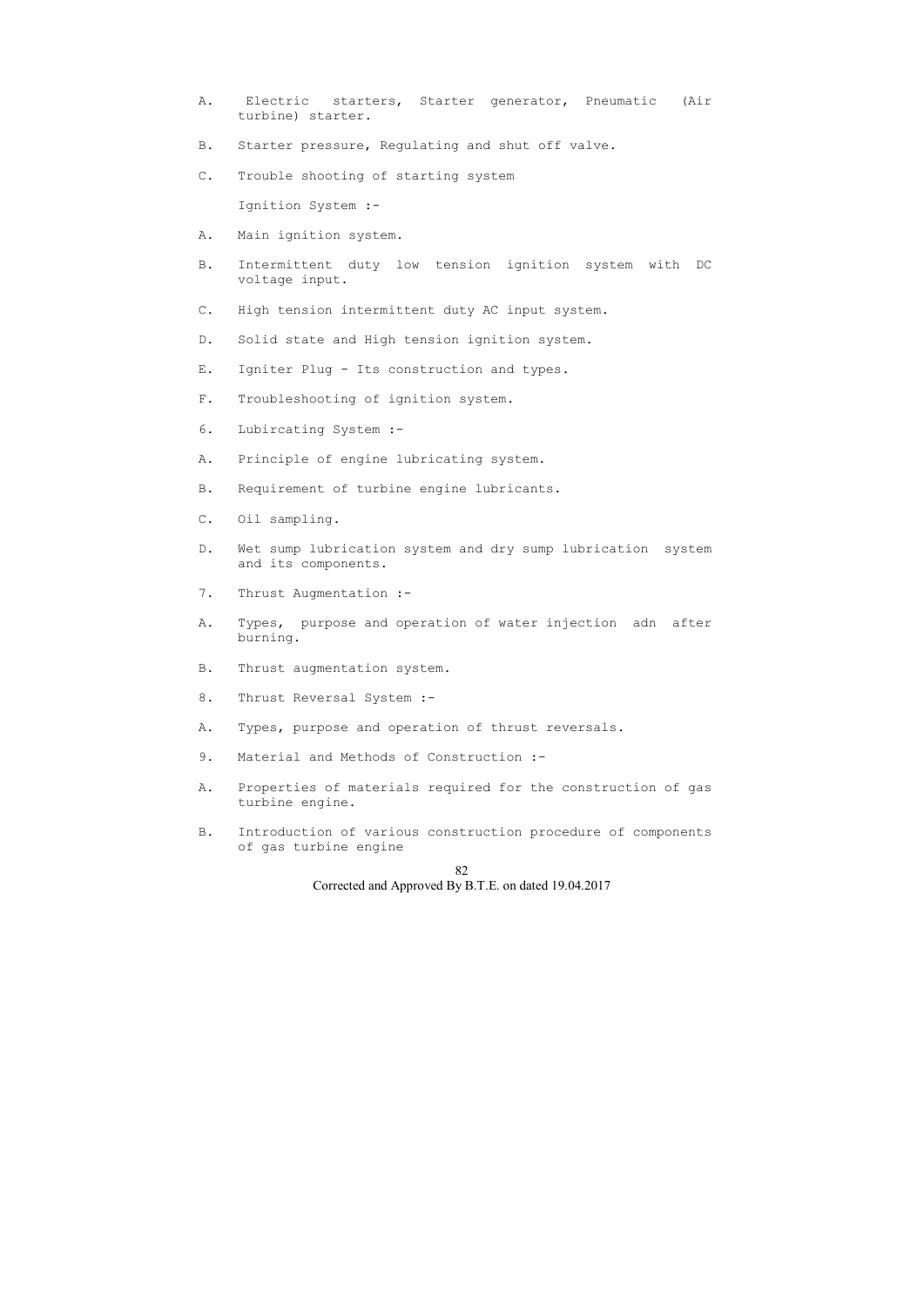- A. Electric starters, Starter generator, Pneumatic (Air turbine) starter.
- B. Starter pressure, Regulating and shut off valve.
- C. Trouble shooting of starting system

Ignition System :-

- A. Main ignition system.
- B. Intermittent duty low tension ignition system with DC voltage input.
- C. High tension intermittent duty AC input system.
- D. Solid state and High tension ignition system.
- E. Igniter Plug Its construction and types.
- F. Troubleshooting of ignition system.
- 6. Lubircating System :-
- A. Principle of engine lubricating system.
- B. Requirement of turbine engine lubricants.
- C. Oil sampling.
- D. Wet sump lubrication system and dry sump lubrication system and its components.
- 7. Thrust Augmentation :-
- A. Types, purpose and operation of water injection adn after burning.
- B. Thrust augmentation system.
- 8. Thrust Reversal System :-
- A. Types, purpose and operation of thrust reversals.
- 9. Material and Methods of Construction :-
- A. Properties of materials required for the construction of gas turbine engine.
- B. Introduction of various construction procedure of components of gas turbine engine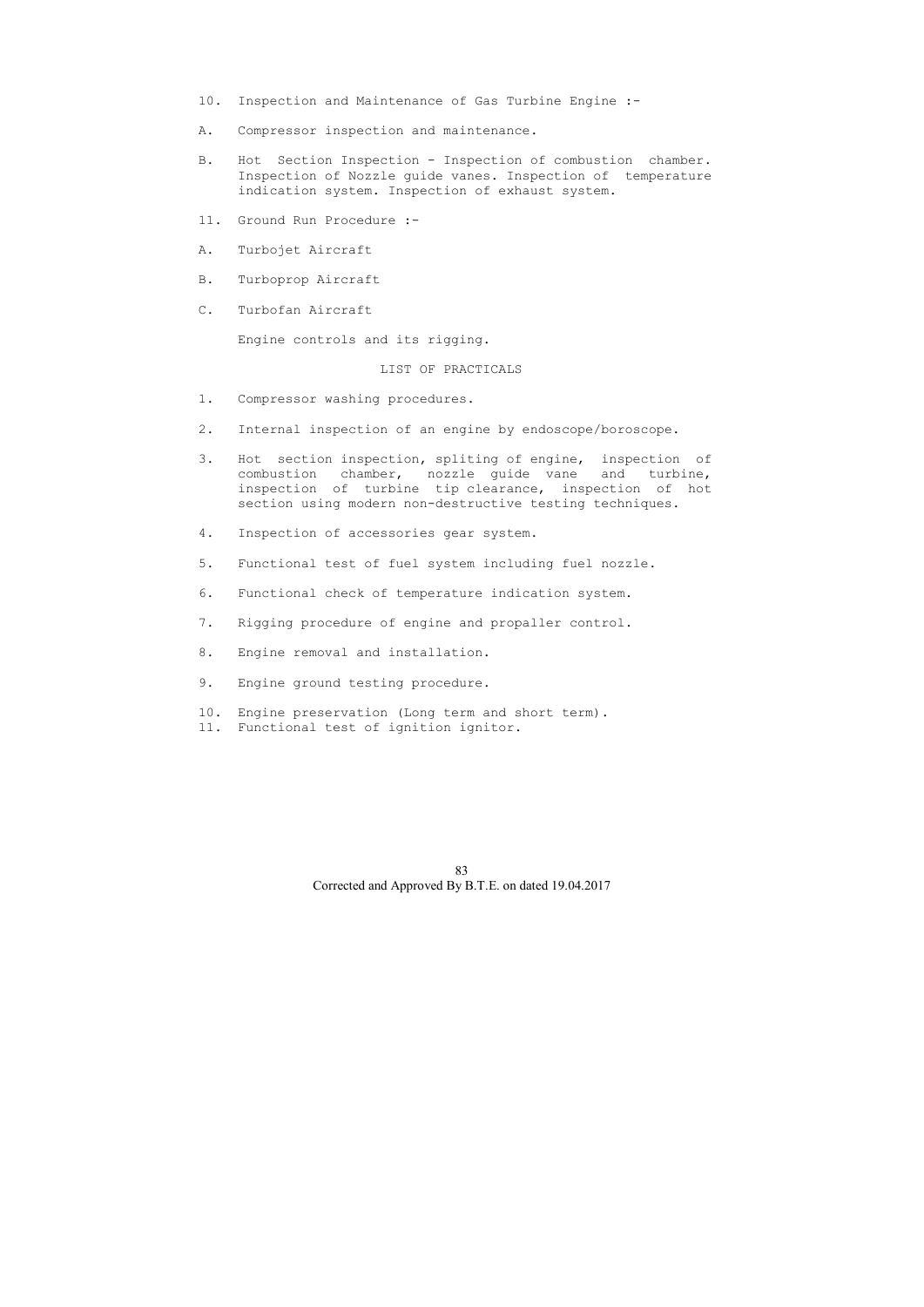- 10. Inspection and Maintenance of Gas Turbine Engine :-
- A. Compressor inspection and maintenance.
- B. Hot Section Inspection Inspection of combustion chamber. Inspection of Nozzle guide vanes. Inspection of temperature indication system. Inspection of exhaust system.
- 11. Ground Run Procedure :-
- A. Turbojet Aircraft
- B. Turboprop Aircraft
- C. Turbofan Aircraft

Engine controls and its rigging.

## LIST OF PRACTICALS

- 1. Compressor washing procedures.
- 2. Internal inspection of an engine by endoscope/boroscope.
- 3. Hot section inspection, spliting of engine, inspection of combustion chamber, nozzle guide vane and turbine, inspection of turbine tip clearance, inspection of hot section using modern non-destructive testing techniques.
- 4. Inspection of accessories gear system.
- 5. Functional test of fuel system including fuel nozzle.
- 6. Functional check of temperature indication system.
- 7. Rigging procedure of engine and propaller control.
- 8. Engine removal and installation.
- 9. Engine ground testing procedure.
- 10. Engine preservation (Long term and short term).
- 11. Functional test of ignition ignitor.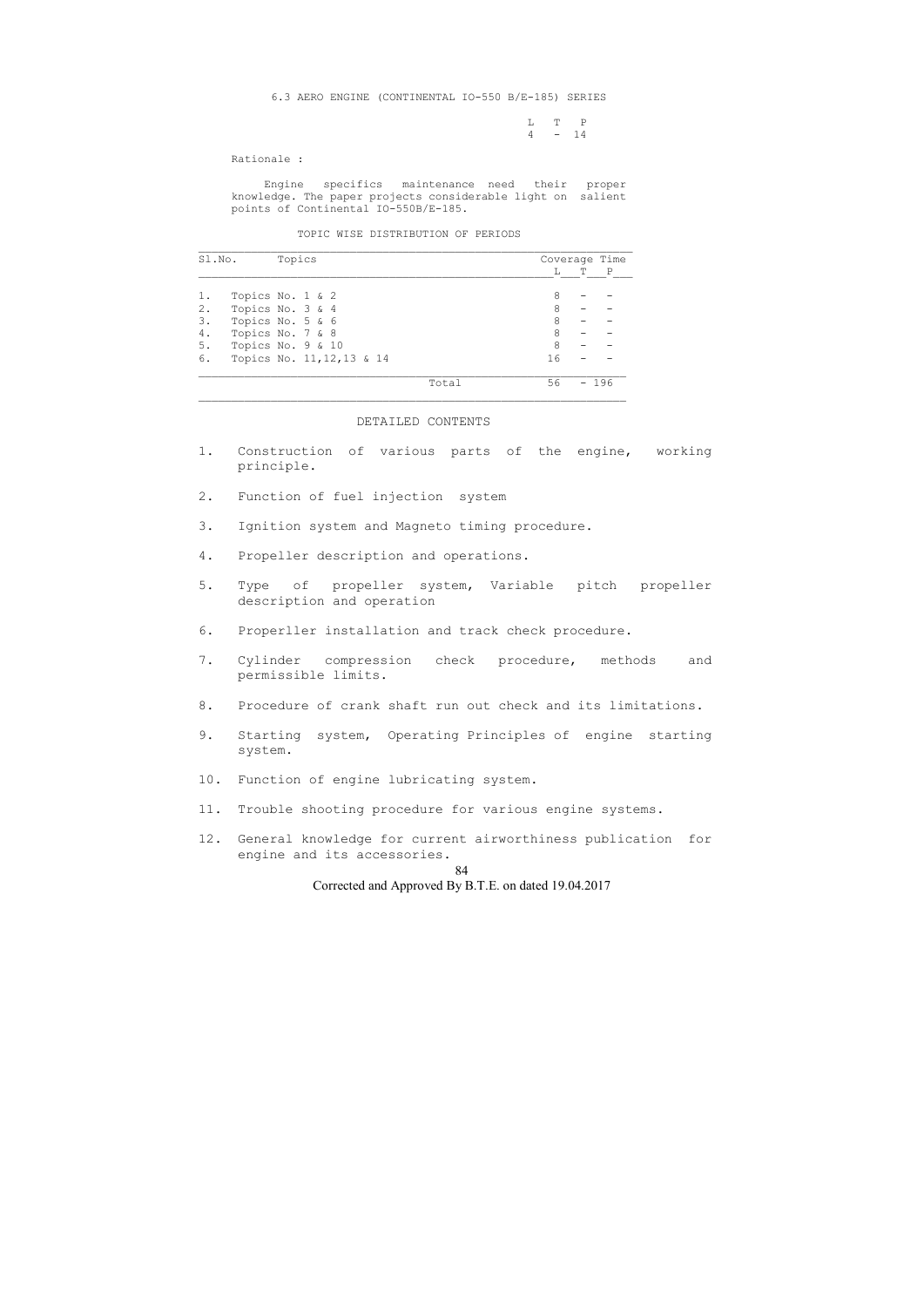L T P  $4 - 14$ 

Rationale :

 Engine specifics maintenance need their proper knowledge. The paper projects considerable light on salient points of Continental IO-550B/E-185.

TOPIC WISE DISTRIBUTION OF PERIODS

| Sl.No. | Topics                     |       |    |   | Coverage Time |
|--------|----------------------------|-------|----|---|---------------|
|        |                            |       | L  | Т | $\mathbb{P}$  |
| 1.     | Topics No. 1 & 2           |       | 8  |   |               |
| 2.     | Topics No. 3 & 4           |       | 8  |   |               |
| 3.     | Topics No. 5 & 6           |       | 8  |   |               |
| 4.     | Topics No. 7 & 8           |       | 8  |   |               |
| 5.     | Topics No. 9 & 10          |       | 8  |   |               |
| 6.     | Topics No. 11, 12, 13 & 14 |       | 16 |   |               |
|        |                            | Total | 56 |   | - 196         |

#### DETAILED CONTENTS

- 1. Construction of various parts of the engine, working principle.
- 2. Function of fuel injection system
- 3. Ignition system and Magneto timing procedure.
- 4. Propeller description and operations.
- 5. Type of propeller system, Variable pitch propeller description and operation
- 6. Properller installation and track check procedure.
- 7. Cylinder compression check procedure, methods and permissible limits.
- 8. Procedure of crank shaft run out check and its limitations.
- 9. Starting system, Operating Principles of engine starting system.
- 10. Function of engine lubricating system.
- 11. Trouble shooting procedure for various engine systems.
- 12. General knowledge for current airworthiness publication for engine and its accessories.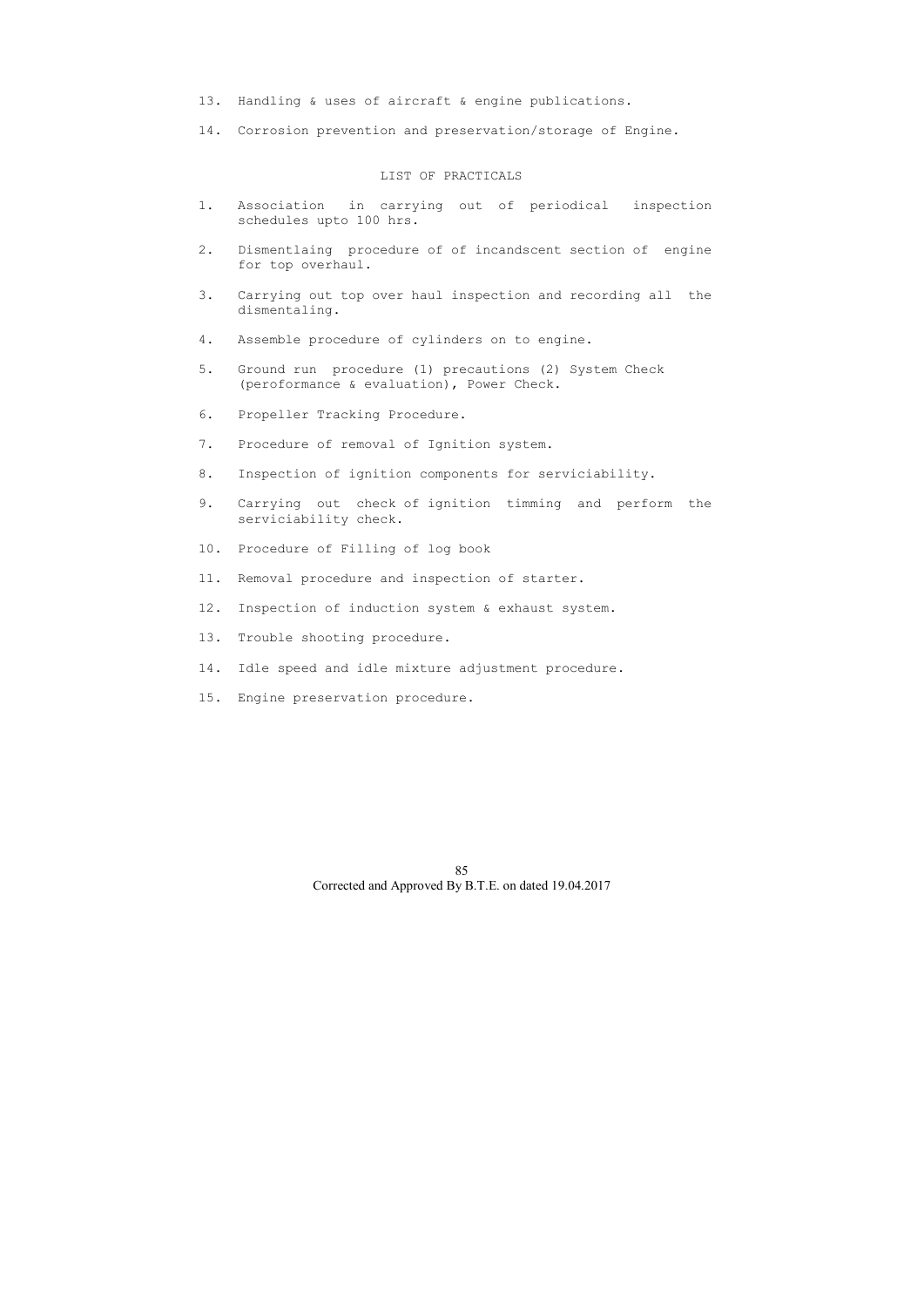- 13. Handling & uses of aircraft & engine publications.
- 14. Corrosion prevention and preservation/storage of Engine.

## LIST OF PRACTICALS

- 1. Association in carrying out of periodical inspection schedules upto 100 hrs.
- 2. Dismentlaing procedure of of incandscent section of engine for top overhaul.
- 3. Carrying out top over haul inspection and recording all the dismentaling.
- 4. Assemble procedure of cylinders on to engine.
- 5. Ground run procedure (1) precautions (2) System Check (peroformance & evaluation), Power Check.
- 6. Propeller Tracking Procedure.
- 7. Procedure of removal of Ignition system.
- 8. Inspection of ignition components for serviciability.
- 9. Carrying out check of ignition timming and perform the serviciability check.
- 10. Procedure of Filling of log book
- 11. Removal procedure and inspection of starter.
- 12. Inspection of induction system & exhaust system.
- 13. Trouble shooting procedure.
- 14. Idle speed and idle mixture adjustment procedure.
- 15. Engine preservation procedure.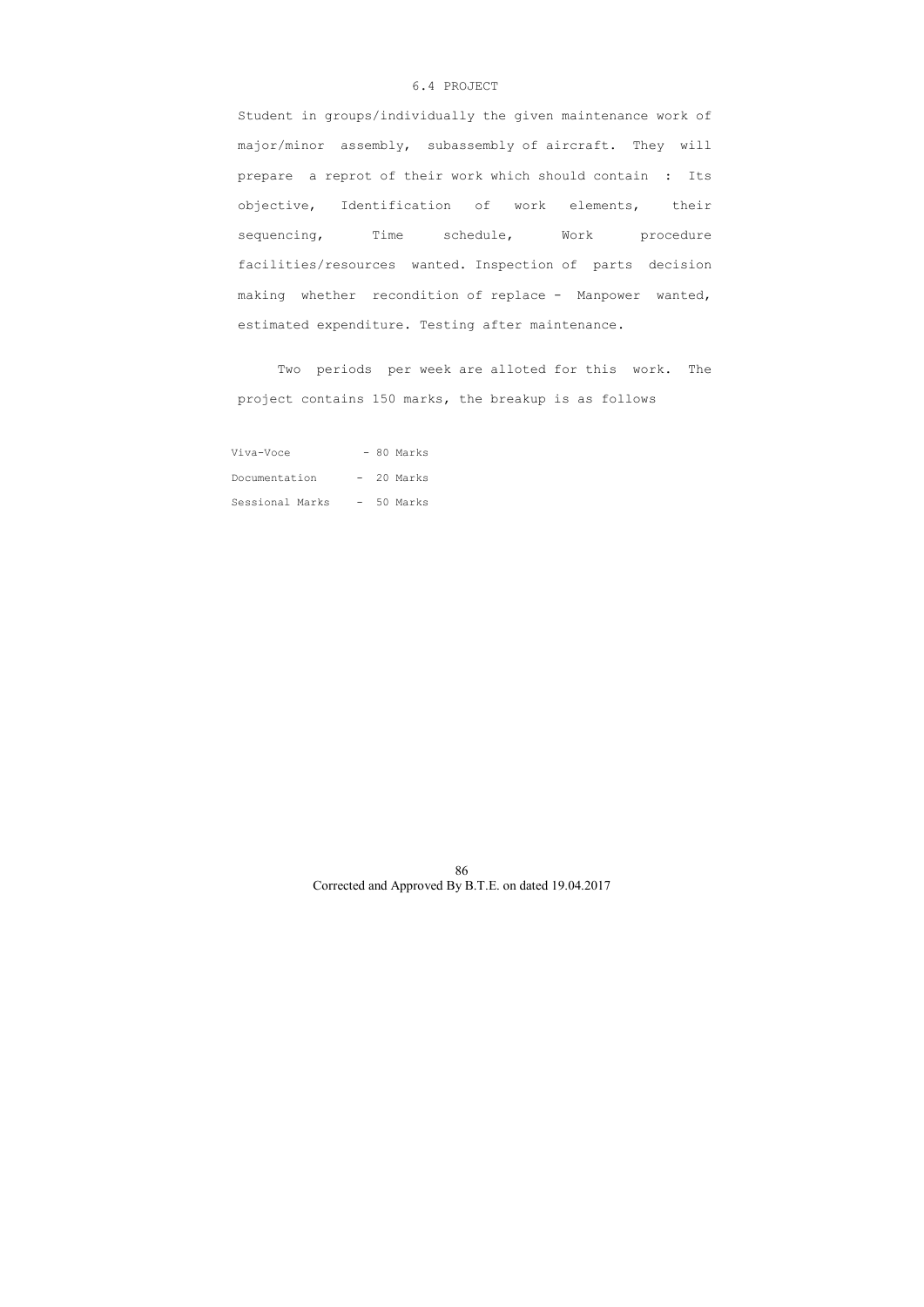## 6.4 PROJECT

 Student in groups/individually the given maintenance work of major/minor assembly, subassembly of aircraft. They will prepare a reprot of their work which should contain : Its objective, Identification of work elements, their sequencing, Time schedule, Work procedure facilities/resources wanted. Inspection of parts decision making whether recondition of replace - Manpower wanted, estimated expenditure. Testing after maintenance.

 Two periods per week are alloted for this work. The project contains 150 marks, the breakup is as follows

| Viva-Voce       |  | - 80 Marks |
|-----------------|--|------------|
| Documentation   |  | - 20 Marks |
| Sessional Marks |  | - 50 Marks |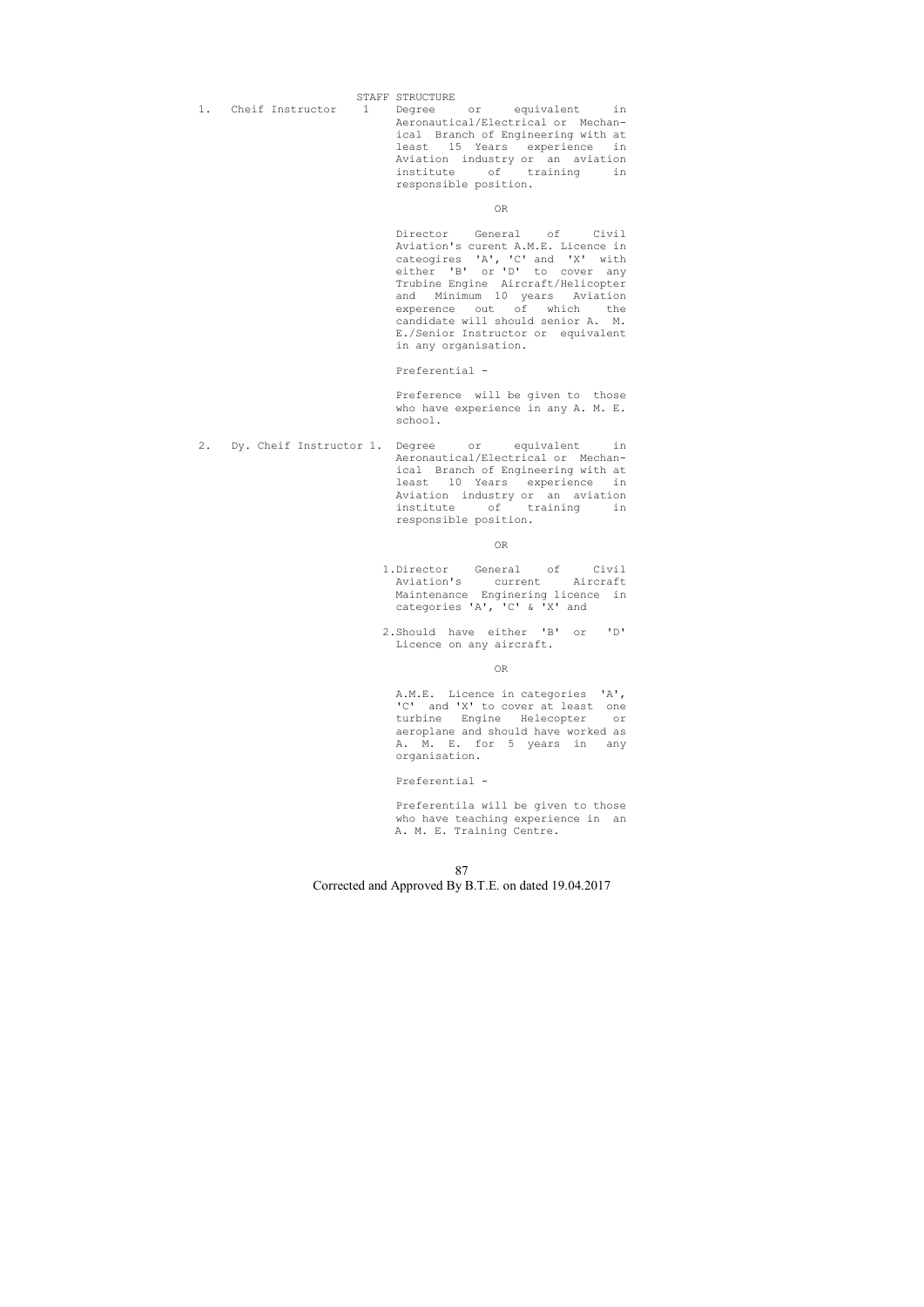STAFF STRUCTURE

- 
- 1. Cheif Instructor 1 Degree or equivalent in Aeronautical/Electrical or Mechan ical Branch of Engineering with at least 15 Years experience in Aviation industry or an aviation institute of training in responsible position.

OR

 Director General of Civil Aviation's curent A.M.E. Licence in cateogires 'A', 'C' and 'X' with either 'B' or 'D' to cover any Trubine Engine Aircraft/Helicopter and Minimum 10 years Aviation experence out of which the candidate will should senior A. M. E./Senior Instructor or equivalent in any organisation.

Preferential -

 Preference will be given to those who have experience in any A. M. E. school.

2. Dy. Cheif Instructor 1. Degree or equivalent in Aeronautical/Electrical or Mechan ical Branch of Engineering with at least 10 Years experience in Aviation industry or an aviation institute of training in responsible position.

**OR** Service Service Service Service Service Service Service Service Service Service Service Service Service Service Service Service Service Service Service Service Service Service Service Service Service Service Service S

- 1.Director General of Civil Aviation's current Aircraft Maintenance Enginering licence in categories 'A', 'C' & 'X' and
- 2.Should have either 'B' or 'D' Licence on any aircraft.

#### **OR** Service Service Service Service Service Service Service Service Service Service Service Service Service Service Service Service Service Service Service Service Service Service Service Service Service Service Service S

 A.M.E. Licence in categories 'A', 'C' and 'X' to cover at least one<br>turbine Engine Helecopter or turbine Engine Helecopter aeroplane and should have worked as A. M. E. for 5 years in any organisation.

## Preferential -

 Preferentila will be given to those who have teaching experience in an A. M. E. Training Centre.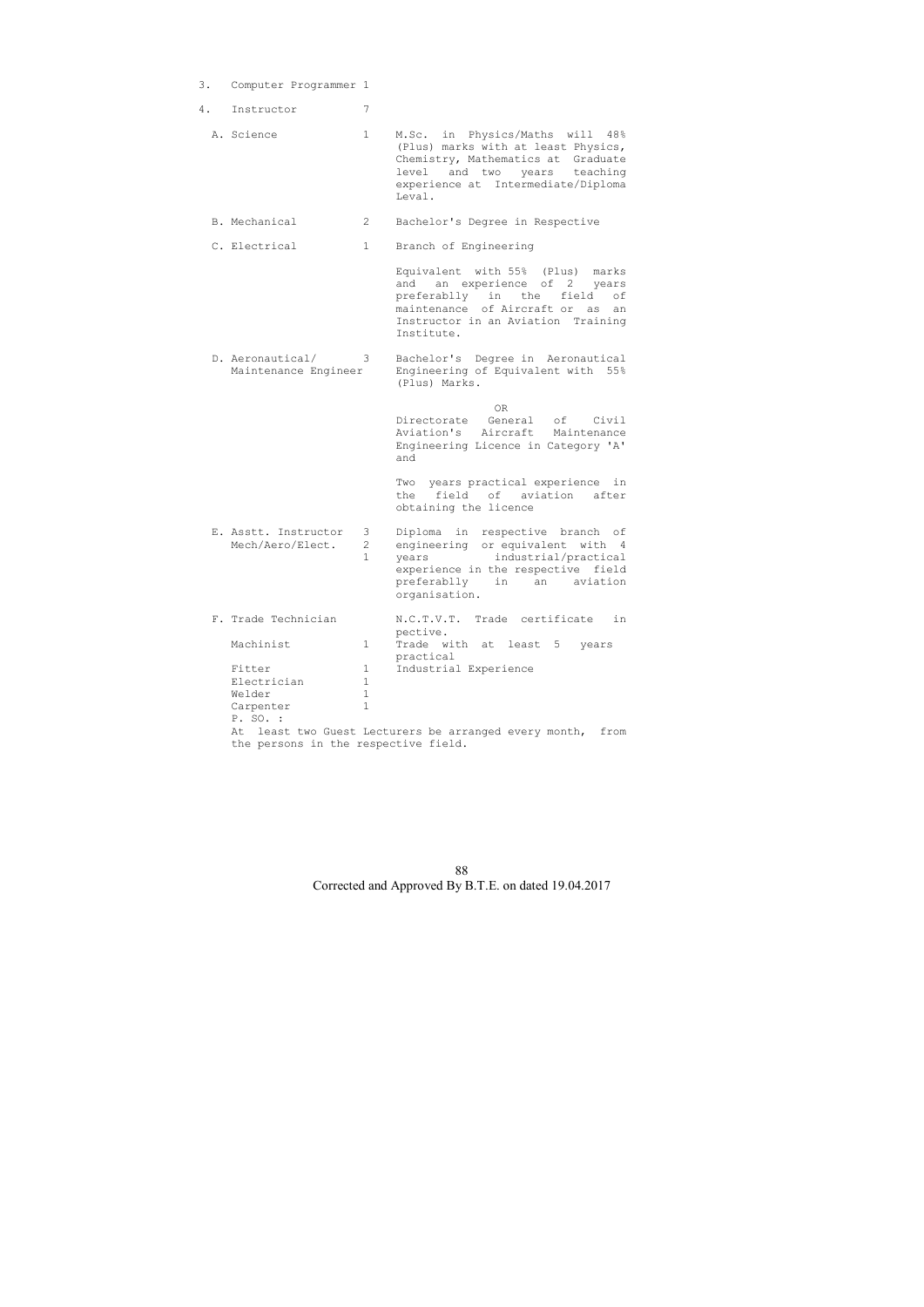- 3. Computer Programmer 1
- 4. Instructor 7

- B. Mechanical 2 Bachelor's Degree in Respective
- C. Electrical 1 Branch of Engineering

| A. Science | M.Sc. in Physics/Maths will 48%     |
|------------|-------------------------------------|
|            | (Plus) marks with at least Physics, |
|            | Chemistry, Mathematics at Graduate  |
|            | level and two years teaching        |
|            | experience at Intermediate/Diploma  |
|            | Leval.                              |

**OR** Service Service Service Service Service Service Service Service Service Service Service Service Service Service Service Service Service Service Service Service Service Service Service Service Service Service Service S Directorate General of Civil Aviation's Aircraft Maintenance Engineering Licence in Category 'A' and

 Equivalent with 55% (Plus) marks and an experience of 2 years preferablly in the field of maintenance of Aircraft or as an Instructor in an Aviation Training Institute.

 D. Aeronautical/ 3 Bachelor's Degree in Aeronautical Maintenance Engineer Engineering of Equivalent with 55% (Plus) Marks.

> Two years practical experience in the field of aviation after obtaining the licence

| E. Asstt. Instructor 3 Diploma in respective branch of<br>Mech/Aero/Elect. | $\overline{2}$ | engineering or equivalent with 4<br>years industrial/practical<br>experience in the respective field<br>preferablly in an aviation<br>organisation. |  |  |  |  |
|----------------------------------------------------------------------------|----------------|-----------------------------------------------------------------------------------------------------------------------------------------------------|--|--|--|--|
|----------------------------------------------------------------------------|----------------|-----------------------------------------------------------------------------------------------------------------------------------------------------|--|--|--|--|

| F. Trade Technician | N.C.T.V.T. Trade certificate<br>i n                     |
|---------------------|---------------------------------------------------------|
| Machinist           | pective.<br>Trade with at least 5<br>vears<br>practical |
| Fitter              | Industrial Experience                                   |
| Electrician         |                                                         |
| Welder              |                                                         |
| Carpenter           |                                                         |
| P. SO. :            |                                                         |

 At least two Guest Lecturers be arranged every month, from the persons in the respective field.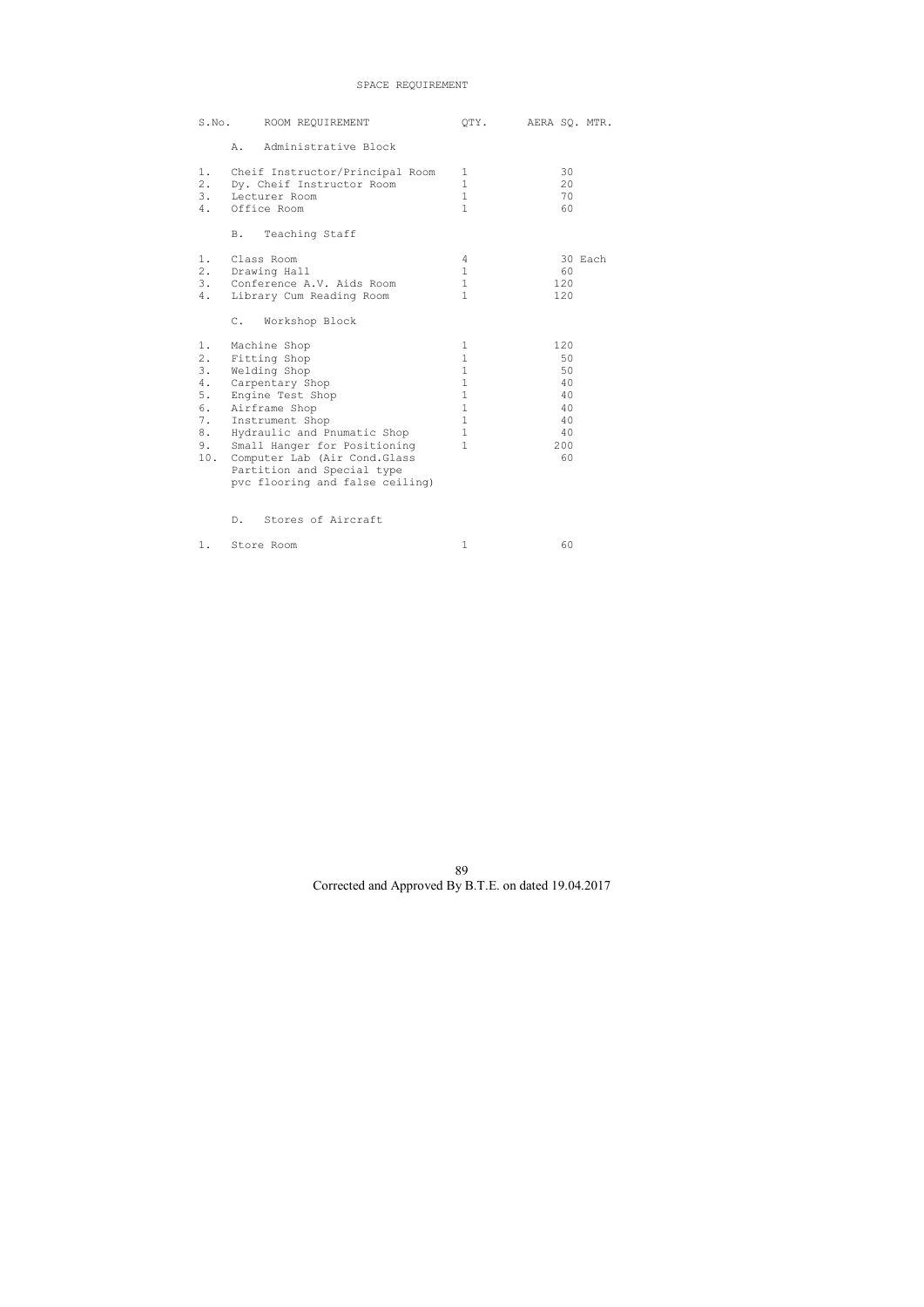# SPACE REQUIREMENT

| S.No.                                                       |                | ROOM REQUIREMENT                                                                                                                                                                                                                                                                         | OTY.                                                                                                                          | AERA SQ. MTR.                                              |
|-------------------------------------------------------------|----------------|------------------------------------------------------------------------------------------------------------------------------------------------------------------------------------------------------------------------------------------------------------------------------------------|-------------------------------------------------------------------------------------------------------------------------------|------------------------------------------------------------|
|                                                             | Α.             | Administrative Block                                                                                                                                                                                                                                                                     |                                                                                                                               |                                                            |
| 1.<br>2.<br>3.<br>4.                                        |                | Cheif Instructor/Principal Room<br>Dy. Cheif Instructor Room<br>Lecturer Room<br>Office Room                                                                                                                                                                                             | 1<br>$\mathbf{1}$<br>$\mathbf{1}$<br>$\mathbf{1}$                                                                             | 30<br>20<br>70<br>60                                       |
|                                                             | Β.             | Teaching Staff                                                                                                                                                                                                                                                                           |                                                                                                                               |                                                            |
| 1.<br>2.<br>3.<br>4.                                        |                | Class Room<br>Drawing Hall<br>Conference A.V. Aids Room<br>Library Cum Reading Room                                                                                                                                                                                                      | 4<br>$\mathbf{1}$<br>$\mathbf{1}$<br>$\mathbf{1}$                                                                             | 30 Each<br>60<br>120<br>120                                |
|                                                             | $\mathbb{C}$ . | Workshop Block                                                                                                                                                                                                                                                                           |                                                                                                                               |                                                            |
| 1.<br>2.<br>3.<br>4.<br>$5.$<br>6.<br>7.<br>8.<br>9.<br>10. |                | Machine Shop<br>Fitting Shop<br>Welding Shop<br>Carpentary Shop<br>Engine Test Shop<br>Airframe Shop<br>Instrument Shop<br>Hydraulic and Pnumatic Shop<br>Small Hanger for Positioning<br>Computer Lab (Air Cond. Glass<br>Partition and Special type<br>pvc flooring and false ceiling) | 1<br>$\mathbf 1$<br>$\mathbf 1$<br>$\mathbf 1$<br>$\mathbf{1}$<br>$\mathbf 1$<br>$\mathbf{1}$<br>$\mathbf{1}$<br>$\mathbf{1}$ | 120<br>50<br>50<br>40<br>40<br>40<br>40<br>40<br>200<br>60 |
|                                                             | $D$ .          | Stores of Aircraft                                                                                                                                                                                                                                                                       |                                                                                                                               |                                                            |

1. Store Room 1 60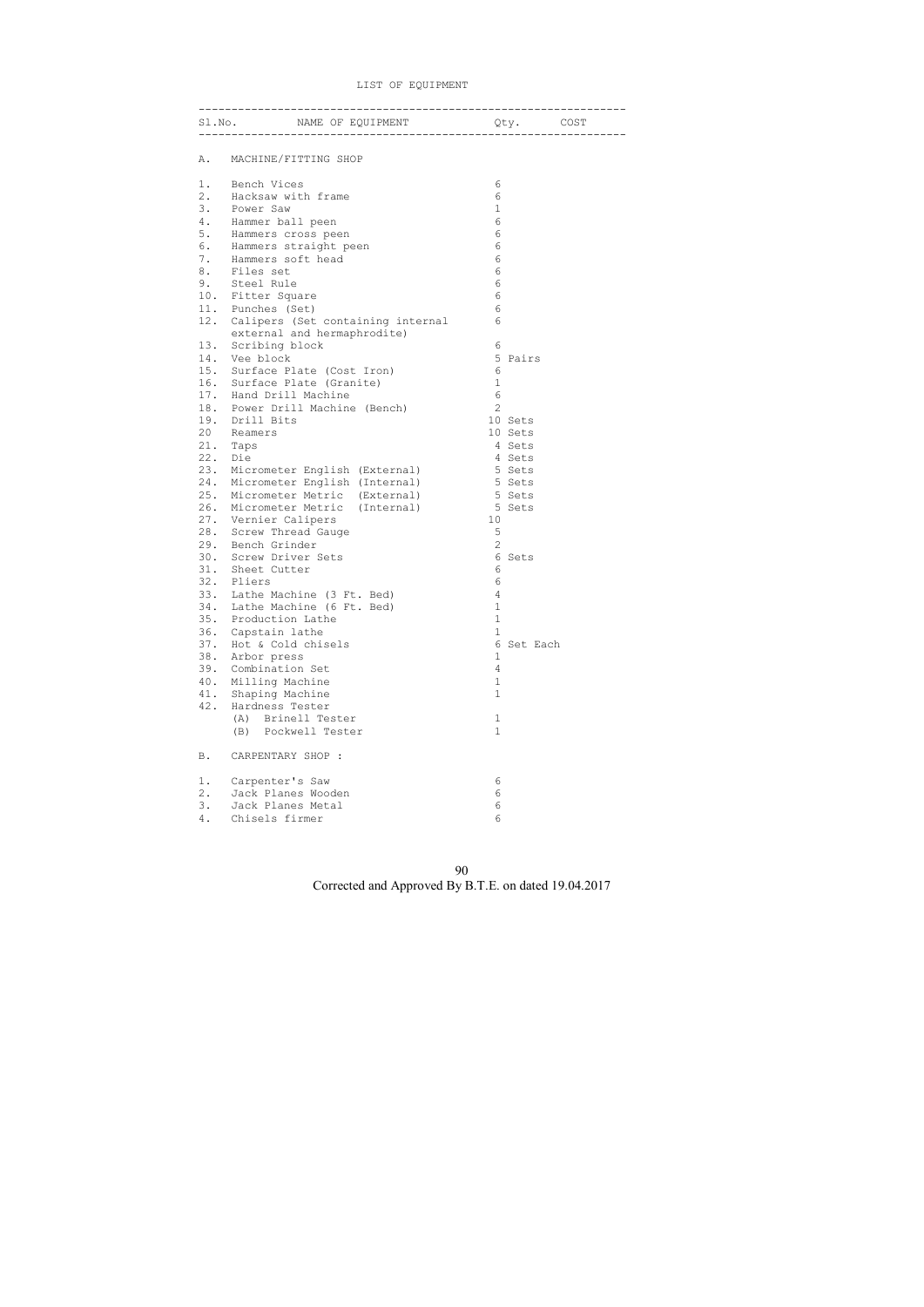LIST OF EQUIPMENT

|     | S1. No. MAME OF EQUIPMENT Qty. COST                                  |                 |  |
|-----|----------------------------------------------------------------------|-----------------|--|
| Α.  | MACHINE/FITTING SHOP                                                 |                 |  |
| 1.  | Bench Vices                                                          | 6               |  |
|     | 2. Hacksaw with frame                                                | $\sqrt{6}$      |  |
| 3.  | Power Saw                                                            | $\mathbf 1$     |  |
| 4.  | Hammer ball peen                                                     | 6               |  |
| 5.  | Hammers cross peen                                                   | 6               |  |
| 6.  | Hammers straight peen                                                | 6               |  |
| 7.  | Hammers soft head                                                    | 6               |  |
| 8.  | Files set                                                            | $6\phantom{.}6$ |  |
| 9.  | Steel Rule                                                           | $6\phantom{.}6$ |  |
|     | 10. Fitter Square                                                    | $6\phantom{1}6$ |  |
|     | 11. Punches (Set)                                                    | 6               |  |
|     | 12. Calipers (Set containing internal<br>external and hermaphrodite) | 6               |  |
| 13. | Scribing block                                                       | 6               |  |
|     | 14. Vee block                                                        | 5 Pairs         |  |
|     | 15. Surface Plate (Cost Iron)                                        | 6               |  |
|     | 16. Surface Plate (Granite)                                          | $\mathbf 1$     |  |
|     | 17. Hand Drill Machine                                               | $6\phantom{1}6$ |  |
|     | 18. Power Drill Machine (Bench)                                      | 2               |  |
|     | 19. Drill Bits                                                       | 10 Sets         |  |
| 20  | Reamers                                                              | 10 Sets         |  |
|     | 21. Taps                                                             | 4 Sets          |  |
| 22. | Die                                                                  | 4 Sets          |  |
| 23. | Micrometer English (External)                                        | 5 Sets          |  |
| 24. | Micrometer English (Internal)                                        | 5 Sets          |  |
| 25. | Micrometer Metric (External)                                         | 5 Sets          |  |
| 26. | Micrometer Metric (Internal)                                         | 5 Sets          |  |
|     | 27. Vernier Calipers                                                 | 10              |  |
|     | 28. Screw Thread Gauge                                               | $\mathsf S$     |  |
|     | 29. Bench Grinder                                                    | $\mathbf{2}$    |  |
|     | 30. Screw Driver Sets                                                | 6 Sets          |  |
|     | 31. Sheet Cutter                                                     | 6               |  |
|     | 32. Pliers                                                           | 6               |  |
|     | 33. Lathe Machine (3 Ft. Bed)                                        | 4               |  |
| 34. | Lathe Machine (6 Ft. Bed)                                            | 1               |  |
| 35. | Production Lathe                                                     | $\mathbf 1$     |  |
| 36. | Capstain lathe                                                       | $\mathbf{1}$    |  |
| 37. | Hot & Cold chisels                                                   | 6<br>Set Each   |  |
| 38. | Arbor press                                                          | 1               |  |
| 39. | Combination Set                                                      | 4               |  |
| 40. | Milling Machine                                                      | 1               |  |
| 41. | Shaping Machine                                                      | 1               |  |
| 42. | Hardness Tester                                                      |                 |  |
|     | Brinell Tester<br>(A)                                                | 1               |  |
|     | (B) Pockwell Tester                                                  | $\mathbf{1}$    |  |
| Β.  | CARPENTARY SHOP :                                                    |                 |  |
| 1.  | Carpenter's Saw                                                      | 6               |  |
| 2.  | Jack Planes Wooden                                                   | 6               |  |
| 3.  | Jack Planes Metal                                                    | 6               |  |
| 4.  | Chisels firmer                                                       | 6               |  |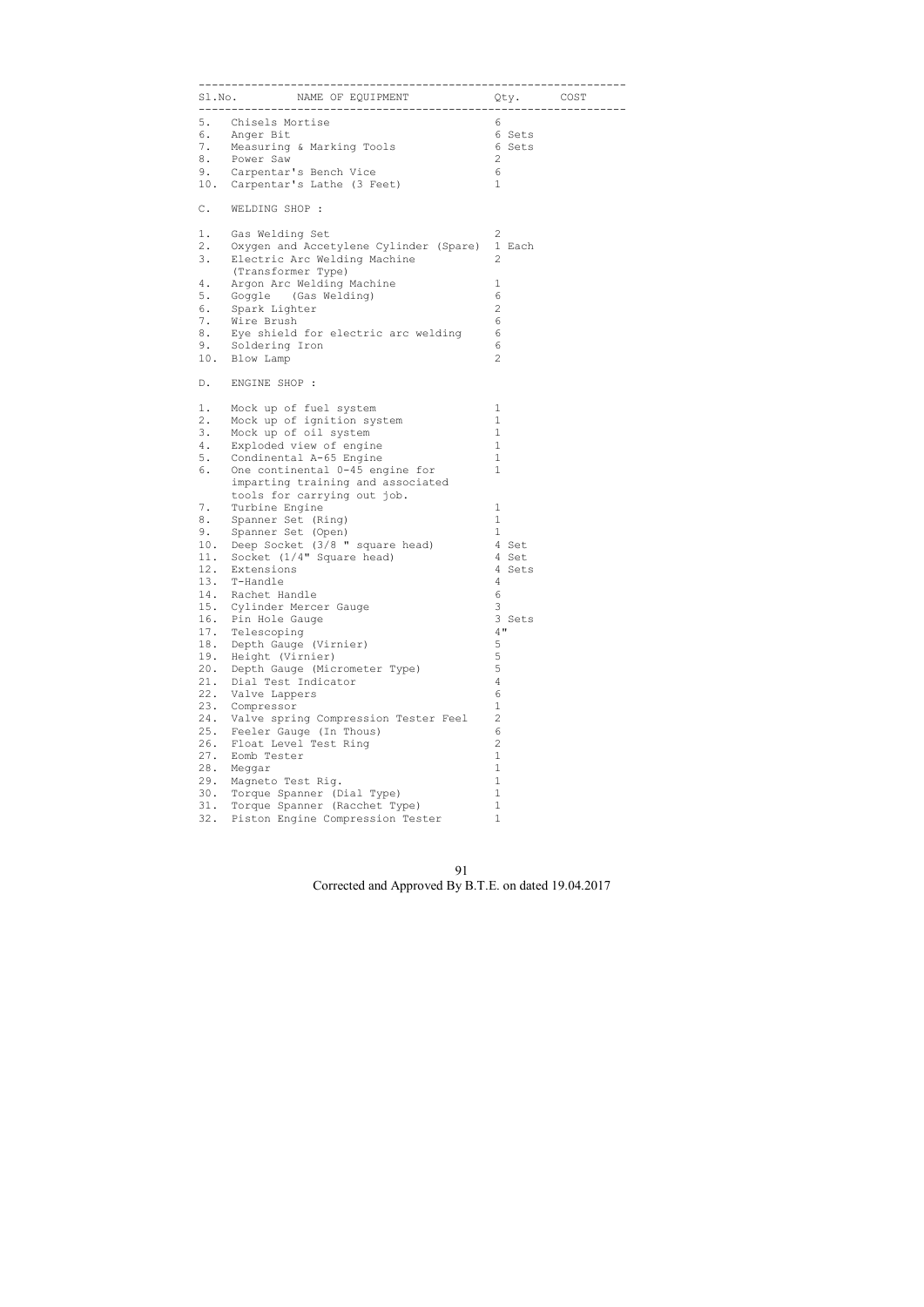|               | S1.No. MAME OF EQUIPMENT Qty. COST                 |                |  |
|---------------|----------------------------------------------------|----------------|--|
|               | 5. Chisels Mortise                                 | 6              |  |
|               | 6. Anger Bit                                       | 6 Sets         |  |
|               | 7. Measuring & Marking Tools                       | 6 Sets         |  |
| 8.            | Power Saw                                          | 2              |  |
|               | 9. Carpentar's Bench Vice                          | 6              |  |
|               | 10. Carpentar's Lathe (3 Feet)                     | $\mathbf 1$    |  |
| $\mathbb C$ . | WELDING SHOP :                                     |                |  |
| 1.            | Gas Welding Set                                    | 2              |  |
| 2.            | Oxygen and Accetylene Cylinder (Spare)             | 1 Each         |  |
| 3.            | Electric Arc Welding Machine<br>(Transformer Type) | 2              |  |
|               |                                                    |                |  |
| 4.            | Argon Arc Welding Machine                          | 1              |  |
| 5.            | Goggle (Gas Welding)                               | 6              |  |
| 6.            | Spark Lighter                                      | $\mathbf{2}$   |  |
| 7.            | Wire Brush                                         | 6              |  |
| 8.            | Eye shield for electric arc welding                | 6              |  |
|               | 9. Soldering Iron                                  | 6              |  |
| 10.           | Blow Lamp                                          | $\overline{c}$ |  |
| D.            | ENGINE SHOP :                                      |                |  |
| 1.            | Mock up of fuel system                             | 1              |  |
| 2.            | Mock up of ignition system                         | 1              |  |
| 3.            | Mock up of oil system                              | $\mathbf 1$    |  |
| 4.            | Exploded view of engine                            | 1              |  |
| 5.            | Condinental A-65 Engine                            | 1              |  |
| 6.            | One continental 0-45 engine for                    | $\mathbf 1$    |  |
|               | imparting training and associated                  |                |  |
|               | tools for carrying out job.                        |                |  |
| 7.            | Turbine Engine                                     | 1              |  |
| 8.            | Spanner Set (Ring)                                 | $\mathbf{1}$   |  |
| 9.            | Spanner Set (Open)                                 | $\mathbf{1}$   |  |
|               | 10. Deep Socket (3/8 " square head)                | 4 Set          |  |
| 11.           | Socket (1/4" Square head)                          | 4 Set          |  |
|               | 12. Extensions                                     | 4 Sets         |  |
| 13.           | T-Handle                                           | 4              |  |
| 14.           | Rachet Handle                                      | 6              |  |
| 15.           | Cylinder Mercer Gauge                              | 3              |  |
| 16.           | Pin Hole Gauge                                     | 3 Sets         |  |
| 17.           | Telescoping                                        | 4"             |  |
| 18.           | Depth Gauge (Virnier)                              | $\mathsf S$    |  |
| 19.           | Height (Virnier)                                   | 5              |  |
| 20.           | Depth Gauge (Micrometer Type)                      | 5              |  |
| 21.           | Dial Test Indicator                                | $\overline{4}$ |  |
| 22.           | Valve Lappers                                      | 6              |  |
| 23.           | Compressor                                         | $\mathbf 1$    |  |
| 24.           | Valve spring Compression Tester Feel               | $\overline{c}$ |  |
| 25.           | Feeler Gauge (In Thous)                            | $\epsilon$     |  |
| 26.           | Float Level Test Ring                              | $\overline{c}$ |  |
| 27.           | Eomb Tester                                        | $\mathbf 1$    |  |
| 28.           | Meggar                                             | $\mathbf{1}$   |  |
| 29.           | Magneto Test Rig.                                  | 1              |  |
| 30.           | Torque Spanner (Dial Type)                         | $\mathbf 1$    |  |
|               |                                                    |                |  |
| 31.           | Torque Spanner (Racchet Type)                      | $\mathbf 1$    |  |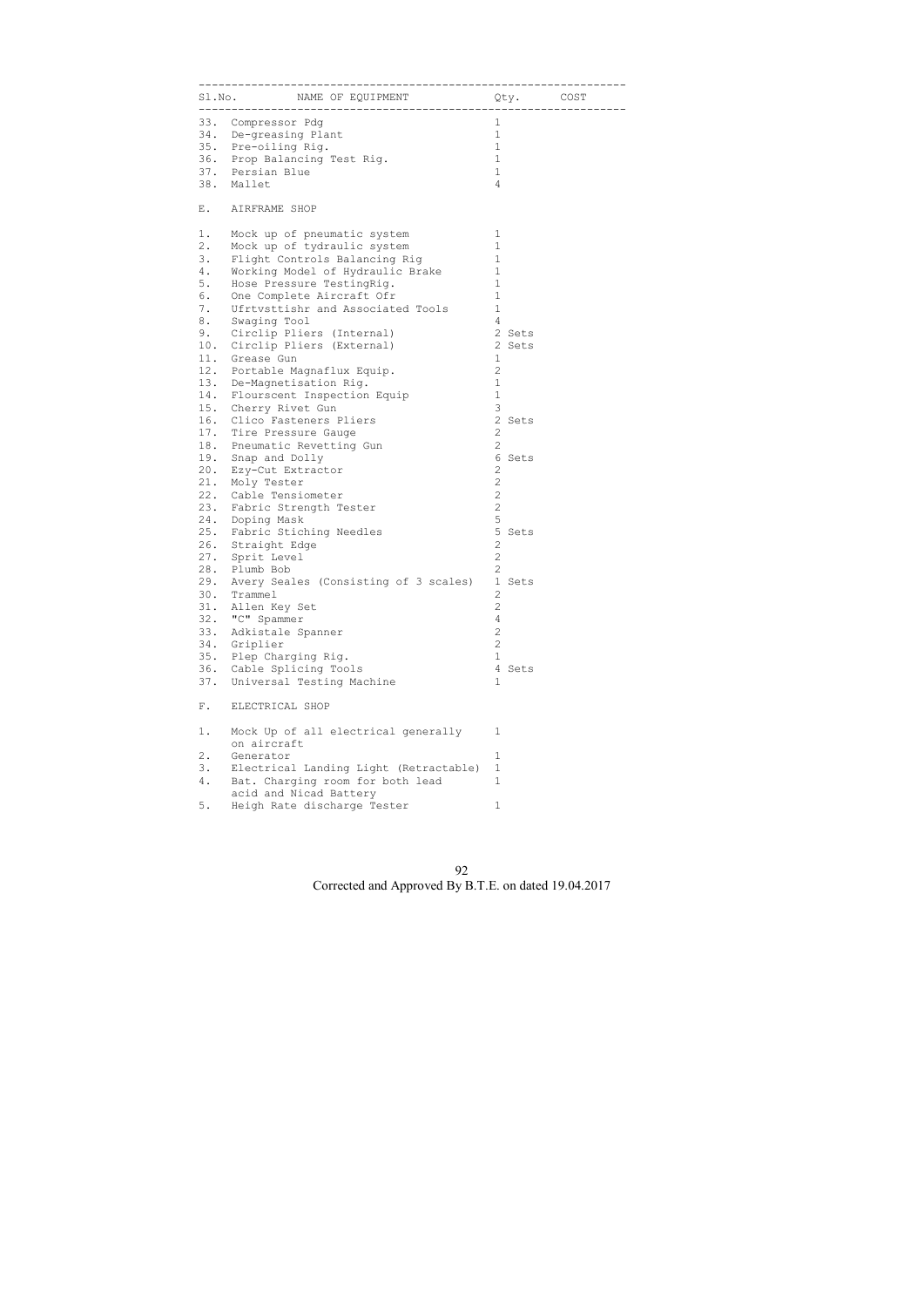|       | S1.No. SMAME OF EQUIPMENT STRINGLY. COST                   |                        |  |
|-------|------------------------------------------------------------|------------------------|--|
|       | 33. Compressor Pdg                                         | $\mathbf 1$            |  |
|       | 34. De-greasing Plant                                      | $\mathbf{1}$           |  |
|       | 35. Pre-oiling Rig.                                        | $\mathbf{1}$           |  |
|       | 36. Prop Balancing Test Rig.                               | $\mathbf{1}$           |  |
|       | 37. Persian Blue                                           | $\mathbf{1}$           |  |
|       | 38. Mallet                                                 | $\overline{4}$         |  |
|       | E. AIRFRAME SHOP                                           |                        |  |
| 1.    | Mock up of pneumatic system                                | 1                      |  |
| $2$ . | Mock up of tydraulic system                                | $\mathbf{1}$           |  |
| 3.    | Flight Controls Balancing Rig                              | $\mathbf{1}$           |  |
| 4.    | Working Model of Hydraulic Brake                           | $\mathbf 1$            |  |
| 5.    | Hose Pressure TestingRig.                                  | $\mathbf{1}$           |  |
| 6.    | One Complete Aircraft Ofr                                  | $1\,$                  |  |
| 7.    | Ufrtvsttishr and Associated Tools                          | $1\,$                  |  |
| 8.    | Swaging Tool                                               | 4                      |  |
|       | 9. Circlip Pliers (Internal)                               | 2 Sets                 |  |
| 10.   | Circlip Pliers (External)                                  | $\overline{2}$<br>Sets |  |
| 11.   | Grease Gun                                                 | 1                      |  |
|       | 12. Portable Magnaflux Equip.                              | $\mathbf{2}$           |  |
| 13.   | De-Magnetisation Rig.                                      | $\mathbf 1$            |  |
| 14.   | Flourscent Inspection Equip                                | $1\,$                  |  |
|       | 15. Cherry Rivet Gun                                       | $\mathcal{S}$          |  |
|       | 16. Clico Fasteners Pliers                                 | 2 Sets                 |  |
|       | 17. Tire Pressure Gauge                                    | $\mathbf{2}$           |  |
|       | 18. Pneumatic Revetting Gun                                | $\mathbf{2}$           |  |
|       | 19. Snap and Dolly                                         | 6<br>Sets              |  |
| 20.   | Ezy-Cut Extractor                                          | $\mathbf{2}$           |  |
| 21.   | Moly Tester                                                | $\mathbf{2}$           |  |
|       | 22. Cable Tensiometer                                      | $\overline{c}$         |  |
|       | 23. Fabric Strength Tester                                 | $\sqrt{2}$             |  |
|       | 24. Doping Mask                                            | 5                      |  |
|       | 25. Fabric Stiching Needles                                | 5<br>Sets              |  |
|       | 26. Straight Edge                                          | $\mathbf{2}$           |  |
| 27.   | Sprit Level                                                | $\mathbf{2}$           |  |
|       | 28. Plumb Bob                                              | $\overline{c}$         |  |
| 29.   | Avery Seales (Consisting of 3 scales)                      | 1 Sets                 |  |
| 30.   | Trammel                                                    | 2                      |  |
| 31.   | Allen Key Set                                              | $\mathbf{2}$           |  |
| 32.   | "C" Spammer                                                | $\overline{4}$         |  |
| 33.   | Adkistale Spanner                                          | $\mathbf{2}$           |  |
| 34.   | Griplier                                                   | $\mathbf{2}$           |  |
| 35.   | Plep Charging Rig.                                         | $\mathbf{1}$           |  |
| 36.   | Cable Splicing Tools                                       | 4 Sets                 |  |
| 37.   | Universal Testing Machine                                  | 1                      |  |
| $F$ . | ELECTRICAL SHOP                                            |                        |  |
| 1.    | Mock Up of all electrical generally<br>on aircraft         | 1                      |  |
| $2$ . | Generator                                                  | 1                      |  |
| 3.    | Electrical Landing Light (Retractable)                     | $\mathbf{1}$           |  |
|       |                                                            |                        |  |
|       |                                                            |                        |  |
| 4.    | Bat. Charging room for both lead<br>acid and Nicad Battery | 1                      |  |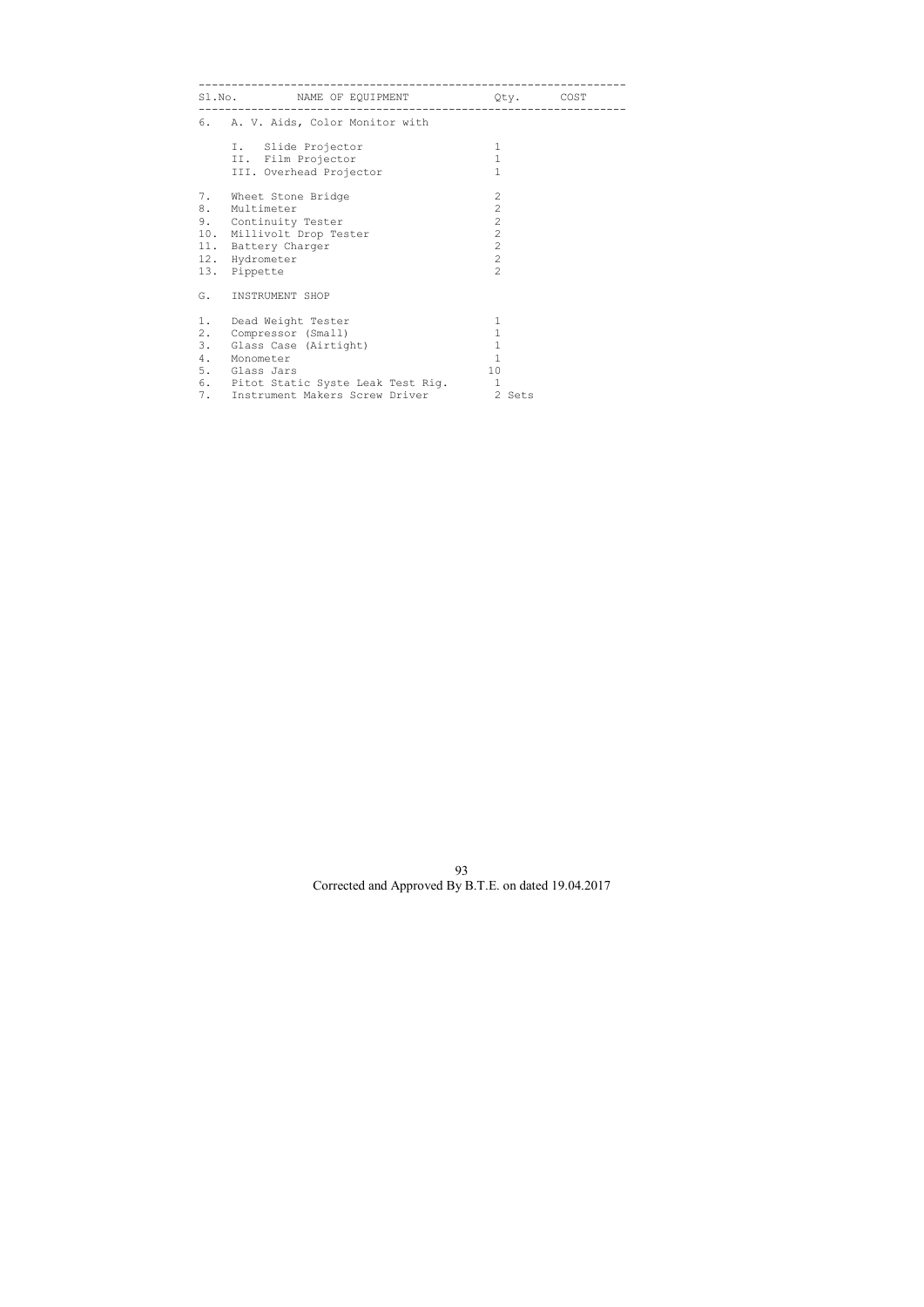|                                                                                                                                                        | Qty.                                                                                                                     | COST                               |
|--------------------------------------------------------------------------------------------------------------------------------------------------------|--------------------------------------------------------------------------------------------------------------------------|------------------------------------|
| 6. A. V. Aids, Color Monitor with                                                                                                                      |                                                                                                                          |                                    |
| I. Slide Projector<br>II. Film Projector<br>III. Overhead Projector                                                                                    | $\mathbf{1}$<br>$\mathbf{1}$<br>$\mathbf{1}$                                                                             |                                    |
| 7. Wheet Stone Bridge<br>8. Multimeter<br>9. Continuity Tester<br>10. Millivolt Drop Tester<br>11. Battery Charger<br>12. Hydrometer<br>13. Pippette   | $\mathbf{2}$<br>$\overline{2}$<br>$\overline{2}$<br>$\overline{c}$<br>$\overline{2}$<br>$\overline{2}$<br>$\overline{2}$ |                                    |
| INSTRUMENT SHOP                                                                                                                                        |                                                                                                                          |                                    |
| 1.<br>Dead Weight Tester<br>Compressor (Small)<br>3. Glass Case (Airtight)<br>4.<br>Monometer<br>5. Glass Jars<br>6. Pitot Static Syste Leak Test Rig. | $\mathbf 1$<br>$\mathbf 1$<br>$\mathbf 1$<br>$\mathbf{1}$<br>10<br>$\mathbf{1}$                                          |                                    |
|                                                                                                                                                        | 7. Instrument Makers Screw Driver                                                                                        | S1.No. NAME OF EQUIPMENT<br>2 Sets |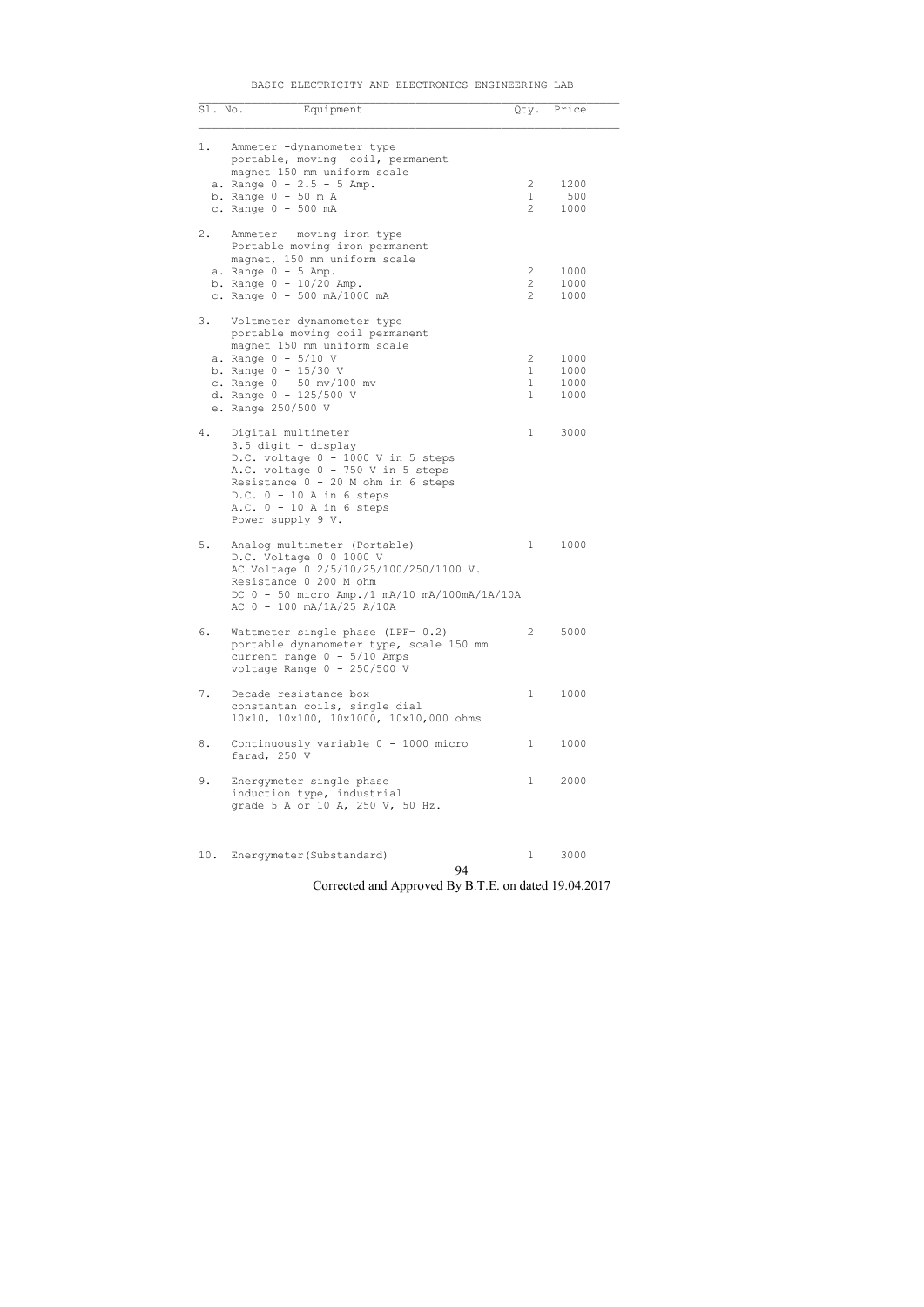| erdymerer (pubstandard) |    | , JUUU |
|-------------------------|----|--------|
|                         | 94 |        |

## BASIC ELECTRICITY AND ELECTRONICS ENGINEERING LAB

| Sl. No. | Equipment                                                                                                                                                                                                                                     |                                                    | Qty. Price                   |
|---------|-----------------------------------------------------------------------------------------------------------------------------------------------------------------------------------------------------------------------------------------------|----------------------------------------------------|------------------------------|
| 1.      | Ammeter -dynamometer type<br>portable, moving coil, permanent<br>magnet 150 mm uniform scale<br>a. Range $0 - 2.5 - 5$ Amp.<br>b. Range $0 - 50$ m A<br>c. Range 0 - 500 mA                                                                   | $\overline{2}$<br>$\mathbf{1}$<br>$\overline{2}$   | 1200<br>500<br>1000          |
| 2.      | Ammeter - moving iron type<br>Portable moving iron permanent<br>magnet, 150 mm uniform scale<br>a. Range $0 - 5$ Amp.<br>b. Range $0 - 10/20$ Amp.<br>c. Range 0 - 500 mA/1000 mA                                                             | $\overline{2}$<br>$\overline{2}$<br>$\overline{2}$ | 1000<br>1000<br>1000         |
| 3.      | Voltmeter dynamometer type<br>portable moving coil permanent<br>magnet 150 mm uniform scale<br>a. Range $0 - 5/10$ V<br>b. Range $0 - 15/30$ V<br>c. Range $0 - 50$ mv/100 mv<br>d. Range $0 - 125/500$ V<br>e. Range 250/500 V               | 2<br>$\mathbf{1}$<br>1<br>$\mathbf{1}$             | 1000<br>1000<br>1000<br>1000 |
| 4.      | Digital multimeter<br>3.5 digit - display<br>D.C. voltage 0 - 1000 V in 5 steps<br>A.C. voltage 0 - 750 V in 5 steps<br>Resistance $0 - 20$ M ohm in 6 steps<br>$D.C. 0 - 10 A in 6 steps$<br>$A.C. 0 - 10 A in 6 steps$<br>Power supply 9 V. | $\mathbf{1}$                                       | 3000                         |
| 5.      | Analog multimeter (Portable)<br>D.C. Voltage 0 0 1000 V<br>AC Voltage 0 2/5/10/25/100/250/1100 V.<br>Resistance 0 200 M ohm<br>DC 0 - 50 micro Amp./1 mA/10 mA/100mA/1A/10A<br>AC 0 - 100 mA/1A/25 A/10A                                      | 1                                                  | 1000                         |
| 6.      | Wattmeter single phase (LPF= 0.2)<br>portable dynamometer type, scale 150 mm<br>current range $0 - 5/10$ Amps<br>voltage Range $0 - 250/500$ V                                                                                                | $2^{\circ}$                                        | 5000                         |
| 7.      | Decade resistance box<br>constantan coils, single dial<br>10x10, 10x100, 10x1000, 10x10,000 ohms                                                                                                                                              | 1                                                  | 1000                         |
| 8.      | Continuously variable 0 - 1000 micro<br>farad, 250 V                                                                                                                                                                                          | $\mathbf{1}$                                       | 1000                         |
| 9.      | Energymeter single phase<br>induction type, industrial<br>grade 5 A or 10 A, 250 V, 50 Hz.                                                                                                                                                    | 1                                                  | 2000                         |
| 10.     | Energymeter (Substandard)                                                                                                                                                                                                                     | 1                                                  | 3000                         |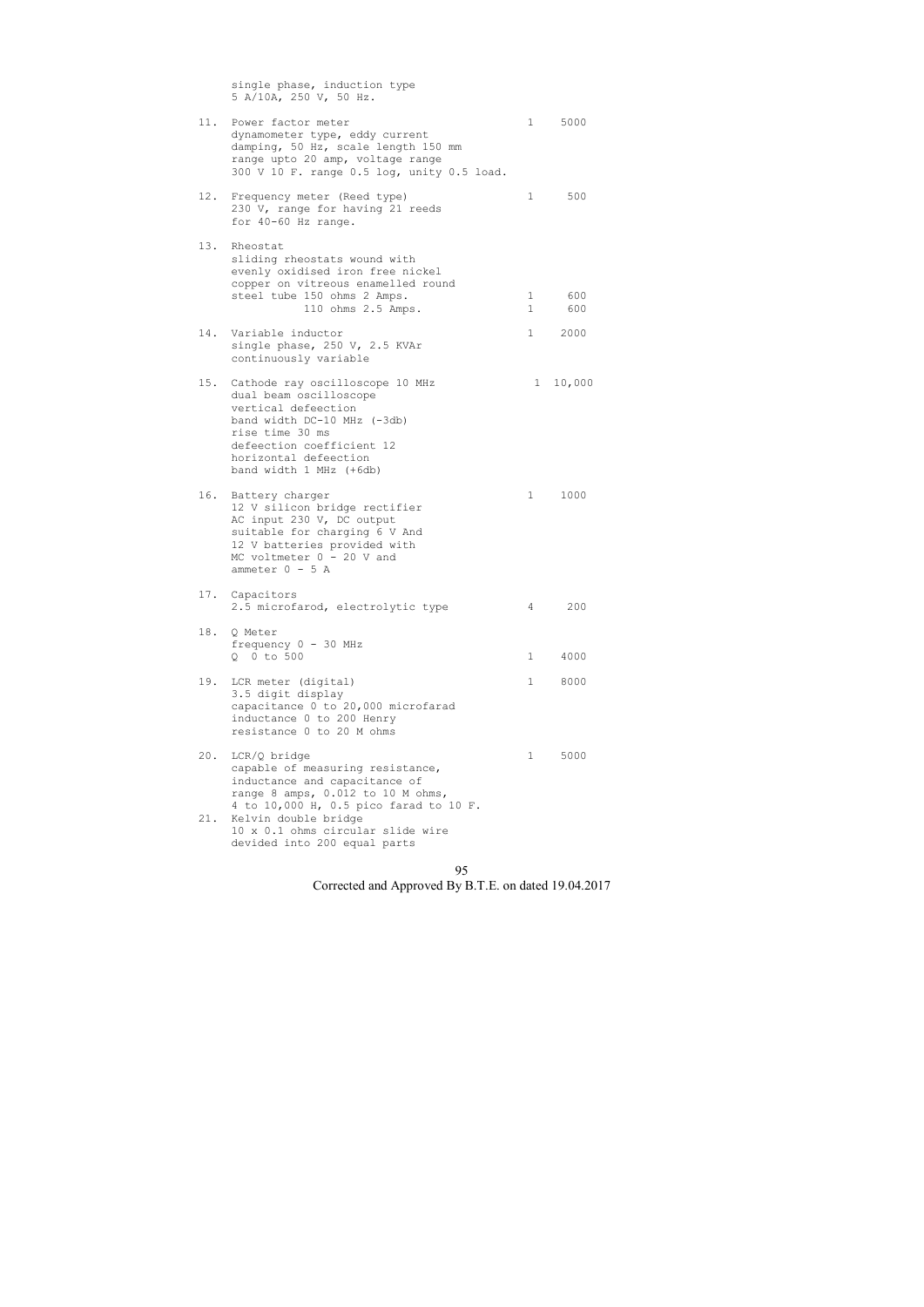single phase, induction type 5 A/10A, 250 V, 50 Hz. 11. Power factor meter 1 5000 dynamometer type, eddy current damping, 50 Hz, scale length 150 mm range upto 20 amp, voltage range 300 V 10 F. range 0.5 log, unity 0.5 load. 12. Frequency meter (Reed type) 1 500 230 V, range for having 21 reeds for 40-60 Hz range. 13. Rheostat sliding rheostats wound with evenly oxidised iron free nickel copper on vitreous enamelled round steel tube 150 ohms 2 Amps. 1 600 110 ohms 2.5 Amps. 1 600 14. Variable inductor 1 2000 single phase, 250 V, 2.5 KVAr continuously variable 15. Cathode ray oscilloscope 10 MHz 10,000 dual beam oscilloscope vertical defeection band width DC-10 MHz (-3db) rise time 30 ms defeection coefficient 12 horizontal defeection band width 1 MHz (+6db) 16. Battery charger 1 1000 12 V silicon bridge rectifier AC input 230 V, DC output suitable for charging 6 V And 12 V batteries provided with MC voltmeter  $0 - 20$  V and  $ammeter$  0 - 5 A 17. Capacitors 2.5 microfarod, electrolytic type 4 200 18. Q Meter frequency 0 - 30 MHz Q 0 to 500 1 4000 19. LCR meter (digital) 1 8000 3.5 digit display capacitance 0 to 20,000 microfarad inductance 0 to 200 Henry resistance 0 to 20 M ohms 20. LCR/Q bridge 1 5000 capable of measuring resistance, inductance and capacitance of range 8 amps, 0.012 to 10 M ohms, 4 to 10,000 H, 0.5 pico farad to 10 F. 21. Kelvin double bridge 10 x 0.1 ohms circular slide wire devided into 200 equal parts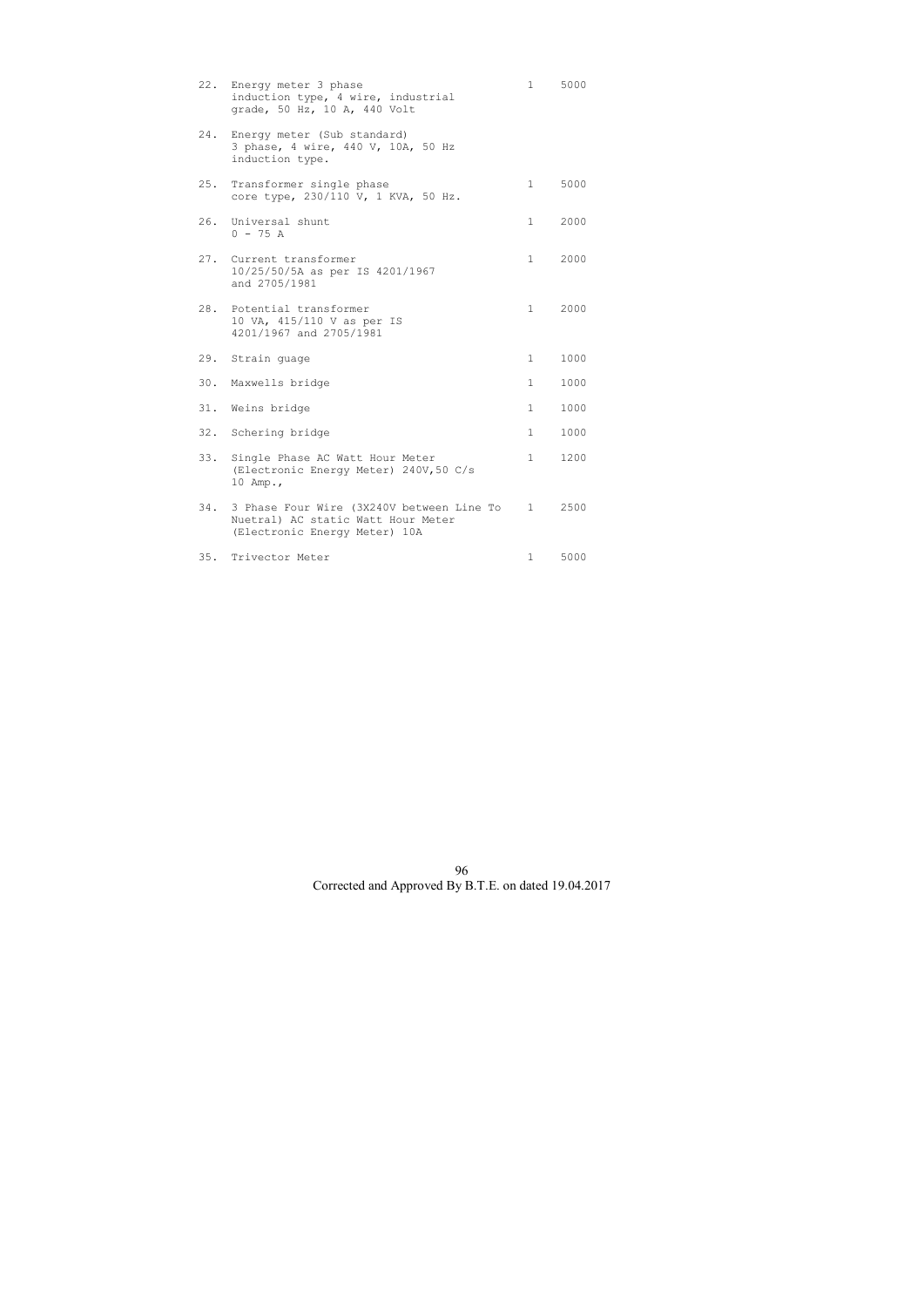| 22. | Energy meter 3 phase<br>induction type, 4 wire, industrial<br>grade, 50 Hz, 10 A, 440 Volt                       | $\mathbf{1}$   | 5000 |
|-----|------------------------------------------------------------------------------------------------------------------|----------------|------|
| 24. | Energy meter (Sub standard)<br>3 phase, 4 wire, 440 V, 10A, 50 Hz<br>induction type.                             |                |      |
| 25. | Transformer single phase<br>core type, 230/110 V, 1 KVA, 50 Hz.                                                  | $\mathbf{1}$   | 5000 |
| 26. | Universal shunt<br>$0 - 75 A$                                                                                    | $\mathbf{1}$   | 2000 |
|     | 27. Current transformer<br>10/25/50/5A as per IS 4201/1967<br>and 2705/1981                                      | $\mathbf{1}$   | 2000 |
| 28. | Potential transformer<br>10 VA, 415/110 V as per IS<br>4201/1967 and 2705/1981                                   | $\mathbf{1}$   | 2000 |
| 29. | Strain guage                                                                                                     | $\mathbf{1}$   | 1000 |
| 30. | Maxwells bridge                                                                                                  | 1              | 1000 |
|     | 31. Weins bridge                                                                                                 | $\mathbf{1}$   | 1000 |
|     | 32. Schering bridge                                                                                              | $\mathbf{1}$   | 1000 |
| 33. | Single Phase AC Watt Hour Meter<br>(Electronic Energy Meter) 240V, 50 C/s<br>10 Amp.,                            | $\mathbf{1}$   | 1200 |
| 34. | 3 Phase Four Wire (3X240V between Line To<br>Nuetral) AC static Watt Hour Meter<br>(Electronic Energy Meter) 10A | $1 \quad \Box$ | 2500 |
| 35. | Trivector Meter                                                                                                  | $\mathbf{1}$   | 5000 |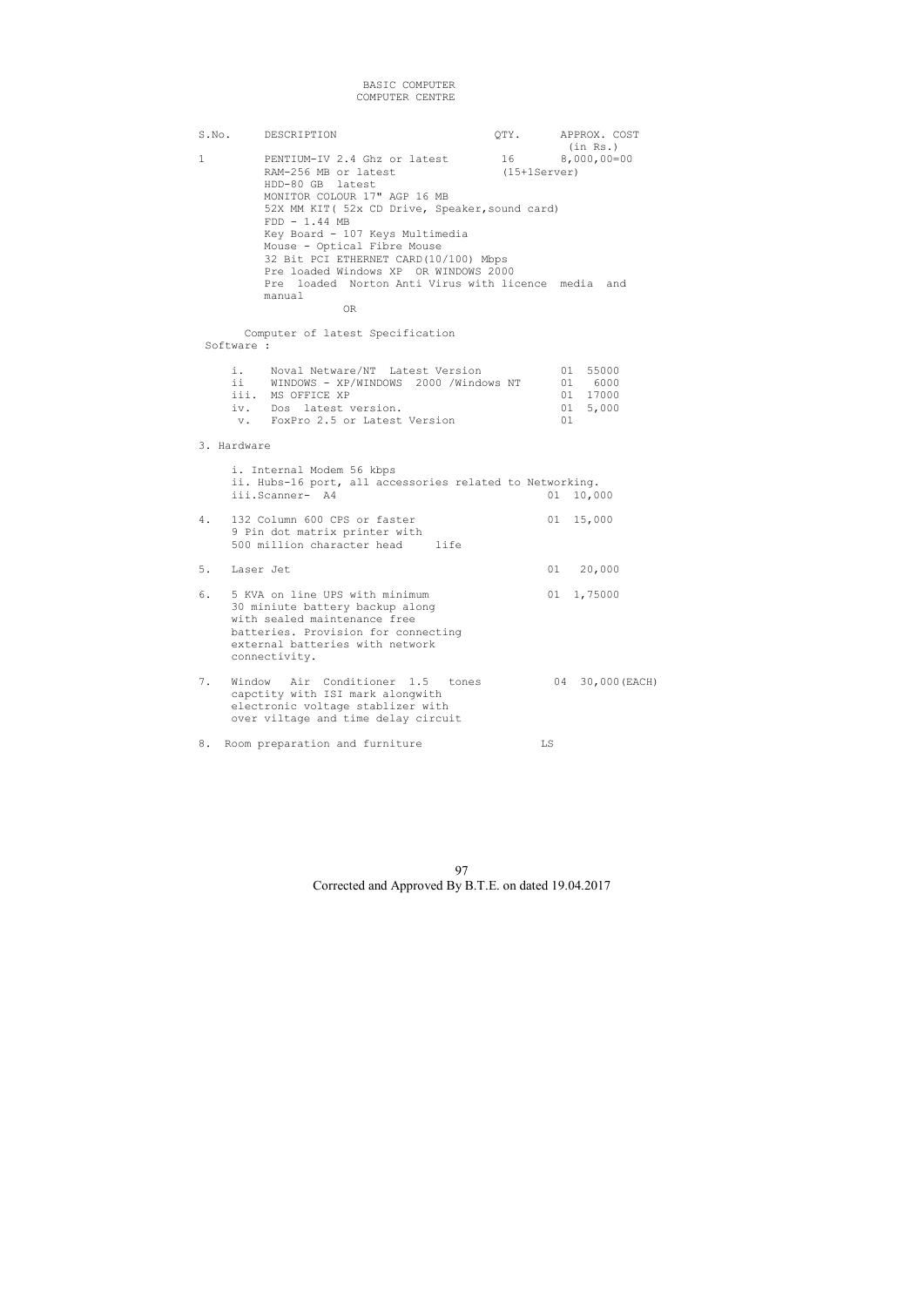## BASIC COMPUTER COMPUTER CENTRE

S.No. DESCRIPTION  $QTY.$  APPROX. COST (in Rs.)<br>16 000,00=00 PENTIUM-IV 2.4 Ghz or latest 16 08,000,00=00 PENTIUM-IV 2.4 Ghz or latest 16 8,000<br>RAM-256 MB or latest (15+1Server) RAM-256 MB or latest HDD-80 GB latest MONITOR COLOUR 17" AGP 16 MB 52X MM KIT( 52x CD Drive, Speaker,sound card) FDD - 1.44 MB Key Board - 107 Keys Multimedia Mouse - Optical Fibre Mouse 32 Bit PCI ETHERNET CARD(10/100) Mbps Pre loaded Windows XP OR WINDOWS 2000 Pre loaded Norton Anti Virus with licence media and manual OR

 Computer of latest Specification Software :

| $\mathbf{1}$ . $\mathbf{1}$ | Noval Netware/NT Latest Version          |      | 01 55000 |
|-----------------------------|------------------------------------------|------|----------|
|                             | ii WINDOWS - XP/WINDOWS 2000 /Windows NT |      | 01 6000  |
|                             | iii. MS OFFICE XP                        |      | 01 17000 |
|                             | iv. Dos latest version.                  |      | 01 5,000 |
|                             | v. FoxPro 2.5 or Latest Version          | (11) |          |

## 3. Hardware

|    | i. Internal Modem 56 kbps<br>ii. Hubs-16 port, all accessories related to Networking.<br>iii.Scanner- A4                                                                                     | 01 | 10,000           |
|----|----------------------------------------------------------------------------------------------------------------------------------------------------------------------------------------------|----|------------------|
| 4. | 132 Column 600 CPS or faster<br>9 Pin dot matrix printer with<br>500 million character head<br>life                                                                                          |    | 01 15,000        |
| 5. | Laser Jet                                                                                                                                                                                    | 01 | 20,000           |
| 6. | 5 KVA on line UPS with minimum<br>30 miniute battery backup along<br>with sealed maintenance free<br>batteries. Provision for connecting<br>external batteries with network<br>connectivity. |    | 01 1,75000       |
| 7. | Window Air Conditioner 1.5 tones<br>capctity with ISI mark alongwith<br>electronic voltage stablizer with<br>over viltage and time delay circuit                                             |    | 04 30,000 (EACH) |

8. Room preparation and furniture The LS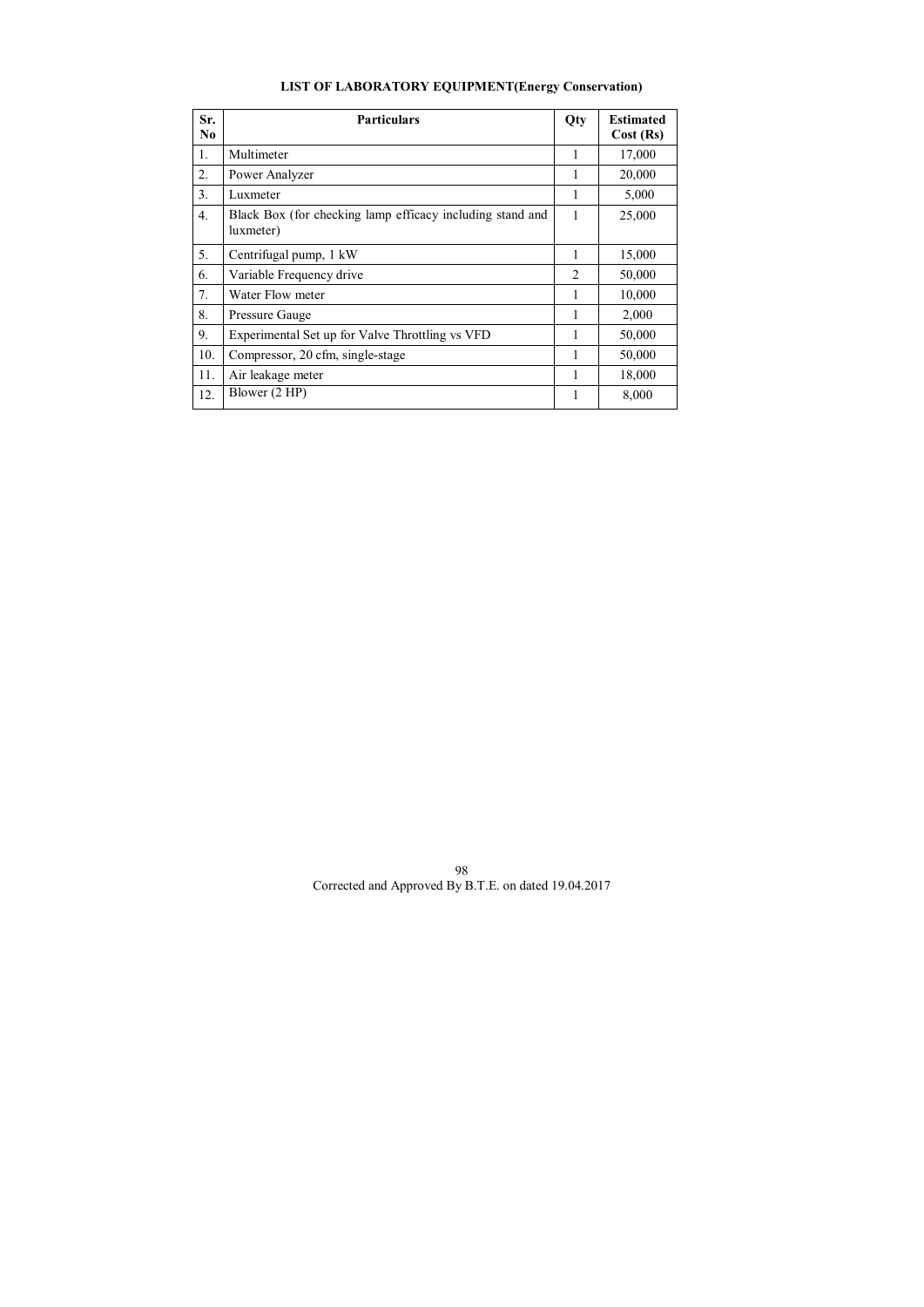# **LIST OF LABORATORY EQUIPMENT(Energy Conservation)**

| Sr.<br>N <sub>0</sub> | <b>Particulars</b>                                                     | Qty            | <b>Estimated</b><br>Cost (Rs) |
|-----------------------|------------------------------------------------------------------------|----------------|-------------------------------|
|                       |                                                                        |                |                               |
| 1.                    | Multimeter                                                             |                | 17,000                        |
| 2.                    | Power Analyzer                                                         |                | 20,000                        |
| 3.                    | Luxmeter                                                               |                | 5,000                         |
| 4.                    | Black Box (for checking lamp efficacy including stand and<br>luxmeter) | 1              | 25,000                        |
| 5.                    | Centrifugal pump, 1 kW                                                 |                | 15,000                        |
| 6.                    | Variable Frequency drive                                               | $\overline{2}$ | 50,000                        |
| 7.                    | Water Flow meter                                                       |                | 10,000                        |
| 8.                    | Pressure Gauge                                                         | 1              | 2,000                         |
| 9.                    | Experimental Set up for Valve Throttling vs VFD                        |                | 50,000                        |
| 10.                   | Compressor, 20 cfm, single-stage                                       |                | 50,000                        |
| 11.                   | Air leakage meter                                                      |                | 18,000                        |
| 12.                   | Blower (2 HP)                                                          |                | 8,000                         |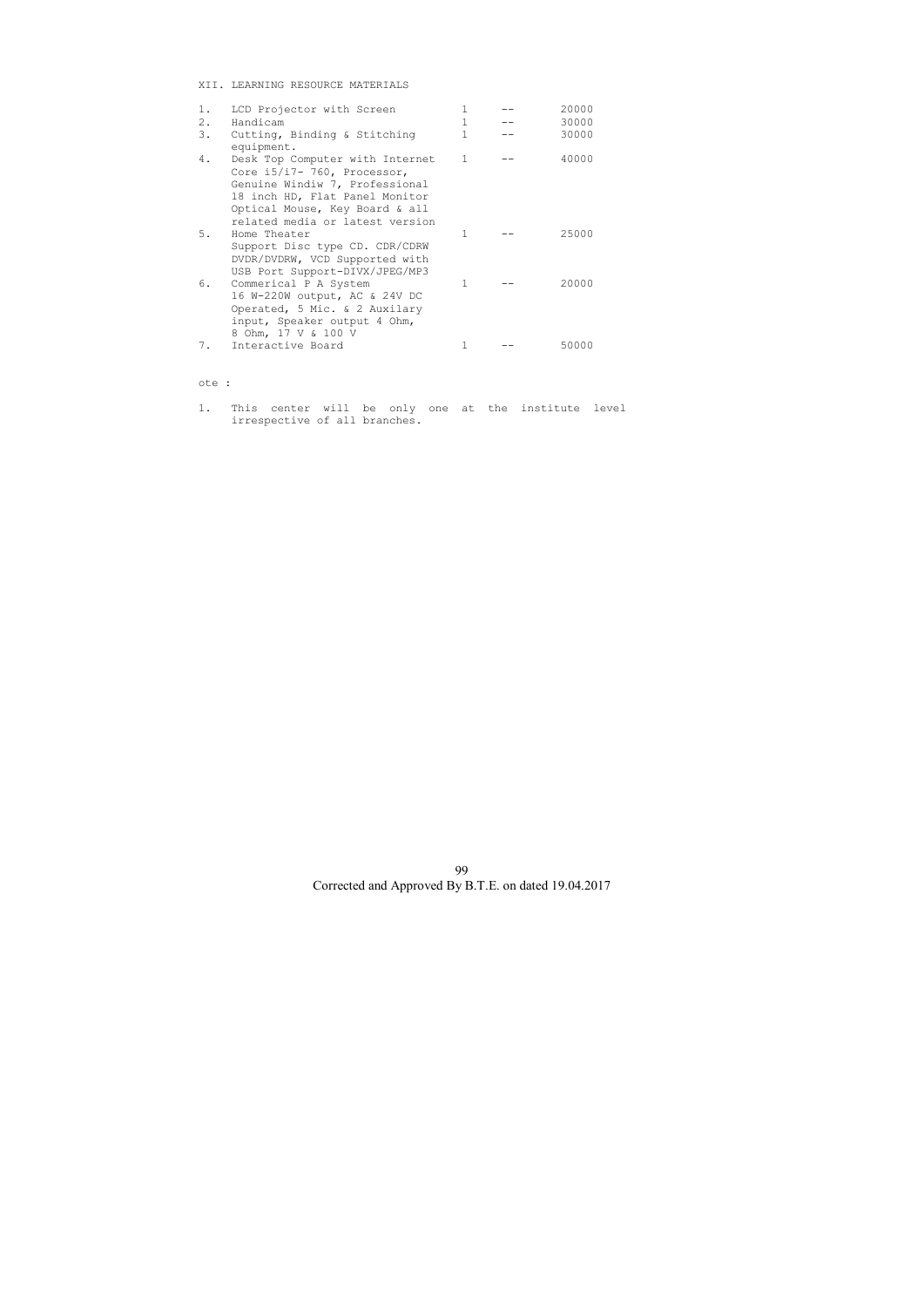XII. LEARNING RESOURCE MATERIALS

| $1$ .<br>2. | LCD Projector with Screen<br>Handicam                                                                                                                                                                   | 1            | 20000<br>30000 |
|-------------|---------------------------------------------------------------------------------------------------------------------------------------------------------------------------------------------------------|--------------|----------------|
| 3.          | Cutting, Binding & Stitching<br>equipment.                                                                                                                                                              |              | 30000          |
| 4.          | Desk Top Computer with Internet<br>Core i5/i7- 760, Processor,<br>Genuine Windiw 7, Professional<br>18 inch HD, Flat Panel Monitor<br>Optical Mouse, Key Board & all<br>related media or latest version | 1            | 40000          |
| 5.          | Home Theater<br>Support Disc type CD. CDR/CDRW<br>DVDR/DVDRW, VCD Supported with<br>USB Port Support-DIVX/JPEG/MP3                                                                                      | 1            | 25000          |
| 6.          | Commerical P A System<br>16 W-220W output, AC & 24V DC<br>Operated, 5 Mic. & 2 Auxilary<br>input, Speaker output 4 Ohm,<br>8 Ohm, 17 V & 100 V                                                          | $\mathbf{1}$ | 20000          |
| 7.          | Interactive Board                                                                                                                                                                                       |              | 50000          |

## ote :

1. This center will be only one at the institute level irrespective of all branches.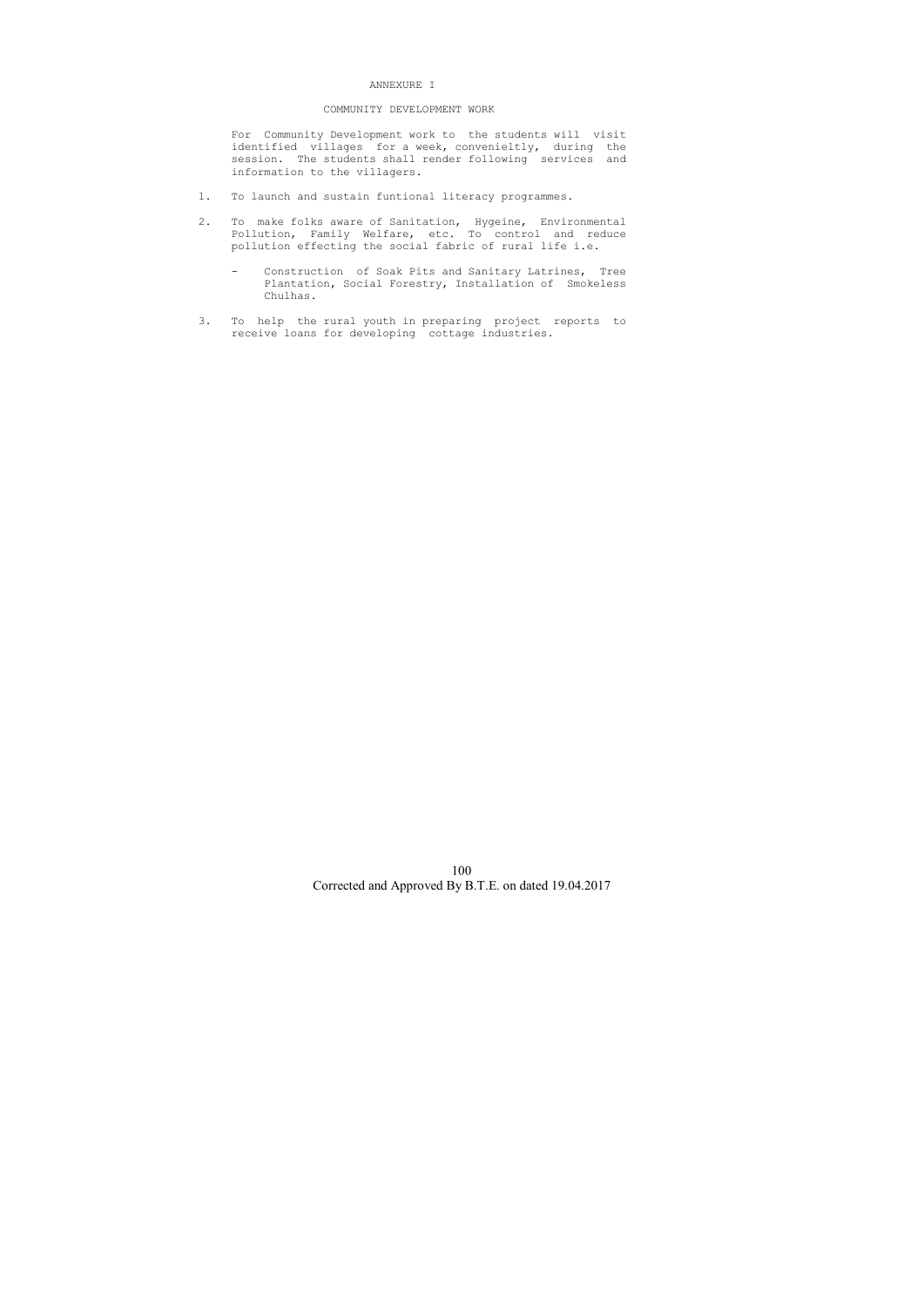#### ANNEXURE I

#### COMMUNITY DEVELOPMENT WORK

 For Community Development work to the students will visit identified villages for a week, convenieltly, during the session. The students shall render following services and information to the villagers.

- 1. To launch and sustain funtional literacy programmes.
- 2. To make folks aware of Sanitation, Hygeine, Environmental Pollution, Family Welfare, etc. To control and reduce pollution effecting the social fabric of rural life i.e.
	- Construction of Soak Pits and Sanitary Latrines, Tree Plantation, Social Forestry, Installation of Smokeless Chulhas.
- 3. To help the rural youth in preparing project reports to receive loans for developing cottage industries.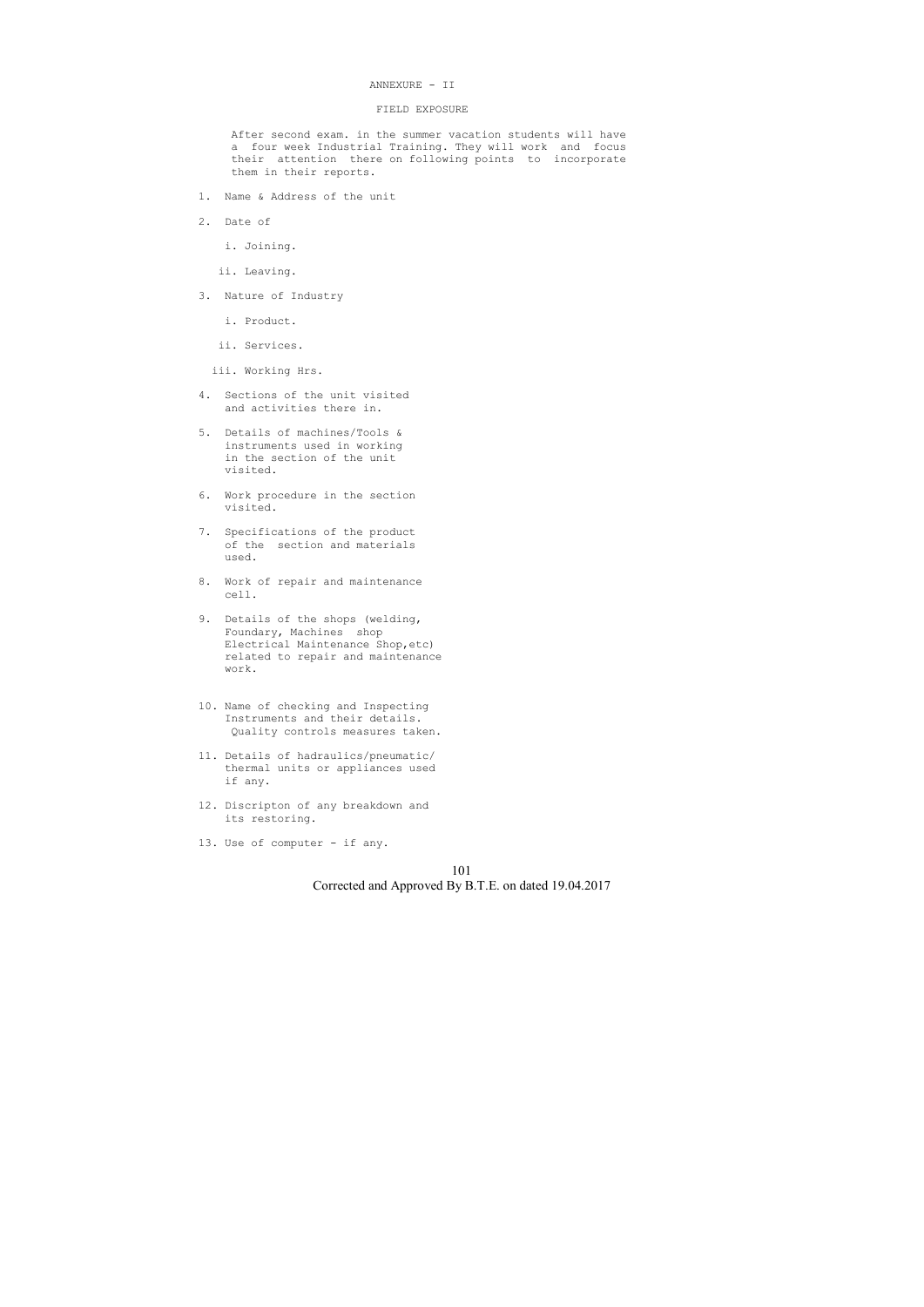#### ANNEXURE - II

#### FIELD EXPOSURE

 After second exam. in the summer vacation students will have a four week Industrial Training. They will work and focus their attention there on following points to incorporate them in their reports.

- 1. Name & Address of the unit
- 2. Date of
	- i. Joining.
	- ii. Leaving.
- 3. Nature of Industry
	- i. Product.
	- ii. Services.
	- iii. Working Hrs.
- 4. Sections of the unit visited and activities there in.
- 5. Details of machines/Tools & instruments used in working in the section of the unit visited.
- 6. Work procedure in the section visited.
- 7. Specifications of the product of the section and materials used.
- 8. Work of repair and maintenance cell.
- 9. Details of the shops (welding, Foundary, Machines shop Electrical Maintenance Shop,etc) related to repair and maintenance work.
- 10. Name of checking and Inspecting Instruments and their details. Quality controls measures taken.
- 11. Details of hadraulics/pneumatic/ thermal units or appliances used if any.
- 12. Discripton of any breakdown and its restoring.
- 13. Use of computer if any.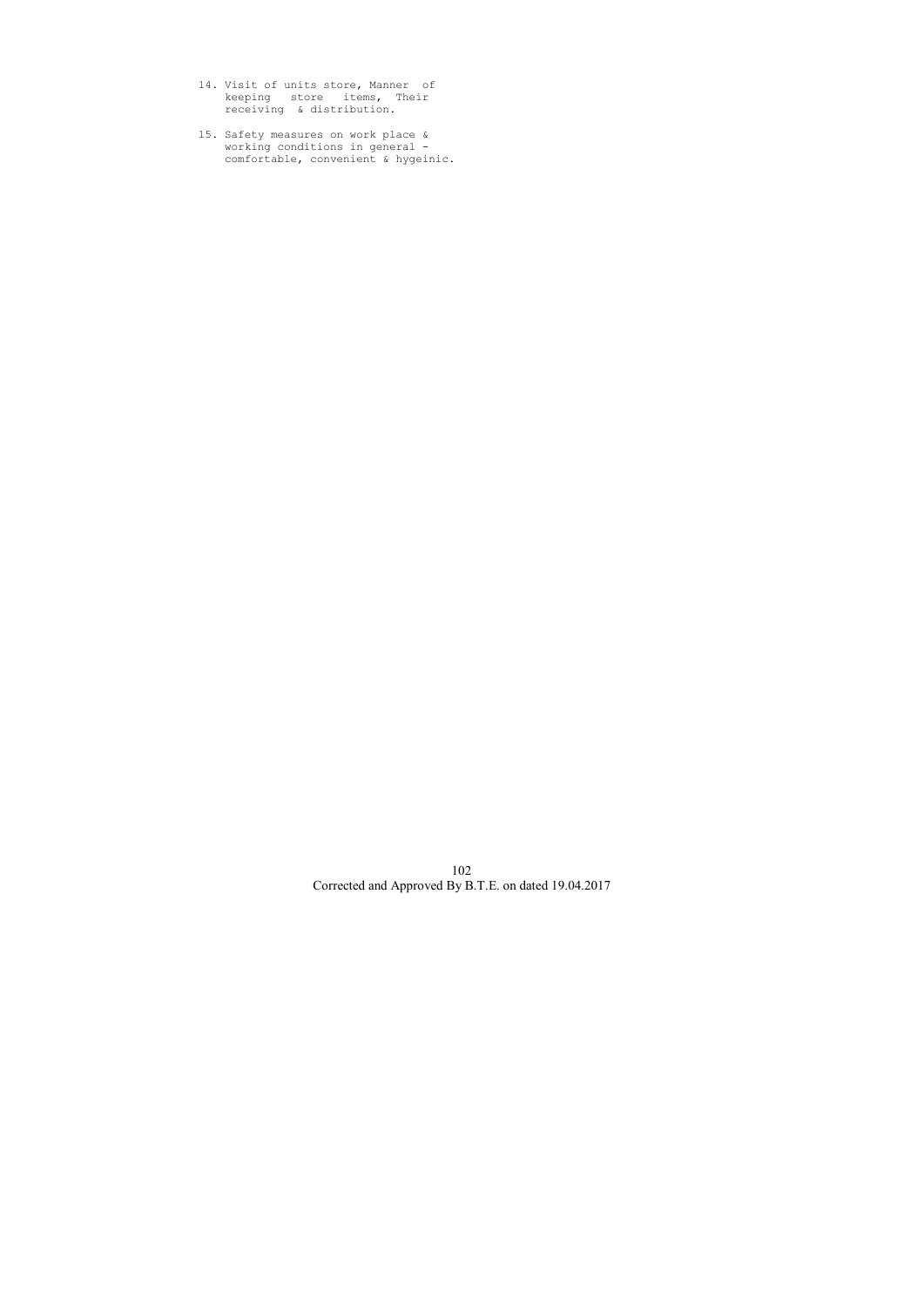- 14. Visit of units store, Manner of keeping store items, Their receiving & distribution.
- 15. Safety measures on work place & working conditions in general comfortable, convenient & hygeinic.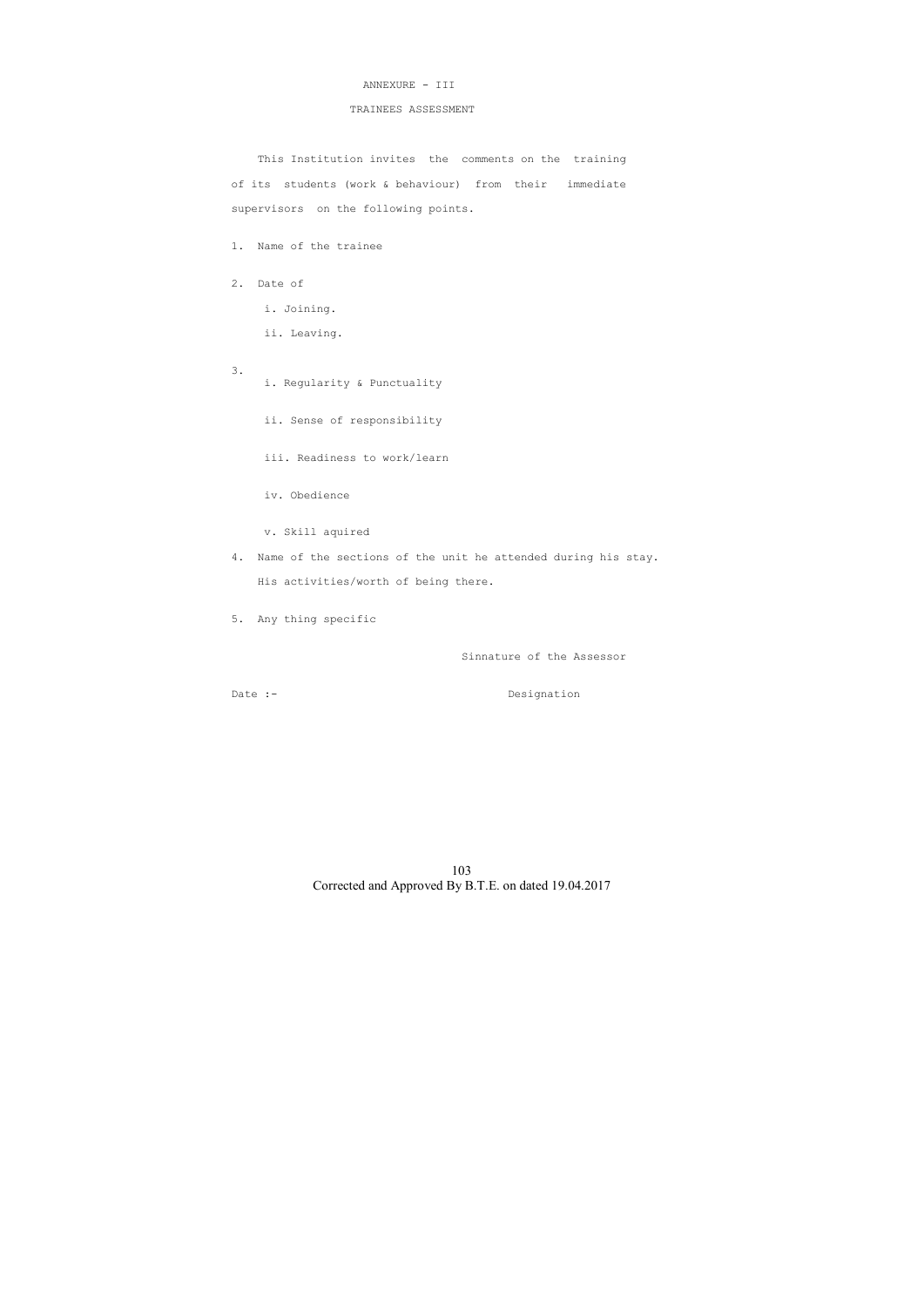## ANNEXURE - III

## TRAINEES ASSESSMENT

 This Institution invites the comments on the training of its students (work & behaviour) from their immediate supervisors on the following points.

- 1. Name of the trainee
- 2. Date of
	- i. Joining.
	- ii. Leaving.
- 3.
	- i. Regularity & Punctuality
		- ii. Sense of responsibility
		- iii. Readiness to work/learn

iv. Obedience

v. Skill aquired

- 4. Name of the sections of the unit he attended during his stay. His activities/worth of being there.
- 5. Any thing specific

Sinnature of the Assessor

Date :- Designation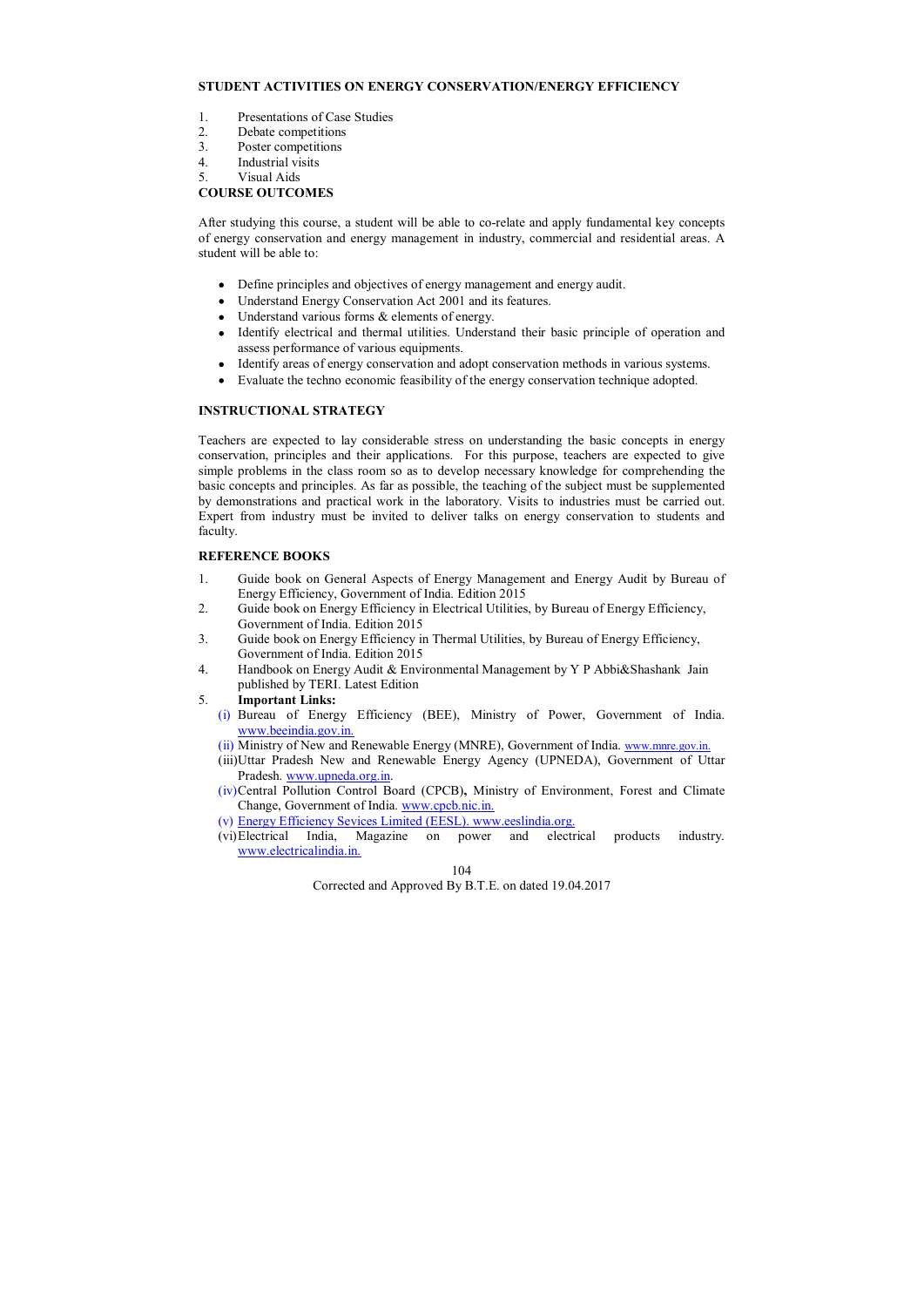104

Corrected and Approved By B.T.E. on dated 19.04.2017

# **STUDENT ACTIVITIES ON ENERGY CONSERVATION/ENERGY EFFICIENCY**

- 1. Presentations of Case Studies
- 2. Debate competitions
- 3. Poster competitions
- 4. Industrial visits
- 5. Visual Aids

# **COURSE OUTCOMES**

After studying this course, a student will be able to co-relate and apply fundamental key concepts of energy conservation and energy management in industry, commercial and residential areas. A student will be able to:

- Define principles and objectives of energy management and energy audit.
- Understand Energy Conservation Act 2001 and its features.
- Understand various forms & elements of energy.
- Identify electrical and thermal utilities. Understand their basic principle of operation and assess performance of various equipments.
- Identify areas of energy conservation and adopt conservation methods in various systems.
- Evaluate the techno economic feasibility of the energy conservation technique adopted.

# **INSTRUCTIONAL STRATEGY**

Teachers are expected to lay considerable stress on understanding the basic concepts in energy conservation, principles and their applications. For this purpose, teachers are expected to give simple problems in the class room so as to develop necessary knowledge for comprehending the basic concepts and principles. As far as possible, the teaching of the subject must be supplemented by demonstrations and practical work in the laboratory. Visits to industries must be carried out. Expert from industry must be invited to deliver talks on energy conservation to students and faculty.

## **REFERENCE BOOKS**

- 1. Guide book on General Aspects of Energy Management and Energy Audit by Bureau of Energy Efficiency, Government of India. Edition 2015
- 2. Guide book on Energy Efficiency in Electrical Utilities, by Bureau of Energy Efficiency, Government of India. Edition 2015
- 3. Guide book on Energy Efficiency in Thermal Utilities, by Bureau of Energy Efficiency, Government of India. Edition 2015
- 4. Handbook on Energy Audit & Environmental Management by Y P Abbi&Shashank Jain published by TERI. Latest Edition
- 5. **Important Links:** 
	- (i) Bureau of Energy Efficiency (BEE), Ministry of Power, Government of India. www.beeindia.gov.in.
	- (ii) Ministry of New and Renewable Energy (MNRE), Government of India. www.mnre.gov.in.
	- (iii)Uttar Pradesh New and Renewable Energy Agency (UPNEDA), Government of Uttar Pradesh. www.upneda.org.in.
	- (iv)Central Pollution Control Board (CPCB)**,** Ministry of Environment, Forest and Climate Change, Government of India. www.cpcb.nic.in.
	-
	- (v) Energy Efficiency Sevices Limited (EESL). www.eeslindia.org.<br>(vi) Electrical India, Magazine on power and electrical products (vi)Electrical India, Magazine on power and electrical products industry. www.electricalindia.in.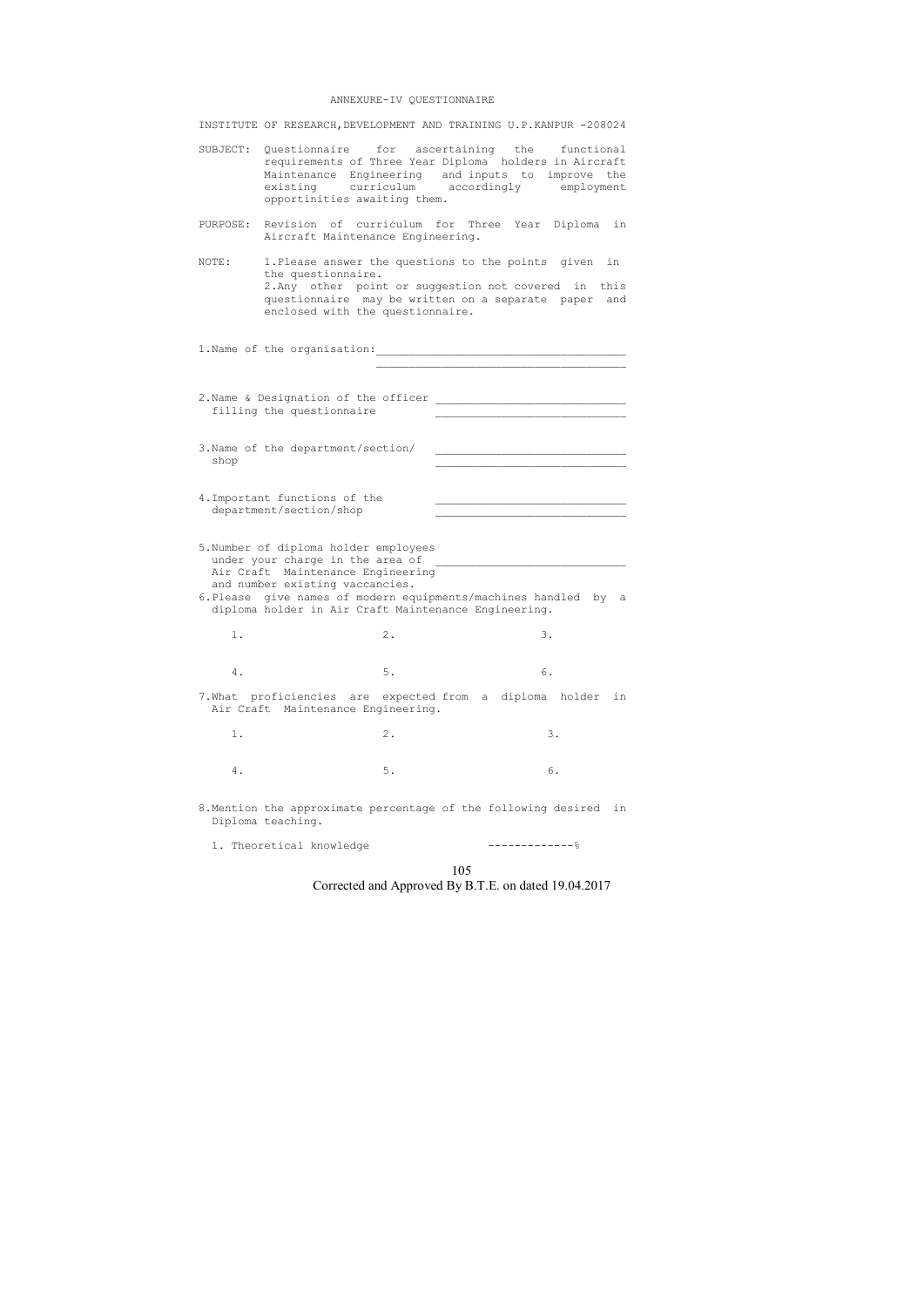#### ANNEXURE-IV QUESTIONNAIRE

INSTITUTE OF RESEARCH,DEVELOPMENT AND TRAINING U.P.KANPUR -208024

2.Name & Designation of the officer \_\_\_\_\_\_\_\_\_\_\_\_\_\_\_\_\_\_\_\_\_\_\_\_\_\_\_\_\_ filling the questionnaire

 $\mathcal{L}_\text{max}$  , and the contract of the contract of the contract of the contract of the contract of the contract of the contract of the contract of the contract of the contract of the contract of the contract of the contr

- SUBJECT: Questionnaire for ascertaining the functional requirements of Three Year Diploma holders in Aircraft Maintenance Engineering and inputs to improve the existing curriculum accordingly employment opportinities awaiting them.
- PURPOSE: Revision of curriculum for Three Year Diploma in Aircraft Maintenance Engineering.
- NOTE: 1.Please answer the questions to the points given in the questionnaire. 2.Any other point or suggestion not covered in this questionnaire may be written on a separate paper and enclosed with the questionnaire.

1.Name of the organisation:\_\_\_\_\_\_\_\_\_\_\_\_\_\_\_\_\_\_\_\_\_\_\_\_\_\_\_\_\_\_\_\_\_\_\_\_\_\_

- 3. Name of the department/section/  $\mathbf{s}$  hop  $\mathbf{s}$
- 4. Important functions of the department/section/shop
- 5.Number of diploma holder employees under your charge in the area of Air Craft Maintenance Engineering and number existing vaccancies.
- 6.Please give names of modern equipments/machines handled by a diploma holder in Air Craft Maintenance Engineering.
- 1. 2. 3.
- 4. 5. 6.
- 7.What proficiencies are expected from a diploma holder in Air Craft Maintenance Engineering.
- 1. 2. 3.
- 4. 5. 6.
- 8.Mention the approximate percentage of the following desired in Diploma teaching.
	- 1. Theoretical knowledge -------------%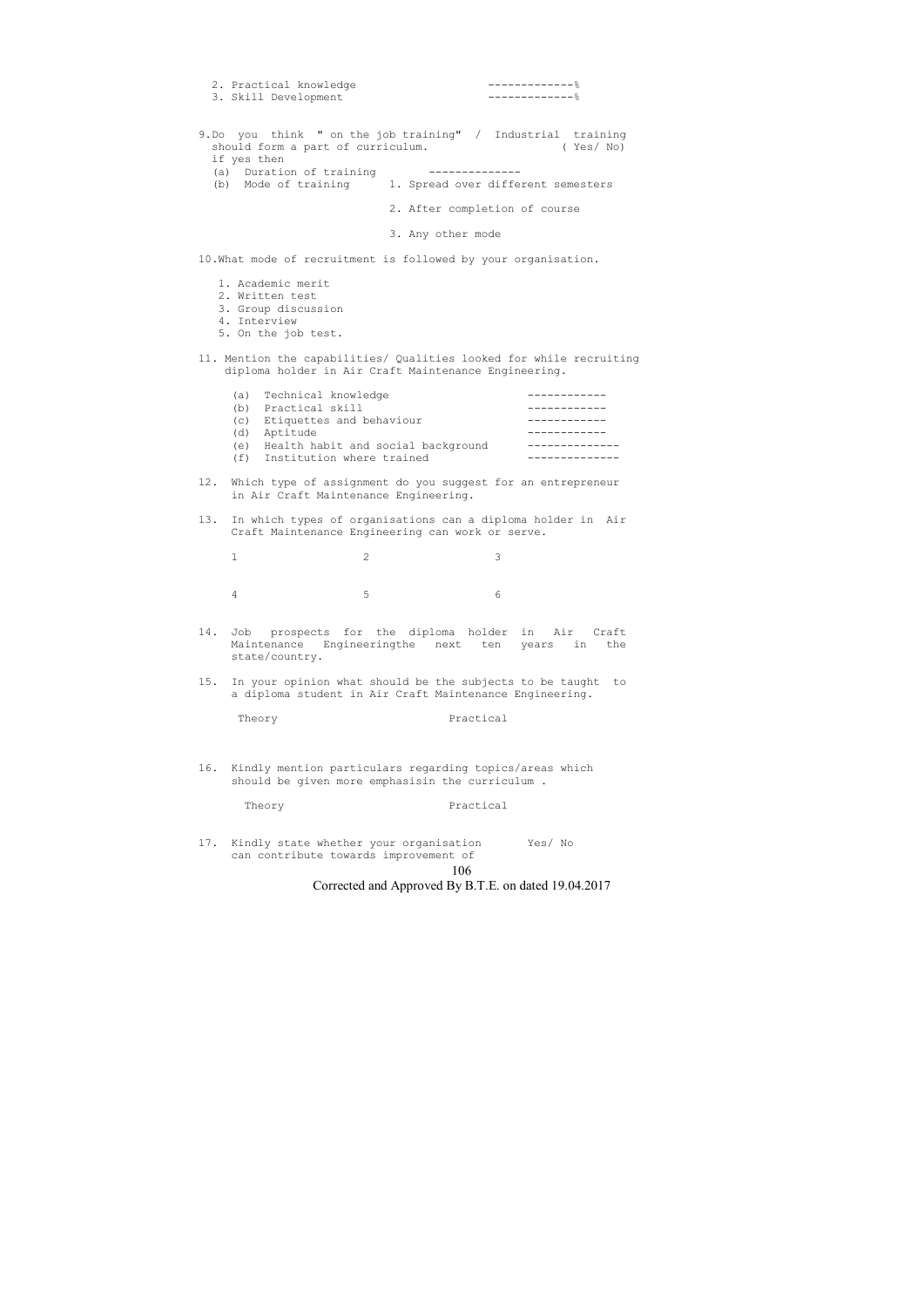106

Corrected and Approved By B.T.E. on dated 19.04.2017

| -------------%<br>2. Practical knowledge<br>------------- %<br>3. Skill Development                                                                                                                                |
|--------------------------------------------------------------------------------------------------------------------------------------------------------------------------------------------------------------------|
| 9.Do you think " on the job training" / Industrial training<br>(Yes/No)<br>should form a part of curriculum.<br>if yes then<br>(a) Duration of training<br>(b) Mode of training 1. Spread over different semesters |
| 2. After completion of course                                                                                                                                                                                      |
| 3. Any other mode                                                                                                                                                                                                  |
| 10. What mode of recruitment is followed by your organisation.                                                                                                                                                     |
| 1. Academic merit                                                                                                                                                                                                  |

- 2. Written test
- 3. Group discussion
- 4. Interview
- 5. On the job test.
- 11. Mention the capabilities/ Qualities looked for while recruiting diploma holder in Air Craft Maintenance Engineering.

|     | (a) Technical knowledge            |  |
|-----|------------------------------------|--|
| (b) | Practical skill                    |  |
|     | (c) Etiquettes and behaviour       |  |
|     | (d) Aptitude                       |  |
| (e) | Health habit and social background |  |
| (f) | Institution where trained          |  |
|     |                                    |  |

- 12. Which type of assignment do you suggest for an entrepreneur in Air Craft Maintenance Engineering.
- 13. In which types of organisations can a diploma holder in Air Craft Maintenance Engineering can work or serve.

| $1$ and $2$ and $3$ |  |
|---------------------|--|
|                     |  |
| $4 \t\t 5$ 6        |  |

- 14. Job prospects for the diploma holder in Air Craft Maintenance Engineeringthe next ten years in the state/country.
- 15. In your opinion what should be the subjects to be taught to a diploma student in Air Craft Maintenance Engineering.

| Theory<br>$   -$ | Practical |
|------------------|-----------|
|------------------|-----------|

16. Kindly mention particulars regarding topics/areas which should be given more emphasisin the curriculum .

Theory **Practical** 

17. Kindly state whether your organisation Yes/ No can contribute towards improvement of